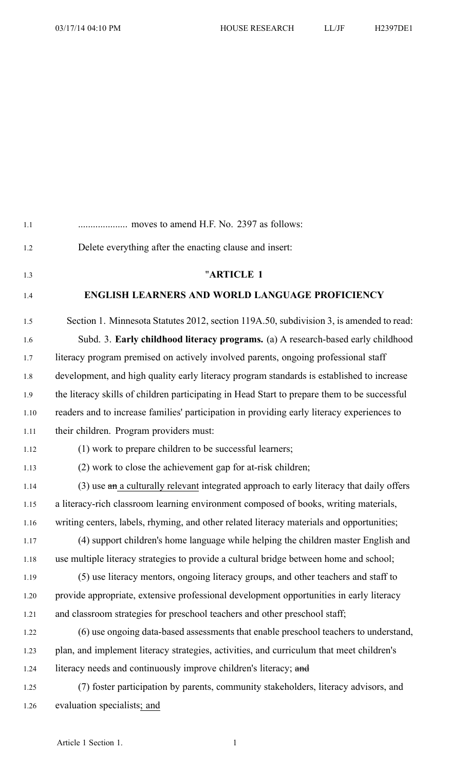| 1.1  |                                                                                              |
|------|----------------------------------------------------------------------------------------------|
| 1.2  | Delete everything after the enacting clause and insert:                                      |
| 1.3  | "ARTICLE 1                                                                                   |
| 1.4  | <b>ENGLISH LEARNERS AND WORLD LANGUAGE PROFICIENCY</b>                                       |
| 1.5  | Section 1. Minnesota Statutes 2012, section 119A.50, subdivision 3, is amended to read:      |
| 1.6  | Subd. 3. Early childhood literacy programs. (a) A research-based early childhood             |
| 1.7  | literacy program premised on actively involved parents, ongoing professional staff           |
| 1.8  | development, and high quality early literacy program standards is established to increase    |
| 1.9  | the literacy skills of children participating in Head Start to prepare them to be successful |
| 1.10 | readers and to increase families' participation in providing early literacy experiences to   |
| 1.11 | their children. Program providers must:                                                      |
| 1.12 | (1) work to prepare children to be successful learners;                                      |
| 1.13 | (2) work to close the achievement gap for at-risk children;                                  |
| 1.14 | (3) use an a culturally relevant integrated approach to early literacy that daily offers     |
| 1.15 | a literacy-rich classroom learning environment composed of books, writing materials,         |
| 1.16 | writing centers, labels, rhyming, and other related literacy materials and opportunities;    |
| 1.17 | (4) support children's home language while helping the children master English and           |
| 1.18 | use multiple literacy strategies to provide a cultural bridge between home and school;       |
| 1.19 | (5) use literacy mentors, ongoing literacy groups, and other teachers and staff to           |
| 1.20 | provide appropriate, extensive professional development opportunities in early literacy      |
| 1.21 | and classroom strategies for preschool teachers and other preschool staff;                   |
| 1.22 | (6) use ongoing data-based assessments that enable preschool teachers to understand,         |
| 1.23 | plan, and implement literacy strategies, activities, and curriculum that meet children's     |
| 1.24 | literacy needs and continuously improve children's literacy; and                             |
| 1.25 | (7) foster participation by parents, community stakeholders, literacy advisors, and          |
| 1.26 | evaluation specialists; and                                                                  |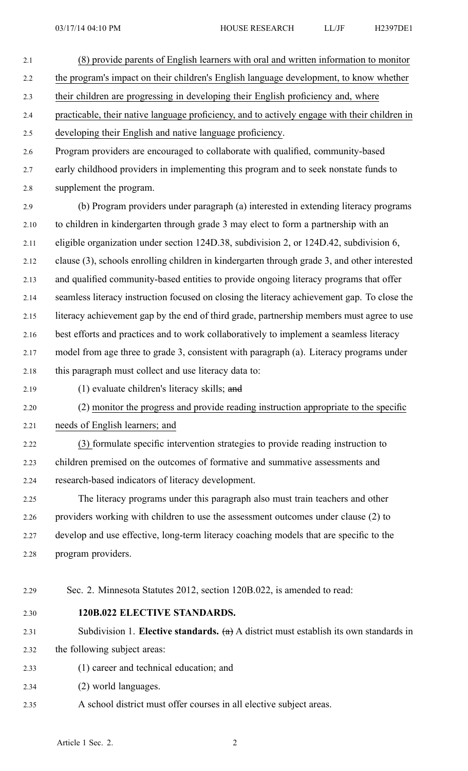- 2.1 (8) provide parents of English learners with oral and written information to monitor 2.2 the program's impact on their children's English language development, to know whether 2.3 their children are progressing in developing their English proficiency and, where 2.4 practicable, their native language proficiency, and to actively engage with their children in 2.5 developing their English and native language proficiency. 2.6 Program providers are encouraged to collaborate with qualified, community-based 2.7 early childhood providers in implementing this program and to seek nonstate funds to 2.8 supplement the program. 2.9 (b) Program providers under paragraph (a) interested in extending literacy programs 2.10 to children in kindergarten through grade 3 may elect to form <sup>a</sup> partnership with an 2.11 eligible organization under section 124D.38, subdivision 2, or 124D.42, subdivision 6, 2.12 clause (3), schools enrolling children in kindergarten through grade 3, and other interested 2.13 and qualified community-based entities to provide ongoing literacy programs that offer 2.14 seamless literacy instruction focused on closing the literacy achievement gap. To close the 2.15 literacy achievement gap by the end of third grade, partnership members must agree to use 2.16 best efforts and practices and to work collaboratively to implement <sup>a</sup> seamless literacy 2.17 model from age three to grade 3, consistent with paragraph (a). Literacy programs under 2.18 this paragraph must collect and use literacy data to: 2.19 (1) evaluate children's literacy skills; and 2.20 (2) monitor the progress and provide reading instruction appropriate to the specific 2.21 needs of English learners; and 2.22 (3) formulate specific intervention strategies to provide reading instruction to 2.23 children premised on the outcomes of formative and summative assessments and 2.24 research-based indicators of literacy development. 2.25 The literacy programs under this paragraph also must train teachers and other 2.26 providers working with children to use the assessment outcomes under clause (2) to 2.27 develop and use effective, long-term literacy coaching models that are specific to the 2.28 program providers. 2.29 Sec. 2. Minnesota Statutes 2012, section 120B.022, is amended to read: 2.30 **120B.022 ELECTIVE STANDARDS.** 2.31 Subdivision 1. **Elective standards.** (a) A district must establish its own standards in 2.32 the following subject areas: 2.33 (1) career and technical education; and
- 2.34 (2) world languages.
- 2.35 A school district must offer courses in all elective subject areas.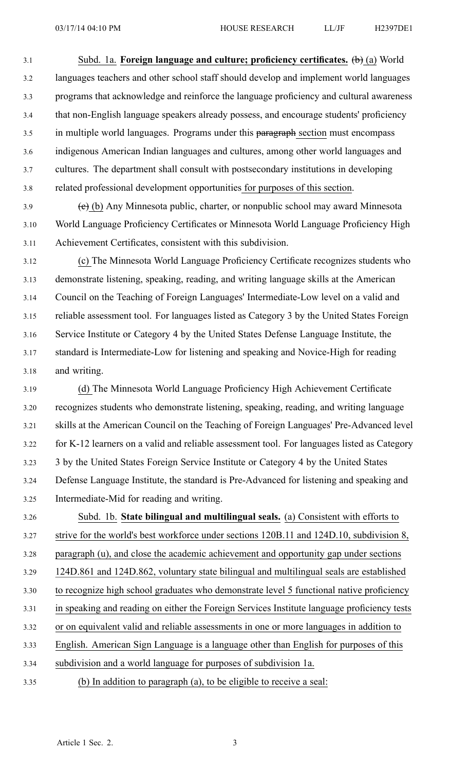3.1 Subd. 1a. **Foreign language and culture; proficiency certificates.** (b) (a) World 3.2 languages teachers and other school staff should develop and implement world languages 3.3 programs that acknowledge and reinforce the language proficiency and cultural awareness 3.4 that non-English language speakers already possess, and encourage students' proficiency 3.5 in multiple world languages. Programs under this paragraph section must encompass 3.6 indigenous American Indian languages and cultures, among other world languages and 3.7 cultures. The department shall consult with postsecondary institutions in developing 3.8 related professional development opportunities for purposes of this section.

 $\left(\frac{e}{f}\right)$  (b) Any Minnesota public, charter, or nonpublic school may award Minnesota 3.10 World Language Proficiency Certificates or Minnesota World Language Proficiency High 3.11 Achievement Certificates, consistent with this subdivision.

3.12 (c) The Minnesota World Language Proficiency Certificate recognizes students who 3.13 demonstrate listening, speaking, reading, and writing language skills at the American 3.14 Council on the Teaching of Foreign Languages' Intermediate-Low level on <sup>a</sup> valid and 3.15 reliable assessment tool. For languages listed as Category 3 by the United States Foreign 3.16 Service Institute or Category 4 by the United States Defense Language Institute, the 3.17 standard is Intermediate-Low for listening and speaking and Novice-High for reading 3.18 and writing.

3.19 (d) The Minnesota World Language Proficiency High Achievement Certificate 3.20 recognizes students who demonstrate listening, speaking, reading, and writing language 3.21 skills at the American Council on the Teaching of Foreign Languages' Pre-Advanced level 3.22 for K-12 learners on <sup>a</sup> valid and reliable assessment tool. For languages listed as Category 3.23 3 by the United States Foreign Service Institute or Category 4 by the United States 3.24 Defense Language Institute, the standard is Pre-Advanced for listening and speaking and 3.25 Intermediate-Mid for reading and writing.

3.26 Subd. 1b. **State bilingual and multilingual seals.** (a) Consistent with efforts to 3.27 strive for the world's best workforce under sections 120B.11 and 124D.10, subdivision 8, 3.28 paragraph (u), and close the academic achievement and opportunity gap under sections 3.29 124D.861 and 124D.862, voluntary state bilingual and multilingual seals are established 3.30 to recognize high school graduates who demonstrate level 5 functional native proficiency 3.31 in speaking and reading on either the Foreign Services Institute language proficiency tests 3.32 or on equivalent valid and reliable assessments in one or more languages in addition to 3.33 English. American Sign Language is <sup>a</sup> language other than English for purposes of this 3.34 subdivision and <sup>a</sup> world language for purposes of subdivision 1a. 3.35 (b) In addition to paragraph (a), to be eligible to receive <sup>a</sup> seal: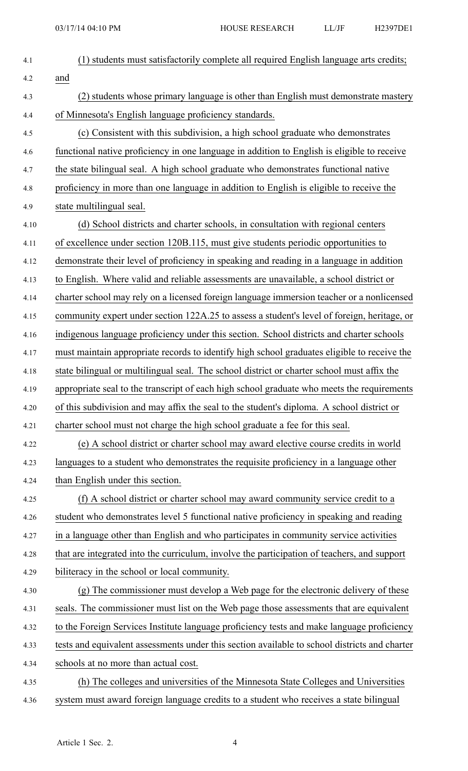| 4.1  | (1) students must satisfactorily complete all required English language arts credits;         |
|------|-----------------------------------------------------------------------------------------------|
| 4.2  | and                                                                                           |
| 4.3  | (2) students whose primary language is other than English must demonstrate mastery            |
| 4.4  | of Minnesota's English language proficiency standards.                                        |
| 4.5  | (c) Consistent with this subdivision, a high school graduate who demonstrates                 |
| 4.6  | functional native proficiency in one language in addition to English is eligible to receive   |
| 4.7  | the state bilingual seal. A high school graduate who demonstrates functional native           |
| 4.8  | proficiency in more than one language in addition to English is eligible to receive the       |
| 4.9  | state multilingual seal.                                                                      |
| 4.10 | (d) School districts and charter schools, in consultation with regional centers               |
| 4.11 | of excellence under section 120B.115, must give students periodic opportunities to            |
| 4.12 | demonstrate their level of proficiency in speaking and reading in a language in addition      |
| 4.13 | to English. Where valid and reliable assessments are unavailable, a school district or        |
| 4.14 | charter school may rely on a licensed foreign language immersion teacher or a nonlicensed     |
| 4.15 | community expert under section 122A.25 to assess a student's level of foreign, heritage, or   |
| 4.16 | indigenous language proficiency under this section. School districts and charter schools      |
| 4.17 | must maintain appropriate records to identify high school graduates eligible to receive the   |
| 4.18 | state bilingual or multilingual seal. The school district or charter school must affix the    |
| 4.19 | appropriate seal to the transcript of each high school graduate who meets the requirements    |
| 4.20 | of this subdivision and may affix the seal to the student's diploma. A school district or     |
| 4.21 | charter school must not charge the high school graduate a fee for this seal.                  |
| 4.22 | (e) A school district or charter school may award elective course credits in world            |
| 4.23 | languages to a student who demonstrates the requisite proficiency in a language other         |
| 4.24 | than English under this section.                                                              |
| 4.25 | (f) A school district or charter school may award community service credit to a               |
| 4.26 | student who demonstrates level 5 functional native proficiency in speaking and reading        |
| 4.27 | in a language other than English and who participates in community service activities         |
| 4.28 | that are integrated into the curriculum, involve the participation of teachers, and support   |
| 4.29 | biliteracy in the school or local community.                                                  |
| 4.30 | (g) The commissioner must develop a Web page for the electronic delivery of these             |
| 4.31 | seals. The commissioner must list on the Web page those assessments that are equivalent       |
| 4.32 | to the Foreign Services Institute language proficiency tests and make language proficiency    |
| 4.33 | tests and equivalent assessments under this section available to school districts and charter |
| 4.34 | schools at no more than actual cost.                                                          |
| 4.35 | (h) The colleges and universities of the Minnesota State Colleges and Universities            |
| 4.36 | system must award foreign language credits to a student who receives a state bilingual        |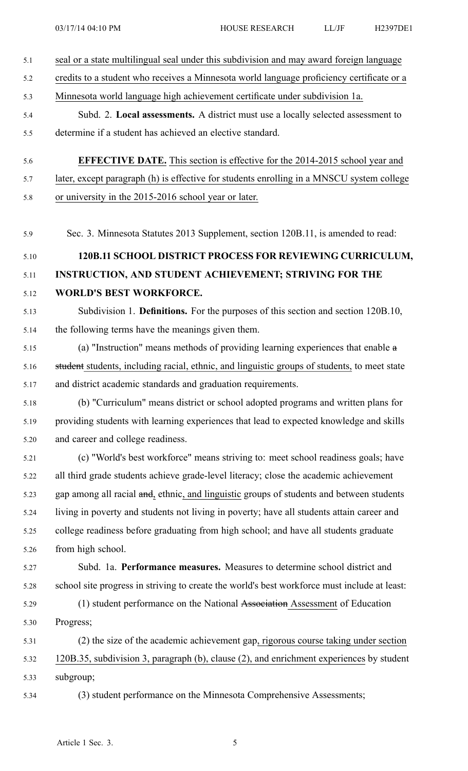| 5.1  | seal or a state multilingual seal under this subdivision and may award foreign language      |
|------|----------------------------------------------------------------------------------------------|
| 5.2  | credits to a student who receives a Minnesota world language proficiency certificate or a    |
| 5.3  | Minnesota world language high achievement certificate under subdivision 1a.                  |
| 5.4  | Subd. 2. Local assessments. A district must use a locally selected assessment to             |
| 5.5  | determine if a student has achieved an elective standard.                                    |
| 5.6  | <b>EFFECTIVE DATE.</b> This section is effective for the 2014-2015 school year and           |
| 5.7  | later, except paragraph (h) is effective for students enrolling in a MNSCU system college    |
| 5.8  | or university in the 2015-2016 school year or later.                                         |
| 5.9  | Sec. 3. Minnesota Statutes 2013 Supplement, section 120B.11, is amended to read:             |
| 5.10 | 120B.11 SCHOOL DISTRICT PROCESS FOR REVIEWING CURRICULUM,                                    |
| 5.11 | INSTRUCTION, AND STUDENT ACHIEVEMENT; STRIVING FOR THE                                       |
| 5.12 | <b>WORLD'S BEST WORKFORCE.</b>                                                               |
| 5.13 | Subdivision 1. Definitions. For the purposes of this section and section 120B.10,            |
| 5.14 | the following terms have the meanings given them.                                            |
| 5.15 | (a) "Instruction" means methods of providing learning experiences that enable $\alpha$       |
| 5.16 | student students, including racial, ethnic, and linguistic groups of students, to meet state |
| 5.17 | and district academic standards and graduation requirements.                                 |
| 5.18 | (b) "Curriculum" means district or school adopted programs and written plans for             |
| 5.19 | providing students with learning experiences that lead to expected knowledge and skills      |
| 5.20 | and career and college readiness.                                                            |
| 5.21 | (c) "World's best workforce" means striving to: meet school readiness goals; have            |
| 5.22 | all third grade students achieve grade-level literacy; close the academic achievement        |
| 5.23 | gap among all racial and, ethnic, and linguistic groups of students and between students     |
| 5.24 | living in poverty and students not living in poverty; have all students attain career and    |
| 5.25 | college readiness before graduating from high school; and have all students graduate         |
| 5.26 | from high school.                                                                            |
| 5.27 | Subd. 1a. Performance measures. Measures to determine school district and                    |
| 5.28 | school site progress in striving to create the world's best workforce must include at least: |
| 5.29 | (1) student performance on the National Association Assessment of Education                  |
| 5.30 | Progress;                                                                                    |
| 5.31 | (2) the size of the academic achievement gap, rigorous course taking under section           |
| 5.32 | 120B.35, subdivision 3, paragraph (b), clause (2), and enrichment experiences by student     |
| 5.33 | subgroup;                                                                                    |
| 5.34 | (3) student performance on the Minnesota Comprehensive Assessments;                          |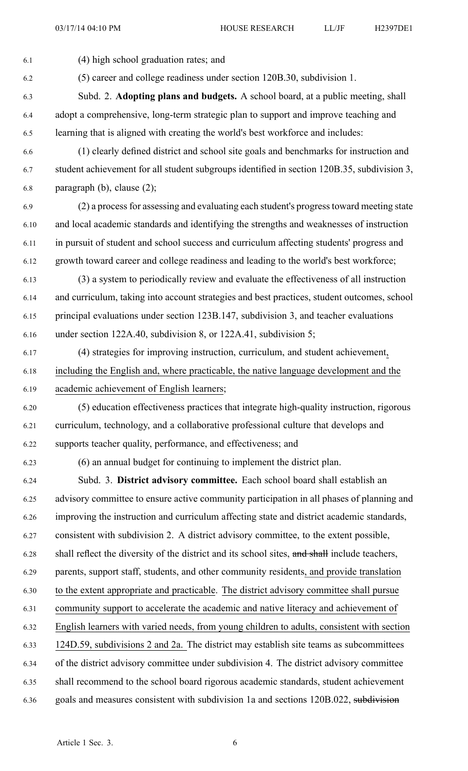6.1 (4) high school graduation rates; and 6.2 (5) career and college readiness under section 120B.30, subdivision 1. 6.3 Subd. 2. **Adopting plans and budgets.** A school board, at <sup>a</sup> public meeting, shall 6.4 adopt <sup>a</sup> comprehensive, long-term strategic plan to suppor<sup>t</sup> and improve teaching and 6.5 learning that is aligned with creating the world's best workforce and includes: 6.6 (1) clearly defined district and school site goals and benchmarks for instruction and 6.7 student achievement for all student subgroups identified in section 120B.35, subdivision 3, 6.8 paragraph (b), clause (2); 6.9 (2) <sup>a</sup> processfor assessing and evaluating each student's progresstoward meeting state 6.10 and local academic standards and identifying the strengths and weaknesses of instruction 6.11 in pursuit of student and school success and curriculum affecting students' progress and 6.12 growth toward career and college readiness and leading to the world's best workforce; 6.13 (3) <sup>a</sup> system to periodically review and evaluate the effectiveness of all instruction 6.14 and curriculum, taking into account strategies and best practices, student outcomes, school 6.15 principal evaluations under section 123B.147, subdivision 3, and teacher evaluations 6.16 under section 122A.40, subdivision 8, or 122A.41, subdivision 5; 6.17 (4) strategies for improving instruction, curriculum, and student achievement, 6.18 including the English and, where practicable, the native language development and the 6.19 academic achievement of English learners; 6.20 (5) education effectiveness practices that integrate high-quality instruction, rigorous 6.21 curriculum, technology, and <sup>a</sup> collaborative professional culture that develops and 6.22 supports teacher quality, performance, and effectiveness; and 6.23 (6) an annual budget for continuing to implement the district plan. 6.24 Subd. 3. **District advisory committee.** Each school board shall establish an 6.25 advisory committee to ensure active community participation in all phases of planning and 6.26 improving the instruction and curriculum affecting state and district academic standards, 6.27 consistent with subdivision 2. A district advisory committee, to the extent possible, 6.28 shall reflect the diversity of the district and its school sites, and shall include teachers, 6.29 parents, suppor<sup>t</sup> staff, students, and other community residents, and provide translation 6.30 to the extent appropriate and practicable. The district advisory committee shall pursue 6.31 community suppor<sup>t</sup> to accelerate the academic and native literacy and achievement of 6.32 English learners with varied needs, from young children to adults, consistent with section 6.33 124D.59, subdivisions 2 and 2a. The district may establish site teams as subcommittees 6.34 of the district advisory committee under subdivision 4. The district advisory committee 6.35 shall recommend to the school board rigorous academic standards, student achievement 6.36 goals and measures consistent with subdivision 1a and sections 120B.022, subdivision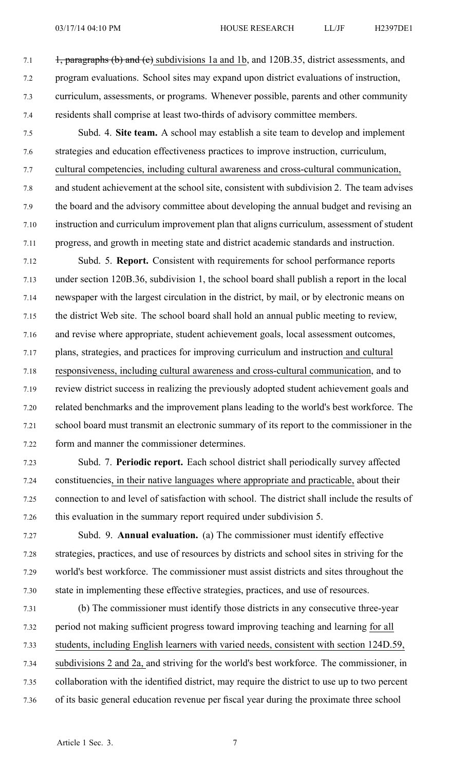- 7.1 +, paragraphs (b) and (e) subdivisions 1a and 1b, and 120B.35, district assessments, and 7.2 program evaluations. School sites may expand upon district evaluations of instruction, 7.3 curriculum, assessments, or programs. Whenever possible, parents and other community 7.4 residents shall comprise at least two-thirds of advisory committee members.
- 7.5 Subd. 4. **Site team.** A school may establish <sup>a</sup> site team to develop and implement 7.6 strategies and education effectiveness practices to improve instruction, curriculum, 7.7 cultural competencies, including cultural awareness and cross-cultural communication, 7.8 and student achievement at the school site, consistent with subdivision 2. The team advises 7.9 the board and the advisory committee about developing the annual budget and revising an 7.10 instruction and curriculum improvement plan that aligns curriculum, assessment of student 7.11 progress, and growth in meeting state and district academic standards and instruction.
- 7.12 Subd. 5. **Report.** Consistent with requirements for school performance reports 7.13 under section 120B.36, subdivision 1, the school board shall publish <sup>a</sup> repor<sup>t</sup> in the local 7.14 newspaper with the largest circulation in the district, by mail, or by electronic means on 7.15 the district Web site. The school board shall hold an annual public meeting to review, 7.16 and revise where appropriate, student achievement goals, local assessment outcomes, 7.17 plans, strategies, and practices for improving curriculum and instruction and cultural 7.18 responsiveness, including cultural awareness and cross-cultural communication, and to 7.19 review district success in realizing the previously adopted student achievement goals and 7.20 related benchmarks and the improvement plans leading to the world's best workforce. The 7.21 school board must transmit an electronic summary of its repor<sup>t</sup> to the commissioner in the 7.22 form and manner the commissioner determines.
- 7.23 Subd. 7. **Periodic report.** Each school district shall periodically survey affected 7.24 constituencies, in their native languages where appropriate and practicable, about their 7.25 connection to and level of satisfaction with school. The district shall include the results of 7.26 this evaluation in the summary repor<sup>t</sup> required under subdivision 5.
- 7.27 Subd. 9. **Annual evaluation.** (a) The commissioner must identify effective 7.28 strategies, practices, and use of resources by districts and school sites in striving for the 7.29 world's best workforce. The commissioner must assist districts and sites throughout the 7.30 state in implementing these effective strategies, practices, and use of resources.
- 7.31 (b) The commissioner must identify those districts in any consecutive three-year 7.32 period not making sufficient progress toward improving teaching and learning for all 7.33 students, including English learners with varied needs, consistent with section 124D.59, 7.34 subdivisions 2 and 2a, and striving for the world's best workforce. The commissioner, in 7.35 collaboration with the identified district, may require the district to use up to two percen<sup>t</sup> 7.36 of its basic general education revenue per fiscal year during the proximate three school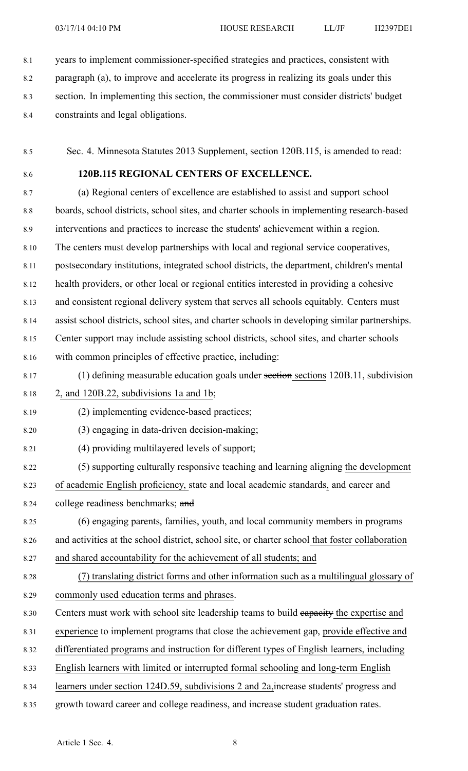8.1 years to implement commissioner-specified strategies and practices, consistent with

- 8.2 paragraph (a), to improve and accelerate its progress in realizing its goals under this
- 8.3 section. In implementing this section, the commissioner must consider districts' budget
- 8.4 constraints and legal obligations.
- 8.5 Sec. 4. Minnesota Statutes 2013 Supplement, section 120B.115, is amended to read:
- 

# 8.6 **120B.115 REGIONAL CENTERS OF EXCELLENCE.**

8.7 (a) Regional centers of excellence are established to assist and suppor<sup>t</sup> school 8.8 boards, school districts, school sites, and charter schools in implementing research-based 8.9 interventions and practices to increase the students' achievement within <sup>a</sup> region. 8.10 The centers must develop partnerships with local and regional service cooperatives, 8.11 postsecondary institutions, integrated school districts, the department, children's mental 8.12 health providers, or other local or regional entities interested in providing <sup>a</sup> cohesive 8.13 and consistent regional delivery system that serves all schools equitably. Centers must 8.14 assist school districts, school sites, and charter schools in developing similar partnerships. 8.15 Center suppor<sup>t</sup> may include assisting school districts, school sites, and charter schools 8.16 with common principles of effective practice, including:

- 8.17 (1) defining measurable education goals under section sections 120B.11, subdivision 8.18 2, and 120B.22, subdivisions 1a and 1b;
- 8.19 (2) implementing evidence-based practices;
- 8.20 (3) engaging in data-driven decision-making;
- 8.21 (4) providing multilayered levels of support;

8.22 (5) supporting culturally responsive teaching and learning aligning the development 8.23 of academic English proficiency, state and local academic standards, and career and

- 8.24 college readiness benchmarks; and
- 8.25 (6) engaging parents, families, youth, and local community members in programs 8.26 and activities at the school district, school site, or charter school that foster collaboration 8.27 and shared accountability for the achievement of all students; and
- 8.28 (7) translating district forms and other information such as <sup>a</sup> multilingual glossary of 8.29 commonly used education terms and phrases.
- 8.30 Centers must work with school site leadership teams to build eapacity the expertise and
- 8.31 experience to implement programs that close the achievement gap, provide effective and
- 8.32 differentiated programs and instruction for different types of English learners, including
- 8.33 English learners with limited or interrupted formal schooling and long-term English
- 8.34 learners under section 124D.59, subdivisions 2 and 2a,increase students' progress and
- 8.35 growth toward career and college readiness, and increase student graduation rates.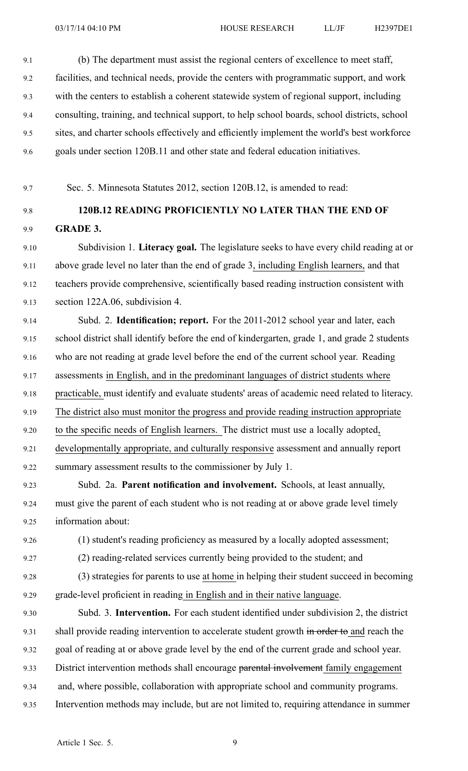9.1 (b) The department must assist the regional centers of excellence to meet staff, 9.2 facilities, and technical needs, provide the centers with programmatic support, and work 9.3 with the centers to establish <sup>a</sup> coherent statewide system of regional support, including 9.4 consulting, training, and technical support, to help school boards, school districts, school 9.5 sites, and charter schools effectively and efficiently implement the world's best workforce 9.6 goals under section 120B.11 and other state and federal education initiatives.

9.7 Sec. 5. Minnesota Statutes 2012, section 120B.12, is amended to read:

# 9.8 **120B.12 READING PROFICIENTLY NO LATER THAN THE END OF** 9.9 **GRADE 3.**

9.10 Subdivision 1. **Literacy goal.** The legislature seeks to have every child reading at or 9.11 above grade level no later than the end of grade 3, including English learners, and that 9.12 teachers provide comprehensive, scientifically based reading instruction consistent with 9.13 section 122A.06, subdivision 4.

9.14 Subd. 2. **Identification; report.** For the 2011-2012 school year and later, each 9.15 school district shall identify before the end of kindergarten, grade 1, and grade 2 students 9.16 who are not reading at grade level before the end of the current school year. Reading 9.17 assessments in English, and in the predominant languages of district students where 9.18 practicable, must identify and evaluate students' areas of academic need related to literacy. 9.19 The district also must monitor the progress and provide reading instruction appropriate 9.20 to the specific needs of English learners. The district must use <sup>a</sup> locally adopted, 9.21 developmentally appropriate, and culturally responsive assessment and annually repor<sup>t</sup> 9.22 summary assessment results to the commissioner by July 1.

9.23 Subd. 2a. **Parent notification and involvement.** Schools, at least annually, 9.24 must give the paren<sup>t</sup> of each student who is not reading at or above grade level timely 9.25 information about:

- 9.26 (1) student's reading proficiency as measured by <sup>a</sup> locally adopted assessment;
	- 9.27 (2) reading-related services currently being provided to the student; and

9.28 (3) strategies for parents to use at home in helping their student succeed in becoming

9.29 grade-level proficient in reading in English and in their native language.

9.30 Subd. 3. **Intervention.** For each student identified under subdivision 2, the district 9.31 shall provide reading intervention to accelerate student growth in order to and reach the 9.32 goal of reading at or above grade level by the end of the current grade and school year. 9.33 District intervention methods shall encourage parental involvement family engagement 9.34 and, where possible, collaboration with appropriate school and community programs. 9.35 Intervention methods may include, but are not limited to, requiring attendance in summer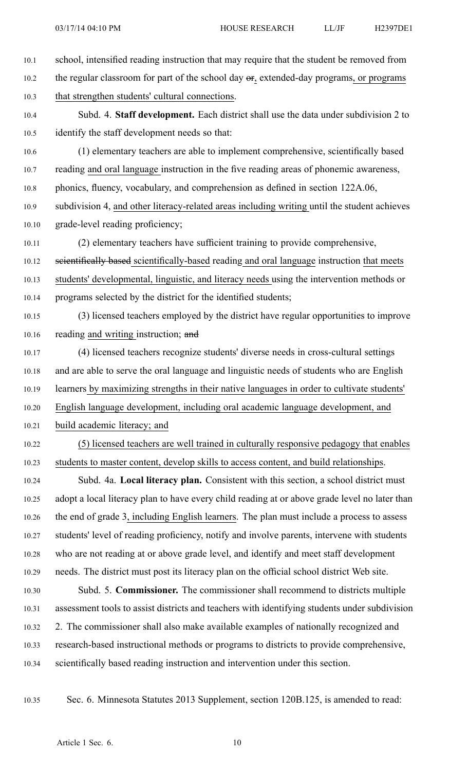- 10.1 school, intensified reading instruction that may require that the student be removed from 10.2 the regular classroom for part of the school day  $\sigma$ , extended-day programs, or programs 10.3 that strengthen students' cultural connections. 10.4 Subd. 4. **Staff development.** Each district shall use the data under subdivision 2 to 10.5 identify the staff development needs so that: 10.6 (1) elementary teachers are able to implement comprehensive, scientifically based 10.7 reading and oral language instruction in the five reading areas of phonemic awareness, 10.8 phonics, fluency, vocabulary, and comprehension as defined in section 122A.06, 10.9 subdivision 4, and other literacy-related areas including writing until the student achieves 10.10 grade-level reading proficiency; 10.11 (2) elementary teachers have sufficient training to provide comprehensive, 10.12 scientifically based scientifically-based reading and oral language instruction that meets 10.13 students' developmental, linguistic, and literacy needs using the intervention methods or 10.14 programs selected by the district for the identified students; 10.15 (3) licensed teachers employed by the district have regular opportunities to improve 10.16 reading and writing instruction; and 10.17 (4) licensed teachers recognize students' diverse needs in cross-cultural settings 10.18 and are able to serve the oral language and linguistic needs of students who are English 10.19 learners by maximizing strengths in their native languages in order to cultivate students' 10.20 English language development, including oral academic language development, and 10.21 build academic literacy; and 10.22 (5) licensed teachers are well trained in culturally responsive pedagogy that enables 10.23 students to master content, develop skills to access content, and build relationships. 10.24 Subd. 4a. **Local literacy plan.** Consistent with this section, <sup>a</sup> school district must 10.25 adopt <sup>a</sup> local literacy plan to have every child reading at or above grade level no later than 10.26 the end of grade 3, including English learners. The plan must include <sup>a</sup> process to assess 10.27 students' level of reading proficiency, notify and involve parents, intervene with students 10.28 who are not reading at or above grade level, and identify and meet staff development 10.29 needs. The district must pos<sup>t</sup> its literacy plan on the official school district Web site. 10.30 Subd. 5. **Commissioner.** The commissioner shall recommend to districts multiple 10.31 assessment tools to assist districts and teachers with identifying students under subdivision 10.32 2. The commissioner shall also make available examples of nationally recognized and 10.33 research-based instructional methods or programs to districts to provide comprehensive, 10.34 scientifically based reading instruction and intervention under this section.
- 

10.35 Sec. 6. Minnesota Statutes 2013 Supplement, section 120B.125, is amended to read: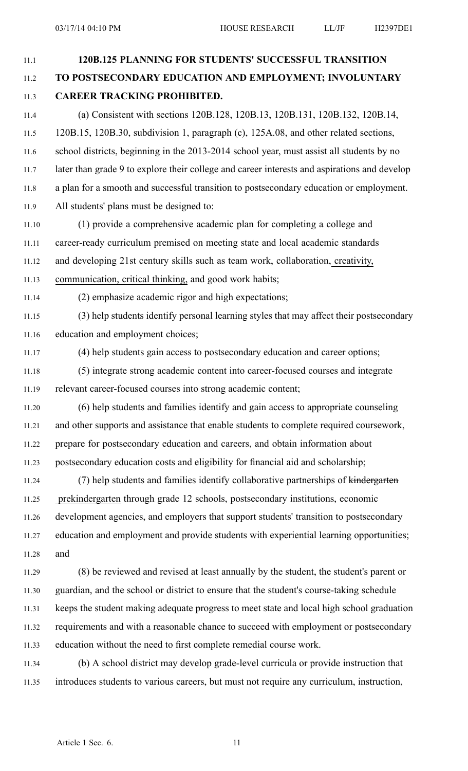11.1 **120B.125 PLANNING FOR STUDENTS' SUCCESSFUL TRANSITION** 11.2 **TO POSTSECONDARY EDUCATION AND EMPLOYMENT; INVOLUNTARY** 11.3 **CAREER TRACKING PROHIBITED.** 11.4 (a) Consistent with sections 120B.128, 120B.13, 120B.131, 120B.132, 120B.14, 11.5 120B.15, 120B.30, subdivision 1, paragraph (c), 125A.08, and other related sections, 11.6 school districts, beginning in the 2013-2014 school year, must assist all students by no 11.7 later than grade 9 to explore their college and career interests and aspirations and develop 11.8 <sup>a</sup> plan for <sup>a</sup> smooth and successful transition to postsecondary education or employment. 11.9 All students' plans must be designed to: 11.10 (1) provide <sup>a</sup> comprehensive academic plan for completing <sup>a</sup> college and 11.11 career-ready curriculum premised on meeting state and local academic standards 11.12 and developing 21st century skills such as team work, collaboration, creativity, 11.13 communication, critical thinking, and good work habits; 11.14 (2) emphasize academic rigor and high expectations; 11.15 (3) help students identify personal learning styles that may affect their postsecondary 11.16 education and employment choices; 11.17 (4) help students gain access to postsecondary education and career options; 11.18 (5) integrate strong academic content into career-focused courses and integrate 11.19 relevant career-focused courses into strong academic content; 11.20 (6) help students and families identify and gain access to appropriate counseling 11.21 and other supports and assistance that enable students to complete required coursework, 11.22 prepare for postsecondary education and careers, and obtain information about 11.23 postsecondary education costs and eligibility for financial aid and scholarship; 11.24 (7) help students and families identify collaborative partnerships of kindergarten 11.25 prekindergarten through grade 12 schools, postsecondary institutions, economic 11.26 development agencies, and employers that suppor<sup>t</sup> students' transition to postsecondary 11.27 education and employment and provide students with experiential learning opportunities; 11.28 and 11.29 (8) be reviewed and revised at least annually by the student, the student's paren<sup>t</sup> or 11.30 guardian, and the school or district to ensure that the student's course-taking schedule 11.31 keeps the student making adequate progress to meet state and local high school graduation 11.32 requirements and with <sup>a</sup> reasonable chance to succeed with employment or postsecondary 11.33 education without the need to first complete remedial course work. 11.34 (b) A school district may develop grade-level curricula or provide instruction that 11.35 introduces students to various careers, but must not require any curriculum, instruction,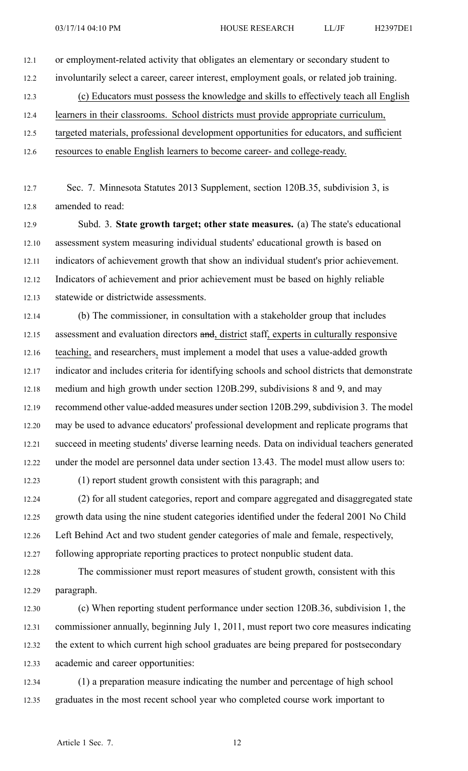- 12.1 or employment-related activity that obligates an elementary or secondary student to 12.2 involuntarily select <sup>a</sup> career, career interest, employment goals, or related job training. 12.3 (c) Educators must possess the knowledge and skills to effectively teach all English 12.4 learners in their classrooms. School districts must provide appropriate curriculum, 12.5 targeted materials, professional development opportunities for educators, and sufficient
- 12.6 resources to enable English learners to become career- and college-ready.
- 12.7 Sec. 7. Minnesota Statutes 2013 Supplement, section 120B.35, subdivision 3, is 12.8 amended to read:
- 12.9 Subd. 3. **State growth target; other state measures.** (a) The state's educational 12.10 assessment system measuring individual students' educational growth is based on 12.11 indicators of achievement growth that show an individual student's prior achievement. 12.12 Indicators of achievement and prior achievement must be based on highly reliable 12.13 statewide or districtwide assessments.
- 12.14 (b) The commissioner, in consultation with <sup>a</sup> stakeholder group that includes 12.15 assessment and evaluation directors and, district staff, experts in culturally responsive 12.16 teaching, and researchers, must implement <sup>a</sup> model that uses <sup>a</sup> value-added growth 12.17 indicator and includes criteria for identifying schools and school districts that demonstrate 12.18 medium and high growth under section 120B.299, subdivisions 8 and 9, and may 12.19 recommend other value-added measures undersection 120B.299, subdivision 3. The model 12.20 may be used to advance educators' professional development and replicate programs that 12.21 succeed in meeting students' diverse learning needs. Data on individual teachers generated 12.22 under the model are personnel data under section 13.43. The model must allow users to:
- 

12.23 (1) repor<sup>t</sup> student growth consistent with this paragraph; and

12.24 (2) for all student categories, repor<sup>t</sup> and compare aggregated and disaggregated state 12.25 growth data using the nine student categories identified under the federal 2001 No Child 12.26 Left Behind Act and two student gender categories of male and female, respectively, 12.27 following appropriate reporting practices to protect nonpublic student data.

- 12.28 The commissioner must repor<sup>t</sup> measures of student growth, consistent with this 12.29 paragraph.
- 12.30 (c) When reporting student performance under section 120B.36, subdivision 1, the 12.31 commissioner annually, beginning July 1, 2011, must repor<sup>t</sup> two core measures indicating 12.32 the extent to which current high school graduates are being prepared for postsecondary 12.33 academic and career opportunities:
- 12.34 (1) <sup>a</sup> preparation measure indicating the number and percentage of high school 12.35 graduates in the most recent school year who completed course work important to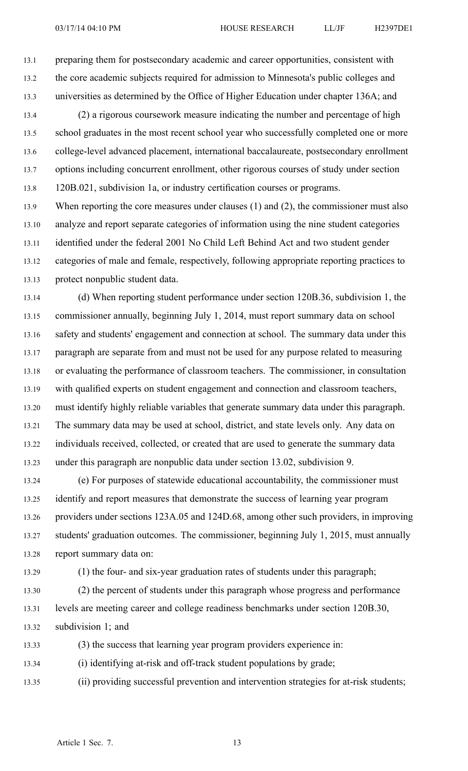13.1 preparing them for postsecondary academic and career opportunities, consistent with 13.2 the core academic subjects required for admission to Minnesota's public colleges and 13.3 universities as determined by the Office of Higher Education under chapter 136A; and

13.4 (2) <sup>a</sup> rigorous coursework measure indicating the number and percentage of high 13.5 school graduates in the most recent school year who successfully completed one or more 13.6 college-level advanced placement, international baccalaureate, postsecondary enrollment 13.7 options including concurrent enrollment, other rigorous courses of study under section 13.8 120B.021, subdivision 1a, or industry certification courses or programs.

13.9 When reporting the core measures under clauses (1) and (2), the commissioner must also 13.10 analyze and repor<sup>t</sup> separate categories of information using the nine student categories 13.11 identified under the federal 2001 No Child Left Behind Act and two student gender 13.12 categories of male and female, respectively, following appropriate reporting practices to 13.13 protect nonpublic student data.

13.14 (d) When reporting student performance under section 120B.36, subdivision 1, the 13.15 commissioner annually, beginning July 1, 2014, must repor<sup>t</sup> summary data on school 13.16 safety and students' engagemen<sup>t</sup> and connection at school. The summary data under this 13.17 paragraph are separate from and must not be used for any purpose related to measuring 13.18 or evaluating the performance of classroom teachers. The commissioner, in consultation 13.19 with qualified experts on student engagemen<sup>t</sup> and connection and classroom teachers, 13.20 must identify highly reliable variables that generate summary data under this paragraph. 13.21 The summary data may be used at school, district, and state levels only. Any data on 13.22 individuals received, collected, or created that are used to generate the summary data 13.23 under this paragraph are nonpublic data under section 13.02, subdivision 9.

13.24 (e) For purposes of statewide educational accountability, the commissioner must 13.25 identify and repor<sup>t</sup> measures that demonstrate the success of learning year program 13.26 providers under sections 123A.05 and 124D.68, among other such providers, in improving 13.27 students' graduation outcomes. The commissioner, beginning July 1, 2015, must annually 13.28 repor<sup>t</sup> summary data on:

13.29 (1) the four- and six-year graduation rates of students under this paragraph;

13.30 (2) the percen<sup>t</sup> of students under this paragraph whose progress and performance 13.31 levels are meeting career and college readiness benchmarks under section 120B.30, 13.32 subdivision 1; and

13.33 (3) the success that learning year program providers experience in:

13.34 (i) identifying at-risk and off-track student populations by grade;

13.35 (ii) providing successful prevention and intervention strategies for at-risk students;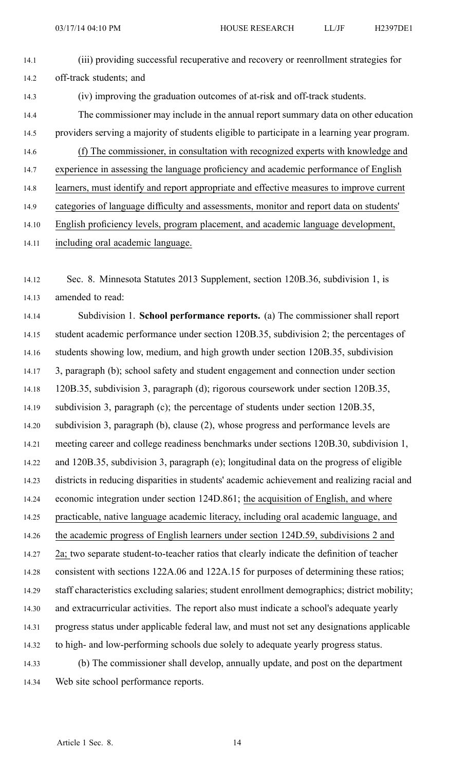| 14.1  | (iii) providing successful recuperative and recovery or reenrollment strategies for          |
|-------|----------------------------------------------------------------------------------------------|
| 14.2  | off-track students; and                                                                      |
| 14.3  | (iv) improving the graduation outcomes of at-risk and off-track students.                    |
| 14.4  | The commissioner may include in the annual report summary data on other education            |
| 14.5  | providers serving a majority of students eligible to participate in a learning year program. |
| 14.6  | (f) The commissioner, in consultation with recognized experts with knowledge and             |
| 14.7  | experience in assessing the language proficiency and academic performance of English         |
| 14.8  | learners, must identify and report appropriate and effective measures to improve current     |
| 14.9  | categories of language difficulty and assessments, monitor and report data on students'      |
| 14.10 | English proficiency levels, program placement, and academic language development,            |
|       |                                                                                              |

14.11 including oral academic language.

14.12 Sec. 8. Minnesota Statutes 2013 Supplement, section 120B.36, subdivision 1, is 14.13 amended to read:

14.14 Subdivision 1. **School performance reports.** (a) The commissioner shall repor<sup>t</sup> 14.15 student academic performance under section 120B.35, subdivision 2; the percentages of 14.16 students showing low, medium, and high growth under section 120B.35, subdivision 14.17 3, paragraph (b); school safety and student engagemen<sup>t</sup> and connection under section 14.18 120B.35, subdivision 3, paragraph (d); rigorous coursework under section 120B.35, 14.19 subdivision 3, paragraph (c); the percentage of students under section 120B.35, 14.20 subdivision 3, paragraph (b), clause (2), whose progress and performance levels are 14.21 meeting career and college readiness benchmarks under sections 120B.30, subdivision 1, 14.22 and 120B.35, subdivision 3, paragraph (e); longitudinal data on the progress of eligible 14.23 districts in reducing disparities in students' academic achievement and realizing racial and 14.24 economic integration under section 124D.861; the acquisition of English, and where 14.25 practicable, native language academic literacy, including oral academic language, and 14.26 the academic progress of English learners under section 124D.59, subdivisions 2 and 14.27 2a; two separate student-to-teacher ratios that clearly indicate the definition of teacher 14.28 consistent with sections 122A.06 and 122A.15 for purposes of determining these ratios; 14.29 staff characteristics excluding salaries; student enrollment demographics; district mobility; 14.30 and extracurricular activities. The repor<sup>t</sup> also must indicate <sup>a</sup> school's adequate yearly 14.31 progress status under applicable federal law, and must not set any designations applicable 14.32 to high- and low-performing schools due solely to adequate yearly progress status. 14.33 (b) The commissioner shall develop, annually update, and pos<sup>t</sup> on the department

14.34 Web site school performance reports.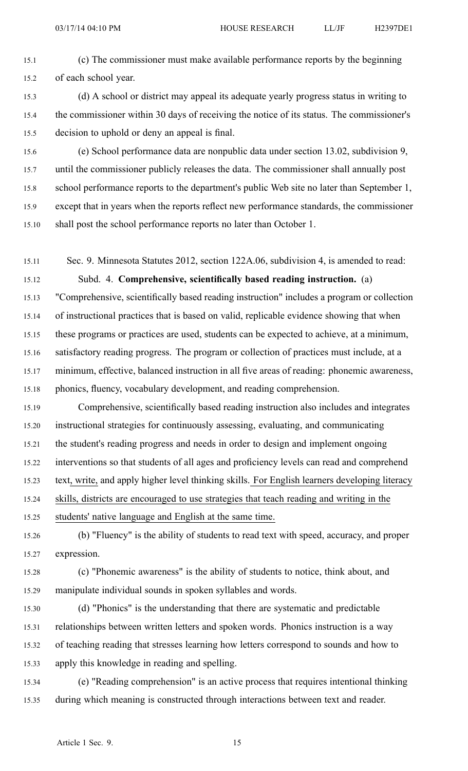- 15.1 (c) The commissioner must make available performance reports by the beginning 15.2 of each school year.
- 15.3 (d) A school or district may appeal its adequate yearly progress status in writing to 15.4 the commissioner within 30 days of receiving the notice of its status. The commissioner's 15.5 decision to uphold or deny an appeal is final.
- 15.6 (e) School performance data are nonpublic data under section 13.02, subdivision 9, 15.7 until the commissioner publicly releases the data. The commissioner shall annually pos<sup>t</sup> 15.8 school performance reports to the department's public Web site no later than September 1, 15.9 excep<sup>t</sup> that in years when the reports reflect new performance standards, the commissioner 15.10 shall pos<sup>t</sup> the school performance reports no later than October 1.
- 15.11 Sec. 9. Minnesota Statutes 2012, section 122A.06, subdivision 4, is amended to read:

15.12 Subd. 4. **Comprehensive, scientifically based reading instruction.** (a) 15.13 "Comprehensive, scientifically based reading instruction" includes <sup>a</sup> program or collection 15.14 of instructional practices that is based on valid, replicable evidence showing that when 15.15 these programs or practices are used, students can be expected to achieve, at <sup>a</sup> minimum, 15.16 satisfactory reading progress. The program or collection of practices must include, at <sup>a</sup> 15.17 minimum, effective, balanced instruction in all five areas of reading: phonemic awareness, 15.18 phonics, fluency, vocabulary development, and reading comprehension.

15.19 Comprehensive, scientifically based reading instruction also includes and integrates 15.20 instructional strategies for continuously assessing, evaluating, and communicating 15.21 the student's reading progress and needs in order to design and implement ongoing 15.22 interventions so that students of all ages and proficiency levels can read and comprehend 15.23 text, write, and apply higher level thinking skills. For English learners developing literacy 15.24 skills, districts are encouraged to use strategies that teach reading and writing in the

15.25 students' native language and English at the same time.

- 15.26 (b) "Fluency" is the ability of students to read text with speed, accuracy, and proper 15.27 expression.
- 15.28 (c) "Phonemic awareness" is the ability of students to notice, think about, and 15.29 manipulate individual sounds in spoken syllables and words.
- 15.30 (d) "Phonics" is the understanding that there are systematic and predictable 15.31 relationships between written letters and spoken words. Phonics instruction is <sup>a</sup> way 15.32 of teaching reading that stresses learning how letters correspond to sounds and how to 15.33 apply this knowledge in reading and spelling.
- 15.34 (e) "Reading comprehension" is an active process that requires intentional thinking 15.35 during which meaning is constructed through interactions between text and reader.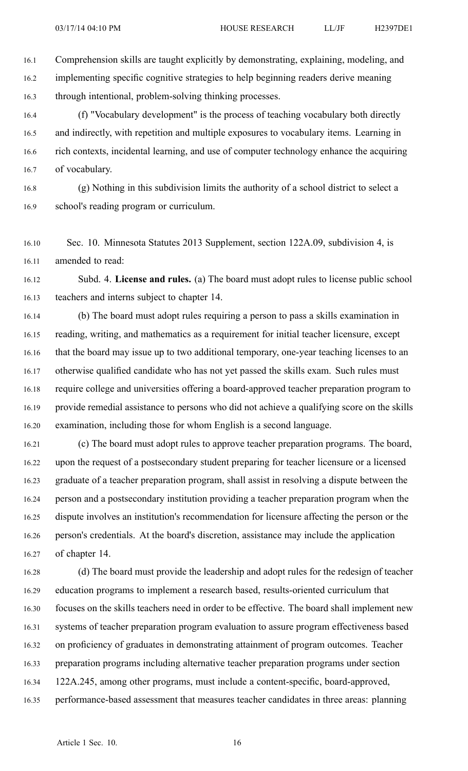16.1 Comprehension skills are taught explicitly by demonstrating, explaining, modeling, and 16.2 implementing specific cognitive strategies to help beginning readers derive meaning 16.3 through intentional, problem-solving thinking processes.

16.4 (f) "Vocabulary development" is the process of teaching vocabulary both directly 16.5 and indirectly, with repetition and multiple exposures to vocabulary items. Learning in 16.6 rich contexts, incidental learning, and use of computer technology enhance the acquiring 16.7 of vocabulary.

16.8 (g) Nothing in this subdivision limits the authority of <sup>a</sup> school district to select <sup>a</sup> 16.9 school's reading program or curriculum.

16.10 Sec. 10. Minnesota Statutes 2013 Supplement, section 122A.09, subdivision 4, is 16.11 amended to read:

16.12 Subd. 4. **License and rules.** (a) The board must adopt rules to license public school 16.13 teachers and interns subject to chapter 14.

16.14 (b) The board must adopt rules requiring <sup>a</sup> person to pass <sup>a</sup> skills examination in 16.15 reading, writing, and mathematics as <sup>a</sup> requirement for initial teacher licensure, excep<sup>t</sup> 16.16 that the board may issue up to two additional temporary, one-year teaching licenses to an 16.17 otherwise qualified candidate who has not ye<sup>t</sup> passed the skills exam. Such rules must 16.18 require college and universities offering <sup>a</sup> board-approved teacher preparation program to 16.19 provide remedial assistance to persons who did not achieve <sup>a</sup> qualifying score on the skills 16.20 examination, including those for whom English is <sup>a</sup> second language.

16.21 (c) The board must adopt rules to approve teacher preparation programs. The board, 16.22 upon the reques<sup>t</sup> of <sup>a</sup> postsecondary student preparing for teacher licensure or <sup>a</sup> licensed 16.23 graduate of <sup>a</sup> teacher preparation program, shall assist in resolving <sup>a</sup> dispute between the 16.24 person and <sup>a</sup> postsecondary institution providing <sup>a</sup> teacher preparation program when the 16.25 dispute involves an institution's recommendation for licensure affecting the person or the 16.26 person's credentials. At the board's discretion, assistance may include the application 16.27 of chapter 14.

16.28 (d) The board must provide the leadership and adopt rules for the redesign of teacher 16.29 education programs to implement <sup>a</sup> research based, results-oriented curriculum that 16.30 focuses on the skills teachers need in order to be effective. The board shall implement new 16.31 systems of teacher preparation program evaluation to assure program effectiveness based 16.32 on proficiency of graduates in demonstrating attainment of program outcomes. Teacher 16.33 preparation programs including alternative teacher preparation programs under section 16.34 122A.245, among other programs, must include <sup>a</sup> content-specific, board-approved, 16.35 performance-based assessment that measures teacher candidates in three areas: planning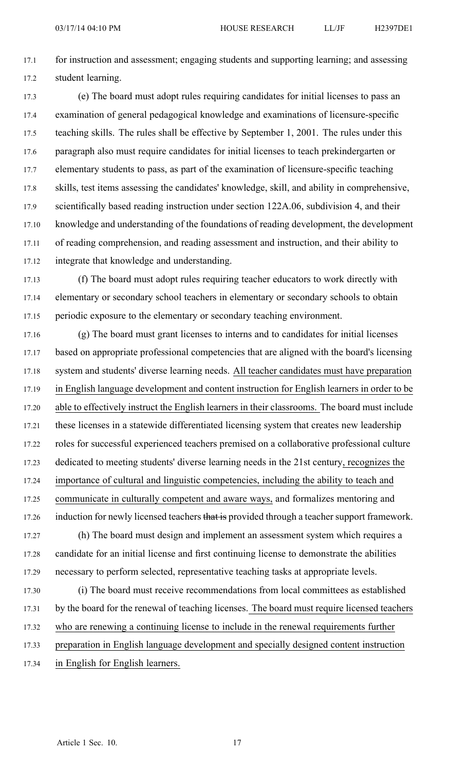17.1 for instruction and assessment; engaging students and supporting learning; and assessing 17.2 student learning.

17.3 (e) The board must adopt rules requiring candidates for initial licenses to pass an 17.4 examination of general pedagogical knowledge and examinations of licensure-specific 17.5 teaching skills. The rules shall be effective by September 1, 2001. The rules under this 17.6 paragraph also must require candidates for initial licenses to teach prekindergarten or 17.7 elementary students to pass, as par<sup>t</sup> of the examination of licensure-specific teaching 17.8 skills, test items assessing the candidates' knowledge, skill, and ability in comprehensive, 17.9 scientifically based reading instruction under section 122A.06, subdivision 4, and their 17.10 knowledge and understanding of the foundations of reading development, the development 17.11 of reading comprehension, and reading assessment and instruction, and their ability to 17.12 integrate that knowledge and understanding.

17.13 (f) The board must adopt rules requiring teacher educators to work directly with 17.14 elementary or secondary school teachers in elementary or secondary schools to obtain 17.15 periodic exposure to the elementary or secondary teaching environment.

17.16 (g) The board must gran<sup>t</sup> licenses to interns and to candidates for initial licenses 17.17 based on appropriate professional competencies that are aligned with the board's licensing 17.18 system and students' diverse learning needs. All teacher candidates must have preparation 17.19 in English language development and content instruction for English learners in order to be 17.20 able to effectively instruct the English learners in their classrooms. The board must include 17.21 these licenses in <sup>a</sup> statewide differentiated licensing system that creates new leadership 17.22 roles for successful experienced teachers premised on <sup>a</sup> collaborative professional culture 17.23 dedicated to meeting students' diverse learning needs in the 21st century, recognizes the 17.24 importance of cultural and linguistic competencies, including the ability to teach and 17.25 communicate in culturally competent and aware ways, and formalizes mentoring and 17.26 induction for newly licensed teachers that is provided through a teacher support framework. 17.27 (h) The board must design and implement an assessment system which requires <sup>a</sup> 17.28 candidate for an initial license and first continuing license to demonstrate the abilities 17.29 necessary to perform selected, representative teaching tasks at appropriate levels. 17.30 (i) The board must receive recommendations from local committees as established 17.31 by the board for the renewal of teaching licenses. The board must require licensed teachers

17.32 who are renewing <sup>a</sup> continuing license to include in the renewal requirements further

17.33 preparation in English language development and specially designed content instruction

17.34 in English for English learners.

Article 1 Sec. 10. 17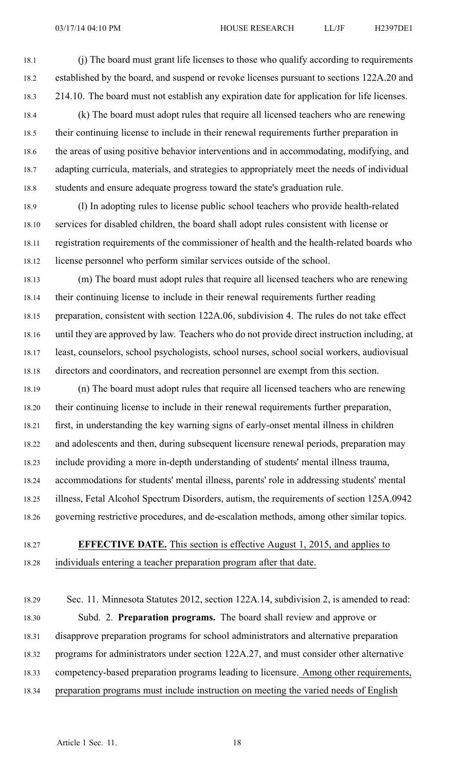18.1 (j) The board must gran<sup>t</sup> life licenses to those who qualify according to requirements 18.2 established by the board, and suspend or revoke licenses pursuan<sup>t</sup> to sections 122A.20 and 18.3 214.10. The board must not establish any expiration date for application for life licenses.

- 18.4 (k) The board must adopt rules that require all licensed teachers who are renewing 18.5 their continuing license to include in their renewal requirements further preparation in 18.6 the areas of using positive behavior interventions and in accommodating, modifying, and 18.7 adapting curricula, materials, and strategies to appropriately meet the needs of individual 18.8 students and ensure adequate progress toward the state's graduation rule.
- 18.9 (l) In adopting rules to license public school teachers who provide health-related 18.10 services for disabled children, the board shall adopt rules consistent with license or 18.11 registration requirements of the commissioner of health and the health-related boards who 18.12 license personnel who perform similar services outside of the school.
- 18.13 (m) The board must adopt rules that require all licensed teachers who are renewing 18.14 their continuing license to include in their renewal requirements further reading 18.15 preparation, consistent with section 122A.06, subdivision 4. The rules do not take effect 18.16 until they are approved by law. Teachers who do not provide direct instruction including, at 18.17 least, counselors, school psychologists, school nurses, school social workers, audiovisual 18.18 directors and coordinators, and recreation personnel are exemp<sup>t</sup> from this section.
- 18.19 (n) The board must adopt rules that require all licensed teachers who are renewing 18.20 their continuing license to include in their renewal requirements further preparation, 18.21 first, in understanding the key warning signs of early-onset mental illness in children 18.22 and adolescents and then, during subsequent licensure renewal periods, preparation may 18.23 include providing <sup>a</sup> more in-depth understanding of students' mental illness trauma, 18.24 accommodations for students' mental illness, parents' role in addressing students' mental 18.25 illness, Fetal Alcohol Spectrum Disorders, autism, the requirements of section 125A.0942 18.26 governing restrictive procedures, and de-escalation methods, among other similar topics.
- 18.27 **EFFECTIVE DATE.** This section is effective August 1, 2015, and applies to 18.28 individuals entering <sup>a</sup> teacher preparation program after that date.
- 18.29 Sec. 11. Minnesota Statutes 2012, section 122A.14, subdivision 2, is amended to read: 18.30 Subd. 2. **Preparation programs.** The board shall review and approve or 18.31 disapprove preparation programs for school administrators and alternative preparation 18.32 programs for administrators under section 122A.27, and must consider other alternative 18.33 competency-based preparation programs leading to licensure. Among other requirements, 18.34 preparation programs must include instruction on meeting the varied needs of English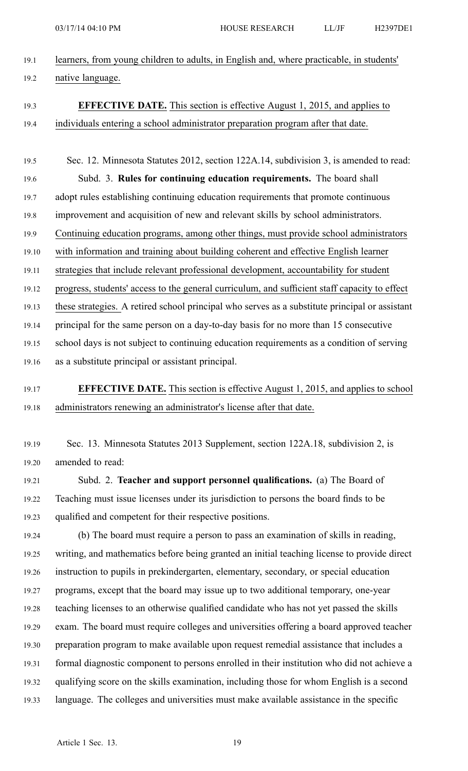- 19.1 learners, from young children to adults, in English and, where practicable, in students' 19.2 native language.
- 
- 19.3 **EFFECTIVE DATE.** This section is effective August 1, 2015, and applies to 19.4 individuals entering <sup>a</sup> school administrator preparation program after that date.
- 19.5 Sec. 12. Minnesota Statutes 2012, section 122A.14, subdivision 3, is amended to read: 19.6 Subd. 3. **Rules for continuing education requirements.** The board shall 19.7 adopt rules establishing continuing education requirements that promote continuous 19.8 improvement and acquisition of new and relevant skills by school administrators. 19.9 Continuing education programs, among other things, must provide school administrators 19.10 with information and training about building coherent and effective English learner 19.11 strategies that include relevant professional development, accountability for student 19.12 progress, students' access to the general curriculum, and sufficient staff capacity to effect 19.13 these strategies. A retired school principal who serves as <sup>a</sup> substitute principal or assistant 19.14 principal for the same person on <sup>a</sup> day-to-day basis for no more than 15 consecutive 19.15 school days is not subject to continuing education requirements as <sup>a</sup> condition of serving 19.16 as <sup>a</sup> substitute principal or assistant principal.
- 19.17 **EFFECTIVE DATE.** This section is effective August 1, 2015, and applies to school 19.18 administrators renewing an administrator's license after that date.
- 19.19 Sec. 13. Minnesota Statutes 2013 Supplement, section 122A.18, subdivision 2, is 19.20 amended to read:

19.21 Subd. 2. **Teacher and suppor<sup>t</sup> personnel qualifications.** (a) The Board of 19.22 Teaching must issue licenses under its jurisdiction to persons the board finds to be 19.23 qualified and competent for their respective positions.

19.24 (b) The board must require <sup>a</sup> person to pass an examination of skills in reading, 19.25 writing, and mathematics before being granted an initial teaching license to provide direct 19.26 instruction to pupils in prekindergarten, elementary, secondary, or special education 19.27 programs, excep<sup>t</sup> that the board may issue up to two additional temporary, one-year 19.28 teaching licenses to an otherwise qualified candidate who has not ye<sup>t</sup> passed the skills 19.29 exam. The board must require colleges and universities offering <sup>a</sup> board approved teacher 19.30 preparation program to make available upon reques<sup>t</sup> remedial assistance that includes <sup>a</sup> 19.31 formal diagnostic componen<sup>t</sup> to persons enrolled in their institution who did not achieve <sup>a</sup> 19.32 qualifying score on the skills examination, including those for whom English is <sup>a</sup> second 19.33 language. The colleges and universities must make available assistance in the specific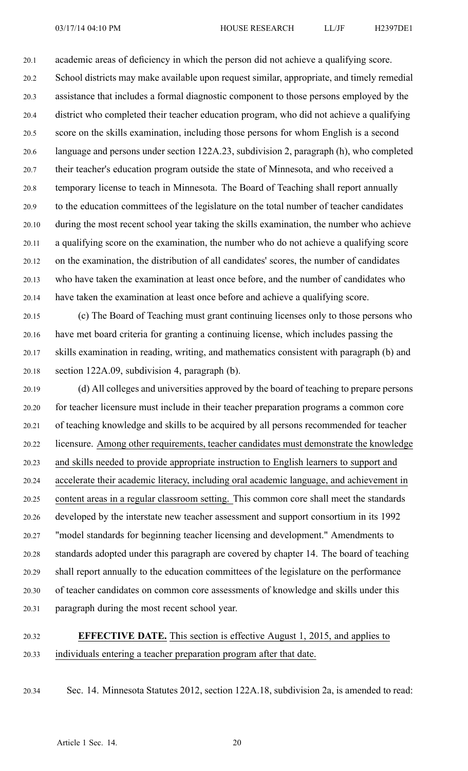20.1 academic areas of deficiency in which the person did not achieve <sup>a</sup> qualifying score. 20.2 School districts may make available upon reques<sup>t</sup> similar, appropriate, and timely remedial 20.3 assistance that includes <sup>a</sup> formal diagnostic componen<sup>t</sup> to those persons employed by the 20.4 district who completed their teacher education program, who did not achieve <sup>a</sup> qualifying 20.5 score on the skills examination, including those persons for whom English is <sup>a</sup> second 20.6 language and persons under section 122A.23, subdivision 2, paragraph (h), who completed 20.7 their teacher's education program outside the state of Minnesota, and who received <sup>a</sup> 20.8 temporary license to teach in Minnesota. The Board of Teaching shall repor<sup>t</sup> annually 20.9 to the education committees of the legislature on the total number of teacher candidates 20.10 during the most recent school year taking the skills examination, the number who achieve 20.11 <sup>a</sup> qualifying score on the examination, the number who do not achieve <sup>a</sup> qualifying score 20.12 on the examination, the distribution of all candidates' scores, the number of candidates 20.13 who have taken the examination at least once before, and the number of candidates who 20.14 have taken the examination at least once before and achieve <sup>a</sup> qualifying score.

20.15 (c) The Board of Teaching must gran<sup>t</sup> continuing licenses only to those persons who 20.16 have met board criteria for granting <sup>a</sup> continuing license, which includes passing the 20.17 skills examination in reading, writing, and mathematics consistent with paragraph (b) and 20.18 section 122A.09, subdivision 4, paragraph (b).

20.19 (d) All colleges and universities approved by the board of teaching to prepare persons 20.20 for teacher licensure must include in their teacher preparation programs <sup>a</sup> common core 20.21 of teaching knowledge and skills to be acquired by all persons recommended for teacher 20.22 licensure. Among other requirements, teacher candidates must demonstrate the knowledge 20.23 and skills needed to provide appropriate instruction to English learners to suppor<sup>t</sup> and 20.24 accelerate their academic literacy, including oral academic language, and achievement in 20.25 content areas in <sup>a</sup> regular classroom setting. This common core shall meet the standards 20.26 developed by the interstate new teacher assessment and suppor<sup>t</sup> consortium in its 1992 20.27 "model standards for beginning teacher licensing and development." Amendments to 20.28 standards adopted under this paragraph are covered by chapter 14. The board of teaching 20.29 shall repor<sup>t</sup> annually to the education committees of the legislature on the performance 20.30 of teacher candidates on common core assessments of knowledge and skills under this 20.31 paragraph during the most recent school year.

# 20.32 **EFFECTIVE DATE.** This section is effective August 1, 2015, and applies to 20.33 individuals entering <sup>a</sup> teacher preparation program after that date.

20.34 Sec. 14. Minnesota Statutes 2012, section 122A.18, subdivision 2a, is amended to read: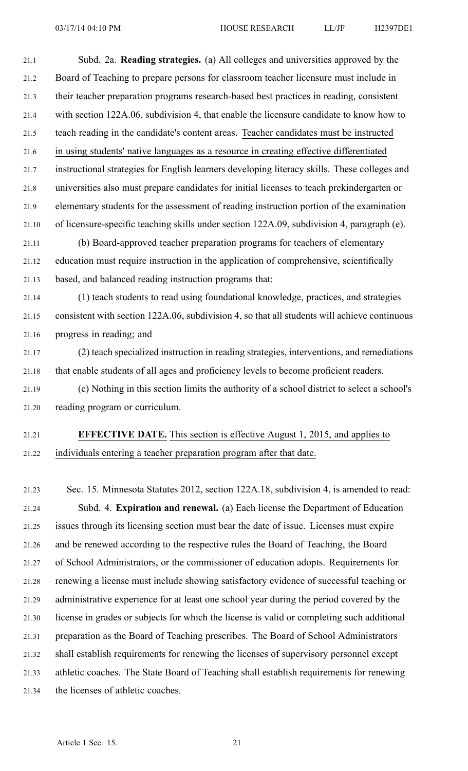21.1 Subd. 2a. **Reading strategies.** (a) All colleges and universities approved by the 21.2 Board of Teaching to prepare persons for classroom teacher licensure must include in 21.3 their teacher preparation programs research-based best practices in reading, consistent 21.4 with section 122A.06, subdivision 4, that enable the licensure candidate to know how to 21.5 teach reading in the candidate's content areas. Teacher candidates must be instructed 21.6 in using students' native languages as <sup>a</sup> resource in creating effective differentiated 21.7 instructional strategies for English learners developing literacy skills. These colleges and 21.8 universities also must prepare candidates for initial licenses to teach prekindergarten or 21.9 elementary students for the assessment of reading instruction portion of the examination 21.10 of licensure-specific teaching skills under section 122A.09, subdivision 4, paragraph (e). 21.11 (b) Board-approved teacher preparation programs for teachers of elementary

21.12 education must require instruction in the application of comprehensive, scientifically 21.13 based, and balanced reading instruction programs that:

21.14 (1) teach students to read using foundational knowledge, practices, and strategies 21.15 consistent with section 122A.06, subdivision 4, so that all students will achieve continuous 21.16 progress in reading; and

21.17 (2) teach specialized instruction in reading strategies, interventions, and remediations 21.18 that enable students of all ages and proficiency levels to become proficient readers.

21.19 (c) Nothing in this section limits the authority of <sup>a</sup> school district to select <sup>a</sup> school's 21.20 reading program or curriculum.

### 21.21 **EFFECTIVE DATE.** This section is effective August 1, 2015, and applies to 21.22 individuals entering <sup>a</sup> teacher preparation program after that date.

21.23 Sec. 15. Minnesota Statutes 2012, section 122A.18, subdivision 4, is amended to read: 21.24 Subd. 4. **Expiration and renewal.** (a) Each license the Department of Education 21.25 issues through its licensing section must bear the date of issue. Licenses must expire 21.26 and be renewed according to the respective rules the Board of Teaching, the Board 21.27 of School Administrators, or the commissioner of education adopts. Requirements for 21.28 renewing <sup>a</sup> license must include showing satisfactory evidence of successful teaching or 21.29 administrative experience for at least one school year during the period covered by the 21.30 license in grades or subjects for which the license is valid or completing such additional 21.31 preparation as the Board of Teaching prescribes. The Board of School Administrators 21.32 shall establish requirements for renewing the licenses of supervisory personnel excep<sup>t</sup> 21.33 athletic coaches. The State Board of Teaching shall establish requirements for renewing 21.34 the licenses of athletic coaches.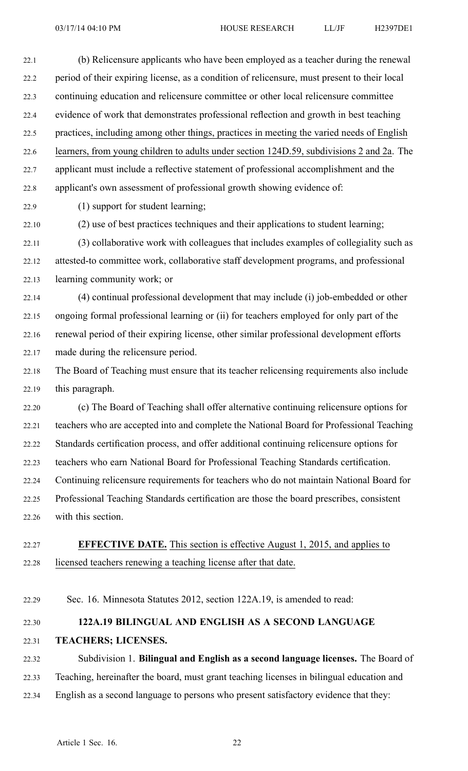22.1 (b) Relicensure applicants who have been employed as <sup>a</sup> teacher during the renewal 22.2 period of their expiring license, as <sup>a</sup> condition of relicensure, must presen<sup>t</sup> to their local 22.3 continuing education and relicensure committee or other local relicensure committee 22.4 evidence of work that demonstrates professional reflection and growth in best teaching 22.5 practices, including among other things, practices in meeting the varied needs of English 22.6 learners, from young children to adults under section 124D.59, subdivisions 2 and 2a. The 22.7 applicant must include <sup>a</sup> reflective statement of professional accomplishment and the 22.8 applicant's own assessment of professional growth showing evidence of:

- 22.9 (1) suppor<sup>t</sup> for student learning;
- 22.10 (2) use of best practices techniques and their applications to student learning;

22.11 (3) collaborative work with colleagues that includes examples of collegiality such as 22.12 attested-to committee work, collaborative staff development programs, and professional 22.13 learning community work; or

22.14 (4) continual professional development that may include (i) job-embedded or other 22.15 ongoing formal professional learning or (ii) for teachers employed for only par<sup>t</sup> of the 22.16 renewal period of their expiring license, other similar professional development efforts 22.17 made during the relicensure period.

22.18 The Board of Teaching must ensure that its teacher relicensing requirements also include 22.19 this paragraph.

22.20 (c) The Board of Teaching shall offer alternative continuing relicensure options for 22.21 teachers who are accepted into and complete the National Board for Professional Teaching 22.22 Standards certification process, and offer additional continuing relicensure options for 22.23 teachers who earn National Board for Professional Teaching Standards certification. 22.24 Continuing relicensure requirements for teachers who do not maintain National Board for 22.25 Professional Teaching Standards certification are those the board prescribes, consistent 22.26 with this section.

- 22.27 **EFFECTIVE DATE.** This section is effective August 1, 2015, and applies to 22.28 licensed teachers renewing <sup>a</sup> teaching license after that date.
- 22.29 Sec. 16. Minnesota Statutes 2012, section 122A.19, is amended to read:

# 22.30 **122A.19 BILINGUAL AND ENGLISH AS A SECOND LANGUAGE**

22.31 **TEACHERS; LICENSES.**

22.32 Subdivision 1. **Bilingual and English as <sup>a</sup> second language licenses.** The Board of 22.33 Teaching, hereinafter the board, must gran<sup>t</sup> teaching licenses in bilingual education and 22.34 English as <sup>a</sup> second language to persons who presen<sup>t</sup> satisfactory evidence that they: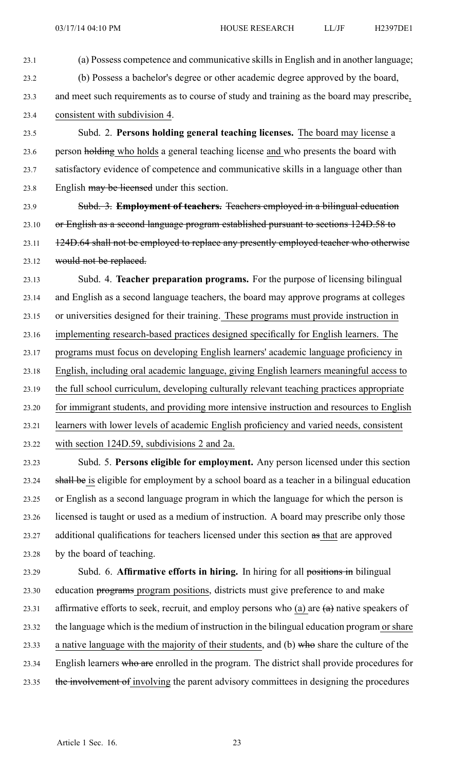23.1 (a) Possess competence and communicative skills in English and in another language; 23.2 (b) Possess <sup>a</sup> bachelor's degree or other academic degree approved by the board, 23.3 and meet such requirements as to course of study and training as the board may prescribe,

23.4 consistent with subdivision 4.

23.5 Subd. 2. **Persons holding general teaching licenses.** The board may license <sup>a</sup> 23.6 person holding who holds a general teaching license and who presents the board with 23.7 satisfactory evidence of competence and communicative skills in <sup>a</sup> language other than 23.8 English may be licensed under this section.

23.9 Subd. 3. **Employment of teachers.** Teachers employed in <sup>a</sup> bilingual education 23.10 or English as <sup>a</sup> second language program established pursuan<sup>t</sup> to sections 124D.58 to 23.11 124D.64 shall not be employed to replace any presently employed teacher who otherwise 23.12 would not be replaced.

23.13 Subd. 4. **Teacher preparation programs.** For the purpose of licensing bilingual 23.14 and English as <sup>a</sup> second language teachers, the board may approve programs at colleges 23.15 or universities designed for their training. These programs must provide instruction in 23.16 implementing research-based practices designed specifically for English learners. The 23.17 programs must focus on developing English learners' academic language proficiency in 23.18 English, including oral academic language, giving English learners meaningful access to 23.19 the full school curriculum, developing culturally relevant teaching practices appropriate 23.20 for immigrant students, and providing more intensive instruction and resources to English 23.21 learners with lower levels of academic English proficiency and varied needs, consistent 23.22 with section 124D.59, subdivisions 2 and 2a. 23.23 Subd. 5. **Persons eligible for employment.** Any person licensed under this section

23.24 shall be is eligible for employment by <sup>a</sup> school board as <sup>a</sup> teacher in <sup>a</sup> bilingual education 23.25 or English as <sup>a</sup> second language program in which the language for which the person is 23.26 licensed is taught or used as <sup>a</sup> medium of instruction. A board may prescribe only those 23.27 additional qualifications for teachers licensed under this section as that are approved 23.28 by the board of teaching.

23.29 Subd. 6. **Affirmative efforts in hiring.** In hiring for all positions in bilingual 23.30 education programs program positions, districts must give preference to and make 23.31 affirmative efforts to seek, recruit, and employ persons who  $(a)$  are  $(a)$  native speakers of 23.32 the language which is the medium of instruction in the bilingual education program or share 23.33 a native language with the majority of their students, and (b) who share the culture of the 23.34 English learners who are enrolled in the program. The district shall provide procedures for 23.35 the involvement of involving the parent advisory committees in designing the procedures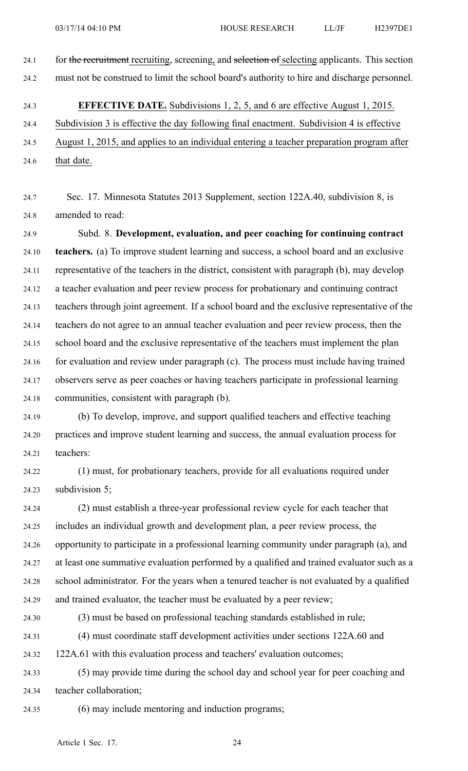- 24.1 for the recruitment recruiting, screening, and selection of selecting applicants. This section 24.2 must not be construed to limit the school board's authority to hire and discharge personnel.
- 24.3 **EFFECTIVE DATE.** Subdivisions 1, 2, 5, and 6 are effective August 1, 2015. 24.4 Subdivision 3 is effective the day following final enactment. Subdivision 4 is effective 24.5 August 1, 2015, and applies to an individual entering <sup>a</sup> teacher preparation program after 24.6 that date.
- 24.7 Sec. 17. Minnesota Statutes 2013 Supplement, section 122A.40, subdivision 8, is 24.8 amended to read:

24.9 Subd. 8. **Development, evaluation, and peer coaching for continuing contract** 24.10 **teachers.** (a) To improve student learning and success, <sup>a</sup> school board and an exclusive 24.11 representative of the teachers in the district, consistent with paragraph (b), may develop 24.12 <sup>a</sup> teacher evaluation and peer review process for probationary and continuing contract 24.13 teachers through joint agreement. If <sup>a</sup> school board and the exclusive representative of the 24.14 teachers do not agree to an annual teacher evaluation and peer review process, then the 24.15 school board and the exclusive representative of the teachers must implement the plan 24.16 for evaluation and review under paragraph (c). The process must include having trained 24.17 observers serve as peer coaches or having teachers participate in professional learning 24.18 communities, consistent with paragraph (b).

- 24.19 (b) To develop, improve, and suppor<sup>t</sup> qualified teachers and effective teaching 24.20 practices and improve student learning and success, the annual evaluation process for 24.21 teachers:
- 24.22 (1) must, for probationary teachers, provide for all evaluations required under 24.23 subdivision 5;

24.24 (2) must establish <sup>a</sup> three-year professional review cycle for each teacher that 24.25 includes an individual growth and development plan, <sup>a</sup> peer review process, the 24.26 opportunity to participate in <sup>a</sup> professional learning community under paragraph (a), and 24.27 at least one summative evaluation performed by <sup>a</sup> qualified and trained evaluator such as <sup>a</sup> 24.28 school administrator. For the years when <sup>a</sup> tenured teacher is not evaluated by <sup>a</sup> qualified 24.29 and trained evaluator, the teacher must be evaluated by <sup>a</sup> peer review;

24.30 (3) must be based on professional teaching standards established in rule;

24.31 (4) must coordinate staff development activities under sections 122A.60 and

24.32 122A.61 with this evaluation process and teachers' evaluation outcomes;

24.33 (5) may provide time during the school day and school year for peer coaching and 24.34 teacher collaboration;

24.35 (6) may include mentoring and induction programs;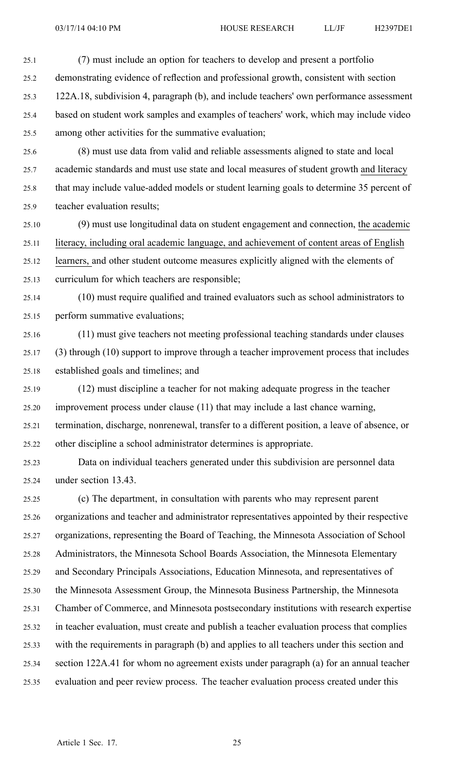25.1 (7) must include an option for teachers to develop and presen<sup>t</sup> <sup>a</sup> portfolio 25.2 demonstrating evidence of reflection and professional growth, consistent with section 25.3 122A.18, subdivision 4, paragraph (b), and include teachers' own performance assessment 25.4 based on student work samples and examples of teachers' work, which may include video 25.5 among other activities for the summative evaluation; 25.6 (8) must use data from valid and reliable assessments aligned to state and local 25.7 academic standards and must use state and local measures of student growth and literacy

25.8 that may include value-added models or student learning goals to determine 35 percen<sup>t</sup> of 25.9 teacher evaluation results;

25.10 (9) must use longitudinal data on student engagemen<sup>t</sup> and connection, the academic 25.11 literacy, including oral academic language, and achievement of content areas of English 25.12 learners, and other student outcome measures explicitly aligned with the elements of 25.13 curriculum for which teachers are responsible;

25.14 (10) must require qualified and trained evaluators such as school administrators to 25.15 perform summative evaluations;

25.16 (11) must give teachers not meeting professional teaching standards under clauses 25.17 (3) through (10) suppor<sup>t</sup> to improve through <sup>a</sup> teacher improvement process that includes 25.18 established goals and timelines; and

25.19 (12) must discipline <sup>a</sup> teacher for not making adequate progress in the teacher 25.20 improvement process under clause (11) that may include <sup>a</sup> last chance warning, 25.21 termination, discharge, nonrenewal, transfer to <sup>a</sup> different position, <sup>a</sup> leave of absence, or 25.22 other discipline <sup>a</sup> school administrator determines is appropriate.

25.23 Data on individual teachers generated under this subdivision are personnel data 25.24 under section 13.43.

25.25 (c) The department, in consultation with parents who may represen<sup>t</sup> paren<sup>t</sup> 25.26 organizations and teacher and administrator representatives appointed by their respective 25.27 organizations, representing the Board of Teaching, the Minnesota Association of School 25.28 Administrators, the Minnesota School Boards Association, the Minnesota Elementary 25.29 and Secondary Principals Associations, Education Minnesota, and representatives of 25.30 the Minnesota Assessment Group, the Minnesota Business Partnership, the Minnesota 25.31 Chamber of Commerce, and Minnesota postsecondary institutions with research expertise 25.32 in teacher evaluation, must create and publish <sup>a</sup> teacher evaluation process that complies 25.33 with the requirements in paragraph (b) and applies to all teachers under this section and 25.34 section 122A.41 for whom no agreemen<sup>t</sup> exists under paragraph (a) for an annual teacher 25.35 evaluation and peer review process. The teacher evaluation process created under this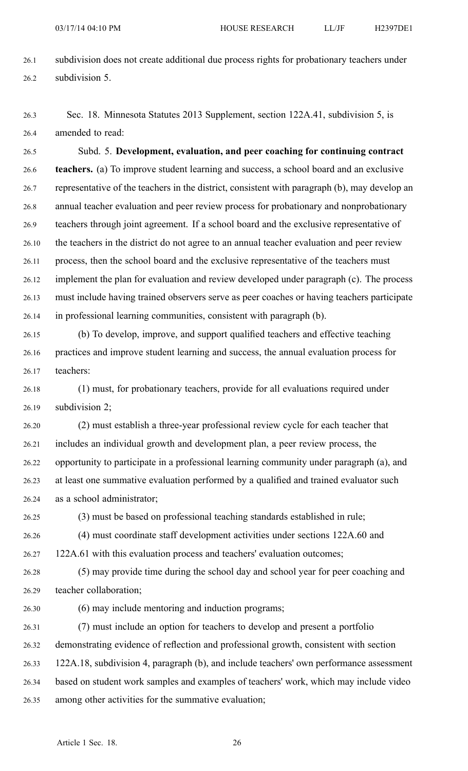- 26.1 subdivision does not create additional due process rights for probationary teachers under 26.2 subdivision 5.
- 26.3 Sec. 18. Minnesota Statutes 2013 Supplement, section 122A.41, subdivision 5, is 26.4 amended to read:

26.5 Subd. 5. **Development, evaluation, and peer coaching for continuing contract** 26.6 **teachers.** (a) To improve student learning and success, <sup>a</sup> school board and an exclusive 26.7 representative of the teachers in the district, consistent with paragraph (b), may develop an 26.8 annual teacher evaluation and peer review process for probationary and nonprobationary 26.9 teachers through joint agreement. If <sup>a</sup> school board and the exclusive representative of 26.10 the teachers in the district do not agree to an annual teacher evaluation and peer review 26.11 process, then the school board and the exclusive representative of the teachers must 26.12 implement the plan for evaluation and review developed under paragraph (c). The process 26.13 must include having trained observers serve as peer coaches or having teachers participate 26.14 in professional learning communities, consistent with paragraph (b).

- 26.15 (b) To develop, improve, and suppor<sup>t</sup> qualified teachers and effective teaching 26.16 practices and improve student learning and success, the annual evaluation process for 26.17 teachers:
- 26.18 (1) must, for probationary teachers, provide for all evaluations required under 26.19 subdivision 2;
- 26.20 (2) must establish <sup>a</sup> three-year professional review cycle for each teacher that 26.21 includes an individual growth and development plan, <sup>a</sup> peer review process, the 26.22 opportunity to participate in <sup>a</sup> professional learning community under paragraph (a), and 26.23 at least one summative evaluation performed by <sup>a</sup> qualified and trained evaluator such 26.24 as <sup>a</sup> school administrator;
- 

26.25 (3) must be based on professional teaching standards established in rule;

- 26.26 (4) must coordinate staff development activities under sections 122A.60 and 26.27 122A.61 with this evaluation process and teachers' evaluation outcomes;
- 26.28 (5) may provide time during the school day and school year for peer coaching and 26.29 teacher collaboration;
- 

26.30 (6) may include mentoring and induction programs;

26.31 (7) must include an option for teachers to develop and presen<sup>t</sup> <sup>a</sup> portfolio 26.32 demonstrating evidence of reflection and professional growth, consistent with section 26.33 122A.18, subdivision 4, paragraph (b), and include teachers' own performance assessment 26.34 based on student work samples and examples of teachers' work, which may include video 26.35 among other activities for the summative evaluation;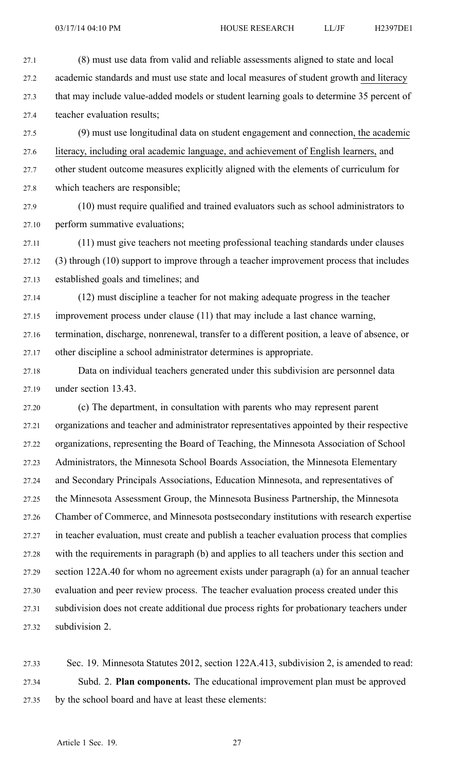27.1 (8) must use data from valid and reliable assessments aligned to state and local 27.2 academic standards and must use state and local measures of student growth and literacy 27.3 that may include value-added models or student learning goals to determine 35 percen<sup>t</sup> of 27.4 teacher evaluation results;

27.5 (9) must use longitudinal data on student engagemen<sup>t</sup> and connection, the academic 27.6 literacy, including oral academic language, and achievement of English learners, and 27.7 other student outcome measures explicitly aligned with the elements of curriculum for 27.8 which teachers are responsible;

27.9 (10) must require qualified and trained evaluators such as school administrators to 27.10 perform summative evaluations;

27.11 (11) must give teachers not meeting professional teaching standards under clauses 27.12 (3) through (10) suppor<sup>t</sup> to improve through <sup>a</sup> teacher improvement process that includes 27.13 established goals and timelines; and

27.14 (12) must discipline <sup>a</sup> teacher for not making adequate progress in the teacher 27.15 improvement process under clause (11) that may include <sup>a</sup> last chance warning, 27.16 termination, discharge, nonrenewal, transfer to <sup>a</sup> different position, <sup>a</sup> leave of absence, or 27.17 other discipline <sup>a</sup> school administrator determines is appropriate.

27.18 Data on individual teachers generated under this subdivision are personnel data 27.19 under section 13.43.

27.20 (c) The department, in consultation with parents who may represen<sup>t</sup> paren<sup>t</sup> 27.21 organizations and teacher and administrator representatives appointed by their respective 27.22 organizations, representing the Board of Teaching, the Minnesota Association of School 27.23 Administrators, the Minnesota School Boards Association, the Minnesota Elementary 27.24 and Secondary Principals Associations, Education Minnesota, and representatives of 27.25 the Minnesota Assessment Group, the Minnesota Business Partnership, the Minnesota 27.26 Chamber of Commerce, and Minnesota postsecondary institutions with research expertise 27.27 in teacher evaluation, must create and publish <sup>a</sup> teacher evaluation process that complies 27.28 with the requirements in paragraph (b) and applies to all teachers under this section and 27.29 section 122A.40 for whom no agreemen<sup>t</sup> exists under paragraph (a) for an annual teacher 27.30 evaluation and peer review process. The teacher evaluation process created under this 27.31 subdivision does not create additional due process rights for probationary teachers under 27.32 subdivision 2.

27.33 Sec. 19. Minnesota Statutes 2012, section 122A.413, subdivision 2, is amended to read: 27.34 Subd. 2. **Plan components.** The educational improvement plan must be approved 27.35 by the school board and have at least these elements: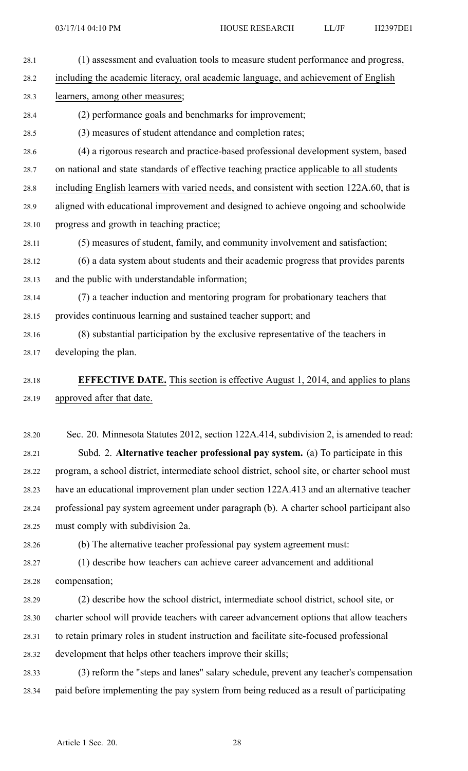- 28.1 (1) assessment and evaluation tools to measure student performance and progress, 28.2 including the academic literacy, oral academic language, and achievement of English 28.3 learners, among other measures; 28.4 (2) performance goals and benchmarks for improvement; 28.5 (3) measures of student attendance and completion rates; 28.6 (4) <sup>a</sup> rigorous research and practice-based professional development system, based 28.7 on national and state standards of effective teaching practice applicable to all students 28.8 including English learners with varied needs, and consistent with section 122A.60, that is 28.9 aligned with educational improvement and designed to achieve ongoing and schoolwide 28.10 progress and growth in teaching practice; 28.11 (5) measures of student, family, and community involvement and satisfaction; 28.12 (6) <sup>a</sup> data system about students and their academic progress that provides parents 28.13 and the public with understandable information; 28.14 (7) <sup>a</sup> teacher induction and mentoring program for probationary teachers that 28.15 provides continuous learning and sustained teacher support; and 28.16 (8) substantial participation by the exclusive representative of the teachers in 28.17 developing the plan. 28.18 **EFFECTIVE DATE.** This section is effective August 1, 2014, and applies to plans 28.19 approved after that date. 28.20 Sec. 20. Minnesota Statutes 2012, section 122A.414, subdivision 2, is amended to read: 28.21 Subd. 2. **Alternative teacher professional pay system.** (a) To participate in this 28.22 program, <sup>a</sup> school district, intermediate school district, school site, or charter school must 28.23 have an educational improvement plan under section 122A.413 and an alternative teacher 28.24 professional pay system agreemen<sup>t</sup> under paragraph (b). A charter school participant also 28.25 must comply with subdivision 2a. 28.26 (b) The alternative teacher professional pay system agreemen<sup>t</sup> must: 28.27 (1) describe how teachers can achieve career advancement and additional 28.28 compensation; 28.29 (2) describe how the school district, intermediate school district, school site, or
- 28.30 charter school will provide teachers with career advancement options that allow teachers 28.31 to retain primary roles in student instruction and facilitate site-focused professional 28.32 development that helps other teachers improve their skills;
- 28.33 (3) reform the "steps and lanes" salary schedule, preven<sup>t</sup> any teacher's compensation 28.34 paid before implementing the pay system from being reduced as <sup>a</sup> result of participating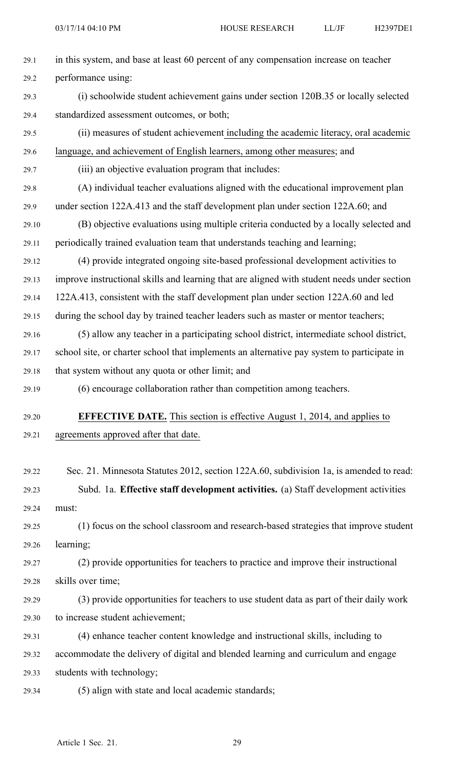| 29.1  | in this system, and base at least 60 percent of any compensation increase on teacher        |
|-------|---------------------------------------------------------------------------------------------|
| 29.2  | performance using:                                                                          |
| 29.3  | (i) schoolwide student achievement gains under section 120B.35 or locally selected          |
| 29.4  | standardized assessment outcomes, or both;                                                  |
| 29.5  | (ii) measures of student achievement including the academic literacy, oral academic         |
| 29.6  | language, and achievement of English learners, among other measures; and                    |
| 29.7  | (iii) an objective evaluation program that includes:                                        |
| 29.8  | (A) individual teacher evaluations aligned with the educational improvement plan            |
| 29.9  | under section 122A.413 and the staff development plan under section 122A.60; and            |
| 29.10 | (B) objective evaluations using multiple criteria conducted by a locally selected and       |
| 29.11 | periodically trained evaluation team that understands teaching and learning;                |
| 29.12 | (4) provide integrated ongoing site-based professional development activities to            |
| 29.13 | improve instructional skills and learning that are aligned with student needs under section |
| 29.14 | 122A.413, consistent with the staff development plan under section 122A.60 and led          |
| 29.15 | during the school day by trained teacher leaders such as master or mentor teachers;         |
| 29.16 | (5) allow any teacher in a participating school district, intermediate school district,     |
| 29.17 | school site, or charter school that implements an alternative pay system to participate in  |
| 29.18 | that system without any quota or other limit; and                                           |
| 29.19 | (6) encourage collaboration rather than competition among teachers.                         |
| 29.20 | <b>EFFECTIVE DATE.</b> This section is effective August 1, 2014, and applies to             |
| 29.21 | agreements approved after that date.                                                        |
|       |                                                                                             |
| 29.22 | Sec. 21. Minnesota Statutes 2012, section 122A.60, subdivision 1a, is amended to read:      |
| 29.23 | Subd. 1a. Effective staff development activities. (a) Staff development activities          |
| 29.24 | must:                                                                                       |
| 29.25 | (1) focus on the school classroom and research-based strategies that improve student        |
| 29.26 | learning;                                                                                   |
| 29.27 | (2) provide opportunities for teachers to practice and improve their instructional          |
| 29.28 | skills over time;                                                                           |
| 29.29 | (3) provide opportunities for teachers to use student data as part of their daily work      |
| 29.30 | to increase student achievement;                                                            |
| 29.31 | (4) enhance teacher content knowledge and instructional skills, including to                |
| 29.32 | accommodate the delivery of digital and blended learning and curriculum and engage          |
| 29.33 | students with technology;                                                                   |
| 29.34 | (5) align with state and local academic standards;                                          |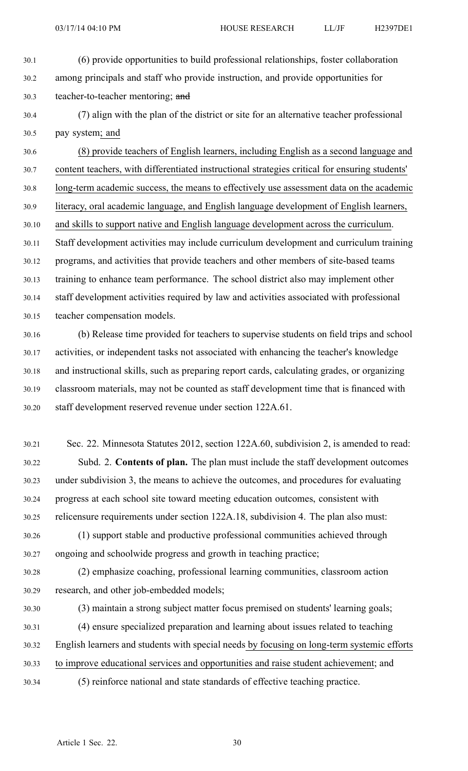- 30.1 (6) provide opportunities to build professional relationships, foster collaboration 30.2 among principals and staff who provide instruction, and provide opportunities for 30.3 teacher-to-teacher mentoring; and
- 30.4 (7) align with the plan of the district or site for an alternative teacher professional 30.5 pay system; and

30.6 (8) provide teachers of English learners, including English as <sup>a</sup> second language and 30.7 content teachers, with differentiated instructional strategies critical for ensuring students' 30.8 long-term academic success, the means to effectively use assessment data on the academic 30.9 literacy, oral academic language, and English language development of English learners, 30.10 and skills to suppor<sup>t</sup> native and English language development across the curriculum. 30.11 Staff development activities may include curriculum development and curriculum training 30.12 programs, and activities that provide teachers and other members of site-based teams 30.13 training to enhance team performance. The school district also may implement other 30.14 staff development activities required by law and activities associated with professional 30.15 teacher compensation models.

30.16 (b) Release time provided for teachers to supervise students on field trips and school 30.17 activities, or independent tasks not associated with enhancing the teacher's knowledge 30.18 and instructional skills, such as preparing repor<sup>t</sup> cards, calculating grades, or organizing 30.19 classroom materials, may not be counted as staff development time that is financed with 30.20 staff development reserved revenue under section 122A.61.

- 30.21 Sec. 22. Minnesota Statutes 2012, section 122A.60, subdivision 2, is amended to read: 30.22 Subd. 2. **Contents of plan.** The plan must include the staff development outcomes 30.23 under subdivision 3, the means to achieve the outcomes, and procedures for evaluating 30.24 progress at each school site toward meeting education outcomes, consistent with 30.25 relicensure requirements under section 122A.18, subdivision 4. The plan also must:
- 30.26 (1) suppor<sup>t</sup> stable and productive professional communities achieved through 30.27 ongoing and schoolwide progress and growth in teaching practice;
- 30.28 (2) emphasize coaching, professional learning communities, classroom action 30.29 research, and other job-embedded models;
- 

30.30 (3) maintain <sup>a</sup> strong subject matter focus premised on students' learning goals;

30.31 (4) ensure specialized preparation and learning about issues related to teaching 30.32 English learners and students with special needs by focusing on long-term systemic efforts 30.33 to improve educational services and opportunities and raise student achievement; and

- 
- 30.34 (5) reinforce national and state standards of effective teaching practice.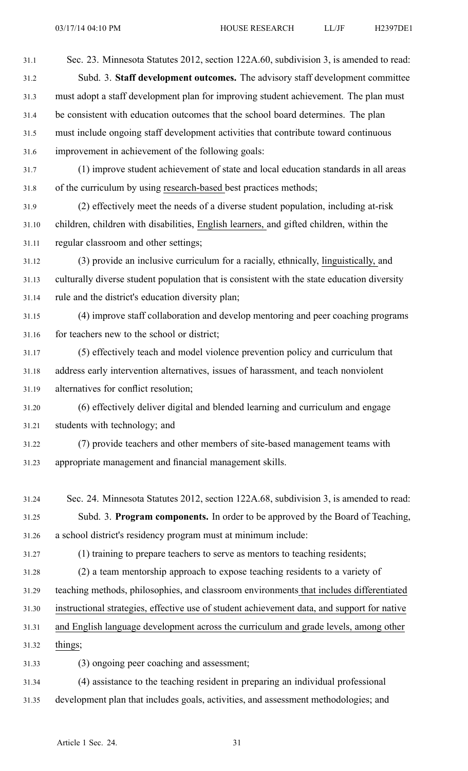31.1 Sec. 23. Minnesota Statutes 2012, section 122A.60, subdivision 3, is amended to read: 31.2 Subd. 3. **Staff development outcomes.** The advisory staff development committee 31.3 must adopt <sup>a</sup> staff development plan for improving student achievement. The plan must 31.4 be consistent with education outcomes that the school board determines. The plan 31.5 must include ongoing staff development activities that contribute toward continuous 31.6 improvement in achievement of the following goals:

31.7 (1) improve student achievement of state and local education standards in all areas 31.8 of the curriculum by using research-based best practices methods;

31.9 (2) effectively meet the needs of <sup>a</sup> diverse student population, including at-risk 31.10 children, children with disabilities, English learners, and gifted children, within the 31.11 regular classroom and other settings;

31.12 (3) provide an inclusive curriculum for <sup>a</sup> racially, ethnically, linguistically, and 31.13 culturally diverse student population that is consistent with the state education diversity 31.14 rule and the district's education diversity plan;

31.15 (4) improve staff collaboration and develop mentoring and peer coaching programs 31.16 for teachers new to the school or district;

31.17 (5) effectively teach and model violence prevention policy and curriculum that 31.18 address early intervention alternatives, issues of harassment, and teach nonviolent 31.19 alternatives for conflict resolution;

31.20 (6) effectively deliver digital and blended learning and curriculum and engage 31.21 students with technology; and

31.22 (7) provide teachers and other members of site-based managemen<sup>t</sup> teams with 31.23 appropriate managemen<sup>t</sup> and financial managemen<sup>t</sup> skills.

- 31.24 Sec. 24. Minnesota Statutes 2012, section 122A.68, subdivision 3, is amended to read: 31.25 Subd. 3. **Program components.** In order to be approved by the Board of Teaching, 31.26 <sup>a</sup> school district's residency program must at minimum include:
- 

31.27 (1) training to prepare teachers to serve as mentors to teaching residents;

31.28 (2) <sup>a</sup> team mentorship approach to expose teaching residents to <sup>a</sup> variety of

- 31.29 teaching methods, philosophies, and classroom environments that includes differentiated
- 31.30 instructional strategies, effective use of student achievement data, and suppor<sup>t</sup> for native

31.31 and English language development across the curriculum and grade levels, among other

31.32 things;

31.33 (3) ongoing peer coaching and assessment;

31.34 (4) assistance to the teaching resident in preparing an individual professional 31.35 development plan that includes goals, activities, and assessment methodologies; and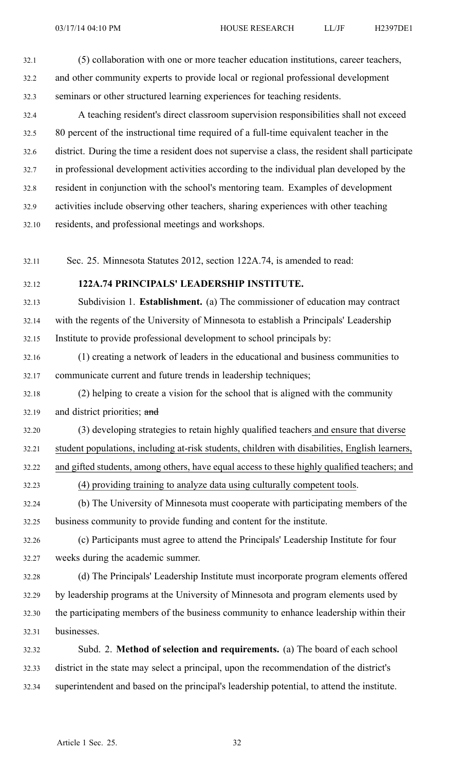- 32.1 (5) collaboration with one or more teacher education institutions, career teachers, 32.2 and other community experts to provide local or regional professional development 32.3 seminars or other structured learning experiences for teaching residents. 32.4 A teaching resident's direct classroom supervision responsibilities shall not exceed
- 32.5 80 percen<sup>t</sup> of the instructional time required of <sup>a</sup> full-time equivalent teacher in the 32.6 district. During the time <sup>a</sup> resident does not supervise <sup>a</sup> class, the resident shall participate 32.7 in professional development activities according to the individual plan developed by the 32.8 resident in conjunction with the school's mentoring team. Examples of development 32.9 activities include observing other teachers, sharing experiences with other teaching 32.10 residents, and professional meetings and workshops.
- 32.11 Sec. 25. Minnesota Statutes 2012, section 122A.74, is amended to read:
- 

#### 32.12 **122A.74 PRINCIPALS' LEADERSHIP INSTITUTE.**

32.13 Subdivision 1. **Establishment.** (a) The commissioner of education may contract 32.14 with the regents of the University of Minnesota to establish <sup>a</sup> Principals' Leadership 32.15 Institute to provide professional development to school principals by:

- 32.16 (1) creating <sup>a</sup> network of leaders in the educational and business communities to 32.17 communicate current and future trends in leadership techniques;
- 32.18 (2) helping to create <sup>a</sup> vision for the school that is aligned with the community 32.19 and district priorities; and
- 32.20 (3) developing strategies to retain highly qualified teachers and ensure that diverse 32.21 student populations, including at-risk students, children with disabilities, English learners, 32.22 and gifted students, among others, have equal access to these highly qualified teachers; and
- 32.23 (4) providing training to analyze data using culturally competent tools.
- 32.24 (b) The University of Minnesota must cooperate with participating members of the 32.25 business community to provide funding and content for the institute.
- 32.26 (c) Participants must agree to attend the Principals' Leadership Institute for four 32.27 weeks during the academic summer.
- 32.28 (d) The Principals' Leadership Institute must incorporate program elements offered 32.29 by leadership programs at the University of Minnesota and program elements used by 32.30 the participating members of the business community to enhance leadership within their 32.31 businesses.
- 32.32 Subd. 2. **Method of selection and requirements.** (a) The board of each school 32.33 district in the state may select <sup>a</sup> principal, upon the recommendation of the district's 32.34 superintendent and based on the principal's leadership potential, to attend the institute.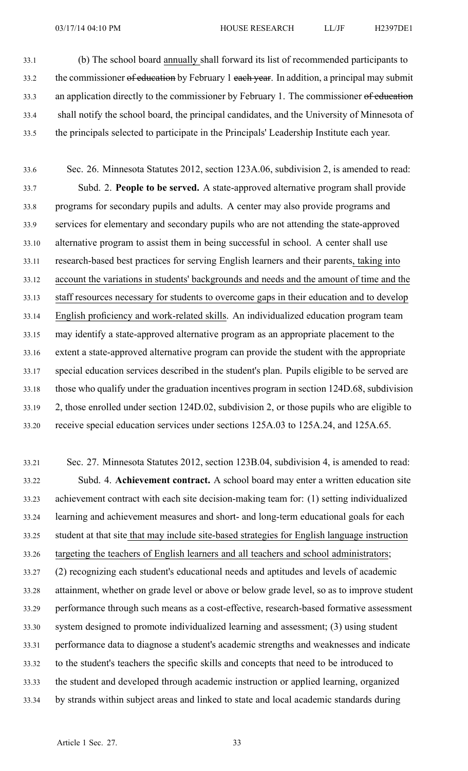33.1 (b) The school board annually shall forward its list of recommended participants to 33.2 the commissioner of education by February 1 each year. In addition, a principal may submit 33.3 an application directly to the commissioner by February 1. The commissioner of education 33.4 shall notify the school board, the principal candidates, and the University of Minnesota of 33.5 the principals selected to participate in the Principals' Leadership Institute each year.

33.6 Sec. 26. Minnesota Statutes 2012, section 123A.06, subdivision 2, is amended to read: 33.7 Subd. 2. **People to be served.** A state-approved alternative program shall provide 33.8 programs for secondary pupils and adults. A center may also provide programs and 33.9 services for elementary and secondary pupils who are not attending the state-approved 33.10 alternative program to assist them in being successful in school. A center shall use 33.11 research-based best practices for serving English learners and their parents, taking into 33.12 account the variations in students' backgrounds and needs and the amount of time and the 33.13 staff resources necessary for students to overcome gaps in their education and to develop 33.14 English proficiency and work-related skills. An individualized education program team 33.15 may identify <sup>a</sup> state-approved alternative program as an appropriate placement to the 33.16 extent <sup>a</sup> state-approved alternative program can provide the student with the appropriate 33.17 special education services described in the student's plan. Pupils eligible to be served are 33.18 those who qualify under the graduation incentives program in section 124D.68, subdivision 33.19 2, those enrolled under section 124D.02, subdivision 2, or those pupils who are eligible to 33.20 receive special education services under sections 125A.03 to 125A.24, and 125A.65.

33.21 Sec. 27. Minnesota Statutes 2012, section 123B.04, subdivision 4, is amended to read: 33.22 Subd. 4. **Achievement contract.** A school board may enter <sup>a</sup> written education site 33.23 achievement contract with each site decision-making team for: (1) setting individualized 33.24 learning and achievement measures and short- and long-term educational goals for each 33.25 student at that site that may include site-based strategies for English language instruction 33.26 targeting the teachers of English learners and all teachers and school administrators; 33.27 (2) recognizing each student's educational needs and aptitudes and levels of academic 33.28 attainment, whether on grade level or above or below grade level, so as to improve student 33.29 performance through such means as <sup>a</sup> cost-effective, research-based formative assessment 33.30 system designed to promote individualized learning and assessment; (3) using student 33.31 performance data to diagnose <sup>a</sup> student's academic strengths and weaknesses and indicate 33.32 to the student's teachers the specific skills and concepts that need to be introduced to 33.33 the student and developed through academic instruction or applied learning, organized 33.34 by strands within subject areas and linked to state and local academic standards during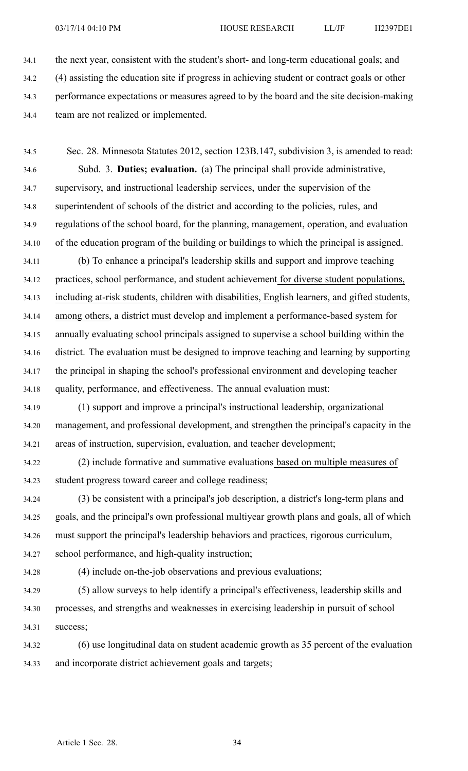34.1 the next year, consistent with the student's short- and long-term educational goals; and

- 34.2 (4) assisting the education site if progress in achieving student or contract goals or other
- 34.3 performance expectations or measures agreed to by the board and the site decision-making
- 34.4 team are not realized or implemented.

34.5 Sec. 28. Minnesota Statutes 2012, section 123B.147, subdivision 3, is amended to read: 34.6 Subd. 3. **Duties; evaluation.** (a) The principal shall provide administrative, 34.7 supervisory, and instructional leadership services, under the supervision of the 34.8 superintendent of schools of the district and according to the policies, rules, and 34.9 regulations of the school board, for the planning, management, operation, and evaluation 34.10 of the education program of the building or buildings to which the principal is assigned.

34.11 (b) To enhance <sup>a</sup> principal's leadership skills and suppor<sup>t</sup> and improve teaching 34.12 practices, school performance, and student achievement for diverse student populations, 34.13 including at-risk students, children with disabilities, English learners, and gifted students, 34.14 among others, <sup>a</sup> district must develop and implement <sup>a</sup> performance-based system for 34.15 annually evaluating school principals assigned to supervise <sup>a</sup> school building within the 34.16 district. The evaluation must be designed to improve teaching and learning by supporting 34.17 the principal in shaping the school's professional environment and developing teacher 34.18 quality, performance, and effectiveness. The annual evaluation must:

34.19 (1) suppor<sup>t</sup> and improve <sup>a</sup> principal's instructional leadership, organizational 34.20 management, and professional development, and strengthen the principal's capacity in the 34.21 areas of instruction, supervision, evaluation, and teacher development;

34.22 (2) include formative and summative evaluations based on multiple measures of 34.23 student progress toward career and college readiness;

34.24 (3) be consistent with <sup>a</sup> principal's job description, <sup>a</sup> district's long-term plans and 34.25 goals, and the principal's own professional multiyear growth plans and goals, all of which 34.26 must suppor<sup>t</sup> the principal's leadership behaviors and practices, rigorous curriculum, 34.27 school performance, and high-quality instruction;

34.28 (4) include on-the-job observations and previous evaluations;

34.29 (5) allow surveys to help identify <sup>a</sup> principal's effectiveness, leadership skills and 34.30 processes, and strengths and weaknesses in exercising leadership in pursuit of school 34.31 success;

34.32 (6) use longitudinal data on student academic growth as 35 percen<sup>t</sup> of the evaluation 34.33 and incorporate district achievement goals and targets;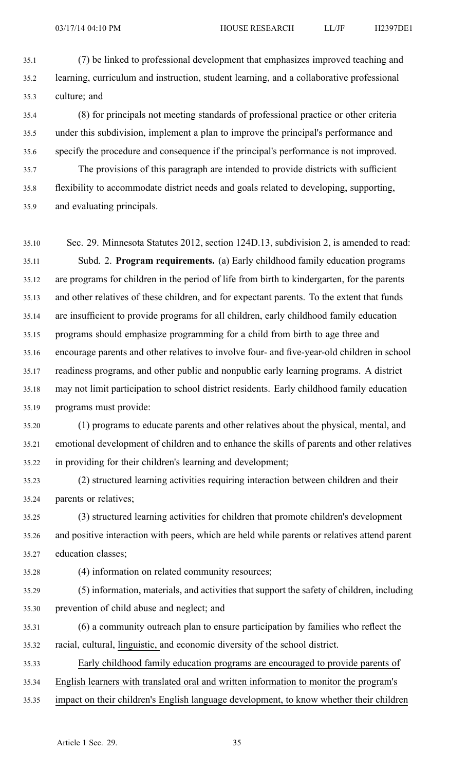35.1 (7) be linked to professional development that emphasizes improved teaching and 35.2 learning, curriculum and instruction, student learning, and <sup>a</sup> collaborative professional 35.3 culture; and

35.4 (8) for principals not meeting standards of professional practice or other criteria 35.5 under this subdivision, implement <sup>a</sup> plan to improve the principal's performance and 35.6 specify the procedure and consequence if the principal's performance is not improved. 35.7 The provisions of this paragraph are intended to provide districts with sufficient 35.8 flexibility to accommodate district needs and goals related to developing, supporting,

35.9 and evaluating principals.

35.10 Sec. 29. Minnesota Statutes 2012, section 124D.13, subdivision 2, is amended to read: 35.11 Subd. 2. **Program requirements.** (a) Early childhood family education programs 35.12 are programs for children in the period of life from birth to kindergarten, for the parents 35.13 and other relatives of these children, and for expectant parents. To the extent that funds 35.14 are insufficient to provide programs for all children, early childhood family education 35.15 programs should emphasize programming for <sup>a</sup> child from birth to age three and 35.16 encourage parents and other relatives to involve four- and five-year-old children in school 35.17 readiness programs, and other public and nonpublic early learning programs. A district 35.18 may not limit participation to school district residents. Early childhood family education 35.19 programs must provide:

35.20 (1) programs to educate parents and other relatives about the physical, mental, and 35.21 emotional development of children and to enhance the skills of parents and other relatives 35.22 in providing for their children's learning and development;

35.23 (2) structured learning activities requiring interaction between children and their 35.24 parents or relatives;

35.25 (3) structured learning activities for children that promote children's development 35.26 and positive interaction with peers, which are held while parents or relatives attend paren<sup>t</sup> 35.27 education classes;

35.28 (4) information on related community resources;

35.29 (5) information, materials, and activities that suppor<sup>t</sup> the safety of children, including 35.30 prevention of child abuse and neglect; and

35.31 (6) <sup>a</sup> community outreach plan to ensure participation by families who reflect the 35.32 racial, cultural, linguistic, and economic diversity of the school district.

35.33 Early childhood family education programs are encouraged to provide parents of

35.34 English learners with translated oral and written information to monitor the program's

35.35 impact on their children's English language development, to know whether their children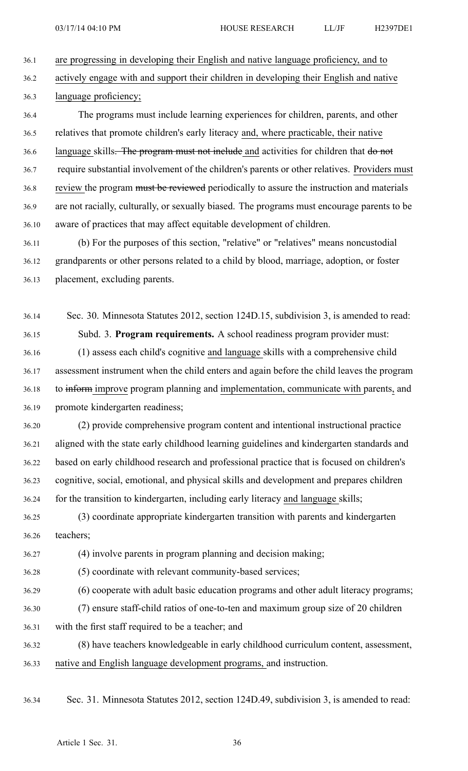36.1 are progressing in developing their English and native language proficiency, and to

36.2 actively engage with and suppor<sup>t</sup> their children in developing their English and native 36.3 language proficiency;

36.4 The programs must include learning experiences for children, parents, and other 36.5 relatives that promote children's early literacy and, where practicable, their native 36.6 language skills. The program must not include and activities for children that do not 36.7 require substantial involvement of the children's parents or other relatives. Providers must 36.8 review the program must be reviewed periodically to assure the instruction and materials 36.9 are not racially, culturally, or sexually biased. The programs must encourage parents to be 36.10 aware of practices that may affect equitable development of children.

36.11 (b) For the purposes of this section, "relative" or "relatives" means noncustodial 36.12 grandparents or other persons related to <sup>a</sup> child by blood, marriage, adoption, or foster 36.13 placement, excluding parents.

36.14 Sec. 30. Minnesota Statutes 2012, section 124D.15, subdivision 3, is amended to read: 36.15 Subd. 3. **Program requirements.** A school readiness program provider must:

36.16 (1) assess each child's cognitive and language skills with <sup>a</sup> comprehensive child 36.17 assessment instrument when the child enters and again before the child leaves the program 36.18 to inform improve program planning and implementation, communicate with parents, and 36.19 promote kindergarten readiness;

36.20 (2) provide comprehensive program content and intentional instructional practice 36.21 aligned with the state early childhood learning guidelines and kindergarten standards and 36.22 based on early childhood research and professional practice that is focused on children's 36.23 cognitive, social, emotional, and physical skills and development and prepares children 36.24 for the transition to kindergarten, including early literacy and language skills;

36.25 (3) coordinate appropriate kindergarten transition with parents and kindergarten 36.26 teachers;

36.27 (4) involve parents in program planning and decision making;

36.28 (5) coordinate with relevant community-based services;

36.29 (6) cooperate with adult basic education programs and other adult literacy programs;

- 36.30 (7) ensure staff-child ratios of one-to-ten and maximum group size of 20 children
- 36.31 with the first staff required to be <sup>a</sup> teacher; and

36.32 (8) have teachers knowledgeable in early childhood curriculum content, assessment, 36.33 native and English language development programs, and instruction.

36.34 Sec. 31. Minnesota Statutes 2012, section 124D.49, subdivision 3, is amended to read: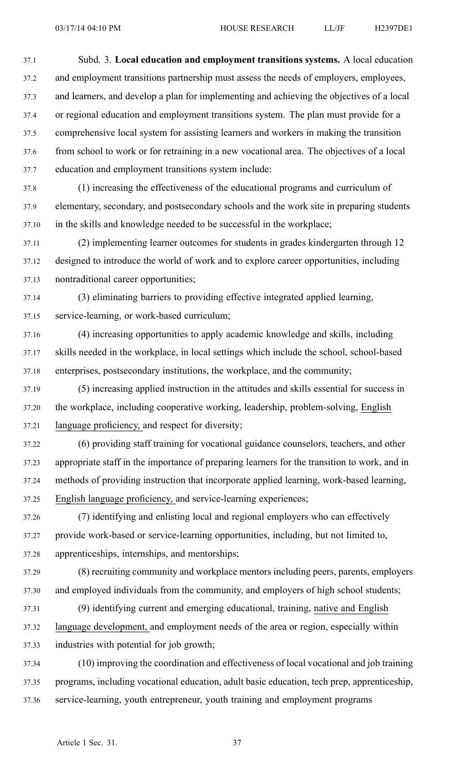37.1 Subd. 3. **Local education and employment transitions systems.** A local education 37.2 and employment transitions partnership must assess the needs of employers, employees, 37.3 and learners, and develop <sup>a</sup> plan for implementing and achieving the objectives of <sup>a</sup> local 37.4 or regional education and employment transitions system. The plan must provide for <sup>a</sup> 37.5 comprehensive local system for assisting learners and workers in making the transition 37.6 from school to work or for retraining in <sup>a</sup> new vocational area. The objectives of <sup>a</sup> local 37.7 education and employment transitions system include:

37.8 (1) increasing the effectiveness of the educational programs and curriculum of 37.9 elementary, secondary, and postsecondary schools and the work site in preparing students 37.10 in the skills and knowledge needed to be successful in the workplace;

37.11 (2) implementing learner outcomes for students in grades kindergarten through 12 37.12 designed to introduce the world of work and to explore career opportunities, including 37.13 nontraditional career opportunities;

37.14 (3) eliminating barriers to providing effective integrated applied learning, 37.15 service-learning, or work-based curriculum;

37.16 (4) increasing opportunities to apply academic knowledge and skills, including 37.17 skills needed in the workplace, in local settings which include the school, school-based 37.18 enterprises, postsecondary institutions, the workplace, and the community;

37.19 (5) increasing applied instruction in the attitudes and skills essential for success in 37.20 the workplace, including cooperative working, leadership, problem-solving, English 37.21 language proficiency, and respec<sup>t</sup> for diversity;

37.22 (6) providing staff training for vocational guidance counselors, teachers, and other 37.23 appropriate staff in the importance of preparing learners for the transition to work, and in 37.24 methods of providing instruction that incorporate applied learning, work-based learning, 37.25 English language proficiency, and service-learning experiences;

37.26 (7) identifying and enlisting local and regional employers who can effectively 37.27 provide work-based or service-learning opportunities, including, but not limited to, 37.28 apprenticeships, internships, and mentorships;

37.29 (8) recruiting community and workplace mentors including peers, parents, employers 37.30 and employed individuals from the community, and employers of high school students;

37.31 (9) identifying current and emerging educational, training, native and English 37.32 language development, and employment needs of the area or region, especially within 37.33 industries with potential for job growth;

37.34 (10) improving the coordination and effectiveness of local vocational and job training 37.35 programs, including vocational education, adult basic education, tech prep, apprenticeship, 37.36 service-learning, youth entrepreneur, youth training and employment programs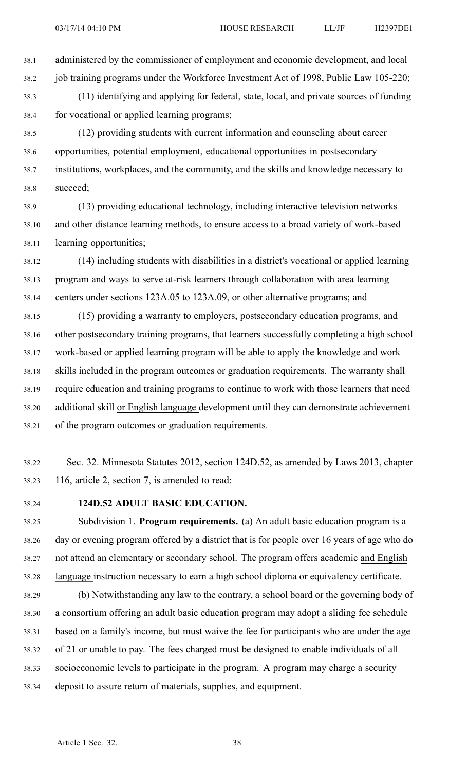38.1 administered by the commissioner of employment and economic development, and local 38.2 job training programs under the Workforce Investment Act of 1998, Public Law 105-220;

38.3 (11) identifying and applying for federal, state, local, and private sources of funding 38.4 for vocational or applied learning programs;

38.5 (12) providing students with current information and counseling about career 38.6 opportunities, potential employment, educational opportunities in postsecondary 38.7 institutions, workplaces, and the community, and the skills and knowledge necessary to 38.8 succeed;

38.9 (13) providing educational technology, including interactive television networks 38.10 and other distance learning methods, to ensure access to <sup>a</sup> broad variety of work-based 38.11 learning opportunities;

38.12 (14) including students with disabilities in <sup>a</sup> district's vocational or applied learning 38.13 program and ways to serve at-risk learners through collaboration with area learning 38.14 centers under sections 123A.05 to 123A.09, or other alternative programs; and

38.15 (15) providing <sup>a</sup> warranty to employers, postsecondary education programs, and 38.16 other postsecondary training programs, that learners successfully completing <sup>a</sup> high school 38.17 work-based or applied learning program will be able to apply the knowledge and work 38.18 skills included in the program outcomes or graduation requirements. The warranty shall 38.19 require education and training programs to continue to work with those learners that need 38.20 additional skill or English language development until they can demonstrate achievement 38.21 of the program outcomes or graduation requirements.

38.22 Sec. 32. Minnesota Statutes 2012, section 124D.52, as amended by Laws 2013, chapter 38.23 116, article 2, section 7, is amended to read:

## 38.24 **124D.52 ADULT BASIC EDUCATION.**

38.25 Subdivision 1. **Program requirements.** (a) An adult basic education program is <sup>a</sup> 38.26 day or evening program offered by <sup>a</sup> district that is for people over 16 years of age who do 38.27 not attend an elementary or secondary school. The program offers academic and English 38.28 language instruction necessary to earn <sup>a</sup> high school diploma or equivalency certificate.

38.29 (b) Notwithstanding any law to the contrary, <sup>a</sup> school board or the governing body of 38.30 <sup>a</sup> consortium offering an adult basic education program may adopt <sup>a</sup> sliding fee schedule 38.31 based on <sup>a</sup> family's income, but must waive the fee for participants who are under the age 38.32 of 21 or unable to pay. The fees charged must be designed to enable individuals of all 38.33 socioeconomic levels to participate in the program. A program may charge <sup>a</sup> security 38.34 deposit to assure return of materials, supplies, and equipment.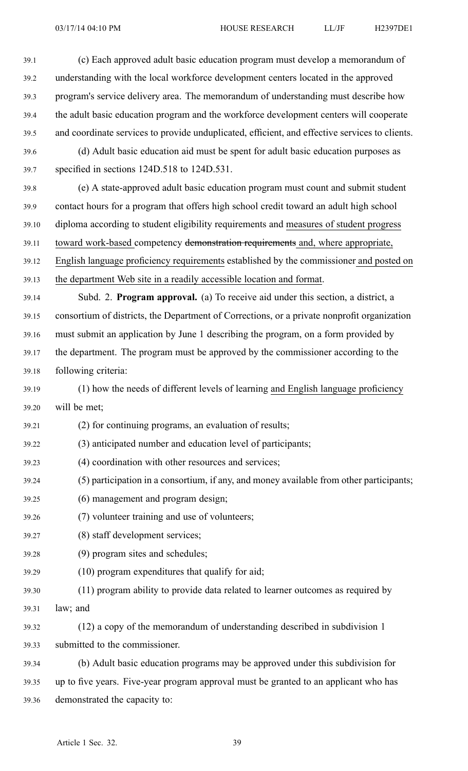39.1 (c) Each approved adult basic education program must develop <sup>a</sup> memorandum of 39.2 understanding with the local workforce development centers located in the approved 39.3 program's service delivery area. The memorandum of understanding must describe how 39.4 the adult basic education program and the workforce development centers will cooperate 39.5 and coordinate services to provide unduplicated, efficient, and effective services to clients. 39.6 (d) Adult basic education aid must be spen<sup>t</sup> for adult basic education purposes as 39.7 specified in sections 124D.518 to 124D.531. 39.8 (e) A state-approved adult basic education program must count and submit student 39.9 contact hours for <sup>a</sup> program that offers high school credit toward an adult high school 39.10 diploma according to student eligibility requirements and measures of student progress 39.11 toward work-based competency demonstration requirements and, where appropriate, 39.12 English language proficiency requirements established by the commissioner and posted on 39.13 the department Web site in <sup>a</sup> readily accessible location and format. 39.14 Subd. 2. **Program approval.** (a) To receive aid under this section, <sup>a</sup> district, <sup>a</sup> 39.15 consortium of districts, the Department of Corrections, or <sup>a</sup> private nonprofit organization 39.16 must submit an application by June 1 describing the program, on <sup>a</sup> form provided by 39.17 the department. The program must be approved by the commissioner according to the 39.18 following criteria: 39.19 (1) how the needs of different levels of learning and English language proficiency 39.20 will be met; 39.21 (2) for continuing programs, an evaluation of results; 39.22 (3) anticipated number and education level of participants; 39.23 (4) coordination with other resources and services; 39.24 (5) participation in <sup>a</sup> consortium, if any, and money available from other participants; 39.25 (6) managemen<sup>t</sup> and program design; 39.26 (7) volunteer training and use of volunteers; 39.27 (8) staff development services; 39.28 (9) program sites and schedules; 39.29 (10) program expenditures that qualify for aid; 39.30 (11) program ability to provide data related to learner outcomes as required by 39.31 law; and 39.32 (12) <sup>a</sup> copy of the memorandum of understanding described in subdivision 1 39.33 submitted to the commissioner. 39.34 (b) Adult basic education programs may be approved under this subdivision for 39.35 up to five years. Five-year program approval must be granted to an applicant who has 39.36 demonstrated the capacity to: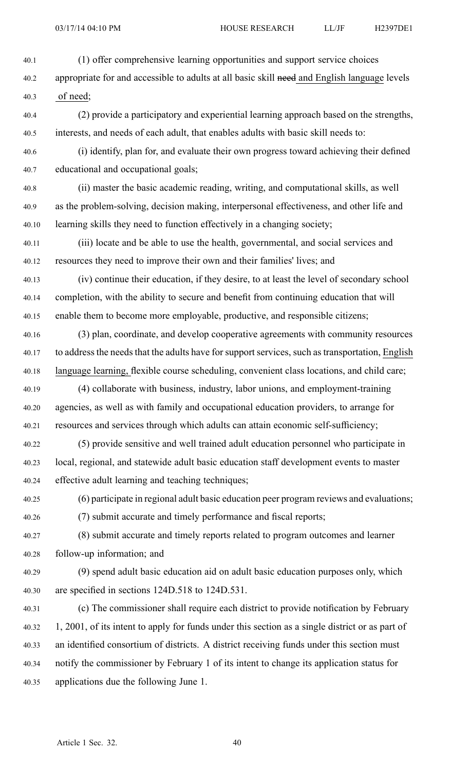40.1 (1) offer comprehensive learning opportunities and suppor<sup>t</sup> service choices

40.2 appropriate for and accessible to adults at all basic skill need and English language levels 40.3 of need;

40.4 (2) provide <sup>a</sup> participatory and experiential learning approach based on the strengths, 40.5 interests, and needs of each adult, that enables adults with basic skill needs to:

- 40.6 (i) identify, plan for, and evaluate their own progress toward achieving their defined 40.7 educational and occupational goals;
- 40.8 (ii) master the basic academic reading, writing, and computational skills, as well 40.9 as the problem-solving, decision making, interpersonal effectiveness, and other life and 40.10 learning skills they need to function effectively in <sup>a</sup> changing society;
- 40.11 (iii) locate and be able to use the health, governmental, and social services and 40.12 resources they need to improve their own and their families' lives; and
- 40.13 (iv) continue their education, if they desire, to at least the level of secondary school 40.14 completion, with the ability to secure and benefit from continuing education that will 40.15 enable them to become more employable, productive, and responsible citizens;
- 40.16 (3) plan, coordinate, and develop cooperative agreements with community resources 40.17 to address the needs that the adults have for support services, such as transportation, English 40.18 language learning, flexible course scheduling, convenient class locations, and child care;
- 40.19 (4) collaborate with business, industry, labor unions, and employment-training 40.20 agencies, as well as with family and occupational education providers, to arrange for 40.21 resources and services through which adults can attain economic self-sufficiency;
- 40.22 (5) provide sensitive and well trained adult education personnel who participate in 40.23 local, regional, and statewide adult basic education staff development events to master 40.24 effective adult learning and teaching techniques;
- 40.25 (6) participate in regional adult basic education peer program reviews and evaluations;

40.26 (7) submit accurate and timely performance and fiscal reports;

- 40.27 (8) submit accurate and timely reports related to program outcomes and learner 40.28 follow-up information; and
- 40.29 (9) spend adult basic education aid on adult basic education purposes only, which 40.30 are specified in sections 124D.518 to 124D.531.
- 40.31 (c) The commissioner shall require each district to provide notification by February 40.32 1, 2001, of its intent to apply for funds under this section as <sup>a</sup> single district or as par<sup>t</sup> of 40.33 an identified consortium of districts. A district receiving funds under this section must 40.34 notify the commissioner by February 1 of its intent to change its application status for 40.35 applications due the following June 1.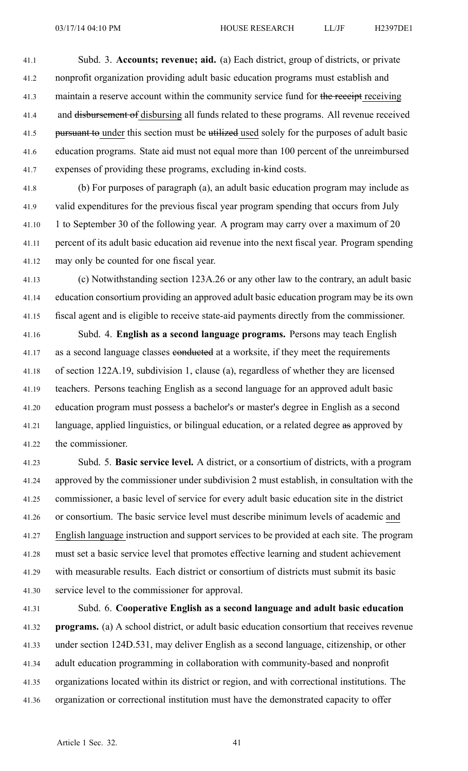41.1 Subd. 3. **Accounts; revenue; aid.** (a) Each district, group of districts, or private 41.2 nonprofit organization providing adult basic education programs must establish and 41.3 maintain a reserve account within the community service fund for the receipt receiving 41.4 and disbursement of disbursing all funds related to these programs. All revenue received 41.5 pursuant to under this section must be utilized used solely for the purposes of adult basic 41.6 education programs. State aid must not equal more than 100 percen<sup>t</sup> of the unreimbursed 41.7 expenses of providing these programs, excluding in-kind costs.

41.8 (b) For purposes of paragraph (a), an adult basic education program may include as 41.9 valid expenditures for the previous fiscal year program spending that occurs from July 41.10 1 to September 30 of the following year. A program may carry over <sup>a</sup> maximum of 20 41.11 percen<sup>t</sup> of its adult basic education aid revenue into the next fiscal year. Program spending 41.12 may only be counted for one fiscal year.

41.13 (c) Notwithstanding section 123A.26 or any other law to the contrary, an adult basic 41.14 education consortium providing an approved adult basic education program may be its own 41.15 fiscal agen<sup>t</sup> and is eligible to receive state-aid payments directly from the commissioner.

41.16 Subd. 4. **English as <sup>a</sup> second language programs.** Persons may teach English 41.17 as a second language classes conducted at a worksite, if they meet the requirements 41.18 of section 122A.19, subdivision 1, clause (a), regardless of whether they are licensed 41.19 teachers. Persons teaching English as <sup>a</sup> second language for an approved adult basic 41.20 education program must possess <sup>a</sup> bachelor's or master's degree in English as <sup>a</sup> second 41.21 language, applied linguistics, or bilingual education, or a related degree as approved by 41.22 the commissioner.

41.23 Subd. 5. **Basic service level.** A district, or <sup>a</sup> consortium of districts, with <sup>a</sup> program 41.24 approved by the commissioner under subdivision 2 must establish, in consultation with the 41.25 commissioner, <sup>a</sup> basic level of service for every adult basic education site in the district 41.26 or consortium. The basic service level must describe minimum levels of academic and 41.27 English language instruction and suppor<sup>t</sup> services to be provided at each site. The program 41.28 must set <sup>a</sup> basic service level that promotes effective learning and student achievement 41.29 with measurable results. Each district or consortium of districts must submit its basic 41.30 service level to the commissioner for approval.

41.31 Subd. 6. **Cooperative English as <sup>a</sup> second language and adult basic education** 41.32 **programs.** (a) A school district, or adult basic education consortium that receives revenue 41.33 under section 124D.531, may deliver English as <sup>a</sup> second language, citizenship, or other 41.34 adult education programming in collaboration with community-based and nonprofit 41.35 organizations located within its district or region, and with correctional institutions. The 41.36 organization or correctional institution must have the demonstrated capacity to offer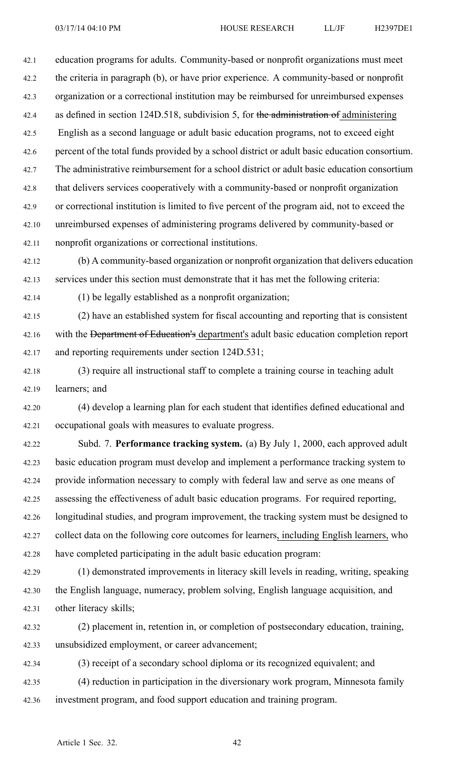42.1 education programs for adults. Community-based or nonprofit organizations must meet 42.2 the criteria in paragraph (b), or have prior experience. A community-based or nonprofit 42.3 organization or <sup>a</sup> correctional institution may be reimbursed for unreimbursed expenses 42.4 as defined in section 124D.518, subdivision 5, for the administration of administering 42.5 English as <sup>a</sup> second language or adult basic education programs, not to exceed eight 42.6 percen<sup>t</sup> of the total funds provided by <sup>a</sup> school district or adult basic education consortium. 42.7 The administrative reimbursement for <sup>a</sup> school district or adult basic education consortium 42.8 that delivers services cooperatively with <sup>a</sup> community-based or nonprofit organization 42.9 or correctional institution is limited to five percen<sup>t</sup> of the program aid, not to exceed the 42.10 unreimbursed expenses of administering programs delivered by community-based or 42.11 nonprofit organizations or correctional institutions.

42.12 (b) A community-based organization or nonprofit organization that delivers education 42.13 services under this section must demonstrate that it has met the following criteria:

42.14 (1) be legally established as <sup>a</sup> nonprofit organization;

42.15 (2) have an established system for fiscal accounting and reporting that is consistent 42.16 with the Department of Education's department's adult basic education completion report 42.17 and reporting requirements under section 124D.531;

42.18 (3) require all instructional staff to complete <sup>a</sup> training course in teaching adult 42.19 learners; and

42.20 (4) develop <sup>a</sup> learning plan for each student that identifies defined educational and 42.21 occupational goals with measures to evaluate progress.

42.22 Subd. 7. **Performance tracking system.** (a) By July 1, 2000, each approved adult 42.23 basic education program must develop and implement <sup>a</sup> performance tracking system to 42.24 provide information necessary to comply with federal law and serve as one means of 42.25 assessing the effectiveness of adult basic education programs. For required reporting, 42.26 longitudinal studies, and program improvement, the tracking system must be designed to 42.27 collect data on the following core outcomes for learners, including English learners, who 42.28 have completed participating in the adult basic education program:

42.29 (1) demonstrated improvements in literacy skill levels in reading, writing, speaking 42.30 the English language, numeracy, problem solving, English language acquisition, and 42.31 other literacy skills;

42.32 (2) placement in, retention in, or completion of postsecondary education, training, 42.33 unsubsidized employment, or career advancement;

42.34 (3) receipt of <sup>a</sup> secondary school diploma or its recognized equivalent; and 42.35 (4) reduction in participation in the diversionary work program, Minnesota family 42.36 investment program, and food suppor<sup>t</sup> education and training program.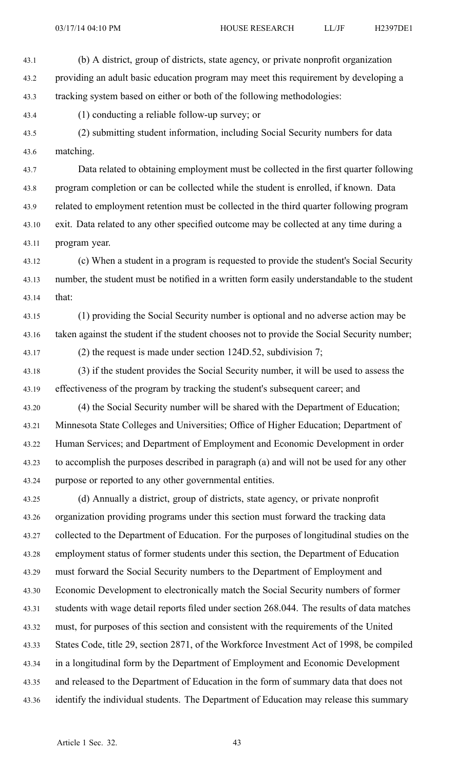43.1 (b) A district, group of districts, state agency, or private nonprofit organization 43.2 providing an adult basic education program may meet this requirement by developing <sup>a</sup> 43.3 tracking system based on either or both of the following methodologies:

43.4 (1) conducting <sup>a</sup> reliable follow-up survey; or

43.5 (2) submitting student information, including Social Security numbers for data 43.6 matching.

43.7 Data related to obtaining employment must be collected in the first quarter following 43.8 program completion or can be collected while the student is enrolled, if known. Data 43.9 related to employment retention must be collected in the third quarter following program 43.10 exit. Data related to any other specified outcome may be collected at any time during <sup>a</sup> 43.11 program year.

43.12 (c) When <sup>a</sup> student in <sup>a</sup> program is requested to provide the student's Social Security 43.13 number, the student must be notified in <sup>a</sup> written form easily understandable to the student 43.14 that:

43.15 (1) providing the Social Security number is optional and no adverse action may be 43.16 taken against the student if the student chooses not to provide the Social Security number;

43.17 (2) the reques<sup>t</sup> is made under section 124D.52, subdivision 7;

43.18 (3) if the student provides the Social Security number, it will be used to assess the 43.19 effectiveness of the program by tracking the student's subsequent career; and

43.20 (4) the Social Security number will be shared with the Department of Education; 43.21 Minnesota State Colleges and Universities; Office of Higher Education; Department of 43.22 Human Services; and Department of Employment and Economic Development in order 43.23 to accomplish the purposes described in paragraph (a) and will not be used for any other 43.24 purpose or reported to any other governmental entities.

43.25 (d) Annually <sup>a</sup> district, group of districts, state agency, or private nonprofit 43.26 organization providing programs under this section must forward the tracking data 43.27 collected to the Department of Education. For the purposes of longitudinal studies on the 43.28 employment status of former students under this section, the Department of Education 43.29 must forward the Social Security numbers to the Department of Employment and 43.30 Economic Development to electronically match the Social Security numbers of former 43.31 students with wage detail reports filed under section 268.044. The results of data matches 43.32 must, for purposes of this section and consistent with the requirements of the United 43.33 States Code, title 29, section 2871, of the Workforce Investment Act of 1998, be compiled 43.34 in <sup>a</sup> longitudinal form by the Department of Employment and Economic Development 43.35 and released to the Department of Education in the form of summary data that does not 43.36 identify the individual students. The Department of Education may release this summary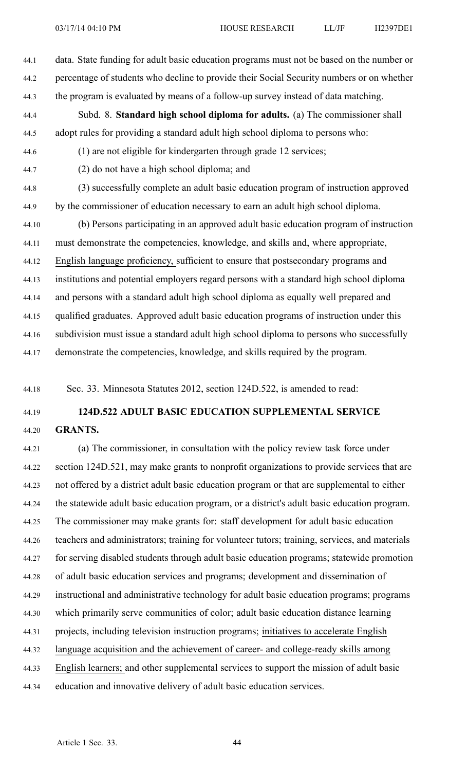44.1 data. State funding for adult basic education programs must not be based on the number or 44.2 percentage of students who decline to provide their Social Security numbers or on whether 44.3 the program is evaluated by means of <sup>a</sup> follow-up survey instead of data matching. 44.4 Subd. 8. **Standard high school diploma for adults.** (a) The commissioner shall 44.5 adopt rules for providing <sup>a</sup> standard adult high school diploma to persons who: 44.6 (1) are not eligible for kindergarten through grade 12 services; 44.7 (2) do not have <sup>a</sup> high school diploma; and 44.8 (3) successfully complete an adult basic education program of instruction approved 44.9 by the commissioner of education necessary to earn an adult high school diploma. 44.10 (b) Persons participating in an approved adult basic education program of instruction 44.11 must demonstrate the competencies, knowledge, and skills and, where appropriate, 44.12 English language proficiency, sufficient to ensure that postsecondary programs and 44.13 institutions and potential employers regard persons with <sup>a</sup> standard high school diploma 44.14 and persons with <sup>a</sup> standard adult high school diploma as equally well prepared and 44.15 qualified graduates. Approved adult basic education programs of instruction under this 44.16 subdivision must issue <sup>a</sup> standard adult high school diploma to persons who successfully 44.17 demonstrate the competencies, knowledge, and skills required by the program.

44.18 Sec. 33. Minnesota Statutes 2012, section 124D.522, is amended to read:

# 44.19 **124D.522 ADULT BASIC EDUCATION SUPPLEMENTAL SERVICE** 44.20 **GRANTS.**

44.21 (a) The commissioner, in consultation with the policy review task force under 44.22 section 124D.521, may make grants to nonprofit organizations to provide services that are 44.23 not offered by <sup>a</sup> district adult basic education program or that are supplemental to either 44.24 the statewide adult basic education program, or <sup>a</sup> district's adult basic education program. 44.25 The commissioner may make grants for: staff development for adult basic education 44.26 teachers and administrators; training for volunteer tutors; training, services, and materials 44.27 for serving disabled students through adult basic education programs; statewide promotion 44.28 of adult basic education services and programs; development and dissemination of 44.29 instructional and administrative technology for adult basic education programs; programs 44.30 which primarily serve communities of color; adult basic education distance learning 44.31 projects, including television instruction programs; initiatives to accelerate English 44.32 language acquisition and the achievement of career- and college-ready skills among 44.33 English learners; and other supplemental services to suppor<sup>t</sup> the mission of adult basic 44.34 education and innovative delivery of adult basic education services.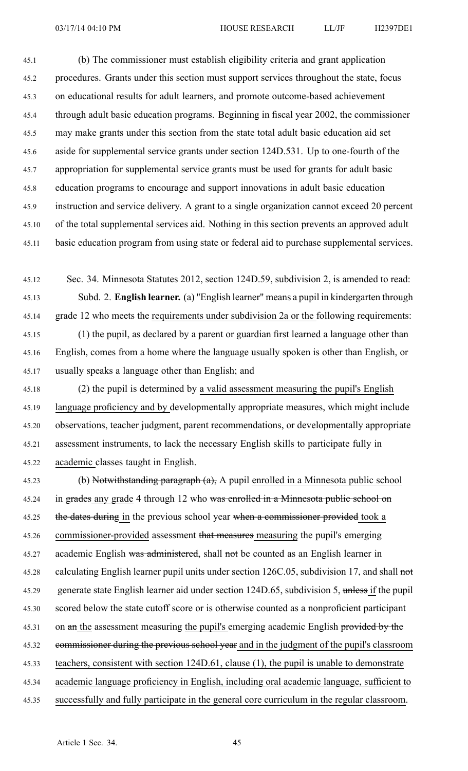45.1 (b) The commissioner must establish eligibility criteria and gran<sup>t</sup> application 45.2 procedures. Grants under this section must suppor<sup>t</sup> services throughout the state, focus 45.3 on educational results for adult learners, and promote outcome-based achievement 45.4 through adult basic education programs. Beginning in fiscal year 2002, the commissioner 45.5 may make grants under this section from the state total adult basic education aid set 45.6 aside for supplemental service grants under section 124D.531. Up to one-fourth of the 45.7 appropriation for supplemental service grants must be used for grants for adult basic 45.8 education programs to encourage and suppor<sup>t</sup> innovations in adult basic education 45.9 instruction and service delivery. A gran<sup>t</sup> to <sup>a</sup> single organization cannot exceed 20 percen<sup>t</sup> 45.10 of the total supplemental services aid. Nothing in this section prevents an approved adult 45.11 basic education program from using state or federal aid to purchase supplemental services.

45.12 Sec. 34. Minnesota Statutes 2012, section 124D.59, subdivision 2, is amended to read: 45.13 Subd. 2. **English learner.** (a) "English learner" means <sup>a</sup> pupil in kindergarten through 45.14 grade 12 who meets the requirements under subdivision 2a or the following requirements: 45.15 (1) the pupil, as declared by <sup>a</sup> paren<sup>t</sup> or guardian first learned <sup>a</sup> language other than 45.16 English, comes from <sup>a</sup> home where the language usually spoken is other than English, or 45.17 usually speaks <sup>a</sup> language other than English; and

45.18 (2) the pupil is determined by <sup>a</sup> valid assessment measuring the pupil's English 45.19 language proficiency and by developmentally appropriate measures, which might include 45.20 observations, teacher judgment, paren<sup>t</sup> recommendations, or developmentally appropriate 45.21 assessment instruments, to lack the necessary English skills to participate fully in 45.22 academic classes taught in English.

45.23 (b) Notwithstanding paragraph (a), A pupil enrolled in a Minnesota public school 45.24 in grades any grade 4 through 12 who was enrolled in a Minnesota public school on 45.25 the dates during in the previous school year when a commissioner provided took a 45.26 commissioner-provided assessment that measures measuring the pupil's emerging 45.27 academic English was administered, shall not be counted as an English learner in 45.28 calculating English learner pupil units under section 126C.05, subdivision 17, and shall not 45.29 generate state English learner aid under section 124D.65, subdivision 5, unless if the pupil 45.30 scored below the state cutoff score or is otherwise counted as <sup>a</sup> nonproficient participant 45.31 on an the assessment measuring the pupil's emerging academic English provided by the 45.32 commissioner during the previous school year and in the judgment of the pupil's classroom 45.33 teachers, consistent with section 124D.61, clause (1), the pupil is unable to demonstrate 45.34 academic language proficiency in English, including oral academic language, sufficient to 45.35 successfully and fully participate in the general core curriculum in the regular classroom.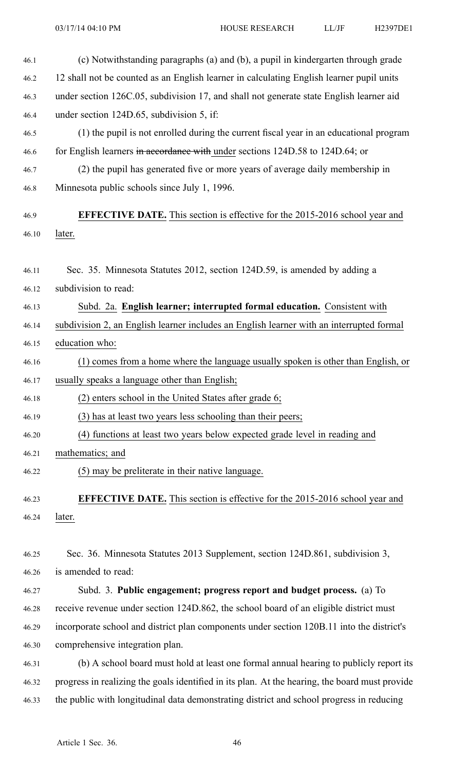| 46.1  | (c) Notwithstanding paragraphs (a) and (b), a pupil in kindergarten through grade              |
|-------|------------------------------------------------------------------------------------------------|
| 46.2  | 12 shall not be counted as an English learner in calculating English learner pupil units       |
| 46.3  | under section 126C.05, subdivision 17, and shall not generate state English learner aid        |
| 46.4  | under section 124D.65, subdivision 5, if:                                                      |
| 46.5  | (1) the pupil is not enrolled during the current fiscal year in an educational program         |
| 46.6  | for English learners in accordance with under sections 124D.58 to 124D.64; or                  |
| 46.7  | (2) the pupil has generated five or more years of average daily membership in                  |
| 46.8  | Minnesota public schools since July 1, 1996.                                                   |
| 46.9  | <b>EFFECTIVE DATE.</b> This section is effective for the 2015-2016 school year and             |
| 46.10 | later.                                                                                         |
| 46.11 | Sec. 35. Minnesota Statutes 2012, section 124D.59, is amended by adding a                      |
| 46.12 | subdivision to read:                                                                           |
| 46.13 | Subd. 2a. English learner; interrupted formal education. Consistent with                       |
| 46.14 | subdivision 2, an English learner includes an English learner with an interrupted formal       |
| 46.15 | education who:                                                                                 |
| 46.16 | (1) comes from a home where the language usually spoken is other than English, or              |
| 46.17 | usually speaks a language other than English;                                                  |
| 46.18 | (2)<br>enters school in the United States after grade 6;                                       |
| 46.19 | (3) has at least two years less schooling than their peers;                                    |
| 46.20 | (4) functions at least two years below expected grade level in reading and                     |
| 46.21 | mathematics; and                                                                               |
| 46.22 | (5) may be preliterate in their native language.                                               |
| 46.23 | <b>EFFECTIVE DATE.</b> This section is effective for the 2015-2016 school year and             |
| 46.24 | later.                                                                                         |
| 46.25 | Sec. 36. Minnesota Statutes 2013 Supplement, section 124D.861, subdivision 3,                  |
| 46.26 | is amended to read:                                                                            |
| 46.27 | Subd. 3. Public engagement; progress report and budget process. (a) To                         |
| 46.28 | receive revenue under section 124D.862, the school board of an eligible district must          |
| 46.29 | incorporate school and district plan components under section 120B.11 into the district's      |
| 46.30 | comprehensive integration plan.                                                                |
| 46.31 | (b) A school board must hold at least one formal annual hearing to publicly report its         |
| 46.32 | progress in realizing the goals identified in its plan. At the hearing, the board must provide |
| 46.33 | the public with longitudinal data demonstrating district and school progress in reducing       |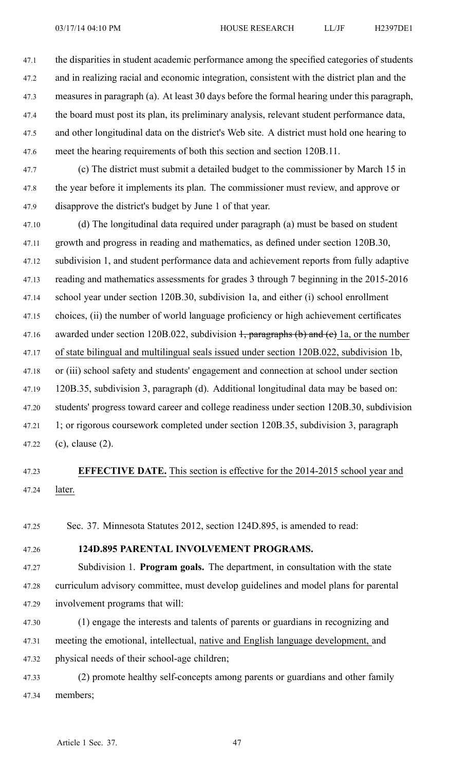47.1 the disparities in student academic performance among the specified categories of students 47.2 and in realizing racial and economic integration, consistent with the district plan and the 47.3 measures in paragraph (a). At least 30 days before the formal hearing under this paragraph, 47.4 the board must pos<sup>t</sup> its plan, its preliminary analysis, relevant student performance data, 47.5 and other longitudinal data on the district's Web site. A district must hold one hearing to 47.6 meet the hearing requirements of both this section and section 120B.11.

47.7 (c) The district must submit <sup>a</sup> detailed budget to the commissioner by March 15 in 47.8 the year before it implements its plan. The commissioner must review, and approve or 47.9 disapprove the district's budget by June 1 of that year.

47.10 (d) The longitudinal data required under paragraph (a) must be based on student 47.11 growth and progress in reading and mathematics, as defined under section 120B.30, 47.12 subdivision 1, and student performance data and achievement reports from fully adaptive 47.13 reading and mathematics assessments for grades 3 through 7 beginning in the 2015-2016 47.14 school year under section 120B.30, subdivision 1a, and either (i) school enrollment 47.15 choices, (ii) the number of world language proficiency or high achievement certificates 47.16 awarded under section 120B.022, subdivision  $\frac{1}{2}$ , paragraphs (b) and (e) 1a, or the number 47.17 of state bilingual and multilingual seals issued under section 120B.022, subdivision 1b, 47.18 or (iii) school safety and students' engagemen<sup>t</sup> and connection at school under section 47.19 120B.35, subdivision 3, paragraph (d). Additional longitudinal data may be based on: 47.20 students' progress toward career and college readiness under section 120B.30, subdivision 47.21 1; or rigorous coursework completed under section 120B.35, subdivision 3, paragraph 47.22 (c), clause (2).

# 47.23 **EFFECTIVE DATE.** This section is effective for the 2014-2015 school year and 47.24 later.

47.25 Sec. 37. Minnesota Statutes 2012, section 124D.895, is amended to read:

## 47.26 **124D.895 PARENTAL INVOLVEMENT PROGRAMS.**

47.27 Subdivision 1. **Program goals.** The department, in consultation with the state 47.28 curriculum advisory committee, must develop guidelines and model plans for parental 47.29 involvement programs that will:

47.30 (1) engage the interests and talents of parents or guardians in recognizing and 47.31 meeting the emotional, intellectual, native and English language development, and 47.32 physical needs of their school-age children;

47.33 (2) promote healthy self-concepts among parents or guardians and other family 47.34 members;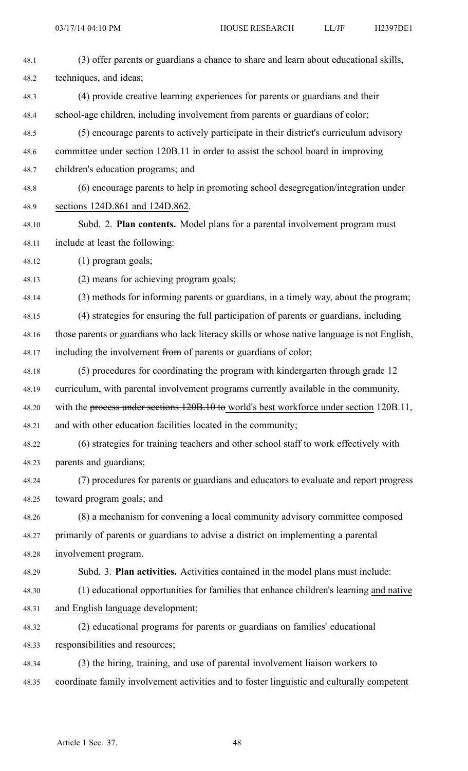| 48.1  | (3) offer parents or guardians a chance to share and learn about educational skills,         |
|-------|----------------------------------------------------------------------------------------------|
| 48.2  | techniques, and ideas;                                                                       |
| 48.3  | (4) provide creative learning experiences for parents or guardians and their                 |
| 48.4  | school-age children, including involvement from parents or guardians of color;               |
| 48.5  | (5) encourage parents to actively participate in their district's curriculum advisory        |
| 48.6  | committee under section 120B.11 in order to assist the school board in improving             |
| 48.7  | children's education programs; and                                                           |
| 48.8  | (6) encourage parents to help in promoting school desegregation/integration under            |
| 48.9  | sections 124D.861 and 124D.862.                                                              |
| 48.10 | Subd. 2. <b>Plan contents.</b> Model plans for a parental involvement program must           |
| 48.11 | include at least the following:                                                              |
| 48.12 | $(1)$ program goals;                                                                         |
| 48.13 | (2) means for achieving program goals;                                                       |
| 48.14 | (3) methods for informing parents or guardians, in a timely way, about the program;          |
| 48.15 | (4) strategies for ensuring the full participation of parents or guardians, including        |
| 48.16 | those parents or guardians who lack literacy skills or whose native language is not English, |
| 48.17 | including the involvement from of parents or guardians of color;                             |
| 48.18 | (5) procedures for coordinating the program with kindergarten through grade 12               |
| 48.19 | curriculum, with parental involvement programs currently available in the community,         |
| 48.20 | with the process under sections 120B.10 to world's best workforce under section 120B.11,     |
| 48.21 | and with other education facilities located in the community;                                |
| 48.22 | (6) strategies for training teachers and other school staff to work effectively with         |
| 48.23 | parents and guardians;                                                                       |
| 48.24 | (7) procedures for parents or guardians and educators to evaluate and report progress        |
| 48.25 | toward program goals; and                                                                    |
| 48.26 | (8) a mechanism for convening a local community advisory committee composed                  |
| 48.27 | primarily of parents or guardians to advise a district on implementing a parental            |
| 48.28 | involvement program.                                                                         |
| 48.29 | Subd. 3. Plan activities. Activities contained in the model plans must include:              |
| 48.30 | (1) educational opportunities for families that enhance children's learning and native       |
| 48.31 | and English language development;                                                            |
| 48.32 | (2) educational programs for parents or guardians on families' educational                   |
| 48.33 | responsibilities and resources;                                                              |
| 48.34 | (3) the hiring, training, and use of parental involvement liaison workers to                 |
| 48.35 | coordinate family involvement activities and to foster linguistic and culturally competent   |
|       |                                                                                              |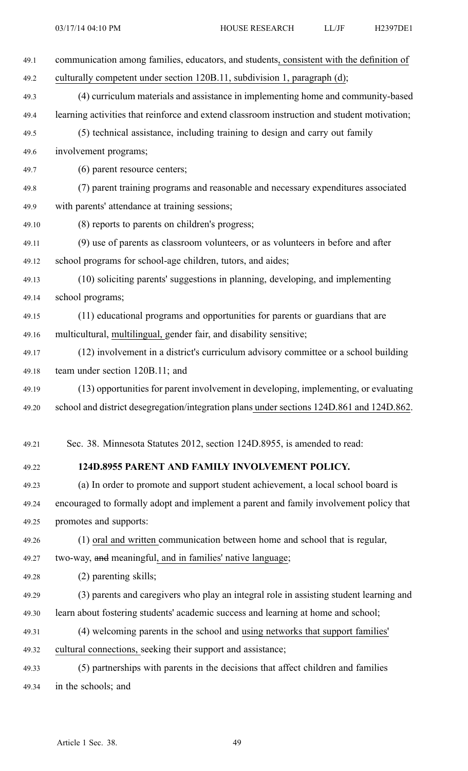| 49.1  | communication among families, educators, and students, consistent with the definition of    |
|-------|---------------------------------------------------------------------------------------------|
| 49.2  | culturally competent under section 120B.11, subdivision 1, paragraph (d);                   |
| 49.3  | (4) curriculum materials and assistance in implementing home and community-based            |
| 49.4  | learning activities that reinforce and extend classroom instruction and student motivation; |
| 49.5  | (5) technical assistance, including training to design and carry out family                 |
| 49.6  | involvement programs;                                                                       |
| 49.7  | (6) parent resource centers;                                                                |
| 49.8  | (7) parent training programs and reasonable and necessary expenditures associated           |
| 49.9  | with parents' attendance at training sessions;                                              |
| 49.10 | (8) reports to parents on children's progress;                                              |
| 49.11 | (9) use of parents as classroom volunteers, or as volunteers in before and after            |
| 49.12 | school programs for school-age children, tutors, and aides;                                 |
| 49.13 | (10) soliciting parents' suggestions in planning, developing, and implementing              |
| 49.14 | school programs;                                                                            |
| 49.15 | (11) educational programs and opportunities for parents or guardians that are               |
| 49.16 | multicultural, multilingual, gender fair, and disability sensitive;                         |
| 49.17 | (12) involvement in a district's curriculum advisory committee or a school building         |
| 49.18 | team under section 120B.11; and                                                             |
| 49.19 | (13) opportunities for parent involvement in developing, implementing, or evaluating        |
| 49.20 | school and district desegregation/integration plans under sections 124D.861 and 124D.862.   |
|       |                                                                                             |
| 49.21 | Sec. 38. Minnesota Statutes 2012, section 124D.8955, is amended to read:                    |
| 49.22 | 124D.8955 PARENT AND FAMILY INVOLVEMENT POLICY.                                             |
| 49.23 | (a) In order to promote and support student achievement, a local school board is            |
| 49.24 | encouraged to formally adopt and implement a parent and family involvement policy that      |
| 49.25 | promotes and supports:                                                                      |
| 49.26 | (1) oral and written communication between home and school that is regular,                 |
| 49.27 | two-way, and meaningful, and in families' native language;                                  |
| 49.28 | (2) parenting skills;                                                                       |
| 49.29 | (3) parents and caregivers who play an integral role in assisting student learning and      |
| 49.30 | learn about fostering students' academic success and learning at home and school;           |
| 49.31 | (4) welcoming parents in the school and using networks that support families'               |
| 49.32 | cultural connections, seeking their support and assistance;                                 |
| 49.33 | (5) partnerships with parents in the decisions that affect children and families            |
| 49.34 | in the schools; and                                                                         |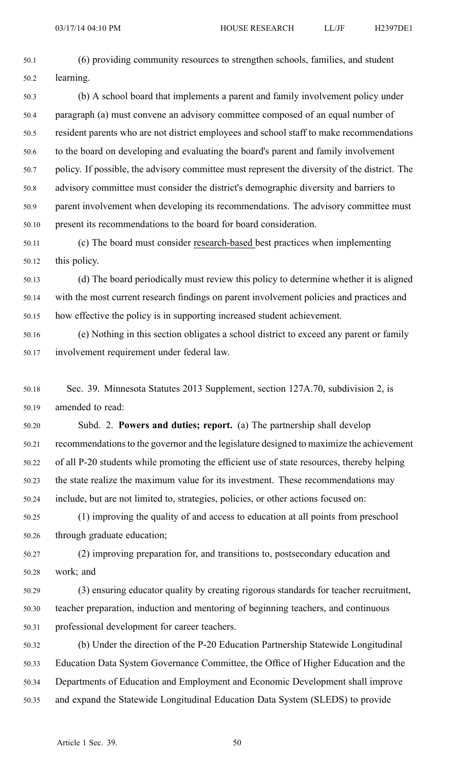- 50.1 (6) providing community resources to strengthen schools, families, and student 50.2 learning. 50.3 (b) A school board that implements <sup>a</sup> paren<sup>t</sup> and family involvement policy under 50.4 paragraph (a) must convene an advisory committee composed of an equal number of 50.5 resident parents who are not district employees and school staff to make recommendations 50.6 to the board on developing and evaluating the board's paren<sup>t</sup> and family involvement 50.7 policy. If possible, the advisory committee must represen<sup>t</sup> the diversity of the district. The 50.8 advisory committee must consider the district's demographic diversity and barriers to 50.9 paren<sup>t</sup> involvement when developing its recommendations. The advisory committee must 50.10 presen<sup>t</sup> its recommendations to the board for board consideration.
- 50.11 (c) The board must consider research-based best practices when implementing 50.12 this policy.
- 50.13 (d) The board periodically must review this policy to determine whether it is aligned 50.14 with the most current research findings on paren<sup>t</sup> involvement policies and practices and 50.15 how effective the policy is in supporting increased student achievement.
- 50.16 (e) Nothing in this section obligates <sup>a</sup> school district to exceed any paren<sup>t</sup> or family 50.17 involvement requirement under federal law.
- 50.18 Sec. 39. Minnesota Statutes 2013 Supplement, section 127A.70, subdivision 2, is 50.19 amended to read:
- 50.20 Subd. 2. **Powers and duties; report.** (a) The partnership shall develop 50.21 recommendationsto the governor and the legislature designed to maximize the achievement 50.22 of all P-20 students while promoting the efficient use of state resources, thereby helping 50.23 the state realize the maximum value for its investment. These recommendations may 50.24 include, but are not limited to, strategies, policies, or other actions focused on:
- 50.25 (1) improving the quality of and access to education at all points from preschool 50.26 through graduate education;
- 50.27 (2) improving preparation for, and transitions to, postsecondary education and 50.28 work; and
- 50.29 (3) ensuring educator quality by creating rigorous standards for teacher recruitment, 50.30 teacher preparation, induction and mentoring of beginning teachers, and continuous 50.31 professional development for career teachers.
- 50.32 (b) Under the direction of the P-20 Education Partnership Statewide Longitudinal 50.33 Education Data System Governance Committee, the Office of Higher Education and the 50.34 Departments of Education and Employment and Economic Development shall improve 50.35 and expand the Statewide Longitudinal Education Data System (SLEDS) to provide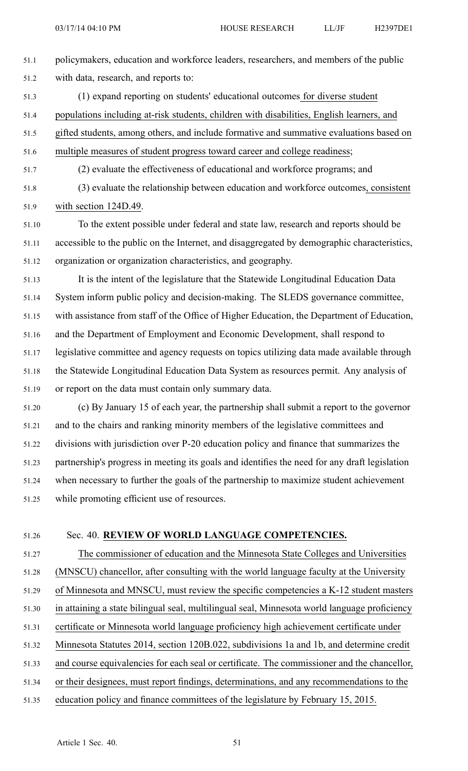- 51.1 policymakers, education and workforce leaders, researchers, and members of the public 51.2 with data, research, and reports to: 51.3 (1) expand reporting on students' educational outcomes for diverse student 51.4 populations including at-risk students, children with disabilities, English learners, and 51.5 gifted students, among others, and include formative and summative evaluations based on 51.6 multiple measures of student progress toward career and college readiness; 51.7 (2) evaluate the effectiveness of educational and workforce programs; and 51.8 (3) evaluate the relationship between education and workforce outcomes, consistent 51.9 with section 124D.49. 51.10 To the extent possible under federal and state law, research and reports should be 51.11 accessible to the public on the Internet, and disaggregated by demographic characteristics, 51.12 organization or organization characteristics, and geography. 51.13 It is the intent of the legislature that the Statewide Longitudinal Education Data 51.14 System inform public policy and decision-making. The SLEDS governance committee, 51.15 with assistance from staff of the Office of Higher Education, the Department of Education, 51.16 and the Department of Employment and Economic Development, shall respond to 51.17 legislative committee and agency requests on topics utilizing data made available through 51.18 the Statewide Longitudinal Education Data System as resources permit. Any analysis of 51.19 or repor<sup>t</sup> on the data must contain only summary data. 51.20 (c) By January 15 of each year, the partnership shall submit <sup>a</sup> repor<sup>t</sup> to the governor 51.21 and to the chairs and ranking minority members of the legislative committees and 51.22 divisions with jurisdiction over P-20 education policy and finance that summarizes the 51.23 partnership's progress in meeting its goals and identifies the need for any draft legislation 51.24 when necessary to further the goals of the partnership to maximize student achievement
- 51.25 while promoting efficient use of resources.

# 51.26 Sec. 40. **REVIEW OF WORLD LANGUAGE COMPETENCIES.**

- 51.27 The commissioner of education and the Minnesota State Colleges and Universities 51.28 (MNSCU) chancellor, after consulting with the world language faculty at the University 51.29 of Minnesota and MNSCU, must review the specific competencies <sup>a</sup> K-12 student masters 51.30 in attaining <sup>a</sup> state bilingual seal, multilingual seal, Minnesota world language proficiency
- 51.31 certificate or Minnesota world language proficiency high achievement certificate under
- 51.32 Minnesota Statutes 2014, section 120B.022, subdivisions 1a and 1b, and determine credit
- 51.33 and course equivalencies for each seal or certificate. The commissioner and the chancellor,
- 51.34 or their designees, must repor<sup>t</sup> findings, determinations, and any recommendations to the
- 51.35 education policy and finance committees of the legislature by February 15, 2015.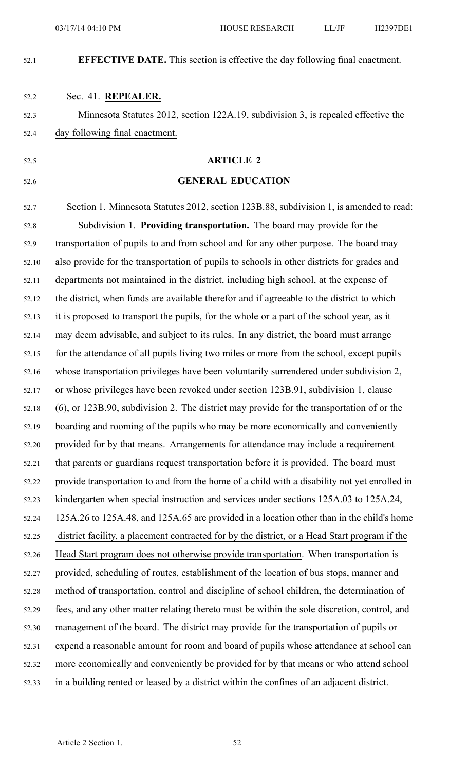### **EFFECTIVE DATE.** This section is effective the day following final enactment.

#### 52.2 Sec. 41. **REPEALER.**

52.3 Minnesota Statutes 2012, section 122A.19, subdivision 3, is repealed effective the 52.4 day following final enactment.

#### 52.5 **ARTICLE 2**

#### 52.6 **GENERAL EDUCATION**

52.7 Section 1. Minnesota Statutes 2012, section 123B.88, subdivision 1, is amended to read: 52.8 Subdivision 1. **Providing transportation.** The board may provide for the 52.9 transportation of pupils to and from school and for any other purpose. The board may 52.10 also provide for the transportation of pupils to schools in other districts for grades and 52.11 departments not maintained in the district, including high school, at the expense of 52.12 the district, when funds are available therefor and if agreeable to the district to which 52.13 it is proposed to transport the pupils, for the whole or <sup>a</sup> par<sup>t</sup> of the school year, as it 52.14 may deem advisable, and subject to its rules. In any district, the board must arrange 52.15 for the attendance of all pupils living two miles or more from the school, excep<sup>t</sup> pupils 52.16 whose transportation privileges have been voluntarily surrendered under subdivision 2, 52.17 or whose privileges have been revoked under section 123B.91, subdivision 1, clause 52.18 (6), or 123B.90, subdivision 2. The district may provide for the transportation of or the 52.19 boarding and rooming of the pupils who may be more economically and conveniently 52.20 provided for by that means. Arrangements for attendance may include <sup>a</sup> requirement 52.21 that parents or guardians reques<sup>t</sup> transportation before it is provided. The board must 52.22 provide transportation to and from the home of <sup>a</sup> child with <sup>a</sup> disability not ye<sup>t</sup> enrolled in 52.23 kindergarten when special instruction and services under sections 125A.03 to 125A.24, 52.24 125A.26 to 125A.48, and 125A.65 are provided in <sup>a</sup> location other than in the child's home 52.25 district facility, <sup>a</sup> placement contracted for by the district, or <sup>a</sup> Head Start program if the 52.26 Head Start program does not otherwise provide transportation. When transportation is 52.27 provided, scheduling of routes, establishment of the location of bus stops, manner and 52.28 method of transportation, control and discipline of school children, the determination of 52.29 fees, and any other matter relating thereto must be within the sole discretion, control, and 52.30 managemen<sup>t</sup> of the board. The district may provide for the transportation of pupils or 52.31 expend <sup>a</sup> reasonable amount for room and board of pupils whose attendance at school can 52.32 more economically and conveniently be provided for by that means or who attend school 52.33 in <sup>a</sup> building rented or leased by <sup>a</sup> district within the confines of an adjacent district.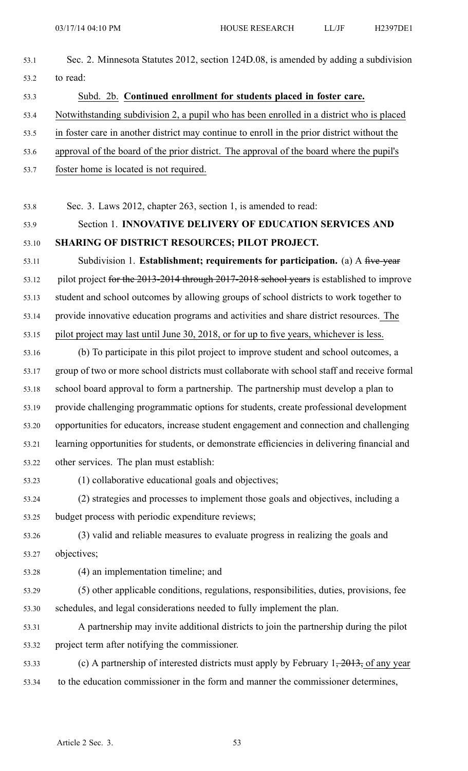| 53.1  | Sec. 2. Minnesota Statutes 2012, section 124D.08, is amended by adding a subdivision                 |  |  |
|-------|------------------------------------------------------------------------------------------------------|--|--|
| 53.2  | to read:                                                                                             |  |  |
| 53.3  | Subd. 2b. Continued enrollment for students placed in foster care.                                   |  |  |
| 53.4  | Notwithstanding subdivision 2, a pupil who has been enrolled in a district who is placed             |  |  |
| 53.5  | in foster care in another district may continue to enroll in the prior district without the          |  |  |
| 53.6  | approval of the board of the prior district. The approval of the board where the pupil's             |  |  |
| 53.7  | foster home is located is not required.                                                              |  |  |
| 53.8  | Sec. 3. Laws 2012, chapter 263, section 1, is amended to read:                                       |  |  |
| 53.9  | Section 1. INNOVATIVE DELIVERY OF EDUCATION SERVICES AND                                             |  |  |
| 53.10 | SHARING OF DISTRICT RESOURCES; PILOT PROJECT.                                                        |  |  |
| 53.11 | Subdivision 1. Establishment; requirements for participation. (a) A five-year                        |  |  |
| 53.12 | pilot project for the 2013-2014 through 2017-2018 school years is established to improve             |  |  |
| 53.13 | student and school outcomes by allowing groups of school districts to work together to               |  |  |
| 53.14 | provide innovative education programs and activities and share district resources. The               |  |  |
| 53.15 | pilot project may last until June 30, 2018, or for up to five years, whichever is less.              |  |  |
| 53.16 | (b) To participate in this pilot project to improve student and school outcomes, a                   |  |  |
| 53.17 | group of two or more school districts must collaborate with school staff and receive formal          |  |  |
| 53.18 | school board approval to form a partnership. The partnership must develop a plan to                  |  |  |
| 53.19 | provide challenging programmatic options for students, create professional development               |  |  |
| 53.20 | opportunities for educators, increase student engagement and connection and challenging              |  |  |
| 53.21 | learning opportunities for students, or demonstrate efficiencies in delivering financial and         |  |  |
| 53.22 | other services. The plan must establish:                                                             |  |  |
| 53.23 | (1) collaborative educational goals and objectives;                                                  |  |  |
| 53.24 | (2) strategies and processes to implement those goals and objectives, including a                    |  |  |
| 53.25 | budget process with periodic expenditure reviews;                                                    |  |  |
| 53.26 | (3) valid and reliable measures to evaluate progress in realizing the goals and                      |  |  |
| 53.27 | objectives;                                                                                          |  |  |
| 53.28 | (4) an implementation timeline; and                                                                  |  |  |
| 53.29 | (5) other applicable conditions, regulations, responsibilities, duties, provisions, fee              |  |  |
| 53.30 | schedules, and legal considerations needed to fully implement the plan.                              |  |  |
| 53.31 | A partnership may invite additional districts to join the partnership during the pilot               |  |  |
| 53.32 | project term after notifying the commissioner.                                                       |  |  |
| 53.33 | (c) A partnership of interested districts must apply by February $1, \frac{2013}{201}$ , of any year |  |  |
| 53.34 | to the education commissioner in the form and manner the commissioner determines,                    |  |  |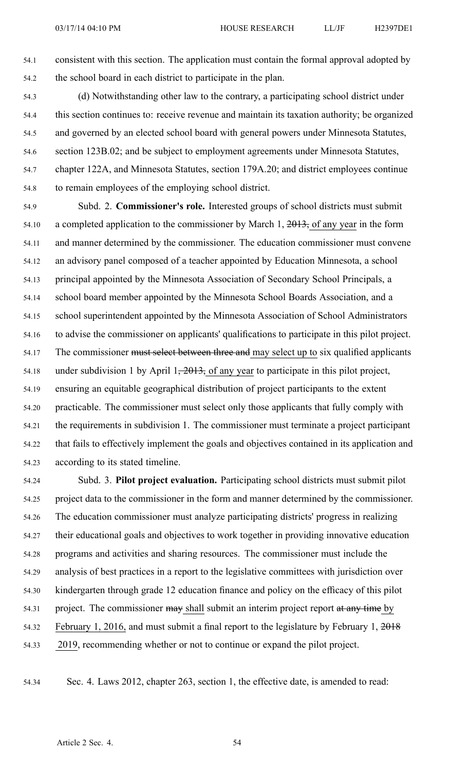- 54.1 consistent with this section. The application must contain the formal approval adopted by 54.2 the school board in each district to participate in the plan.
- 54.3 (d) Notwithstanding other law to the contrary, <sup>a</sup> participating school district under 54.4 this section continues to: receive revenue and maintain its taxation authority; be organized 54.5 and governed by an elected school board with general powers under Minnesota Statutes, 54.6 section 123B.02; and be subject to employment agreements under Minnesota Statutes, 54.7 chapter 122A, and Minnesota Statutes, section 179A.20; and district employees continue 54.8 to remain employees of the employing school district.
- 54.9 Subd. 2. **Commissioner's role.** Interested groups of school districts must submit 54.10 <sup>a</sup> completed application to the commissioner by March 1, 2013, of any year in the form 54.11 and manner determined by the commissioner. The education commissioner must convene 54.12 an advisory panel composed of <sup>a</sup> teacher appointed by Education Minnesota, <sup>a</sup> school 54.13 principal appointed by the Minnesota Association of Secondary School Principals, <sup>a</sup> 54.14 school board member appointed by the Minnesota School Boards Association, and <sup>a</sup> 54.15 school superintendent appointed by the Minnesota Association of School Administrators 54.16 to advise the commissioner on applicants' qualifications to participate in this pilot project. 54.17 The commissioner must select between three and may select up to six qualified applicants 54.18 under subdivision 1 by April  $1, \frac{2013}{201}$ , of any year to participate in this pilot project, 54.19 ensuring an equitable geographical distribution of project participants to the extent 54.20 practicable. The commissioner must select only those applicants that fully comply with 54.21 the requirements in subdivision 1. The commissioner must terminate <sup>a</sup> project participant 54.22 that fails to effectively implement the goals and objectives contained in its application and 54.23 according to its stated timeline.
- 54.24 Subd. 3. **Pilot project evaluation.** Participating school districts must submit pilot 54.25 project data to the commissioner in the form and manner determined by the commissioner. 54.26 The education commissioner must analyze participating districts' progress in realizing 54.27 their educational goals and objectives to work together in providing innovative education 54.28 programs and activities and sharing resources. The commissioner must include the 54.29 analysis of best practices in <sup>a</sup> repor<sup>t</sup> to the legislative committees with jurisdiction over 54.30 kindergarten through grade 12 education finance and policy on the efficacy of this pilot 54.31 project. The commissioner may shall submit an interim project report at any time by 54.32 February 1, 2016, and must submit a final report to the legislature by February 1, 2018 54.33 2019, recommending whether or not to continue or expand the pilot project.
- 

54.34 Sec. 4. Laws 2012, chapter 263, section 1, the effective date, is amended to read: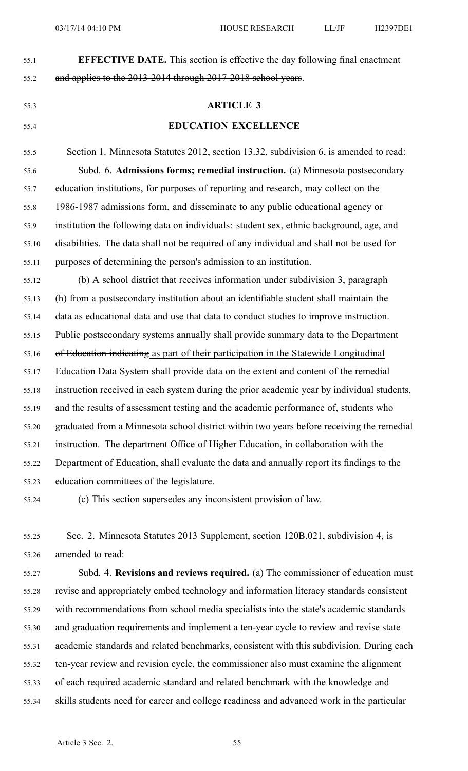| 55.1  | <b>EFFECTIVE DATE.</b> This section is effective the day following final enactment         |
|-------|--------------------------------------------------------------------------------------------|
| 55.2  | and applies to the 2013-2014 through 2017-2018 school years.                               |
| 55.3  | <b>ARTICLE 3</b>                                                                           |
| 55.4  | <b>EDUCATION EXCELLENCE</b>                                                                |
| 55.5  | Section 1. Minnesota Statutes 2012, section 13.32, subdivision 6, is amended to read:      |
| 55.6  | Subd. 6. Admissions forms; remedial instruction. (a) Minnesota postsecondary               |
| 55.7  | education institutions, for purposes of reporting and research, may collect on the         |
| 55.8  | 1986-1987 admissions form, and disseminate to any public educational agency or             |
| 55.9  | institution the following data on individuals: student sex, ethnic background, age, and    |
| 55.10 | disabilities. The data shall not be required of any individual and shall not be used for   |
| 55.11 | purposes of determining the person's admission to an institution.                          |
| 55.12 | (b) A school district that receives information under subdivision 3, paragraph             |
| 55.13 | (h) from a postsecondary institution about an identifiable student shall maintain the      |
| 55.14 | data as educational data and use that data to conduct studies to improve instruction.      |
| 55.15 | Public postsecondary systems annually shall provide summary data to the Department         |
| 55.16 | of Education indicating as part of their participation in the Statewide Longitudinal       |
| 55.17 | Education Data System shall provide data on the extent and content of the remedial         |
| 55.18 | instruction received in each system during the prior academic year by individual students, |
| 55.19 | and the results of assessment testing and the academic performance of, students who        |
| 55.20 | graduated from a Minnesota school district within two years before receiving the remedial  |
| 55.21 | instruction. The department Office of Higher Education, in collaboration with the          |
| 55.22 | Department of Education, shall evaluate the data and annually report its findings to the   |
| 55.23 | education committees of the legislature.                                                   |
| 55.24 | (c) This section supersedes any inconsistent provision of law.                             |

55.25 Sec. 2. Minnesota Statutes 2013 Supplement, section 120B.021, subdivision 4, is 55.26 amended to read:

55.27 Subd. 4. **Revisions and reviews required.** (a) The commissioner of education must 55.28 revise and appropriately embed technology and information literacy standards consistent 55.29 with recommendations from school media specialists into the state's academic standards 55.30 and graduation requirements and implement <sup>a</sup> ten-year cycle to review and revise state 55.31 academic standards and related benchmarks, consistent with this subdivision. During each 55.32 ten-year review and revision cycle, the commissioner also must examine the alignment 55.33 of each required academic standard and related benchmark with the knowledge and 55.34 skills students need for career and college readiness and advanced work in the particular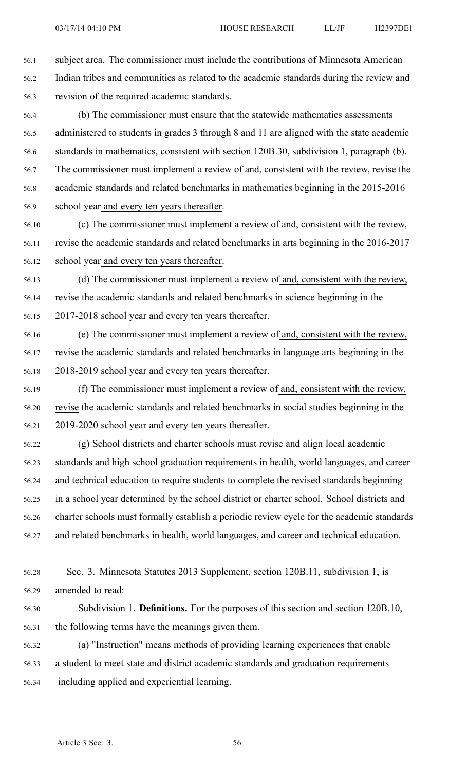56.1 subject area. The commissioner must include the contributions of Minnesota American 56.2 Indian tribes and communities as related to the academic standards during the review and 56.3 revision of the required academic standards.

56.4 (b) The commissioner must ensure that the statewide mathematics assessments 56.5 administered to students in grades 3 through 8 and 11 are aligned with the state academic 56.6 standards in mathematics, consistent with section 120B.30, subdivision 1, paragraph (b). 56.7 The commissioner must implement <sup>a</sup> review of and, consistent with the review, revise the 56.8 academic standards and related benchmarks in mathematics beginning in the 2015-2016 56.9 school year and every ten years thereafter.

56.10 (c) The commissioner must implement <sup>a</sup> review of and, consistent with the review, 56.11 revise the academic standards and related benchmarks in arts beginning in the 2016-2017 56.12 school year and every ten years thereafter.

56.13 (d) The commissioner must implement <sup>a</sup> review of and, consistent with the review, 56.14 revise the academic standards and related benchmarks in science beginning in the 56.15 2017-2018 school year and every ten years thereafter.

- 56.16 (e) The commissioner must implement <sup>a</sup> review of and, consistent with the review, 56.17 revise the academic standards and related benchmarks in language arts beginning in the 56.18 2018-2019 school year and every ten years thereafter.
- 56.19 (f) The commissioner must implement <sup>a</sup> review of and, consistent with the review, 56.20 revise the academic standards and related benchmarks in social studies beginning in the 56.21 2019-2020 school year and every ten years thereafter.

56.22 (g) School districts and charter schools must revise and align local academic 56.23 standards and high school graduation requirements in health, world languages, and career 56.24 and technical education to require students to complete the revised standards beginning 56.25 in <sup>a</sup> school year determined by the school district or charter school. School districts and 56.26 charter schools must formally establish <sup>a</sup> periodic review cycle for the academic standards 56.27 and related benchmarks in health, world languages, and career and technical education.

- 56.28 Sec. 3. Minnesota Statutes 2013 Supplement, section 120B.11, subdivision 1, is 56.29 amended to read:
- 56.30 Subdivision 1. **Definitions.** For the purposes of this section and section 120B.10, 56.31 the following terms have the meanings given them.
- 56.32 (a) "Instruction" means methods of providing learning experiences that enable 56.33 <sup>a</sup> student to meet state and district academic standards and graduation requirements 56.34 including applied and experiential learning.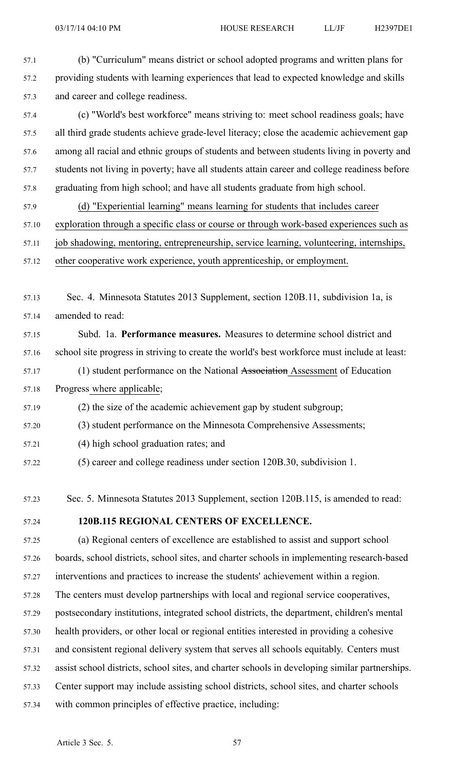57.1 (b) "Curriculum" means district or school adopted programs and written plans for

57.2 providing students with learning experiences that lead to expected knowledge and skills

57.3 and career and college readiness. 57.4 (c) "World's best workforce" means striving to: meet school readiness goals; have 57.5 all third grade students achieve grade-level literacy; close the academic achievement gap 57.6 among all racial and ethnic groups of students and between students living in poverty and 57.7 students not living in poverty; have all students attain career and college readiness before 57.8 graduating from high school; and have all students graduate from high school. 57.9 (d) "Experiential learning" means learning for students that includes career 57.10 exploration through <sup>a</sup> specific class or course or through work-based experiences such as 57.11 job shadowing, mentoring, entrepreneurship, service learning, volunteering, internships, 57.12 other cooperative work experience, youth apprenticeship, or employment. 57.13 Sec. 4. Minnesota Statutes 2013 Supplement, section 120B.11, subdivision 1a, is 57.14 amended to read: 57.15 Subd. 1a. **Performance measures.** Measures to determine school district and 57.16 school site progress in striving to create the world's best workforce must include at least: 57.17 (1) student performance on the National Association Assessment of Education 57.18 Progress where applicable; 57.19 (2) the size of the academic achievement gap by student subgroup; 57.20 (3) student performance on the Minnesota Comprehensive Assessments; 57.21 (4) high school graduation rates; and 57.22 (5) career and college readiness under section 120B.30, subdivision 1. 57.23 Sec. 5. Minnesota Statutes 2013 Supplement, section 120B.115, is amended to read: 57.24 **120B.115 REGIONAL CENTERS OF EXCELLENCE.** 57.25 (a) Regional centers of excellence are established to assist and suppor<sup>t</sup> school 57.26 boards, school districts, school sites, and charter schools in implementing research-based 57.27 interventions and practices to increase the students' achievement within <sup>a</sup> region. 57.28 The centers must develop partnerships with local and regional service cooperatives, 57.29 postsecondary institutions, integrated school districts, the department, children's mental 57.30 health providers, or other local or regional entities interested in providing <sup>a</sup> cohesive

- 57.31 and consistent regional delivery system that serves all schools equitably. Centers must
- 57.32 assist school districts, school sites, and charter schools in developing similar partnerships.
- 57.33 Center suppor<sup>t</sup> may include assisting school districts, school sites, and charter schools
- 57.34 with common principles of effective practice, including: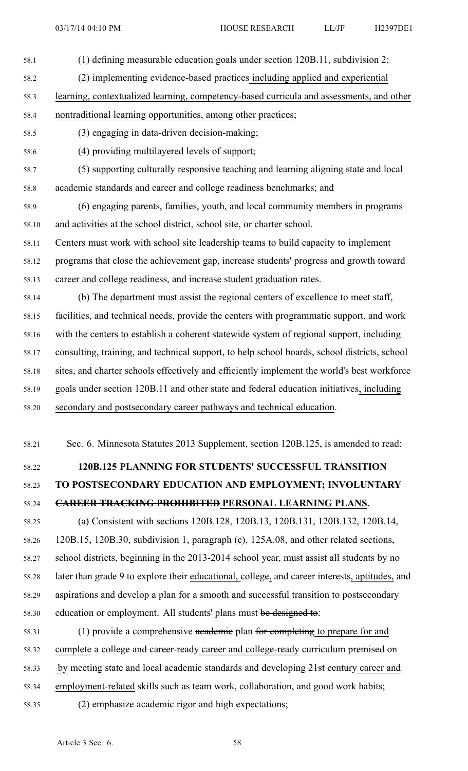58.1 (1) defining measurable education goals under section 120B.11, subdivision 2;

58.2 (2) implementing evidence-based practices including applied and experiential

58.3 learning, contextualized learning, competency-based curricula and assessments, and other 58.4 nontraditional learning opportunities, among other practices;

- 58.5 (3) engaging in data-driven decision-making;
- 
- 58.6 (4) providing multilayered levels of support;
- 58.7 (5) supporting culturally responsive teaching and learning aligning state and local 58.8 academic standards and career and college readiness benchmarks; and

58.9 (6) engaging parents, families, youth, and local community members in programs 58.10 and activities at the school district, school site, or charter school.

58.11 Centers must work with school site leadership teams to build capacity to implement

58.12 programs that close the achievement gap, increase students' progress and growth toward 58.13 career and college readiness, and increase student graduation rates.

58.14 (b) The department must assist the regional centers of excellence to meet staff, 58.15 facilities, and technical needs, provide the centers with programmatic support, and work 58.16 with the centers to establish <sup>a</sup> coherent statewide system of regional support, including 58.17 consulting, training, and technical support, to help school boards, school districts, school 58.18 sites, and charter schools effectively and efficiently implement the world's best workforce 58.19 goals under section 120B.11 and other state and federal education initiatives, including 58.20 secondary and postsecondary career pathways and technical education.

58.21 Sec. 6. Minnesota Statutes 2013 Supplement, section 120B.125, is amended to read:

# 58.22 **120B.125 PLANNING FOR STUDENTS' SUCCESSFUL TRANSITION** 58.23 **TO POSTSECONDARY EDUCATION AND EMPLOYMENT; INVOLUNTARY** 58.24 **CAREER TRACKING PROHIBITED PERSONAL LEARNING PLANS.**

58.25 (a) Consistent with sections 120B.128, 120B.13, 120B.131, 120B.132, 120B.14, 58.26 120B.15, 120B.30, subdivision 1, paragraph (c), 125A.08, and other related sections, 58.27 school districts, beginning in the 2013-2014 school year, must assist all students by no 58.28 later than grade 9 to explore their educational, college, and career interests, aptitudes, and 58.29 aspirations and develop <sup>a</sup> plan for <sup>a</sup> smooth and successful transition to postsecondary 58.30 education or employment. All students' plans must be designed to:

58.31 (1) provide <sup>a</sup> comprehensive academic plan for completing to prepare for and 58.32 complete a college and career-ready career and college-ready curriculum premised on 58.33 by meeting state and local academic standards and developing 21st century career and 58.34 employment-related skills such as team work, collaboration, and good work habits; 58.35 (2) emphasize academic rigor and high expectations;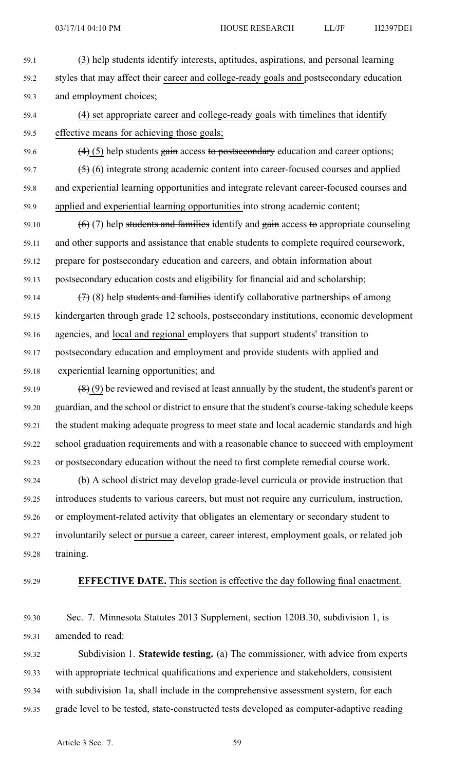03/17/14 04:10 PM HOUSE RESEARCH LL/JF H2397DE1

- 59.1 (3) help students identify interests, aptitudes, aspirations, and personal learning 59.2 styles that may affect their career and college-ready goals and postsecondary education 59.3 and employment choices;
- 59.4 (4) set appropriate career and college-ready goals with timelines that identify 59.5 effective means for achieving those goals;
- 59.6  $(4)$  (5) help students gain access to postsecondary education and career options;
- $59.7$   $\left(5\right)$  (6) integrate strong academic content into career-focused courses and applied 59.8 and experiential learning opportunities and integrate relevant career-focused courses and 59.9 applied and experiential learning opportunities into strong academic content;
- 59.10  $(6)$  (7) help students and families identify and gain access to appropriate counseling 59.11 and other supports and assistance that enable students to complete required coursework, 59.12 prepare for postsecondary education and careers, and obtain information about 59.13 postsecondary education costs and eligibility for financial aid and scholarship;
- 59.14  $(7)$  (8) help students and families identify collaborative partnerships of among 59.15 kindergarten through grade 12 schools, postsecondary institutions, economic development 59.16 agencies, and local and regional employers that suppor<sup>t</sup> students' transition to 59.17 postsecondary education and employment and provide students with applied and
- 59.18 experiential learning opportunities; and
- 59.19  $(8)(9)$  be reviewed and revised at least annually by the student, the student's parent or 59.20 guardian, and the school or district to ensure that the student's course-taking schedule keeps 59.21 the student making adequate progress to meet state and local academic standards and high 59.22 school graduation requirements and with <sup>a</sup> reasonable chance to succeed with employment 59.23 or postsecondary education without the need to first complete remedial course work.
- 59.24 (b) A school district may develop grade-level curricula or provide instruction that 59.25 introduces students to various careers, but must not require any curriculum, instruction, 59.26 or employment-related activity that obligates an elementary or secondary student to 59.27 involuntarily select or pursue <sup>a</sup> career, career interest, employment goals, or related job 59.28 training.
- 

## 59.29 **EFFECTIVE DATE.** This section is effective the day following final enactment.

- 59.30 Sec. 7. Minnesota Statutes 2013 Supplement, section 120B.30, subdivision 1, is 59.31 amended to read:
- 59.32 Subdivision 1. **Statewide testing.** (a) The commissioner, with advice from experts 59.33 with appropriate technical qualifications and experience and stakeholders, consistent 59.34 with subdivision 1a, shall include in the comprehensive assessment system, for each 59.35 grade level to be tested, state-constructed tests developed as computer-adaptive reading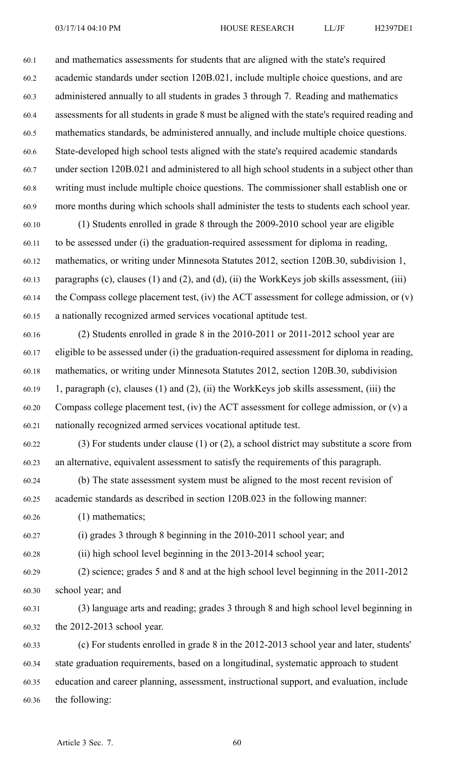60.1 and mathematics assessments for students that are aligned with the state's required 60.2 academic standards under section 120B.021, include multiple choice questions, and are 60.3 administered annually to all students in grades 3 through 7. Reading and mathematics 60.4 assessments for all students in grade 8 must be aligned with the state's required reading and 60.5 mathematics standards, be administered annually, and include multiple choice questions. 60.6 State-developed high school tests aligned with the state's required academic standards 60.7 under section 120B.021 and administered to all high school students in <sup>a</sup> subject other than 60.8 writing must include multiple choice questions. The commissioner shall establish one or 60.9 more months during which schools shall administer the tests to students each school year. 60.10 (1) Students enrolled in grade 8 through the 2009-2010 school year are eligible 60.11 to be assessed under (i) the graduation-required assessment for diploma in reading, 60.12 mathematics, or writing under Minnesota Statutes 2012, section 120B.30, subdivision 1, 60.13 paragraphs (c), clauses (1) and (2), and (d), (ii) the WorkKeys job skills assessment, (iii) 60.14 the Compass college placement test, (iv) the ACT assessment for college admission, or (v) 60.15 <sup>a</sup> nationally recognized armed services vocational aptitude test. 60.16 (2) Students enrolled in grade 8 in the 2010-2011 or 2011-2012 school year are 60.17 eligible to be assessed under (i) the graduation-required assessment for diploma in reading,

60.18 mathematics, or writing under Minnesota Statutes 2012, section 120B.30, subdivision 60.19 1, paragraph (c), clauses (1) and (2), (ii) the WorkKeys job skills assessment, (iii) the 60.20 Compass college placement test, (iv) the ACT assessment for college admission, or (v) <sup>a</sup> 60.21 nationally recognized armed services vocational aptitude test.

60.22 (3) For students under clause (1) or (2), <sup>a</sup> school district may substitute <sup>a</sup> score from 60.23 an alternative, equivalent assessment to satisfy the requirements of this paragraph.

60.24 (b) The state assessment system must be aligned to the most recent revision of 60.25 academic standards as described in section 120B.023 in the following manner:

60.26 (1) mathematics;

60.27 (i) grades 3 through 8 beginning in the 2010-2011 school year; and

60.28 (ii) high school level beginning in the 2013-2014 school year;

60.29 (2) science; grades 5 and 8 and at the high school level beginning in the 2011-2012 60.30 school year; and

60.31 (3) language arts and reading; grades 3 through 8 and high school level beginning in 60.32 the 2012-2013 school year.

60.33 (c) For students enrolled in grade 8 in the 2012-2013 school year and later, students' 60.34 state graduation requirements, based on <sup>a</sup> longitudinal, systematic approach to student 60.35 education and career planning, assessment, instructional support, and evaluation, include 60.36 the following: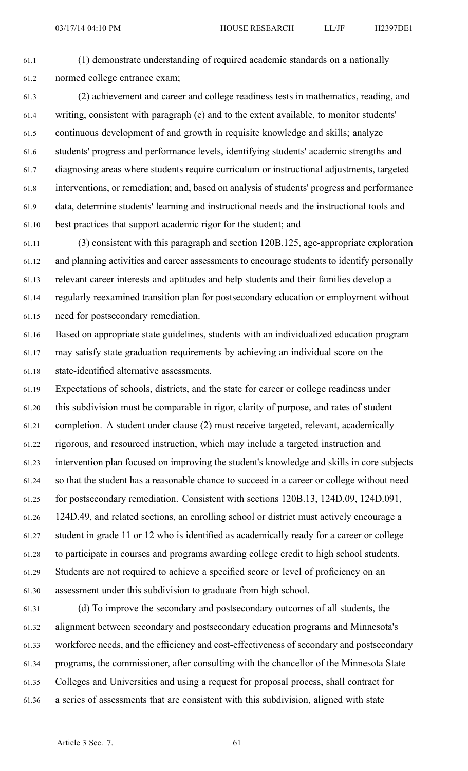61.1 (1) demonstrate understanding of required academic standards on <sup>a</sup> nationally 61.2 normed college entrance exam;

61.3 (2) achievement and career and college readiness tests in mathematics, reading, and 61.4 writing, consistent with paragraph (e) and to the extent available, to monitor students' 61.5 continuous development of and growth in requisite knowledge and skills; analyze 61.6 students' progress and performance levels, identifying students' academic strengths and 61.7 diagnosing areas where students require curriculum or instructional adjustments, targeted 61.8 interventions, or remediation; and, based on analysis of students' progress and performance 61.9 data, determine students' learning and instructional needs and the instructional tools and 61.10 best practices that suppor<sup>t</sup> academic rigor for the student; and

61.11 (3) consistent with this paragraph and section 120B.125, age-appropriate exploration 61.12 and planning activities and career assessments to encourage students to identify personally 61.13 relevant career interests and aptitudes and help students and their families develop <sup>a</sup> 61.14 regularly reexamined transition plan for postsecondary education or employment without 61.15 need for postsecondary remediation.

61.16 Based on appropriate state guidelines, students with an individualized education program 61.17 may satisfy state graduation requirements by achieving an individual score on the 61.18 state-identified alternative assessments.

61.19 Expectations of schools, districts, and the state for career or college readiness under 61.20 this subdivision must be comparable in rigor, clarity of purpose, and rates of student 61.21 completion. A student under clause (2) must receive targeted, relevant, academically 61.22 rigorous, and resourced instruction, which may include <sup>a</sup> targeted instruction and 61.23 intervention plan focused on improving the student's knowledge and skills in core subjects 61.24 so that the student has <sup>a</sup> reasonable chance to succeed in <sup>a</sup> career or college without need 61.25 for postsecondary remediation. Consistent with sections 120B.13, 124D.09, 124D.091, 61.26 124D.49, and related sections, an enrolling school or district must actively encourage <sup>a</sup> 61.27 student in grade 11 or 12 who is identified as academically ready for <sup>a</sup> career or college 61.28 to participate in courses and programs awarding college credit to high school students. 61.29 Students are not required to achieve <sup>a</sup> specified score or level of proficiency on an 61.30 assessment under this subdivision to graduate from high school.

61.31 (d) To improve the secondary and postsecondary outcomes of all students, the 61.32 alignment between secondary and postsecondary education programs and Minnesota's 61.33 workforce needs, and the efficiency and cost-effectiveness of secondary and postsecondary 61.34 programs, the commissioner, after consulting with the chancellor of the Minnesota State 61.35 Colleges and Universities and using <sup>a</sup> reques<sup>t</sup> for proposal process, shall contract for 61.36 <sup>a</sup> series of assessments that are consistent with this subdivision, aligned with state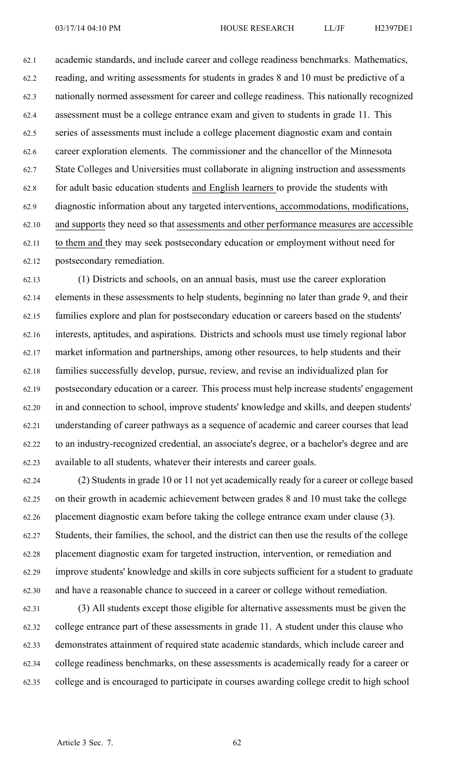62.1 academic standards, and include career and college readiness benchmarks. Mathematics, 62.2 reading, and writing assessments for students in grades 8 and 10 must be predictive of <sup>a</sup> 62.3 nationally normed assessment for career and college readiness. This nationally recognized 62.4 assessment must be <sup>a</sup> college entrance exam and given to students in grade 11. This 62.5 series of assessments must include <sup>a</sup> college placement diagnostic exam and contain 62.6 career exploration elements. The commissioner and the chancellor of the Minnesota 62.7 State Colleges and Universities must collaborate in aligning instruction and assessments 62.8 for adult basic education students and English learners to provide the students with 62.9 diagnostic information about any targeted interventions, accommodations, modifications, 62.10 and supports they need so that assessments and other performance measures are accessible 62.11 to them and they may seek postsecondary education or employment without need for 62.12 postsecondary remediation.

62.13 (1) Districts and schools, on an annual basis, must use the career exploration 62.14 elements in these assessments to help students, beginning no later than grade 9, and their 62.15 families explore and plan for postsecondary education or careers based on the students' 62.16 interests, aptitudes, and aspirations. Districts and schools must use timely regional labor 62.17 market information and partnerships, among other resources, to help students and their 62.18 families successfully develop, pursue, review, and revise an individualized plan for 62.19 postsecondary education or <sup>a</sup> career. This process must help increase students' engagemen<sup>t</sup> 62.20 in and connection to school, improve students' knowledge and skills, and deepen students' 62.21 understanding of career pathways as <sup>a</sup> sequence of academic and career courses that lead 62.22 to an industry-recognized credential, an associate's degree, or <sup>a</sup> bachelor's degree and are 62.23 available to all students, whatever their interests and career goals.

62.24 (2) Students in grade 10 or 11 not ye<sup>t</sup> academically ready for <sup>a</sup> career or college based 62.25 on their growth in academic achievement between grades 8 and 10 must take the college 62.26 placement diagnostic exam before taking the college entrance exam under clause (3). 62.27 Students, their families, the school, and the district can then use the results of the college 62.28 placement diagnostic exam for targeted instruction, intervention, or remediation and 62.29 improve students' knowledge and skills in core subjects sufficient for <sup>a</sup> student to graduate 62.30 and have <sup>a</sup> reasonable chance to succeed in <sup>a</sup> career or college without remediation.

62.31 (3) All students excep<sup>t</sup> those eligible for alternative assessments must be given the 62.32 college entrance par<sup>t</sup> of these assessments in grade 11. A student under this clause who 62.33 demonstrates attainment of required state academic standards, which include career and 62.34 college readiness benchmarks, on these assessments is academically ready for <sup>a</sup> career or 62.35 college and is encouraged to participate in courses awarding college credit to high school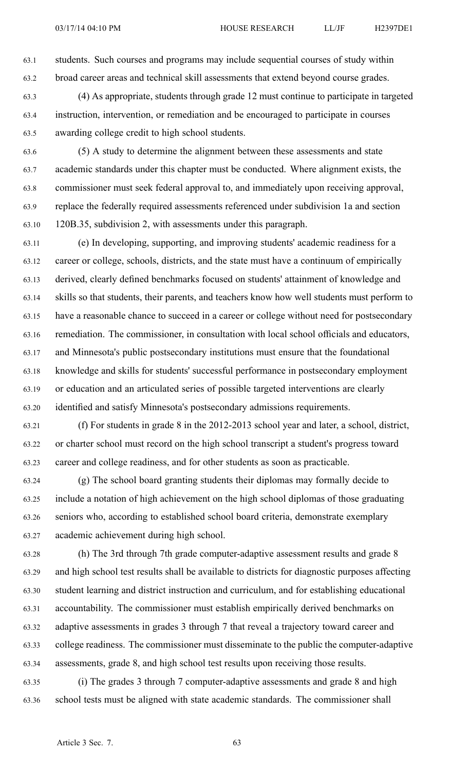63.1 students. Such courses and programs may include sequential courses of study within 63.2 broad career areas and technical skill assessments that extend beyond course grades.

- 63.3 (4) As appropriate, students through grade 12 must continue to participate in targeted 63.4 instruction, intervention, or remediation and be encouraged to participate in courses 63.5 awarding college credit to high school students.
- 63.6 (5) A study to determine the alignment between these assessments and state 63.7 academic standards under this chapter must be conducted. Where alignment exists, the 63.8 commissioner must seek federal approval to, and immediately upon receiving approval, 63.9 replace the federally required assessments referenced under subdivision 1a and section 63.10 120B.35, subdivision 2, with assessments under this paragraph.
- 63.11 (e) In developing, supporting, and improving students' academic readiness for <sup>a</sup> 63.12 career or college, schools, districts, and the state must have <sup>a</sup> continuum of empirically 63.13 derived, clearly defined benchmarks focused on students' attainment of knowledge and 63.14 skills so that students, their parents, and teachers know how well students must perform to 63.15 have <sup>a</sup> reasonable chance to succeed in <sup>a</sup> career or college without need for postsecondary 63.16 remediation. The commissioner, in consultation with local school officials and educators, 63.17 and Minnesota's public postsecondary institutions must ensure that the foundational 63.18 knowledge and skills for students' successful performance in postsecondary employment 63.19 or education and an articulated series of possible targeted interventions are clearly 63.20 identified and satisfy Minnesota's postsecondary admissions requirements.
- 63.21 (f) For students in grade 8 in the 2012-2013 school year and later, <sup>a</sup> school, district, 63.22 or charter school must record on the high school transcript <sup>a</sup> student's progress toward 63.23 career and college readiness, and for other students as soon as practicable.
- 63.24 (g) The school board granting students their diplomas may formally decide to 63.25 include <sup>a</sup> notation of high achievement on the high school diplomas of those graduating 63.26 seniors who, according to established school board criteria, demonstrate exemplary 63.27 academic achievement during high school.
- 63.28 (h) The 3rd through 7th grade computer-adaptive assessment results and grade 8 63.29 and high school test results shall be available to districts for diagnostic purposes affecting 63.30 student learning and district instruction and curriculum, and for establishing educational 63.31 accountability. The commissioner must establish empirically derived benchmarks on 63.32 adaptive assessments in grades 3 through 7 that reveal <sup>a</sup> trajectory toward career and 63.33 college readiness. The commissioner must disseminate to the public the computer-adaptive 63.34 assessments, grade 8, and high school test results upon receiving those results.
- 63.35 (i) The grades 3 through 7 computer-adaptive assessments and grade 8 and high 63.36 school tests must be aligned with state academic standards. The commissioner shall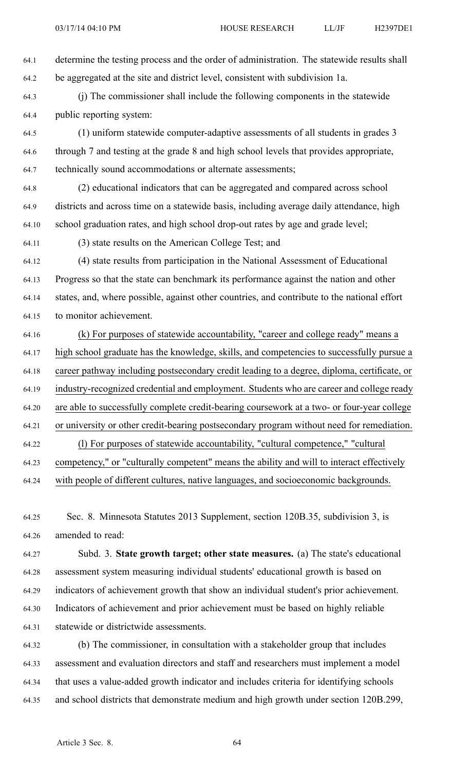64.1 determine the testing process and the order of administration. The statewide results shall 64.2 be aggregated at the site and district level, consistent with subdivision 1a.

64.3 (j) The commissioner shall include the following components in the statewide 64.4 public reporting system:

64.5 (1) uniform statewide computer-adaptive assessments of all students in grades 3 64.6 through 7 and testing at the grade 8 and high school levels that provides appropriate, 64.7 technically sound accommodations or alternate assessments;

64.8 (2) educational indicators that can be aggregated and compared across school 64.9 districts and across time on <sup>a</sup> statewide basis, including average daily attendance, high 64.10 school graduation rates, and high school drop-out rates by age and grade level;

64.11 (3) state results on the American College Test; and

64.12 (4) state results from participation in the National Assessment of Educational 64.13 Progress so that the state can benchmark its performance against the nation and other 64.14 states, and, where possible, against other countries, and contribute to the national effort 64.15 to monitor achievement.

64.16 (k) For purposes of statewide accountability, "career and college ready" means <sup>a</sup> 64.17 high school graduate has the knowledge, skills, and competencies to successfully pursue <sup>a</sup> 64.18 career pathway including postsecondary credit leading to <sup>a</sup> degree, diploma, certificate, or 64.19 industry-recognized credential and employment. Students who are career and college ready 64.20 are able to successfully complete credit-bearing coursework at <sup>a</sup> two- or four-year college 64.21 or university or other credit-bearing postsecondary program without need for remediation. 64.22 (l) For purposes of statewide accountability, "cultural competence," "cultural 64.23 competency," or "culturally competent" means the ability and will to interact effectively 64.24 with people of different cultures, native languages, and socioeconomic backgrounds.

64.25 Sec. 8. Minnesota Statutes 2013 Supplement, section 120B.35, subdivision 3, is 64.26 amended to read:

64.27 Subd. 3. **State growth target; other state measures.** (a) The state's educational 64.28 assessment system measuring individual students' educational growth is based on 64.29 indicators of achievement growth that show an individual student's prior achievement. 64.30 Indicators of achievement and prior achievement must be based on highly reliable 64.31 statewide or districtwide assessments.

64.32 (b) The commissioner, in consultation with <sup>a</sup> stakeholder group that includes 64.33 assessment and evaluation directors and staff and researchers must implement <sup>a</sup> model 64.34 that uses <sup>a</sup> value-added growth indicator and includes criteria for identifying schools 64.35 and school districts that demonstrate medium and high growth under section 120B.299,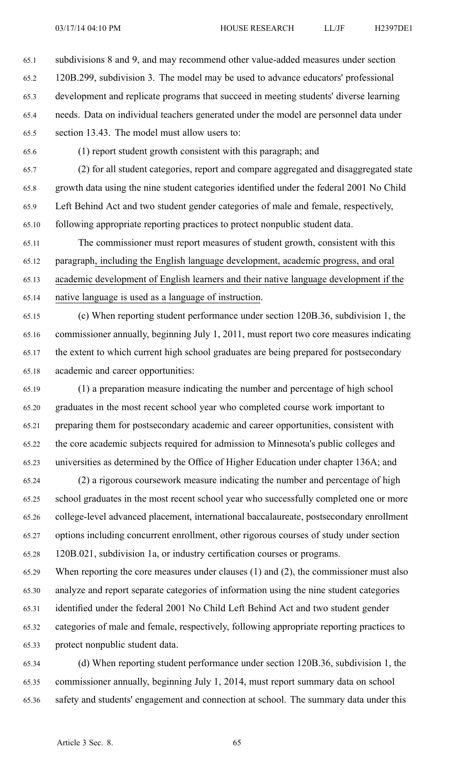65.1 subdivisions 8 and 9, and may recommend other value-added measures under section 65.2 120B.299, subdivision 3. The model may be used to advance educators' professional 65.3 development and replicate programs that succeed in meeting students' diverse learning 65.4 needs. Data on individual teachers generated under the model are personnel data under 65.5 section 13.43. The model must allow users to:

65.6 (1) repor<sup>t</sup> student growth consistent with this paragraph; and

65.7 (2) for all student categories, repor<sup>t</sup> and compare aggregated and disaggregated state 65.8 growth data using the nine student categories identified under the federal 2001 No Child 65.9 Left Behind Act and two student gender categories of male and female, respectively, 65.10 following appropriate reporting practices to protect nonpublic student data.

65.11 The commissioner must repor<sup>t</sup> measures of student growth, consistent with this 65.12 paragraph, including the English language development, academic progress, and oral 65.13 academic development of English learners and their native language development if the 65.14 native language is used as <sup>a</sup> language of instruction.

65.15 (c) When reporting student performance under section 120B.36, subdivision 1, the 65.16 commissioner annually, beginning July 1, 2011, must repor<sup>t</sup> two core measures indicating 65.17 the extent to which current high school graduates are being prepared for postsecondary 65.18 academic and career opportunities:

65.19 (1) <sup>a</sup> preparation measure indicating the number and percentage of high school 65.20 graduates in the most recent school year who completed course work important to 65.21 preparing them for postsecondary academic and career opportunities, consistent with 65.22 the core academic subjects required for admission to Minnesota's public colleges and 65.23 universities as determined by the Office of Higher Education under chapter 136A; and

65.24 (2) <sup>a</sup> rigorous coursework measure indicating the number and percentage of high 65.25 school graduates in the most recent school year who successfully completed one or more 65.26 college-level advanced placement, international baccalaureate, postsecondary enrollment 65.27 options including concurrent enrollment, other rigorous courses of study under section 65.28 120B.021, subdivision 1a, or industry certification courses or programs.

65.29 When reporting the core measures under clauses (1) and (2), the commissioner must also 65.30 analyze and repor<sup>t</sup> separate categories of information using the nine student categories 65.31 identified under the federal 2001 No Child Left Behind Act and two student gender 65.32 categories of male and female, respectively, following appropriate reporting practices to 65.33 protect nonpublic student data.

65.34 (d) When reporting student performance under section 120B.36, subdivision 1, the 65.35 commissioner annually, beginning July 1, 2014, must repor<sup>t</sup> summary data on school 65.36 safety and students' engagemen<sup>t</sup> and connection at school. The summary data under this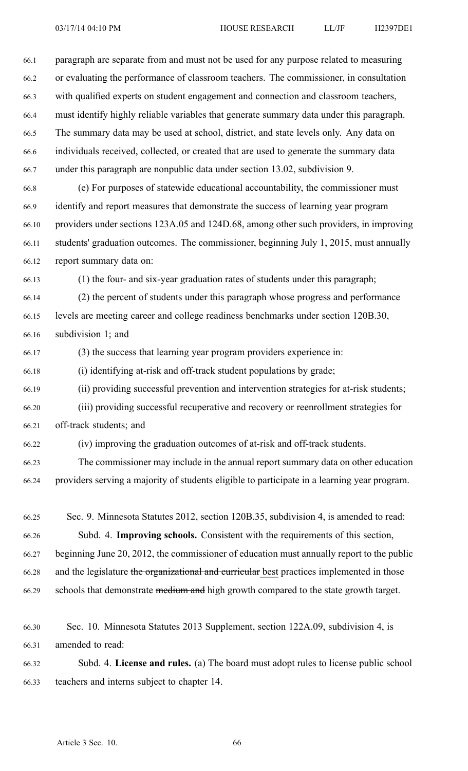66.1 paragraph are separate from and must not be used for any purpose related to measuring 66.2 or evaluating the performance of classroom teachers. The commissioner, in consultation 66.3 with qualified experts on student engagemen<sup>t</sup> and connection and classroom teachers, 66.4 must identify highly reliable variables that generate summary data under this paragraph. 66.5 The summary data may be used at school, district, and state levels only. Any data on 66.6 individuals received, collected, or created that are used to generate the summary data 66.7 under this paragraph are nonpublic data under section 13.02, subdivision 9.

66.8 (e) For purposes of statewide educational accountability, the commissioner must 66.9 identify and repor<sup>t</sup> measures that demonstrate the success of learning year program 66.10 providers under sections 123A.05 and 124D.68, among other such providers, in improving 66.11 students' graduation outcomes. The commissioner, beginning July 1, 2015, must annually 66.12 repor<sup>t</sup> summary data on:

66.13 (1) the four- and six-year graduation rates of students under this paragraph;

66.14 (2) the percen<sup>t</sup> of students under this paragraph whose progress and performance 66.15 levels are meeting career and college readiness benchmarks under section 120B.30, 66.16 subdivision 1; and

66.17 (3) the success that learning year program providers experience in:

66.18 (i) identifying at-risk and off-track student populations by grade;

66.19 (ii) providing successful prevention and intervention strategies for at-risk students;

66.20 (iii) providing successful recuperative and recovery or reenrollment strategies for 66.21 off-track students; and

66.22 (iv) improving the graduation outcomes of at-risk and off-track students.

66.23 The commissioner may include in the annual repor<sup>t</sup> summary data on other education 66.24 providers serving <sup>a</sup> majority of students eligible to participate in <sup>a</sup> learning year program.

66.25 Sec. 9. Minnesota Statutes 2012, section 120B.35, subdivision 4, is amended to read: 66.26 Subd. 4. **Improving schools.** Consistent with the requirements of this section, 66.27 beginning June 20, 2012, the commissioner of education must annually repor<sup>t</sup> to the public 66.28 and the legislature the organizational and curricular best practices implemented in those 66.29 schools that demonstrate medium and high growth compared to the state growth target.

66.30 Sec. 10. Minnesota Statutes 2013 Supplement, section 122A.09, subdivision 4, is 66.31 amended to read:

66.32 Subd. 4. **License and rules.** (a) The board must adopt rules to license public school 66.33 teachers and interns subject to chapter 14.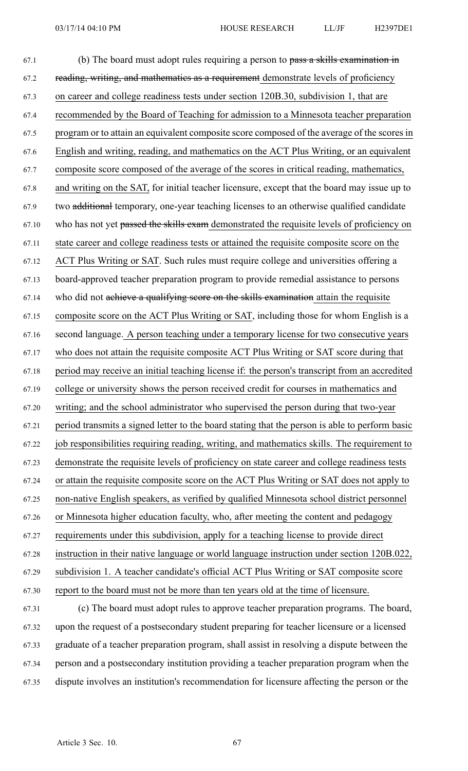| 67.1  | (b) The board must adopt rules requiring a person to pass a skills examination in              |
|-------|------------------------------------------------------------------------------------------------|
| 67.2  | reading, writing, and mathematics as a requirement demonstrate levels of proficiency           |
| 67.3  | on career and college readiness tests under section 120B.30, subdivision 1, that are           |
| 67.4  | recommended by the Board of Teaching for admission to a Minnesota teacher preparation          |
| 67.5  | program or to attain an equivalent composite score composed of the average of the scores in    |
| 67.6  | English and writing, reading, and mathematics on the ACT Plus Writing, or an equivalent        |
| 67.7  | composite score composed of the average of the scores in critical reading, mathematics,        |
| 67.8  | and writing on the SAT, for initial teacher licensure, except that the board may issue up to   |
| 67.9  | two additional temporary, one-year teaching licenses to an otherwise qualified candidate       |
| 67.10 | who has not yet passed the skills exam demonstrated the requisite levels of proficiency on     |
| 67.11 | state career and college readiness tests or attained the requisite composite score on the      |
| 67.12 | ACT Plus Writing or SAT. Such rules must require college and universities offering a           |
| 67.13 | board-approved teacher preparation program to provide remedial assistance to persons           |
| 67.14 | who did not achieve a qualifying score on the skills examination attain the requisite          |
| 67.15 | composite score on the ACT Plus Writing or SAT, including those for whom English is a          |
| 67.16 | second language. A person teaching under a temporary license for two consecutive years         |
| 67.17 | who does not attain the requisite composite ACT Plus Writing or SAT score during that          |
| 67.18 | period may receive an initial teaching license if: the person's transcript from an accredited  |
| 67.19 | college or university shows the person received credit for courses in mathematics and          |
| 67.20 | writing; and the school administrator who supervised the person during that two-year           |
| 67.21 | period transmits a signed letter to the board stating that the person is able to perform basic |
| 67.22 | job responsibilities requiring reading, writing, and mathematics skills. The requirement to    |
| 67.23 | demonstrate the requisite levels of proficiency on state career and college readiness tests    |
| 67.24 | or attain the requisite composite score on the ACT Plus Writing or SAT does not apply to       |
| 67.25 | non-native English speakers, as verified by qualified Minnesota school district personnel      |
| 67.26 | or Minnesota higher education faculty, who, after meeting the content and pedagogy             |
| 67.27 | requirements under this subdivision, apply for a teaching license to provide direct            |
| 67.28 | instruction in their native language or world language instruction under section 120B.022,     |
| 67.29 | subdivision 1. A teacher candidate's official ACT Plus Writing or SAT composite score          |
| 67.30 | report to the board must not be more than ten years old at the time of licensure.              |
| 67.31 | (c) The board must adopt rules to approve teacher preparation programs. The board,             |

67.32 upon the reques<sup>t</sup> of <sup>a</sup> postsecondary student preparing for teacher licensure or <sup>a</sup> licensed 67.33 graduate of <sup>a</sup> teacher preparation program, shall assist in resolving <sup>a</sup> dispute between the 67.34 person and <sup>a</sup> postsecondary institution providing <sup>a</sup> teacher preparation program when the 67.35 dispute involves an institution's recommendation for licensure affecting the person or the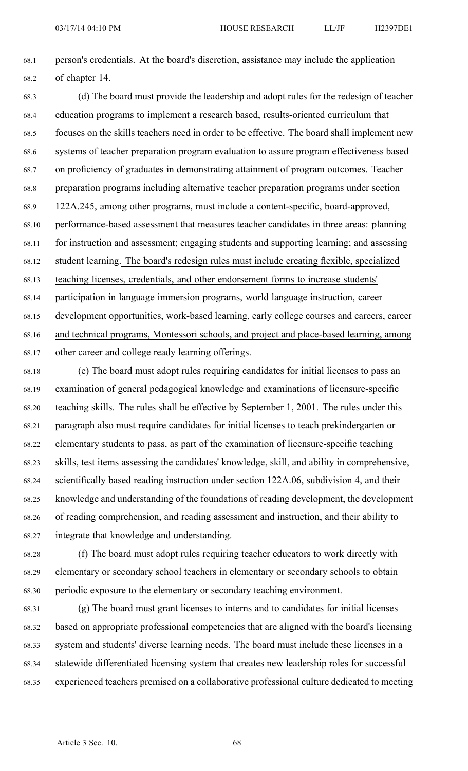68.1 person's credentials. At the board's discretion, assistance may include the application 68.2 of chapter 14.

68.3 (d) The board must provide the leadership and adopt rules for the redesign of teacher 68.4 education programs to implement <sup>a</sup> research based, results-oriented curriculum that 68.5 focuses on the skills teachers need in order to be effective. The board shall implement new 68.6 systems of teacher preparation program evaluation to assure program effectiveness based 68.7 on proficiency of graduates in demonstrating attainment of program outcomes. Teacher 68.8 preparation programs including alternative teacher preparation programs under section 68.9 122A.245, among other programs, must include <sup>a</sup> content-specific, board-approved, 68.10 performance-based assessment that measures teacher candidates in three areas: planning 68.11 for instruction and assessment; engaging students and supporting learning; and assessing 68.12 student learning. The board's redesign rules must include creating flexible, specialized 68.13 teaching licenses, credentials, and other endorsement forms to increase students' 68.14 participation in language immersion programs, world language instruction, career 68.15 development opportunities, work-based learning, early college courses and careers, career 68.16 and technical programs, Montessori schools, and project and place-based learning, among 68.17 other career and college ready learning offerings.

68.18 (e) The board must adopt rules requiring candidates for initial licenses to pass an 68.19 examination of general pedagogical knowledge and examinations of licensure-specific 68.20 teaching skills. The rules shall be effective by September 1, 2001. The rules under this 68.21 paragraph also must require candidates for initial licenses to teach prekindergarten or 68.22 elementary students to pass, as par<sup>t</sup> of the examination of licensure-specific teaching 68.23 skills, test items assessing the candidates' knowledge, skill, and ability in comprehensive, 68.24 scientifically based reading instruction under section 122A.06, subdivision 4, and their 68.25 knowledge and understanding of the foundations of reading development, the development 68.26 of reading comprehension, and reading assessment and instruction, and their ability to 68.27 integrate that knowledge and understanding.

68.28 (f) The board must adopt rules requiring teacher educators to work directly with 68.29 elementary or secondary school teachers in elementary or secondary schools to obtain 68.30 periodic exposure to the elementary or secondary teaching environment.

68.31 (g) The board must gran<sup>t</sup> licenses to interns and to candidates for initial licenses 68.32 based on appropriate professional competencies that are aligned with the board's licensing 68.33 system and students' diverse learning needs. The board must include these licenses in <sup>a</sup> 68.34 statewide differentiated licensing system that creates new leadership roles for successful 68.35 experienced teachers premised on <sup>a</sup> collaborative professional culture dedicated to meeting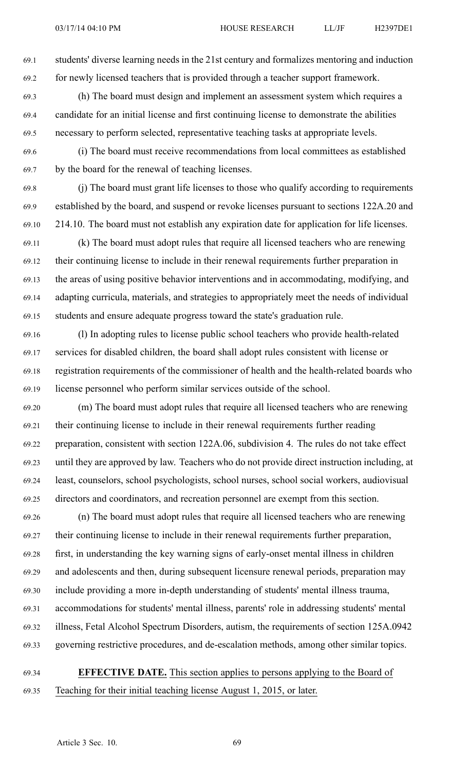69.1 students' diverse learning needs in the 21st century and formalizes mentoring and induction 69.2 for newly licensed teachers that is provided through <sup>a</sup> teacher suppor<sup>t</sup> framework.

- 69.3 (h) The board must design and implement an assessment system which requires <sup>a</sup> 69.4 candidate for an initial license and first continuing license to demonstrate the abilities 69.5 necessary to perform selected, representative teaching tasks at appropriate levels.
- 69.6 (i) The board must receive recommendations from local committees as established 69.7 by the board for the renewal of teaching licenses.
- 69.8 (j) The board must gran<sup>t</sup> life licenses to those who qualify according to requirements 69.9 established by the board, and suspend or revoke licenses pursuan<sup>t</sup> to sections 122A.20 and 69.10 214.10. The board must not establish any expiration date for application for life licenses.
- 69.11 (k) The board must adopt rules that require all licensed teachers who are renewing 69.12 their continuing license to include in their renewal requirements further preparation in 69.13 the areas of using positive behavior interventions and in accommodating, modifying, and 69.14 adapting curricula, materials, and strategies to appropriately meet the needs of individual 69.15 students and ensure adequate progress toward the state's graduation rule.
- 69.16 (l) In adopting rules to license public school teachers who provide health-related 69.17 services for disabled children, the board shall adopt rules consistent with license or 69.18 registration requirements of the commissioner of health and the health-related boards who 69.19 license personnel who perform similar services outside of the school.
- 69.20 (m) The board must adopt rules that require all licensed teachers who are renewing 69.21 their continuing license to include in their renewal requirements further reading 69.22 preparation, consistent with section 122A.06, subdivision 4. The rules do not take effect 69.23 until they are approved by law. Teachers who do not provide direct instruction including, at 69.24 least, counselors, school psychologists, school nurses, school social workers, audiovisual 69.25 directors and coordinators, and recreation personnel are exemp<sup>t</sup> from this section.
- 69.26 (n) The board must adopt rules that require all licensed teachers who are renewing 69.27 their continuing license to include in their renewal requirements further preparation, 69.28 first, in understanding the key warning signs of early-onset mental illness in children 69.29 and adolescents and then, during subsequent licensure renewal periods, preparation may 69.30 include providing <sup>a</sup> more in-depth understanding of students' mental illness trauma, 69.31 accommodations for students' mental illness, parents' role in addressing students' mental 69.32 illness, Fetal Alcohol Spectrum Disorders, autism, the requirements of section 125A.0942 69.33 governing restrictive procedures, and de-escalation methods, among other similar topics.
- 69.34 **EFFECTIVE DATE.** This section applies to persons applying to the Board of 69.35 Teaching for their initial teaching license August 1, 2015, or later.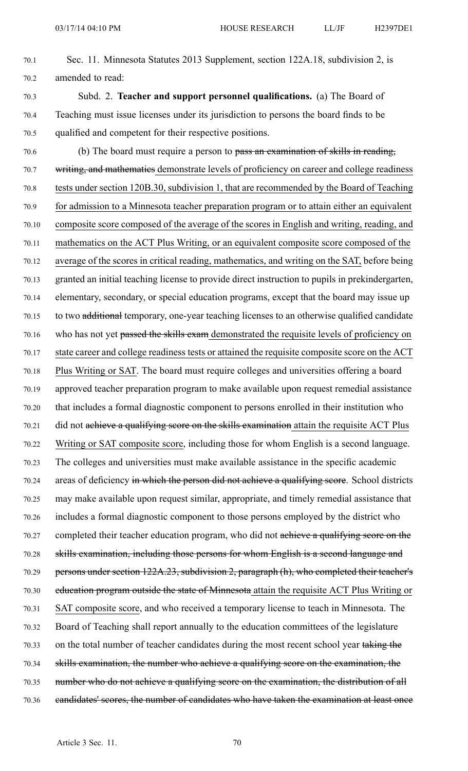- 70.1 Sec. 11. Minnesota Statutes 2013 Supplement, section 122A.18, subdivision 2, is 70.2 amended to read:
- 70.3 Subd. 2. **Teacher and suppor<sup>t</sup> personnel qualifications.** (a) The Board of 70.4 Teaching must issue licenses under its jurisdiction to persons the board finds to be 70.5 qualified and competent for their respective positions.
- 70.6 (b) The board must require a person to pass an examination of skills in reading, 70.7 writing, and mathematics demonstrate levels of proficiency on career and college readiness 70.8 tests under section 120B.30, subdivision 1, that are recommended by the Board of Teaching 70.9 for admission to <sup>a</sup> Minnesota teacher preparation program or to attain either an equivalent 70.10 composite score composed of the average of the scores in English and writing, reading, and 70.11 mathematics on the ACT Plus Writing, or an equivalent composite score composed of the 70.12 average of the scores in critical reading, mathematics, and writing on the SAT, before being 70.13 granted an initial teaching license to provide direct instruction to pupils in prekindergarten, 70.14 elementary, secondary, or special education programs, excep<sup>t</sup> that the board may issue up 70.15 to two additional temporary, one-year teaching licenses to an otherwise qualified candidate 70.16 who has not ye<sup>t</sup> passed the skills exam demonstrated the requisite levels of proficiency on 70.17 state career and college readiness tests or attained the requisite composite score on the ACT 70.18 Plus Writing or SAT. The board must require colleges and universities offering <sup>a</sup> board 70.19 approved teacher preparation program to make available upon reques<sup>t</sup> remedial assistance 70.20 that includes <sup>a</sup> formal diagnostic componen<sup>t</sup> to persons enrolled in their institution who 70.21 did not achieve <sup>a</sup> qualifying score on the skills examination attain the requisite ACT Plus 70.22 Writing or SAT composite score, including those for whom English is <sup>a</sup> second language. 70.23 The colleges and universities must make available assistance in the specific academic 70.24 areas of deficiency in which the person did not achieve a qualifying score. School districts 70.25 may make available upon reques<sup>t</sup> similar, appropriate, and timely remedial assistance that 70.26 includes <sup>a</sup> formal diagnostic componen<sup>t</sup> to those persons employed by the district who 70.27 completed their teacher education program, who did not achieve a qualifying score on the 70.28 skills examination, including those persons for whom English is <sup>a</sup> second language and 70.29 persons under section 122A.23, subdivision 2, paragraph (h), who completed their teacher's 70.30 education program outside the state of Minnesota attain the requisite ACT Plus Writing or 70.31 SAT composite score, and who received <sup>a</sup> temporary license to teach in Minnesota. The 70.32 Board of Teaching shall repor<sup>t</sup> annually to the education committees of the legislature 70.33 on the total number of teacher candidates during the most recent school year taking the 70.34 skills examination, the number who achieve <sup>a</sup> qualifying score on the examination, the 70.35 number who do not achieve <sup>a</sup> qualifying score on the examination, the distribution of all 70.36 candidates' scores, the number of candidates who have taken the examination at least once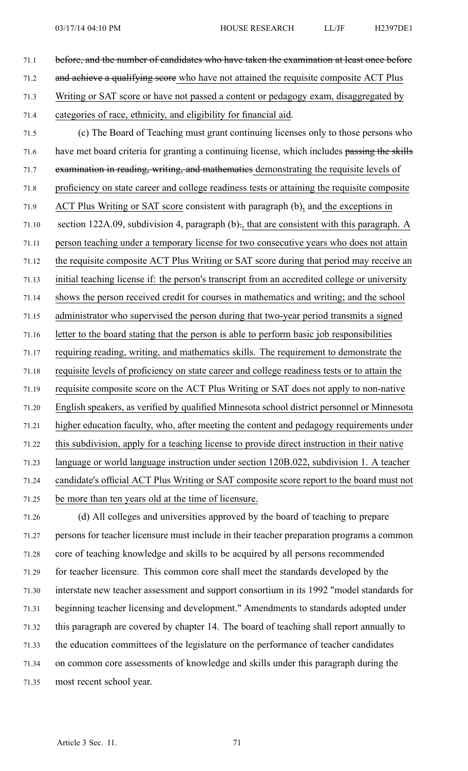71.1 before, and the number of candidates who have taken the examination at least once before 71.2 and achieve <sup>a</sup> qualifying score who have not attained the requisite composite ACT Plus 71.3 Writing or SAT score or have not passed <sup>a</sup> content or pedagogy exam, disaggregated by 71.4 categories of race, ethnicity, and eligibility for financial aid. 71.5 (c) The Board of Teaching must gran<sup>t</sup> continuing licenses only to those persons who 71.6 have met board criteria for granting a continuing license, which includes passing the skills 71.7 examination in reading, writing, and mathematics demonstrating the requisite levels of 71.8 proficiency on state career and college readiness tests or attaining the requisite composite 71.9 ACT Plus Writing or SAT score consistent with paragraph (b), and the exceptions in 71.10 section 122A.09, subdivision 4, paragraph (b)., that are consistent with this paragraph. A 71.11 person teaching under <sup>a</sup> temporary license for two consecutive years who does not attain 71.12 the requisite composite ACT Plus Writing or SAT score during that period may receive an 71.13 initial teaching license if: the person's transcript from an accredited college or university 71.14 shows the person received credit for courses in mathematics and writing; and the school 71.15 administrator who supervised the person during that two-year period transmits <sup>a</sup> signed 71.16 letter to the board stating that the person is able to perform basic job responsibilities 71.17 requiring reading, writing, and mathematics skills. The requirement to demonstrate the 71.18 requisite levels of proficiency on state career and college readiness tests or to attain the 71.19 requisite composite score on the ACT Plus Writing or SAT does not apply to non-native 71.20 English speakers, as verified by qualified Minnesota school district personnel or Minnesota 71.21 higher education faculty, who, after meeting the content and pedagogy requirements under 71.22 this subdivision, apply for <sup>a</sup> teaching license to provide direct instruction in their native 71.23 language or world language instruction under section 120B.022, subdivision 1. A teacher 71.24 candidate's official ACT Plus Writing or SAT composite score repor<sup>t</sup> to the board must not 71.25 be more than ten years old at the time of licensure. 71.26 (d) All colleges and universities approved by the board of teaching to prepare

71.27 persons for teacher licensure must include in their teacher preparation programs <sup>a</sup> common 71.28 core of teaching knowledge and skills to be acquired by all persons recommended 71.29 for teacher licensure. This common core shall meet the standards developed by the 71.30 interstate new teacher assessment and suppor<sup>t</sup> consortium in its 1992 "model standards for 71.31 beginning teacher licensing and development." Amendments to standards adopted under 71.32 this paragraph are covered by chapter 14. The board of teaching shall repor<sup>t</sup> annually to 71.33 the education committees of the legislature on the performance of teacher candidates 71.34 on common core assessments of knowledge and skills under this paragraph during the 71.35 most recent school year.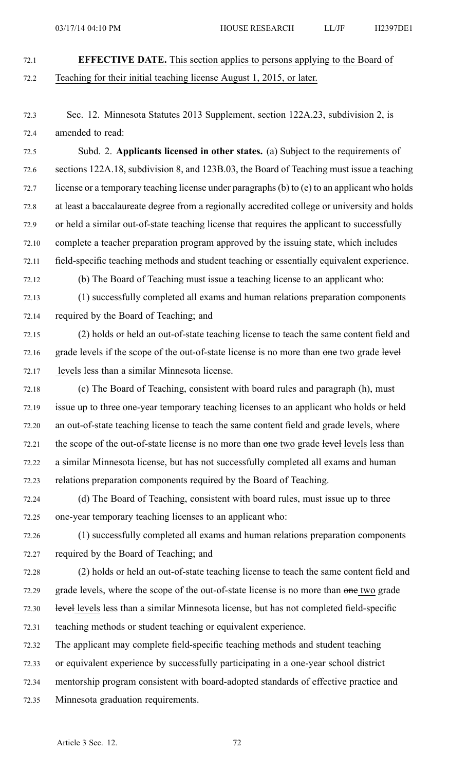- 72.1 **EFFECTIVE DATE.** This section applies to persons applying to the Board of 72.2 Teaching for their initial teaching license August 1, 2015, or later.
- 72.3 Sec. 12. Minnesota Statutes 2013 Supplement, section 122A.23, subdivision 2, is 72.4 amended to read:

72.5 Subd. 2. **Applicants licensed in other states.** (a) Subject to the requirements of 72.6 sections 122A.18, subdivision 8, and 123B.03, the Board of Teaching must issue <sup>a</sup> teaching 72.7 license or <sup>a</sup> temporary teaching license under paragraphs(b) to (e) to an applicant who holds 72.8 at least <sup>a</sup> baccalaureate degree from <sup>a</sup> regionally accredited college or university and holds 72.9 or held <sup>a</sup> similar out-of-state teaching license that requires the applicant to successfully 72.10 complete <sup>a</sup> teacher preparation program approved by the issuing state, which includes 72.11 field-specific teaching methods and student teaching or essentially equivalent experience. 72.12 (b) The Board of Teaching must issue <sup>a</sup> teaching license to an applicant who:

- 72.13 (1) successfully completed all exams and human relations preparation components
- 72.14 required by the Board of Teaching; and

72.15 (2) holds or held an out-of-state teaching license to teach the same content field and 72.16 grade levels if the scope of the out-of-state license is no more than one two grade level 72.17 levels less than <sup>a</sup> similar Minnesota license.

- 72.18 (c) The Board of Teaching, consistent with board rules and paragraph (h), must 72.19 issue up to three one-year temporary teaching licenses to an applicant who holds or held 72.20 an out-of-state teaching license to teach the same content field and grade levels, where 72.21 the scope of the out-of-state license is no more than one two grade level levels less than 72.22 <sup>a</sup> similar Minnesota license, but has not successfully completed all exams and human 72.23 relations preparation components required by the Board of Teaching.
- 72.24 (d) The Board of Teaching, consistent with board rules, must issue up to three 72.25 one-year temporary teaching licenses to an applicant who:
- 72.26 (1) successfully completed all exams and human relations preparation components 72.27 required by the Board of Teaching; and
- 72.28 (2) holds or held an out-of-state teaching license to teach the same content field and 72.29 grade levels, where the scope of the out-of-state license is no more than one two grade 72.30 level levels less than <sup>a</sup> similar Minnesota license, but has not completed field-specific 72.31 teaching methods or student teaching or equivalent experience.
- 72.32 The applicant may complete field-specific teaching methods and student teaching
- 72.33 or equivalent experience by successfully participating in <sup>a</sup> one-year school district
- 72.34 mentorship program consistent with board-adopted standards of effective practice and
- 72.35 Minnesota graduation requirements.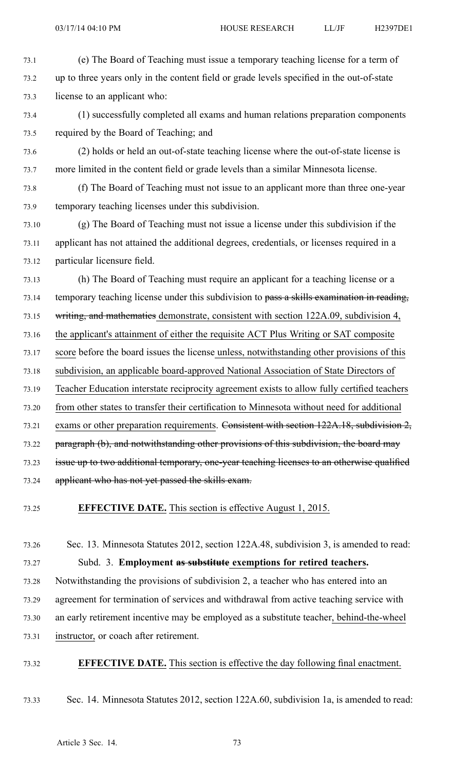- 73.1 (e) The Board of Teaching must issue <sup>a</sup> temporary teaching license for <sup>a</sup> term of 73.2 up to three years only in the content field or grade levels specified in the out-of-state 73.3 license to an applicant who:
- 73.4 (1) successfully completed all exams and human relations preparation components 73.5 required by the Board of Teaching; and
- 73.6 (2) holds or held an out-of-state teaching license where the out-of-state license is 73.7 more limited in the content field or grade levels than <sup>a</sup> similar Minnesota license.
- 73.8 (f) The Board of Teaching must not issue to an applicant more than three one-year 73.9 temporary teaching licenses under this subdivision.
- 73.10 (g) The Board of Teaching must not issue <sup>a</sup> license under this subdivision if the 73.11 applicant has not attained the additional degrees, credentials, or licenses required in <sup>a</sup> 73.12 particular licensure field.
- 73.13 (h) The Board of Teaching must require an applicant for <sup>a</sup> teaching license or <sup>a</sup> 73.14 temporary teaching license under this subdivision to pass a skills examination in reading, 73.15 writing, and mathematics demonstrate, consistent with section 122A.09, subdivision 4, 73.16 the applicant's attainment of either the requisite ACT Plus Writing or SAT composite 73.17 score before the board issues the license unless, notwithstanding other provisions of this 73.18 subdivision, an applicable board-approved National Association of State Directors of 73.19 Teacher Education interstate reciprocity agreemen<sup>t</sup> exists to allow fully certified teachers 73.20 from other states to transfer their certification to Minnesota without need for additional 73.21 exams or other preparation requirements. Consistent with section 122A.18, subdivision 2, 73.22 paragraph (b), and notwithstanding other provisions of this subdivision, the board may 73.23 issue up to two additional temporary, one-year teaching licenses to an otherwise qualified 73.24 applicant who has not ye<sup>t</sup> passed the skills exam.
- 73.25 **EFFECTIVE DATE.** This section is effective August 1, 2015.
- 73.26 Sec. 13. Minnesota Statutes 2012, section 122A.48, subdivision 3, is amended to read: 73.27 Subd. 3. **Employment as substitute exemptions for retired teachers.**
- 73.28 Notwithstanding the provisions of subdivision 2, <sup>a</sup> teacher who has entered into an
- 73.29 agreemen<sup>t</sup> for termination of services and withdrawal from active teaching service with
- 73.30 an early retirement incentive may be employed as <sup>a</sup> substitute teacher, behind-the-wheel
- 73.31 instructor, or coach after retirement.
- 73.32 **EFFECTIVE DATE.** This section is effective the day following final enactment.
- 73.33 Sec. 14. Minnesota Statutes 2012, section 122A.60, subdivision 1a, is amended to read: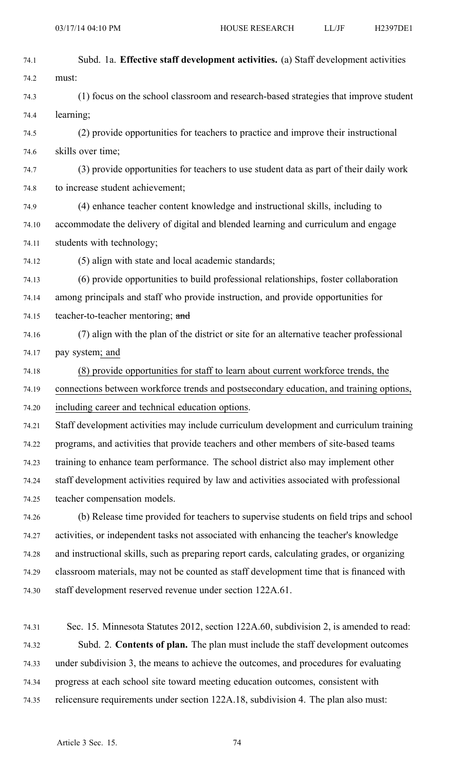| 74.1  | Subd. 1a. Effective staff development activities. (a) Staff development activities          |
|-------|---------------------------------------------------------------------------------------------|
| 74.2  | must:                                                                                       |
| 74.3  | (1) focus on the school classroom and research-based strategies that improve student        |
| 74.4  | learning;                                                                                   |
| 74.5  | (2) provide opportunities for teachers to practice and improve their instructional          |
| 74.6  | skills over time;                                                                           |
| 74.7  | (3) provide opportunities for teachers to use student data as part of their daily work      |
| 74.8  | to increase student achievement;                                                            |
| 74.9  | (4) enhance teacher content knowledge and instructional skills, including to                |
| 74.10 | accommodate the delivery of digital and blended learning and curriculum and engage          |
| 74.11 | students with technology;                                                                   |
| 74.12 | (5) align with state and local academic standards;                                          |
| 74.13 | (6) provide opportunities to build professional relationships, foster collaboration         |
| 74.14 | among principals and staff who provide instruction, and provide opportunities for           |
| 74.15 | teacher-to-teacher mentoring; and                                                           |
| 74.16 | (7) align with the plan of the district or site for an alternative teacher professional     |
| 74.17 | pay system; and                                                                             |
| 74.18 | (8) provide opportunities for staff to learn about current workforce trends, the            |
| 74.19 | connections between workforce trends and postsecondary education, and training options,     |
| 74.20 | including career and technical education options.                                           |
| 74.21 | Staff development activities may include curriculum development and curriculum training     |
| 74.22 | programs, and activities that provide teachers and other members of site-based teams        |
| 74.23 | training to enhance team performance. The school district also may implement other          |
| 74.24 | staff development activities required by law and activities associated with professional    |
| 74.25 | teacher compensation models.                                                                |
| 74.26 | (b) Release time provided for teachers to supervise students on field trips and school      |
| 74.27 | activities, or independent tasks not associated with enhancing the teacher's knowledge      |
| 74.28 | and instructional skills, such as preparing report cards, calculating grades, or organizing |
| 74.29 | classroom materials, may not be counted as staff development time that is financed with     |
| 74.30 | staff development reserved revenue under section 122A.61.                                   |
|       |                                                                                             |
| 74.31 | Sec. 15. Minnesota Statutes 2012, section 122A.60, subdivision 2, is amended to read:       |

74.33 under subdivision 3, the means to achieve the outcomes, and procedures for evaluating

74.32 Subd. 2. **Contents of plan.** The plan must include the staff development outcomes

74.34 progress at each school site toward meeting education outcomes, consistent with

74.35 relicensure requirements under section 122A.18, subdivision 4. The plan also must: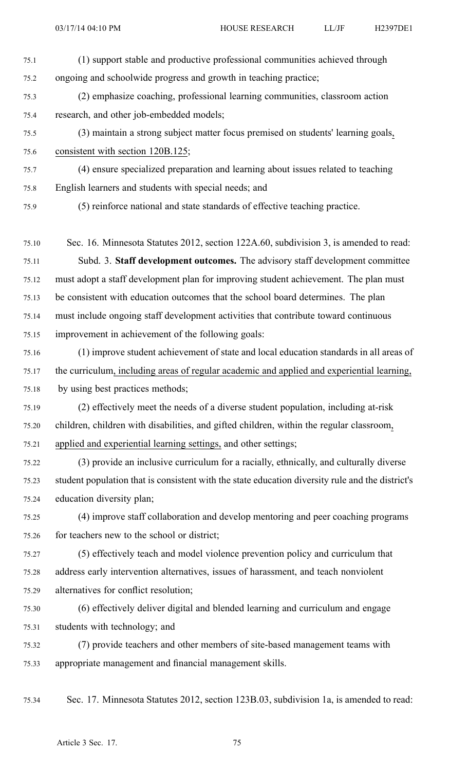75.1 (1) suppor<sup>t</sup> stable and productive professional communities achieved through 75.2 ongoing and schoolwide progress and growth in teaching practice; 75.3 (2) emphasize coaching, professional learning communities, classroom action 75.4 research, and other job-embedded models; 75.5 (3) maintain <sup>a</sup> strong subject matter focus premised on students' learning goals, 75.6 consistent with section 120B.125; 75.7 (4) ensure specialized preparation and learning about issues related to teaching 75.8 English learners and students with special needs; and 75.9 (5) reinforce national and state standards of effective teaching practice. 75.10 Sec. 16. Minnesota Statutes 2012, section 122A.60, subdivision 3, is amended to read: 75.11 Subd. 3. **Staff development outcomes.** The advisory staff development committee 75.12 must adopt <sup>a</sup> staff development plan for improving student achievement. The plan must 75.13 be consistent with education outcomes that the school board determines. The plan 75.14 must include ongoing staff development activities that contribute toward continuous 75.15 improvement in achievement of the following goals: 75.16 (1) improve student achievement of state and local education standards in all areas of 75.17 the curriculum, including areas of regular academic and applied and experiential learning, 75.18 by using best practices methods; 75.19 (2) effectively meet the needs of <sup>a</sup> diverse student population, including at-risk 75.20 children, children with disabilities, and gifted children, within the regular classroom, 75.21 applied and experiential learning settings, and other settings; 75.22 (3) provide an inclusive curriculum for <sup>a</sup> racially, ethnically, and culturally diverse 75.23 student population that is consistent with the state education diversity rule and the district's 75.24 education diversity plan; 75.25 (4) improve staff collaboration and develop mentoring and peer coaching programs 75.26 for teachers new to the school or district; 75.27 (5) effectively teach and model violence prevention policy and curriculum that 75.28 address early intervention alternatives, issues of harassment, and teach nonviolent 75.29 alternatives for conflict resolution; 75.30 (6) effectively deliver digital and blended learning and curriculum and engage 75.31 students with technology; and

75.32 (7) provide teachers and other members of site-based managemen<sup>t</sup> teams with 75.33 appropriate managemen<sup>t</sup> and financial managemen<sup>t</sup> skills.

75.34 Sec. 17. Minnesota Statutes 2012, section 123B.03, subdivision 1a, is amended to read: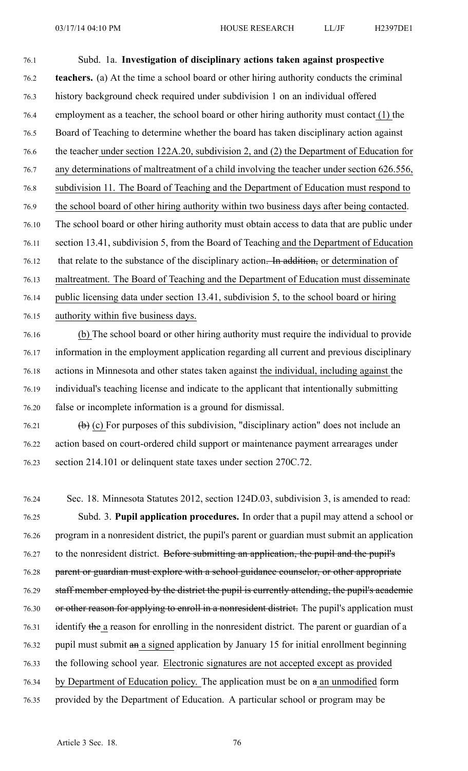76.1 Subd. 1a. **Investigation of disciplinary actions taken against prospective** 76.2 **teachers.** (a) At the time <sup>a</sup> school board or other hiring authority conducts the criminal 76.3 history background check required under subdivision 1 on an individual offered 76.4 employment as <sup>a</sup> teacher, the school board or other hiring authority must contact (1) the 76.5 Board of Teaching to determine whether the board has taken disciplinary action against 76.6 the teacher under section 122A.20, subdivision 2, and (2) the Department of Education for 76.7 any determinations of maltreatment of <sup>a</sup> child involving the teacher under section 626.556, 76.8 subdivision 11. The Board of Teaching and the Department of Education must respond to 76.9 the school board of other hiring authority within two business days after being contacted. 76.10 The school board or other hiring authority must obtain access to data that are public under 76.11 section 13.41, subdivision 5, from the Board of Teaching and the Department of Education 76.12 that relate to the substance of the disciplinary action. In addition, or determination of 76.13 maltreatment. The Board of Teaching and the Department of Education must disseminate 76.14 public licensing data under section 13.41, subdivision 5, to the school board or hiring 76.15 authority within five business days.

- 76.16 (b) The school board or other hiring authority must require the individual to provide 76.17 information in the employment application regarding all current and previous disciplinary 76.18 actions in Minnesota and other states taken against the individual, including against the 76.19 individual's teaching license and indicate to the applicant that intentionally submitting 76.20 false or incomplete information is <sup>a</sup> ground for dismissal.
- 76.21 (b) (c) For purposes of this subdivision, "disciplinary action" does not include an 76.22 action based on court-ordered child suppor<sup>t</sup> or maintenance paymen<sup>t</sup> arrearages under 76.23 section 214.101 or delinquent state taxes under section 270C.72.
- 76.24 Sec. 18. Minnesota Statutes 2012, section 124D.03, subdivision 3, is amended to read: 76.25 Subd. 3. **Pupil application procedures.** In order that <sup>a</sup> pupil may attend <sup>a</sup> school or 76.26 program in <sup>a</sup> nonresident district, the pupil's paren<sup>t</sup> or guardian must submit an application 76.27 to the nonresident district. Before submitting an application, the pupil and the pupil's 76.28 parent or guardian must explore with a school guidance counselor, or other appropriate 76.29 staff member employed by the district the pupil is currently attending, the pupil's academic 76.30 or other reason for applying to enroll in a nonresident district. The pupil's application must 76.31 identify the <sup>a</sup> reason for enrolling in the nonresident district. The paren<sup>t</sup> or guardian of <sup>a</sup> 76.32 pupil must submit an <sup>a</sup> signed application by January 15 for initial enrollment beginning 76.33 the following school year. Electronic signatures are not accepted excep<sup>t</sup> as provided 76.34 by Department of Education policy. The application must be on <sup>a</sup> an unmodified form 76.35 provided by the Department of Education. A particular school or program may be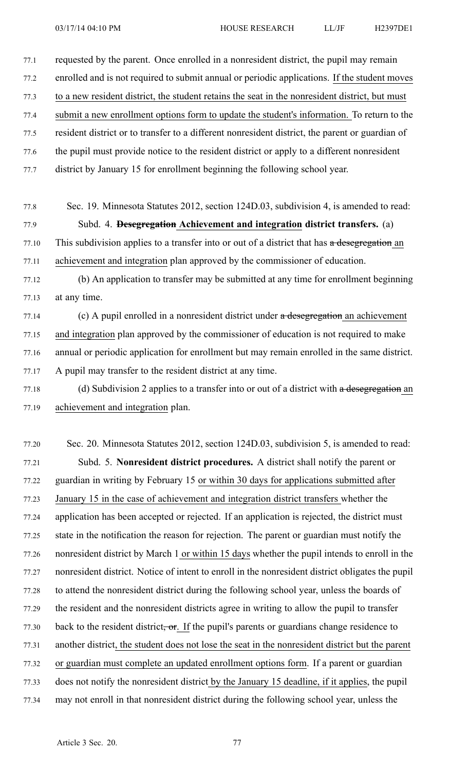77.1 requested by the parent. Once enrolled in <sup>a</sup> nonresident district, the pupil may remain 77.2 enrolled and is not required to submit annual or periodic applications. If the student moves 77.3 to <sup>a</sup> new resident district, the student retains the seat in the nonresident district, but must 77.4 submit <sup>a</sup> new enrollment options form to update the student's information. To return to the 77.5 resident district or to transfer to <sup>a</sup> different nonresident district, the paren<sup>t</sup> or guardian of 77.6 the pupil must provide notice to the resident district or apply to <sup>a</sup> different nonresident 77.7 district by January 15 for enrollment beginning the following school year. 77.8 Sec. 19. Minnesota Statutes 2012, section 124D.03, subdivision 4, is amended to read: 77.9 Subd. 4. **Desegregation Achievement and integration district transfers.** (a)

77.10 This subdivision applies to a transfer into or out of a district that has a desegregation an 77.11 achievement and integration plan approved by the commissioner of education.

77.12 (b) An application to transfer may be submitted at any time for enrollment beginning 77.13 at any time.

77.14 (c) A pupil enrolled in a nonresident district under a desegregation an achievement 77.15 and integration plan approved by the commissioner of education is not required to make 77.16 annual or periodic application for enrollment but may remain enrolled in the same district. 77.17 A pupil may transfer to the resident district at any time.

77.18 (d) Subdivision 2 applies to a transfer into or out of a district with a desegregation an 77.19 achievement and integration plan.

77.20 Sec. 20. Minnesota Statutes 2012, section 124D.03, subdivision 5, is amended to read: 77.21 Subd. 5. **Nonresident district procedures.** A district shall notify the paren<sup>t</sup> or 77.22 guardian in writing by February 15 or within 30 days for applications submitted after 77.23 January 15 in the case of achievement and integration district transfers whether the 77.24 application has been accepted or rejected. If an application is rejected, the district must 77.25 state in the notification the reason for rejection. The paren<sup>t</sup> or guardian must notify the 77.26 nonresident district by March 1 or within 15 days whether the pupil intends to enroll in the 77.27 nonresident district. Notice of intent to enroll in the nonresident district obligates the pupil 77.28 to attend the nonresident district during the following school year, unless the boards of 77.29 the resident and the nonresident districts agree in writing to allow the pupil to transfer  $77.30$  back to the resident district, or. If the pupil's parents or guardians change residence to 77.31 another district, the student does not lose the seat in the nonresident district but the paren<sup>t</sup> 77.32 or guardian must complete an updated enrollment options form. If <sup>a</sup> paren<sup>t</sup> or guardian 77.33 does not notify the nonresident district by the January 15 deadline, if it applies, the pupil 77.34 may not enroll in that nonresident district during the following school year, unless the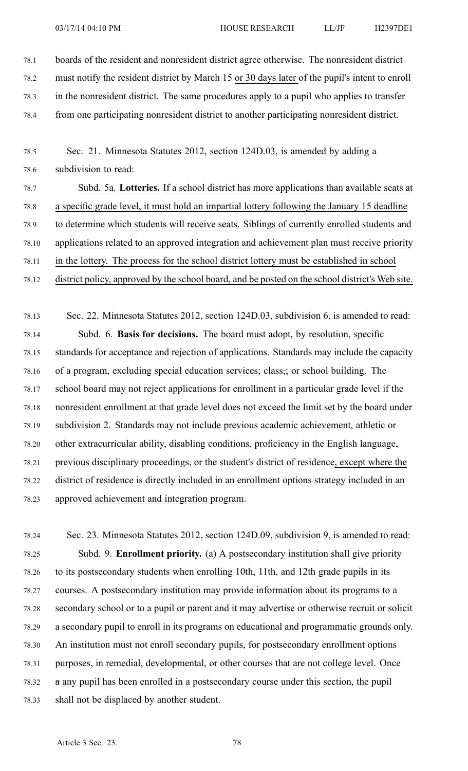- 78.1 boards of the resident and nonresident district agree otherwise. The nonresident district 78.2 must notify the resident district by March 15 or 30 days later of the pupil's intent to enroll
- 78.3 in the nonresident district. The same procedures apply to <sup>a</sup> pupil who applies to transfer
- 78.4 from one participating nonresident district to another participating nonresident district.
- 78.5 Sec. 21. Minnesota Statutes 2012, section 124D.03, is amended by adding <sup>a</sup> 78.6 subdivision to read:
- 78.7 Subd. 5a. **Lotteries.** If <sup>a</sup> school district has more applications than available seats at 78.8 <sup>a</sup> specific grade level, it must hold an impartial lottery following the January 15 deadline 78.9 to determine which students will receive seats. Siblings of currently enrolled students and 78.10 applications related to an approved integration and achievement plan must receive priority 78.11 in the lottery. The process for the school district lottery must be established in school 78.12 district policy, approved by the school board, and be posted on the school district's Web site.

78.13 Sec. 22. Minnesota Statutes 2012, section 124D.03, subdivision 6, is amended to read: 78.14 Subd. 6. **Basis for decisions.** The board must adopt, by resolution, specific 78.15 standards for acceptance and rejection of applications. Standards may include the capacity 78.16 of a program, excluding special education services; class,; or school building. The 78.17 school board may not reject applications for enrollment in <sup>a</sup> particular grade level if the 78.18 nonresident enrollment at that grade level does not exceed the limit set by the board under 78.19 subdivision 2. Standards may not include previous academic achievement, athletic or 78.20 other extracurricular ability, disabling conditions, proficiency in the English language, 78.21 previous disciplinary proceedings, or the student's district of residence, excep<sup>t</sup> where the 78.22 district of residence is directly included in an enrollment options strategy included in an 78.23 approved achievement and integration program.

78.24 Sec. 23. Minnesota Statutes 2012, section 124D.09, subdivision 9, is amended to read: 78.25 Subd. 9. **Enrollment priority.** (a) A postsecondary institution shall give priority 78.26 to its postsecondary students when enrolling 10th, 11th, and 12th grade pupils in its 78.27 courses. A postsecondary institution may provide information about its programs to <sup>a</sup> 78.28 secondary school or to <sup>a</sup> pupil or paren<sup>t</sup> and it may advertise or otherwise recruit or solicit 78.29 <sup>a</sup> secondary pupil to enroll in its programs on educational and programmatic grounds only. 78.30 An institution must not enroll secondary pupils, for postsecondary enrollment options 78.31 purposes, in remedial, developmental, or other courses that are not college level. Once 78.32 <sup>a</sup> any pupil has been enrolled in <sup>a</sup> postsecondary course under this section, the pupil 78.33 shall not be displaced by another student.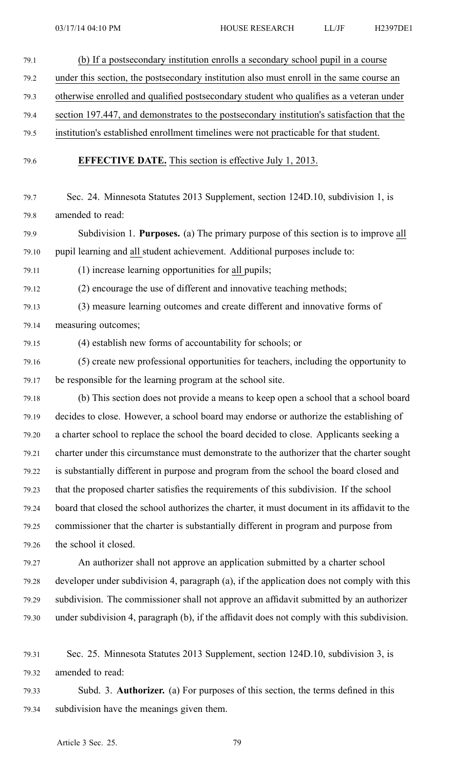- 79.1 (b) If <sup>a</sup> postsecondary institution enrolls <sup>a</sup> secondary school pupil in <sup>a</sup> course 79.2 under this section, the postsecondary institution also must enroll in the same course an 79.3 otherwise enrolled and qualified postsecondary student who qualifies as <sup>a</sup> veteran under 79.4 section 197.447, and demonstrates to the postsecondary institution's satisfaction that the 79.5 institution's established enrollment timelines were not practicable for that student. 79.6 **EFFECTIVE DATE.** This section is effective July 1, 2013. 79.7 Sec. 24. Minnesota Statutes 2013 Supplement, section 124D.10, subdivision 1, is 79.8 amended to read: 79.9 Subdivision 1. **Purposes.** (a) The primary purpose of this section is to improve all 79.10 pupil learning and all student achievement. Additional purposes include to: 79.11 (1) increase learning opportunities for all pupils; 79.12 (2) encourage the use of different and innovative teaching methods; 79.13 (3) measure learning outcomes and create different and innovative forms of 79.14 measuring outcomes; 79.15 (4) establish new forms of accountability for schools; or
- 79.16 (5) create new professional opportunities for teachers, including the opportunity to 79.17 be responsible for the learning program at the school site.
- 79.18 (b) This section does not provide <sup>a</sup> means to keep open <sup>a</sup> school that <sup>a</sup> school board 79.19 decides to close. However, <sup>a</sup> school board may endorse or authorize the establishing of 79.20 <sup>a</sup> charter school to replace the school the board decided to close. Applicants seeking <sup>a</sup> 79.21 charter under this circumstance must demonstrate to the authorizer that the charter sought 79.22 is substantially different in purpose and program from the school the board closed and 79.23 that the proposed charter satisfies the requirements of this subdivision. If the school 79.24 board that closed the school authorizes the charter, it must document in its affidavit to the 79.25 commissioner that the charter is substantially different in program and purpose from 79.26 the school it closed.
- 79.27 An authorizer shall not approve an application submitted by <sup>a</sup> charter school 79.28 developer under subdivision 4, paragraph (a), if the application does not comply with this 79.29 subdivision. The commissioner shall not approve an affidavit submitted by an authorizer 79.30 under subdivision 4, paragraph (b), if the affidavit does not comply with this subdivision.
- 79.31 Sec. 25. Minnesota Statutes 2013 Supplement, section 124D.10, subdivision 3, is 79.32 amended to read:
- 79.33 Subd. 3. **Authorizer.** (a) For purposes of this section, the terms defined in this 79.34 subdivision have the meanings given them.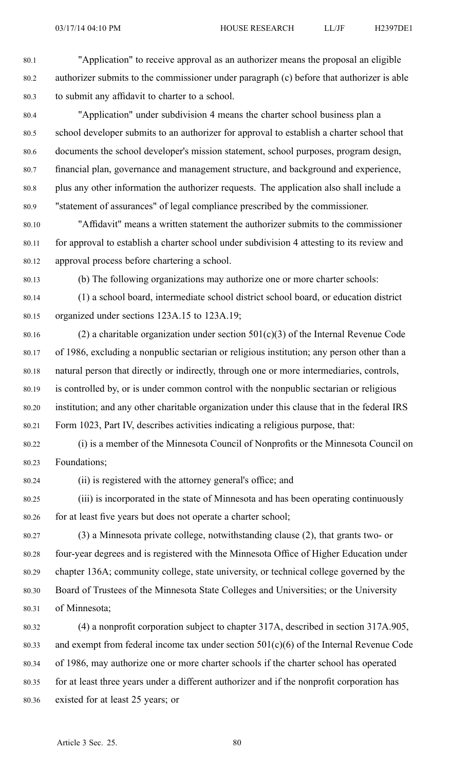80.1 "Application" to receive approval as an authorizer means the proposal an eligible 80.2 authorizer submits to the commissioner under paragraph (c) before that authorizer is able 80.3 to submit any affidavit to charter to <sup>a</sup> school.

80.4 "Application" under subdivision 4 means the charter school business plan <sup>a</sup> 80.5 school developer submits to an authorizer for approval to establish <sup>a</sup> charter school that 80.6 documents the school developer's mission statement, school purposes, program design, 80.7 financial plan, governance and managemen<sup>t</sup> structure, and background and experience, 80.8 plus any other information the authorizer requests. The application also shall include <sup>a</sup> 80.9 "statement of assurances" of legal compliance prescribed by the commissioner.

80.10 "Affidavit" means <sup>a</sup> written statement the authorizer submits to the commissioner 80.11 for approval to establish <sup>a</sup> charter school under subdivision 4 attesting to its review and 80.12 approval process before chartering <sup>a</sup> school.

80.13 (b) The following organizations may authorize one or more charter schools:

80.14 (1) <sup>a</sup> school board, intermediate school district school board, or education district 80.15 organized under sections 123A.15 to 123A.19;

80.16 (2) a charitable organization under section  $501(c)(3)$  of the Internal Revenue Code 80.17 of 1986, excluding <sup>a</sup> nonpublic sectarian or religious institution; any person other than <sup>a</sup> 80.18 natural person that directly or indirectly, through one or more intermediaries, controls, 80.19 is controlled by, or is under common control with the nonpublic sectarian or religious 80.20 institution; and any other charitable organization under this clause that in the federal IRS 80.21 Form 1023, Part IV, describes activities indicating <sup>a</sup> religious purpose, that:

80.22 (i) is <sup>a</sup> member of the Minnesota Council of Nonprofits or the Minnesota Council on 80.23 Foundations;

80.24 (ii) is registered with the attorney general's office; and

80.25 (iii) is incorporated in the state of Minnesota and has been operating continuously 80.26 for at least five years but does not operate <sup>a</sup> charter school;

80.27 (3) <sup>a</sup> Minnesota private college, notwithstanding clause (2), that grants two- or 80.28 four-year degrees and is registered with the Minnesota Office of Higher Education under 80.29 chapter 136A; community college, state university, or technical college governed by the 80.30 Board of Trustees of the Minnesota State Colleges and Universities; or the University 80.31 of Minnesota;

80.32 (4) <sup>a</sup> nonprofit corporation subject to chapter 317A, described in section 317A.905, 80.33 and exemp<sup>t</sup> from federal income tax under section 501(c)(6) of the Internal Revenue Code 80.34 of 1986, may authorize one or more charter schools if the charter school has operated 80.35 for at least three years under <sup>a</sup> different authorizer and if the nonprofit corporation has 80.36 existed for at least 25 years; or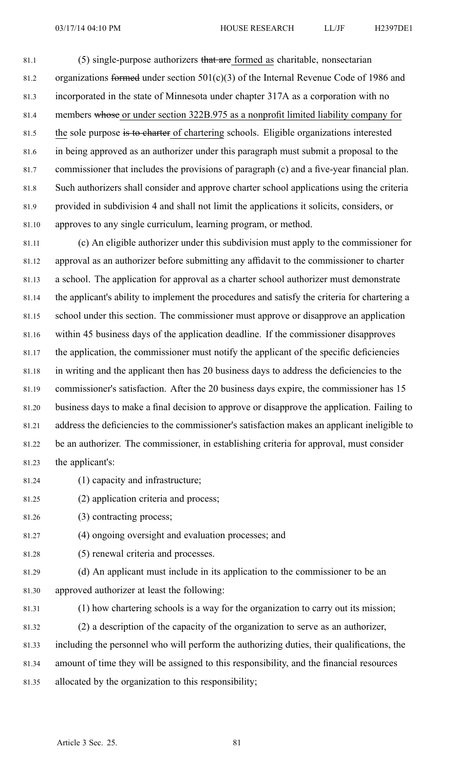81.1 (5) single-purpose authorizers that are formed as charitable, nonsectarian 81.2 organizations formed under section 501(c)(3) of the Internal Revenue Code of 1986 and 81.3 incorporated in the state of Minnesota under chapter 317A as <sup>a</sup> corporation with no 81.4 members whose or under section 322B.975 as <sup>a</sup> nonprofit limited liability company for 81.5 the sole purpose is to charter of chartering schools. Eligible organizations interested 81.6 in being approved as an authorizer under this paragraph must submit <sup>a</sup> proposal to the 81.7 commissioner that includes the provisions of paragraph (c) and <sup>a</sup> five-year financial plan. 81.8 Such authorizers shall consider and approve charter school applications using the criteria 81.9 provided in subdivision 4 and shall not limit the applications it solicits, considers, or 81.10 approves to any single curriculum, learning program, or method.

81.11 (c) An eligible authorizer under this subdivision must apply to the commissioner for 81.12 approval as an authorizer before submitting any affidavit to the commissioner to charter 81.13 <sup>a</sup> school. The application for approval as <sup>a</sup> charter school authorizer must demonstrate 81.14 the applicant's ability to implement the procedures and satisfy the criteria for chartering <sup>a</sup> 81.15 school under this section. The commissioner must approve or disapprove an application 81.16 within 45 business days of the application deadline. If the commissioner disapproves 81.17 the application, the commissioner must notify the applicant of the specific deficiencies 81.18 in writing and the applicant then has 20 business days to address the deficiencies to the 81.19 commissioner's satisfaction. After the 20 business days expire, the commissioner has 15 81.20 business days to make <sup>a</sup> final decision to approve or disapprove the application. Failing to 81.21 address the deficiencies to the commissioner's satisfaction makes an applicant ineligible to 81.22 be an authorizer. The commissioner, in establishing criteria for approval, must consider 81.23 the applicant's:

- 81.24 (1) capacity and infrastructure;
- 81.25 (2) application criteria and process;
- 81.26 (3) contracting process;
- 81.27 (4) ongoing oversight and evaluation processes; and
- 81.28 (5) renewal criteria and processes.
- 81.29 (d) An applicant must include in its application to the commissioner to be an 81.30 approved authorizer at least the following:

81.32 (2) <sup>a</sup> description of the capacity of the organization to serve as an authorizer,

81.31 (1) how chartering schools is <sup>a</sup> way for the organization to carry out its mission;

81.33 including the personnel who will perform the authorizing duties, their qualifications, the

81.34 amount of time they will be assigned to this responsibility, and the financial resources

81.35 allocated by the organization to this responsibility;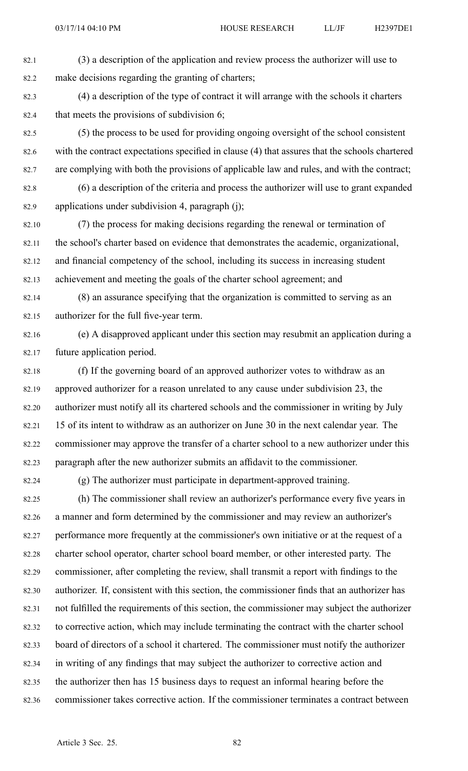82.1 (3) <sup>a</sup> description of the application and review process the authorizer will use to 82.2 make decisions regarding the granting of charters;

82.3 (4) <sup>a</sup> description of the type of contract it will arrange with the schools it charters 82.4 that meets the provisions of subdivision 6;

82.5 (5) the process to be used for providing ongoing oversight of the school consistent 82.6 with the contract expectations specified in clause (4) that assures that the schools chartered 82.7 are complying with both the provisions of applicable law and rules, and with the contract;

82.8 (6) <sup>a</sup> description of the criteria and process the authorizer will use to gran<sup>t</sup> expanded 82.9 applications under subdivision 4, paragraph (j);

82.10 (7) the process for making decisions regarding the renewal or termination of 82.11 the school's charter based on evidence that demonstrates the academic, organizational, 82.12 and financial competency of the school, including its success in increasing student 82.13 achievement and meeting the goals of the charter school agreement; and

82.14 (8) an assurance specifying that the organization is committed to serving as an 82.15 authorizer for the full five-year term.

82.16 (e) A disapproved applicant under this section may resubmit an application during <sup>a</sup> 82.17 future application period.

82.18 (f) If the governing board of an approved authorizer votes to withdraw as an 82.19 approved authorizer for <sup>a</sup> reason unrelated to any cause under subdivision 23, the 82.20 authorizer must notify all its chartered schools and the commissioner in writing by July 82.21 15 of its intent to withdraw as an authorizer on June 30 in the next calendar year. The 82.22 commissioner may approve the transfer of <sup>a</sup> charter school to <sup>a</sup> new authorizer under this 82.23 paragraph after the new authorizer submits an affidavit to the commissioner.

82.24 (g) The authorizer must participate in department-approved training.

82.25 (h) The commissioner shall review an authorizer's performance every five years in 82.26 <sup>a</sup> manner and form determined by the commissioner and may review an authorizer's 82.27 performance more frequently at the commissioner's own initiative or at the reques<sup>t</sup> of <sup>a</sup> 82.28 charter school operator, charter school board member, or other interested party. The 82.29 commissioner, after completing the review, shall transmit <sup>a</sup> repor<sup>t</sup> with findings to the 82.30 authorizer. If, consistent with this section, the commissioner finds that an authorizer has 82.31 not fulfilled the requirements of this section, the commissioner may subject the authorizer 82.32 to corrective action, which may include terminating the contract with the charter school 82.33 board of directors of <sup>a</sup> school it chartered. The commissioner must notify the authorizer 82.34 in writing of any findings that may subject the authorizer to corrective action and 82.35 the authorizer then has 15 business days to reques<sup>t</sup> an informal hearing before the 82.36 commissioner takes corrective action. If the commissioner terminates <sup>a</sup> contract between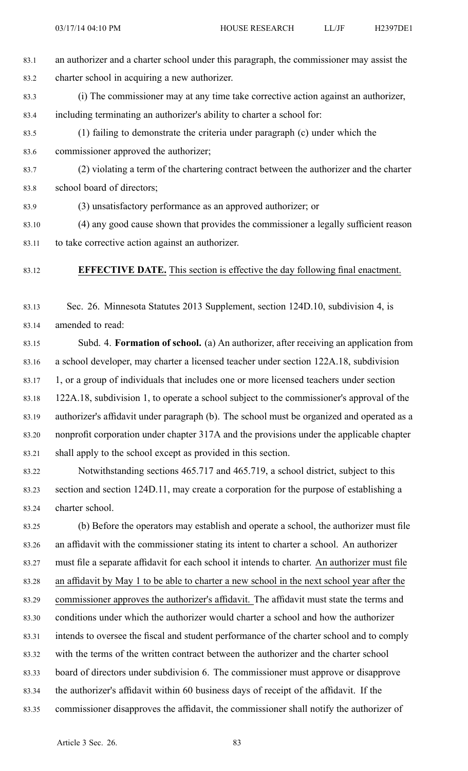- 83.1 an authorizer and <sup>a</sup> charter school under this paragraph, the commissioner may assist the 83.2 charter school in acquiring <sup>a</sup> new authorizer.
- 83.3 (i) The commissioner may at any time take corrective action against an authorizer, 83.4 including terminating an authorizer's ability to charter <sup>a</sup> school for:
- 83.5 (1) failing to demonstrate the criteria under paragraph (c) under which the 83.6 commissioner approved the authorizer;
- 83.7 (2) violating <sup>a</sup> term of the chartering contract between the authorizer and the charter 83.8 school board of directors;
- 83.9 (3) unsatisfactory performance as an approved authorizer; or
- 83.10 (4) any good cause shown that provides the commissioner <sup>a</sup> legally sufficient reason 83.11 to take corrective action against an authorizer.
- 83.12 **EFFECTIVE DATE.** This section is effective the day following final enactment.

83.13 Sec. 26. Minnesota Statutes 2013 Supplement, section 124D.10, subdivision 4, is 83.14 amended to read:

- 83.15 Subd. 4. **Formation of school.** (a) An authorizer, after receiving an application from 83.16 <sup>a</sup> school developer, may charter <sup>a</sup> licensed teacher under section 122A.18, subdivision 83.17 1, or <sup>a</sup> group of individuals that includes one or more licensed teachers under section 83.18 122A.18, subdivision 1, to operate <sup>a</sup> school subject to the commissioner's approval of the 83.19 authorizer's affidavit under paragraph (b). The school must be organized and operated as <sup>a</sup> 83.20 nonprofit corporation under chapter 317A and the provisions under the applicable chapter 83.21 shall apply to the school excep<sup>t</sup> as provided in this section.
- 83.22 Notwithstanding sections 465.717 and 465.719, <sup>a</sup> school district, subject to this 83.23 section and section 124D.11, may create <sup>a</sup> corporation for the purpose of establishing <sup>a</sup> 83.24 charter school.
- 83.25 (b) Before the operators may establish and operate <sup>a</sup> school, the authorizer must file 83.26 an affidavit with the commissioner stating its intent to charter <sup>a</sup> school. An authorizer 83.27 must file <sup>a</sup> separate affidavit for each school it intends to charter. An authorizer must file 83.28 an affidavit by May 1 to be able to charter <sup>a</sup> new school in the next school year after the 83.29 commissioner approves the authorizer's affidavit. The affidavit must state the terms and 83.30 conditions under which the authorizer would charter <sup>a</sup> school and how the authorizer 83.31 intends to oversee the fiscal and student performance of the charter school and to comply 83.32 with the terms of the written contract between the authorizer and the charter school 83.33 board of directors under subdivision 6. The commissioner must approve or disapprove 83.34 the authorizer's affidavit within 60 business days of receipt of the affidavit. If the 83.35 commissioner disapproves the affidavit, the commissioner shall notify the authorizer of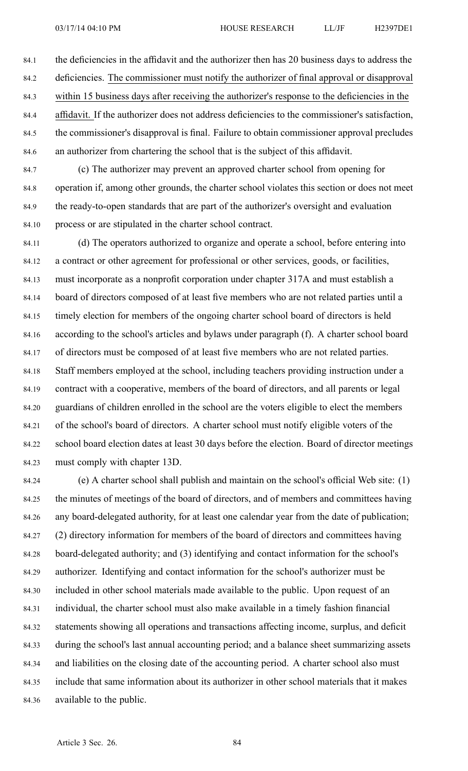84.1 the deficiencies in the affidavit and the authorizer then has 20 business days to address the 84.2 deficiencies. The commissioner must notify the authorizer of final approval or disapproval 84.3 within 15 business days after receiving the authorizer's response to the deficiencies in the 84.4 affidavit. If the authorizer does not address deficiencies to the commissioner's satisfaction, 84.5 the commissioner's disapproval is final. Failure to obtain commissioner approval precludes 84.6 an authorizer from chartering the school that is the subject of this affidavit.

84.7 (c) The authorizer may preven<sup>t</sup> an approved charter school from opening for 84.8 operation if, among other grounds, the charter school violates this section or does not meet 84.9 the ready-to-open standards that are par<sup>t</sup> of the authorizer's oversight and evaluation 84.10 process or are stipulated in the charter school contract.

84.11 (d) The operators authorized to organize and operate <sup>a</sup> school, before entering into 84.12 <sup>a</sup> contract or other agreemen<sup>t</sup> for professional or other services, goods, or facilities, 84.13 must incorporate as <sup>a</sup> nonprofit corporation under chapter 317A and must establish <sup>a</sup> 84.14 board of directors composed of at least five members who are not related parties until <sup>a</sup> 84.15 timely election for members of the ongoing charter school board of directors is held 84.16 according to the school's articles and bylaws under paragraph (f). A charter school board 84.17 of directors must be composed of at least five members who are not related parties. 84.18 Staff members employed at the school, including teachers providing instruction under <sup>a</sup> 84.19 contract with <sup>a</sup> cooperative, members of the board of directors, and all parents or legal 84.20 guardians of children enrolled in the school are the voters eligible to elect the members 84.21 of the school's board of directors. A charter school must notify eligible voters of the 84.22 school board election dates at least 30 days before the election. Board of director meetings 84.23 must comply with chapter 13D.

84.24 (e) A charter school shall publish and maintain on the school's official Web site: (1) 84.25 the minutes of meetings of the board of directors, and of members and committees having 84.26 any board-delegated authority, for at least one calendar year from the date of publication; 84.27 (2) directory information for members of the board of directors and committees having 84.28 board-delegated authority; and (3) identifying and contact information for the school's 84.29 authorizer. Identifying and contact information for the school's authorizer must be 84.30 included in other school materials made available to the public. Upon reques<sup>t</sup> of an 84.31 individual, the charter school must also make available in <sup>a</sup> timely fashion financial 84.32 statements showing all operations and transactions affecting income, surplus, and deficit 84.33 during the school's last annual accounting period; and <sup>a</sup> balance sheet summarizing assets 84.34 and liabilities on the closing date of the accounting period. A charter school also must 84.35 include that same information about its authorizer in other school materials that it makes 84.36 available to the public.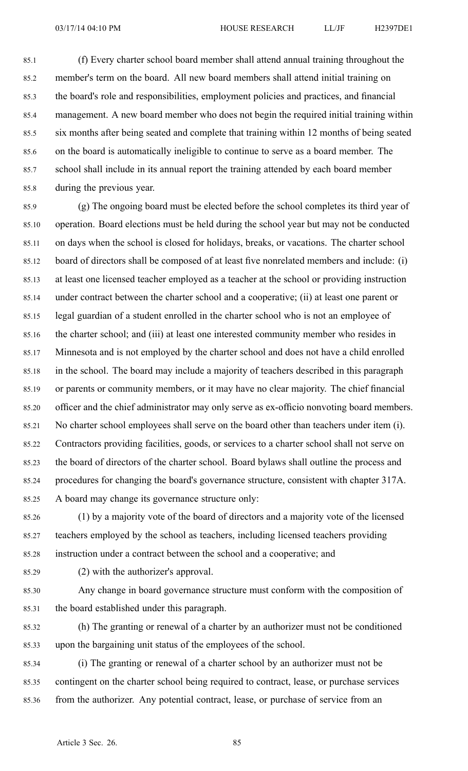85.1 (f) Every charter school board member shall attend annual training throughout the 85.2 member's term on the board. All new board members shall attend initial training on 85.3 the board's role and responsibilities, employment policies and practices, and financial 85.4 management. A new board member who does not begin the required initial training within 85.5 six months after being seated and complete that training within 12 months of being seated 85.6 on the board is automatically ineligible to continue to serve as <sup>a</sup> board member. The 85.7 school shall include in its annual repor<sup>t</sup> the training attended by each board member 85.8 during the previous year.

85.9 (g) The ongoing board must be elected before the school completes its third year of 85.10 operation. Board elections must be held during the school year but may not be conducted 85.11 on days when the school is closed for holidays, breaks, or vacations. The charter school 85.12 board of directors shall be composed of at least five nonrelated members and include: (i) 85.13 at least one licensed teacher employed as <sup>a</sup> teacher at the school or providing instruction 85.14 under contract between the charter school and <sup>a</sup> cooperative; (ii) at least one paren<sup>t</sup> or 85.15 legal guardian of <sup>a</sup> student enrolled in the charter school who is not an employee of 85.16 the charter school; and (iii) at least one interested community member who resides in 85.17 Minnesota and is not employed by the charter school and does not have <sup>a</sup> child enrolled 85.18 in the school. The board may include <sup>a</sup> majority of teachers described in this paragraph 85.19 or parents or community members, or it may have no clear majority. The chief financial 85.20 officer and the chief administrator may only serve as ex-officio nonvoting board members. 85.21 No charter school employees shall serve on the board other than teachers under item (i). 85.22 Contractors providing facilities, goods, or services to <sup>a</sup> charter school shall not serve on 85.23 the board of directors of the charter school. Board bylaws shall outline the process and 85.24 procedures for changing the board's governance structure, consistent with chapter 317A. 85.25 A board may change its governance structure only:

85.26 (1) by <sup>a</sup> majority vote of the board of directors and <sup>a</sup> majority vote of the licensed 85.27 teachers employed by the school as teachers, including licensed teachers providing 85.28 instruction under <sup>a</sup> contract between the school and <sup>a</sup> cooperative; and

85.29 (2) with the authorizer's approval.

85.30 Any change in board governance structure must conform with the composition of 85.31 the board established under this paragraph.

85.32 (h) The granting or renewal of <sup>a</sup> charter by an authorizer must not be conditioned 85.33 upon the bargaining unit status of the employees of the school.

85.34 (i) The granting or renewal of <sup>a</sup> charter school by an authorizer must not be 85.35 contingent on the charter school being required to contract, lease, or purchase services 85.36 from the authorizer. Any potential contract, lease, or purchase of service from an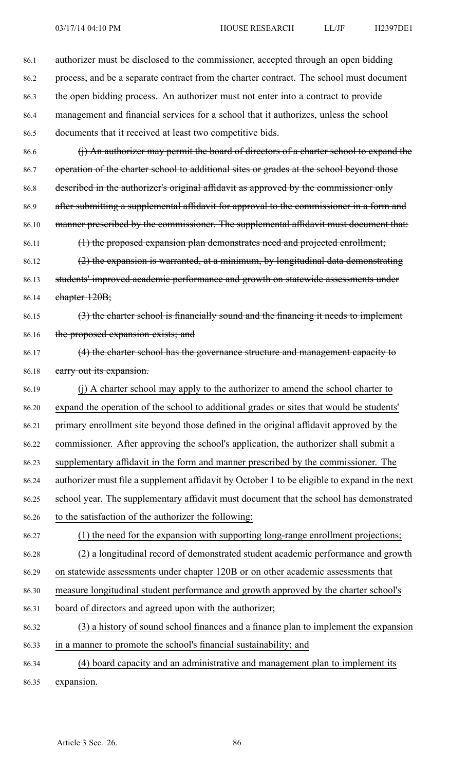86.1 authorizer must be disclosed to the commissioner, accepted through an open bidding 86.2 process, and be <sup>a</sup> separate contract from the charter contract. The school must document 86.3 the open bidding process. An authorizer must not enter into <sup>a</sup> contract to provide 86.4 managemen<sup>t</sup> and financial services for <sup>a</sup> school that it authorizes, unless the school 86.5 documents that it received at least two competitive bids. 86.6 (i) An authorizer may permit the board of directors of a charter school to expand the 86.7 operation of the charter school to additional sites or grades at the school beyond those 86.8 described in the authorizer's original affidavit as approved by the commissioner only 86.9 after submitting a supplemental affidavit for approval to the commissioner in a form and 86.10 manner prescribed by the commissioner. The supplemental affidavit must document that: 86.11 (1) the proposed expansion plan demonstrates need and projected enrollment; 86.12  $(2)$  the expansion is warranted, at a minimum, by longitudinal data demonstrating 86.13 students' improved academic performance and growth on statewide assessments under 86.14 chapter 120B; 86.15 (3) the charter school is financially sound and the financing it needs to implement 86.16 the proposed expansion exists; and 86.17 (4) the charter school has the governance structure and managemen<sup>t</sup> capacity to 86.18 earry out its expansion. 86.19 (j) A charter school may apply to the authorizer to amend the school charter to 86.20 expand the operation of the school to additional grades or sites that would be students' 86.21 primary enrollment site beyond those defined in the original affidavit approved by the 86.22 commissioner. After approving the school's application, the authorizer shall submit <sup>a</sup> 86.23 supplementary affidavit in the form and manner prescribed by the commissioner. The 86.24 authorizer must file <sup>a</sup> supplement affidavit by October 1 to be eligible to expand in the next 86.25 school year. The supplementary affidavit must document that the school has demonstrated 86.26 to the satisfaction of the authorizer the following: 86.27 (1) the need for the expansion with supporting long-range enrollment projections; 86.28 (2) <sup>a</sup> longitudinal record of demonstrated student academic performance and growth 86.29 on statewide assessments under chapter 120B or on other academic assessments that 86.30 measure longitudinal student performance and growth approved by the charter school's 86.31 board of directors and agreed upon with the authorizer; 86.32 (3) <sup>a</sup> history of sound school finances and <sup>a</sup> finance plan to implement the expansion 86.33 in <sup>a</sup> manner to promote the school's financial sustainability; and 86.34 (4) board capacity and an administrative and managemen<sup>t</sup> plan to implement its 86.35 expansion.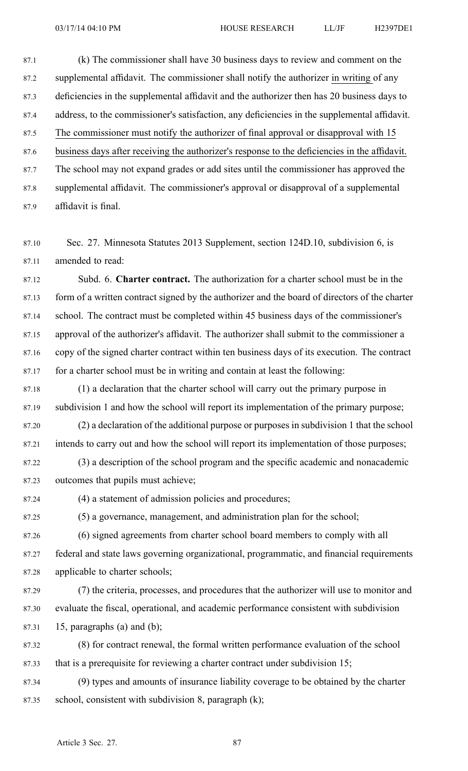87.1 (k) The commissioner shall have 30 business days to review and comment on the 87.2 supplemental affidavit. The commissioner shall notify the authorizer in writing of any 87.3 deficiencies in the supplemental affidavit and the authorizer then has 20 business days to 87.4 address, to the commissioner's satisfaction, any deficiencies in the supplemental affidavit. 87.5 The commissioner must notify the authorizer of final approval or disapproval with 15 87.6 business days after receiving the authorizer's response to the deficiencies in the affidavit. 87.7 The school may not expand grades or add sites until the commissioner has approved the 87.8 supplemental affidavit. The commissioner's approval or disapproval of <sup>a</sup> supplemental 87.9 affidavit is final.

87.10 Sec. 27. Minnesota Statutes 2013 Supplement, section 124D.10, subdivision 6, is 87.11 amended to read:

87.12 Subd. 6. **Charter contract.** The authorization for <sup>a</sup> charter school must be in the 87.13 form of <sup>a</sup> written contract signed by the authorizer and the board of directors of the charter 87.14 school. The contract must be completed within 45 business days of the commissioner's 87.15 approval of the authorizer's affidavit. The authorizer shall submit to the commissioner <sup>a</sup> 87.16 copy of the signed charter contract within ten business days of its execution. The contract 87.17 for <sup>a</sup> charter school must be in writing and contain at least the following:

87.18 (1) <sup>a</sup> declaration that the charter school will carry out the primary purpose in 87.19 subdivision 1 and how the school will repor<sup>t</sup> its implementation of the primary purpose;

87.20 (2) <sup>a</sup> declaration of the additional purpose or purposes in subdivision 1 that the school 87.21 intends to carry out and how the school will repor<sup>t</sup> its implementation of those purposes;

87.22 (3) <sup>a</sup> description of the school program and the specific academic and nonacademic 87.23 outcomes that pupils must achieve;

87.24 (4) <sup>a</sup> statement of admission policies and procedures;

87.25 (5) <sup>a</sup> governance, management, and administration plan for the school;

87.26 (6) signed agreements from charter school board members to comply with all 87.27 federal and state laws governing organizational, programmatic, and financial requirements 87.28 applicable to charter schools;

87.29 (7) the criteria, processes, and procedures that the authorizer will use to monitor and 87.30 evaluate the fiscal, operational, and academic performance consistent with subdivision 87.31 15, paragraphs (a) and (b);

87.32 (8) for contract renewal, the formal written performance evaluation of the school 87.33 that is <sup>a</sup> prerequisite for reviewing <sup>a</sup> charter contract under subdivision 15;

87.34 (9) types and amounts of insurance liability coverage to be obtained by the charter 87.35 school, consistent with subdivision 8, paragraph  $(k)$ ;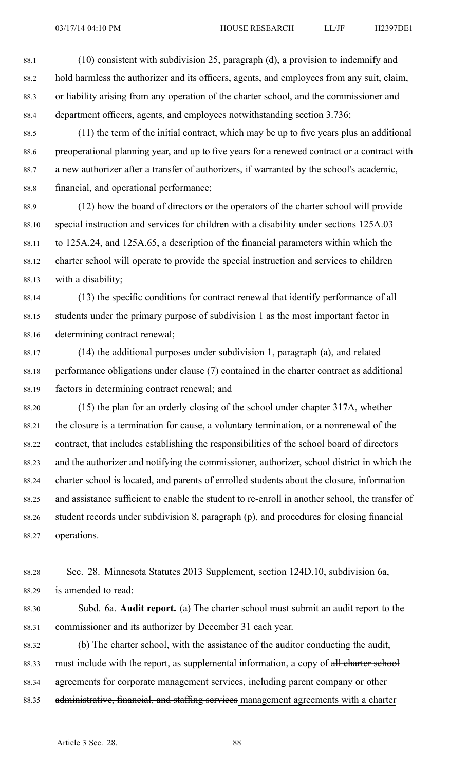88.1 (10) consistent with subdivision 25, paragraph (d), <sup>a</sup> provision to indemnify and 88.2 hold harmless the authorizer and its officers, agents, and employees from any suit, claim, 88.3 or liability arising from any operation of the charter school, and the commissioner and 88.4 department officers, agents, and employees notwithstanding section 3.736;

88.5 (11) the term of the initial contract, which may be up to five years plus an additional 88.6 preoperational planning year, and up to five years for <sup>a</sup> renewed contract or <sup>a</sup> contract with 88.7 <sup>a</sup> new authorizer after <sup>a</sup> transfer of authorizers, if warranted by the school's academic, 88.8 financial, and operational performance;

88.9 (12) how the board of directors or the operators of the charter school will provide 88.10 special instruction and services for children with <sup>a</sup> disability under sections 125A.03 88.11 to 125A.24, and 125A.65, <sup>a</sup> description of the financial parameters within which the 88.12 charter school will operate to provide the special instruction and services to children 88.13 with <sup>a</sup> disability;

88.14 (13) the specific conditions for contract renewal that identify performance of all 88.15 students under the primary purpose of subdivision 1 as the most important factor in 88.16 determining contract renewal;

- 88.17 (14) the additional purposes under subdivision 1, paragraph (a), and related 88.18 performance obligations under clause (7) contained in the charter contract as additional 88.19 factors in determining contract renewal; and
- 88.20 (15) the plan for an orderly closing of the school under chapter 317A, whether 88.21 the closure is <sup>a</sup> termination for cause, <sup>a</sup> voluntary termination, or <sup>a</sup> nonrenewal of the 88.22 contract, that includes establishing the responsibilities of the school board of directors 88.23 and the authorizer and notifying the commissioner, authorizer, school district in which the 88.24 charter school is located, and parents of enrolled students about the closure, information 88.25 and assistance sufficient to enable the student to re-enroll in another school, the transfer of 88.26 student records under subdivision 8, paragraph (p), and procedures for closing financial 88.27 operations.
- 88.28 Sec. 28. Minnesota Statutes 2013 Supplement, section 124D.10, subdivision 6a, 88.29 is amended to read:
- 88.30 Subd. 6a. **Audit report.** (a) The charter school must submit an audit repor<sup>t</sup> to the 88.31 commissioner and its authorizer by December 31 each year.

88.32 (b) The charter school, with the assistance of the auditor conducting the audit, 88.33 must include with the report, as supplemental information, a copy of all charter school 88.34 agreements for corporate management services, including parent company or other 88.35 administrative, financial, and staffing services management agreements with a charter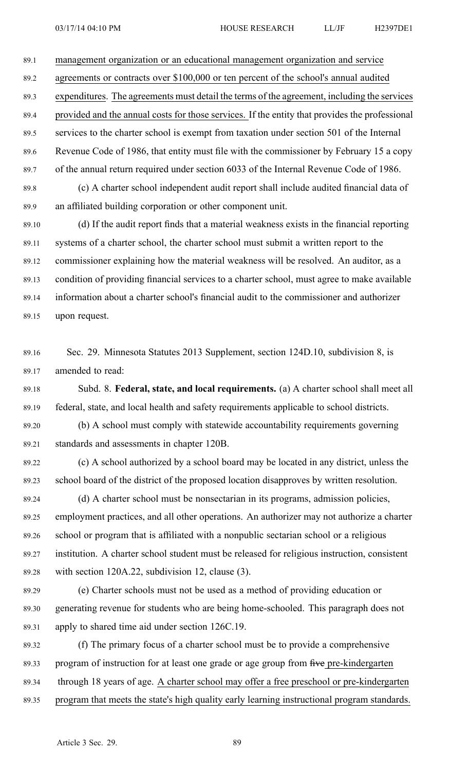89.1 managemen<sup>t</sup> organization or an educational managemen<sup>t</sup> organization and service

89.2 agreements or contracts over \$100,000 or ten percen<sup>t</sup> of the school's annual audited

89.3 expenditures. The agreements must detail the terms of the agreement, including the services

89.4 provided and the annual costs for those services. If the entity that provides the professional 89.5 services to the charter school is exemp<sup>t</sup> from taxation under section 501 of the Internal 89.6 Revenue Code of 1986, that entity must file with the commissioner by February 15 <sup>a</sup> copy 89.7 of the annual return required under section 6033 of the Internal Revenue Code of 1986.

89.8 (c) A charter school independent audit repor<sup>t</sup> shall include audited financial data of 89.9 an affiliated building corporation or other componen<sup>t</sup> unit.

89.10 (d) If the audit repor<sup>t</sup> finds that <sup>a</sup> material weakness exists in the financial reporting 89.11 systems of <sup>a</sup> charter school, the charter school must submit <sup>a</sup> written repor<sup>t</sup> to the 89.12 commissioner explaining how the material weakness will be resolved. An auditor, as <sup>a</sup> 89.13 condition of providing financial services to <sup>a</sup> charter school, must agree to make available 89.14 information about <sup>a</sup> charter school's financial audit to the commissioner and authorizer 89.15 upon request.

89.16 Sec. 29. Minnesota Statutes 2013 Supplement, section 124D.10, subdivision 8, is 89.17 amended to read:

89.18 Subd. 8. **Federal, state, and local requirements.** (a) A charter school shall meet all 89.19 federal, state, and local health and safety requirements applicable to school districts.

89.20 (b) A school must comply with statewide accountability requirements governing 89.21 standards and assessments in chapter 120B.

89.22 (c) A school authorized by <sup>a</sup> school board may be located in any district, unless the 89.23 school board of the district of the proposed location disapproves by written resolution.

89.24 (d) A charter school must be nonsectarian in its programs, admission policies, 89.25 employment practices, and all other operations. An authorizer may not authorize <sup>a</sup> charter 89.26 school or program that is affiliated with <sup>a</sup> nonpublic sectarian school or <sup>a</sup> religious 89.27 institution. A charter school student must be released for religious instruction, consistent 89.28 with section 120A.22, subdivision 12, clause (3).

89.29 (e) Charter schools must not be used as <sup>a</sup> method of providing education or 89.30 generating revenue for students who are being home-schooled. This paragraph does not 89.31 apply to shared time aid under section 126C.19.

89.32 (f) The primary focus of <sup>a</sup> charter school must be to provide <sup>a</sup> comprehensive 89.33 program of instruction for at least one grade or age group from five pre-kindergarten 89.34 through 18 years of age. A charter school may offer <sup>a</sup> free preschool or pre-kindergarten 89.35 program that meets the state's high quality early learning instructional program standards.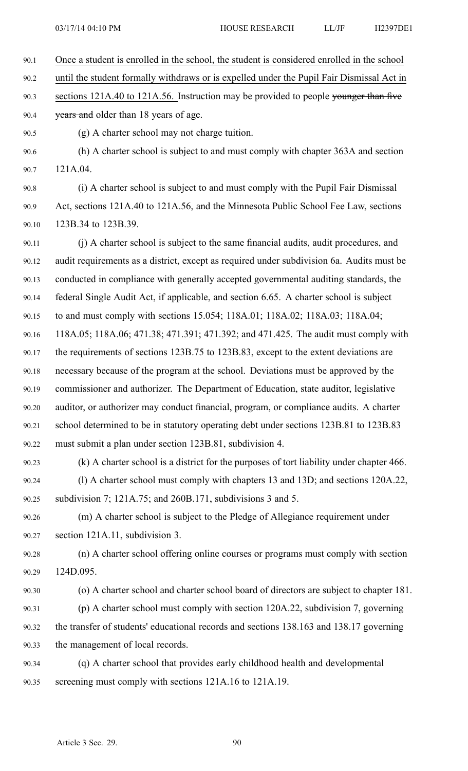90.1 Once <sup>a</sup> student is enrolled in the school, the student is considered enrolled in the school 90.2 until the student formally withdraws or is expelled under the Pupil Fair Dismissal Act in 90.3 sections 121A.40 to 121A.56. Instruction may be provided to people younger than five 90.4 years and older than 18 years of age. 90.5 (g) A charter school may not charge tuition. 90.6 (h) A charter school is subject to and must comply with chapter 363A and section 90.7 121A.04. 90.8 (i) A charter school is subject to and must comply with the Pupil Fair Dismissal 90.9 Act, sections 121A.40 to 121A.56, and the Minnesota Public School Fee Law, sections 90.10 123B.34 to 123B.39. 90.11 (j) A charter school is subject to the same financial audits, audit procedures, and 90.12 audit requirements as <sup>a</sup> district, excep<sup>t</sup> as required under subdivision 6a. Audits must be 90.13 conducted in compliance with generally accepted governmental auditing standards, the 90.14 federal Single Audit Act, if applicable, and section 6.65. A charter school is subject 90.15 to and must comply with sections 15.054; 118A.01; 118A.02; 118A.03; 118A.04; 90.16 118A.05; 118A.06; 471.38; 471.391; 471.392; and 471.425. The audit must comply with

90.17 the requirements of sections 123B.75 to 123B.83, excep<sup>t</sup> to the extent deviations are 90.18 necessary because of the program at the school. Deviations must be approved by the 90.19 commissioner and authorizer. The Department of Education, state auditor, legislative 90.20 auditor, or authorizer may conduct financial, program, or compliance audits. A charter 90.21 school determined to be in statutory operating debt under sections 123B.81 to 123B.83 90.22 must submit <sup>a</sup> plan under section 123B.81, subdivision 4.

90.23 (k) A charter school is <sup>a</sup> district for the purposes of tort liability under chapter 466. 90.24 (l) A charter school must comply with chapters 13 and 13D; and sections 120A.22, 90.25 subdivision 7; 121A.75; and 260B.171, subdivisions 3 and 5.

90.26 (m) A charter school is subject to the Pledge of Allegiance requirement under 90.27 section 121A.11, subdivision 3.

90.28 (n) A charter school offering online courses or programs must comply with section 90.29 124D.095.

- 90.30 (o) A charter school and charter school board of directors are subject to chapter 181. 90.31 (p) A charter school must comply with section 120A.22, subdivision 7, governing 90.32 the transfer of students' educational records and sections 138.163 and 138.17 governing 90.33 the managemen<sup>t</sup> of local records.
- 90.34 (q) A charter school that provides early childhood health and developmental 90.35 screening must comply with sections 121A.16 to 121A.19.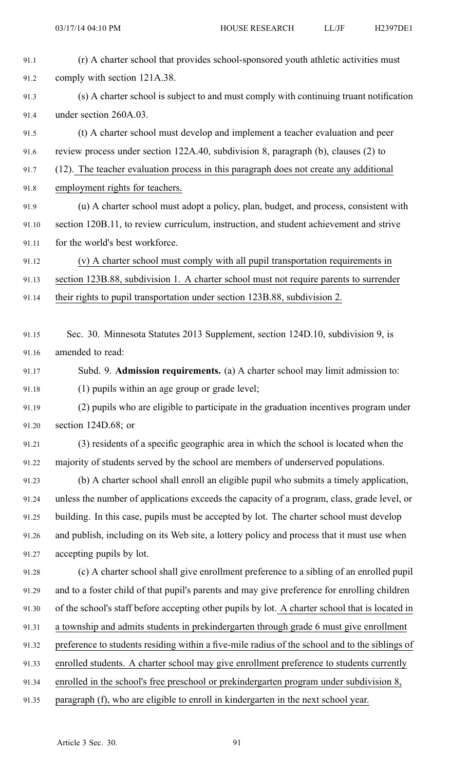| 91.1  | (r) A charter school that provides school-sponsored youth athletic activities must              |
|-------|-------------------------------------------------------------------------------------------------|
| 91.2  | comply with section 121A.38.                                                                    |
| 91.3  | (s) A charter school is subject to and must comply with continuing truant notification          |
| 91.4  | under section 260A.03.                                                                          |
| 91.5  | (t) A charter school must develop and implement a teacher evaluation and peer                   |
| 91.6  | review process under section 122A.40, subdivision 8, paragraph (b), clauses (2) to              |
| 91.7  | (12). The teacher evaluation process in this paragraph does not create any additional           |
| 91.8  | employment rights for teachers.                                                                 |
| 91.9  | (u) A charter school must adopt a policy, plan, budget, and process, consistent with            |
| 91.10 | section 120B.11, to review curriculum, instruction, and student achievement and strive          |
| 91.11 | for the world's best workforce.                                                                 |
| 91.12 | (v) A charter school must comply with all pupil transportation requirements in                  |
| 91.13 | section 123B.88, subdivision 1. A charter school must not require parents to surrender          |
| 91.14 | their rights to pupil transportation under section 123B.88, subdivision 2.                      |
|       |                                                                                                 |
| 91.15 | Sec. 30. Minnesota Statutes 2013 Supplement, section 124D.10, subdivision 9, is                 |
| 91.16 | amended to read:                                                                                |
| 91.17 | Subd. 9. Admission requirements. (a) A charter school may limit admission to:                   |
| 91.18 | (1) pupils within an age group or grade level;                                                  |
| 91.19 | (2) pupils who are eligible to participate in the graduation incentives program under           |
| 91.20 | section $124D.68$ ; or                                                                          |
| 91.21 | (3) residents of a specific geographic area in which the school is located when the             |
| 91.22 | majority of students served by the school are members of underserved populations.               |
| 91.23 | (b) A charter school shall enroll an eligible pupil who submits a timely application,           |
| 91.24 | unless the number of applications exceeds the capacity of a program, class, grade level, or     |
| 91.25 | building. In this case, pupils must be accepted by lot. The charter school must develop         |
| 91.26 | and publish, including on its Web site, a lottery policy and process that it must use when      |
| 91.27 | accepting pupils by lot.                                                                        |
| 91.28 | (c) A charter school shall give enrollment preference to a sibling of an enrolled pupil         |
| 91.29 | and to a foster child of that pupil's parents and may give preference for enrolling children    |
| 91.30 | of the school's staff before accepting other pupils by lot. A charter school that is located in |
| 91.31 | a township and admits students in prekindergarten through grade 6 must give enrollment          |
| 91.32 | preference to students residing within a five-mile radius of the school and to the siblings of  |
| 91.33 | enrolled students. A charter school may give enrollment preference to students currently        |
| 91.34 | enrolled in the school's free preschool or prekindergarten program under subdivision 8,         |
| 91.35 | paragraph (f), who are eligible to enroll in kindergarten in the next school year.              |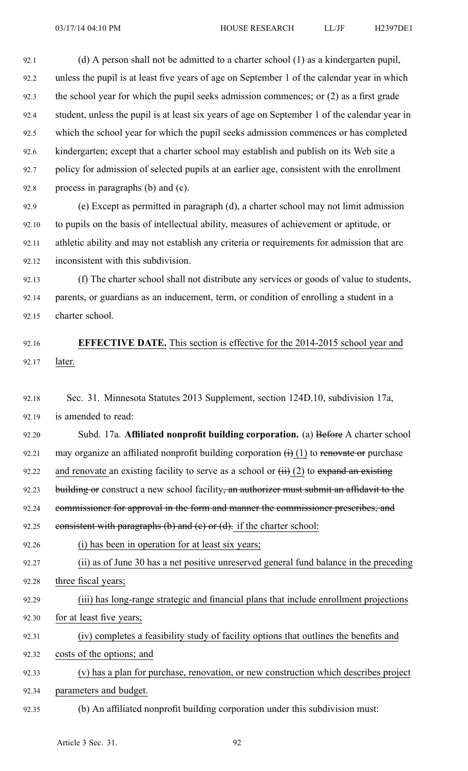92.1 (d) A person shall not be admitted to <sup>a</sup> charter school (1) as <sup>a</sup> kindergarten pupil, 92.2 unless the pupil is at least five years of age on September 1 of the calendar year in which 92.3 the school year for which the pupil seeks admission commences; or (2) as <sup>a</sup> first grade 92.4 student, unless the pupil is at least six years of age on September 1 of the calendar year in 92.5 which the school year for which the pupil seeks admission commences or has completed 92.6 kindergarten; excep<sup>t</sup> that <sup>a</sup> charter school may establish and publish on its Web site <sup>a</sup> 92.7 policy for admission of selected pupils at an earlier age, consistent with the enrollment 92.8 process in paragraphs (b) and (c).

92.9 (e) Except as permitted in paragraph (d), <sup>a</sup> charter school may not limit admission 92.10 to pupils on the basis of intellectual ability, measures of achievement or aptitude, or 92.11 athletic ability and may not establish any criteria or requirements for admission that are 92.12 inconsistent with this subdivision.

92.13 (f) The charter school shall not distribute any services or goods of value to students, 92.14 parents, or guardians as an inducement, term, or condition of enrolling <sup>a</sup> student in <sup>a</sup> 92.15 charter school.

92.16 **EFFECTIVE DATE.** This section is effective for the 2014-2015 school year and 92.17 later.

92.18 Sec. 31. Minnesota Statutes 2013 Supplement, section 124D.10, subdivision 17a, 92.19 is amended to read:

92.20 Subd. 17a. **Affiliated nonprofit building corporation.** (a) Before A charter school 92.21 may organize an affiliated nonprofit building corporation  $\overrightarrow{(i)}$  (1) to renovate or purchase 92.22 and renovate an existing facility to serve as a school or  $(ii)$  (2) to expand an existing 92.23 building or construct a new school facility, an authorizer must submit an affidavit to the 92.24 commissioner for approval in the form and manner the commissioner prescribes, and 92.25 consistent with paragraphs  $(b)$  and  $(c)$  or  $(d)$ . if the charter school: 92.26 (i) has been in operation for at least six years; 92.27 (ii) as of June 30 has <sup>a</sup> net positive unreserved general fund balance in the preceding 92.28 three fiscal years;

92.29 (iii) has long-range strategic and financial plans that include enrollment projections 92.30 for at least five years;

92.31 (iv) completes <sup>a</sup> feasibility study of facility options that outlines the benefits and 92.32 costs of the options; and

92.33 (v) has <sup>a</sup> plan for purchase, renovation, or new construction which describes project 92.34 parameters and budget.

92.35 (b) An affiliated nonprofit building corporation under this subdivision must: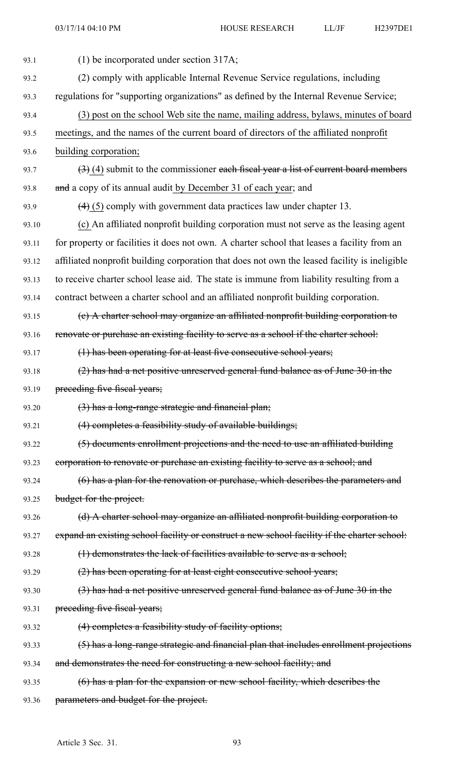| 93.1  | $(1)$ be incorporated under section 317A;                                                     |
|-------|-----------------------------------------------------------------------------------------------|
| 93.2  | (2) comply with applicable Internal Revenue Service regulations, including                    |
| 93.3  | regulations for "supporting organizations" as defined by the Internal Revenue Service;        |
| 93.4  | (3) post on the school Web site the name, mailing address, bylaws, minutes of board           |
| 93.5  | meetings, and the names of the current board of directors of the affiliated nonprofit         |
| 93.6  | building corporation;                                                                         |
| 93.7  | $(3)$ (4) submit to the commissioner each fiscal year a list of current board members         |
| 93.8  | and a copy of its annual audit by December 31 of each year; and                               |
| 93.9  | $(4)$ (5) comply with government data practices law under chapter 13.                         |
| 93.10 | (c) An affiliated nonprofit building corporation must not serve as the leasing agent          |
| 93.11 | for property or facilities it does not own. A charter school that leases a facility from an   |
| 93.12 | affiliated nonprofit building corporation that does not own the leased facility is ineligible |
| 93.13 | to receive charter school lease aid. The state is immune from liability resulting from a      |
| 93.14 | contract between a charter school and an affiliated nonprofit building corporation.           |
| 93.15 | (e) A charter school may organize an affiliated nonprofit building corporation to             |
| 93.16 | renovate or purchase an existing facility to serve as a school if the charter school:         |
| 93.17 | (1) has been operating for at least five consecutive school years;                            |
| 93.18 | (2) has had a net positive unreserved general fund balance as of June 30 in the               |
| 93.19 | preceding five fiscal years;                                                                  |
| 93.20 | (3) has a long-range strategic and financial plan;                                            |
| 93.21 | (4) completes a feasibility study of available buildings;                                     |
| 93.22 | (5) documents enrollment projections and the need to use an affiliated building               |
| 93.23 | corporation to renovate or purchase an existing facility to serve as a school; and            |
| 93.24 | (6) has a plan for the renovation or purchase, which describes the parameters and             |
| 93.25 | budget for the project.                                                                       |
| 93.26 | (d) A charter school may organize an affiliated nonprofit building corporation to             |
| 93.27 | expand an existing school facility or construct a new school facility if the charter school:  |
| 93.28 | $(1)$ demonstrates the lack of facilities available to serve as a school;                     |
| 93.29 | (2) has been operating for at least eight consecutive school years;                           |
| 93.30 | $(3)$ has had a net positive unreserved general fund balance as of June 30 in the             |
| 93.31 | preceding five fiscal years;                                                                  |
| 93.32 | (4) completes a feasibility study of facility options;                                        |
| 93.33 | (5) has a long-range strategic and financial plan that includes enrollment projections        |
| 93.34 | and demonstrates the need for constructing a new school facility; and                         |
| 93.35 | (6) has a plan for the expansion or new school facility, which describes the                  |
| 93.36 | parameters and budget for the project.                                                        |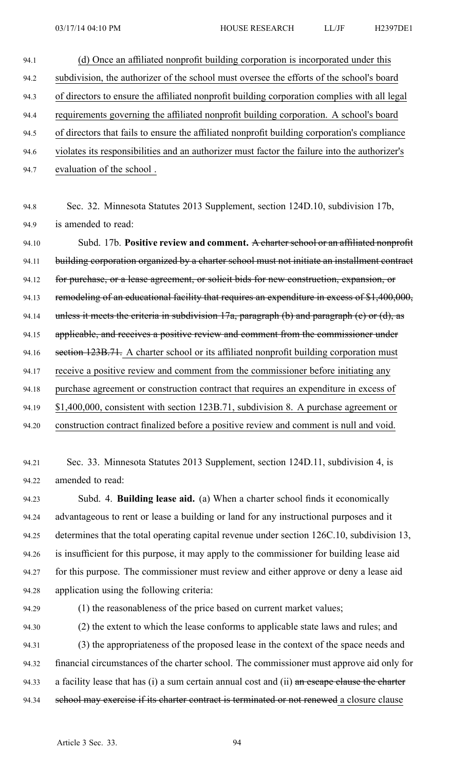- 94.1 (d) Once an affiliated nonprofit building corporation is incorporated under this 94.2 subdivision, the authorizer of the school must oversee the efforts of the school's board 94.3 of directors to ensure the affiliated nonprofit building corporation complies with all legal 94.4 requirements governing the affiliated nonprofit building corporation. A school's board 94.5 of directors that fails to ensure the affiliated nonprofit building corporation's compliance 94.6 violates its responsibilities and an authorizer must factor the failure into the authorizer's 94.7 evaluation of the school . 94.8 Sec. 32. Minnesota Statutes 2013 Supplement, section 124D.10, subdivision 17b, 94.9 is amended to read: 94.10 Subd. 17b. **Positive review and comment.** A charter school or an affiliated nonprofit 94.11 building corporation organized by a charter school must not initiate an installment contract 94.12 for purchase, or a lease agreement, or solicit bids for new construction, expansion, or 94.13 remodeling of an educational facility that requires an expenditure in excess of \$1,400,000, 94.14 unless it meets the criteria in subdivision  $17a$ , paragraph (b) and paragraph (e) or (d), as 94.15 applicable, and receives a positive review and comment from the commissioner under 94.16 section 123B.71. A charter school or its affiliated nonprofit building corporation must 94.17 receive <sup>a</sup> positive review and comment from the commissioner before initiating any 94.18 purchase agreemen<sup>t</sup> or construction contract that requires an expenditure in excess of 94.19 \$1,400,000, consistent with section 123B.71, subdivision 8. A purchase agreemen<sup>t</sup> or
- 94.20 construction contract finalized before <sup>a</sup> positive review and comment is null and void.

94.21 Sec. 33. Minnesota Statutes 2013 Supplement, section 124D.11, subdivision 4, is 94.22 amended to read:

94.23 Subd. 4. **Building lease aid.** (a) When <sup>a</sup> charter school finds it economically 94.24 advantageous to rent or lease <sup>a</sup> building or land for any instructional purposes and it 94.25 determines that the total operating capital revenue under section 126C.10, subdivision 13, 94.26 is insufficient for this purpose, it may apply to the commissioner for building lease aid 94.27 for this purpose. The commissioner must review and either approve or deny <sup>a</sup> lease aid 94.28 application using the following criteria:

94.29 (1) the reasonableness of the price based on current market values;

94.30 (2) the extent to which the lease conforms to applicable state laws and rules; and 94.31 (3) the appropriateness of the proposed lease in the context of the space needs and 94.32 financial circumstances of the charter school. The commissioner must approve aid only for 94.33 a facility lease that has (i) a sum certain annual cost and (ii) an escape clause the charter 94.34 school may exercise if its charter contract is terminated or not renewed a closure clause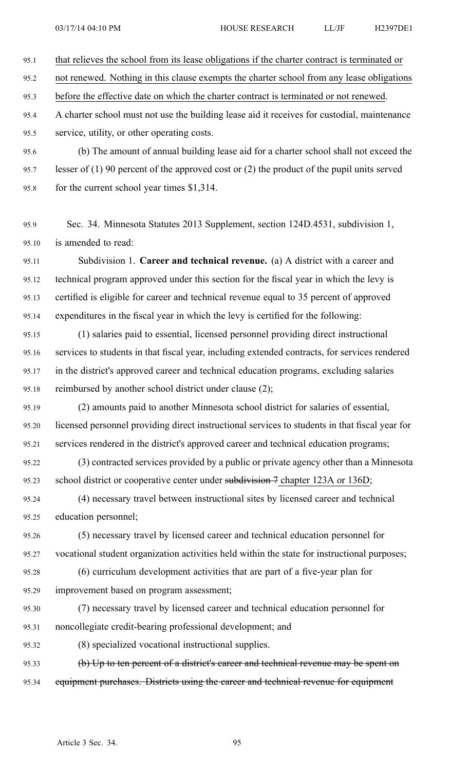95.1 that relieves the school from its lease obligations if the charter contract is terminated or

95.2 not renewed. Nothing in this clause exempts the charter school from any lease obligations

95.3 before the effective date on which the charter contract is terminated or not renewed.

95.4 A charter school must not use the building lease aid it receives for custodial, maintenance 95.5 service, utility, or other operating costs.

95.6 (b) The amount of annual building lease aid for <sup>a</sup> charter school shall not exceed the 95.7 lesser of (1) 90 percen<sup>t</sup> of the approved cost or (2) the product of the pupil units served

95.8 for the current school year times \$1,314.

95.9 Sec. 34. Minnesota Statutes 2013 Supplement, section 124D.4531, subdivision 1, 95.10 is amended to read:

95.11 Subdivision 1. **Career and technical revenue.** (a) A district with <sup>a</sup> career and 95.12 technical program approved under this section for the fiscal year in which the levy is 95.13 certified is eligible for career and technical revenue equal to 35 percen<sup>t</sup> of approved 95.14 expenditures in the fiscal year in which the levy is certified for the following:

95.15 (1) salaries paid to essential, licensed personnel providing direct instructional 95.16 services to students in that fiscal year, including extended contracts, for services rendered 95.17 in the district's approved career and technical education programs, excluding salaries 95.18 reimbursed by another school district under clause (2);

95.19 (2) amounts paid to another Minnesota school district for salaries of essential, 95.20 licensed personnel providing direct instructional services to students in that fiscal year for 95.21 services rendered in the district's approved career and technical education programs;

95.22 (3) contracted services provided by <sup>a</sup> public or private agency other than <sup>a</sup> Minnesota 95.23 school district or cooperative center under subdivision 7 chapter 123A or 136D;

95.24 (4) necessary travel between instructional sites by licensed career and technical 95.25 education personnel;

95.26 (5) necessary travel by licensed career and technical education personnel for 95.27 vocational student organization activities held within the state for instructional purposes;

95.28 (6) curriculum development activities that are par<sup>t</sup> of <sup>a</sup> five-year plan for 95.29 improvement based on program assessment;

95.30 (7) necessary travel by licensed career and technical education personnel for 95.31 noncollegiate credit-bearing professional development; and

95.32 (8) specialized vocational instructional supplies.

95.33 (b) Up to ten percen<sup>t</sup> of <sup>a</sup> district's career and technical revenue may be spen<sup>t</sup> on 95.34 equipment purchases. Districts using the career and technical revenue for equipment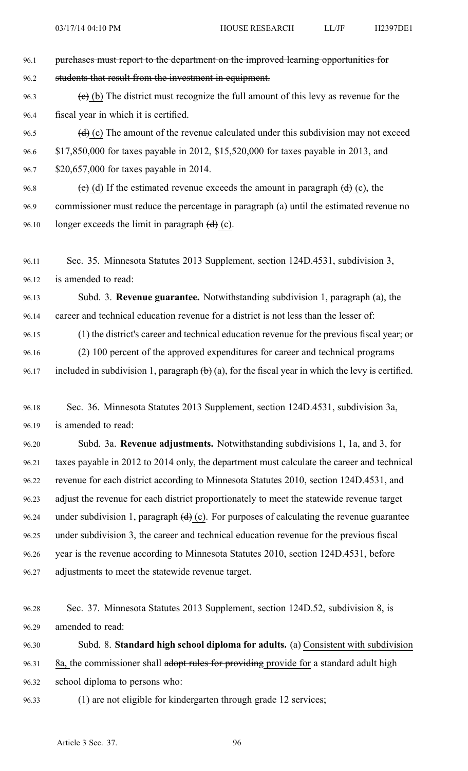96.1 purchases must report to the department on the improved learning opportunities for 96.2 students that result from the investment in equipment. 96.3 (e) (b) The district must recognize the full amount of this levy as revenue for the 96.4 fiscal year in which it is certified. 96.5  $(d)$  (c) The amount of the revenue calculated under this subdivision may not exceed

96.6 \$17,850,000 for taxes payable in 2012, \$15,520,000 for taxes payable in 2013, and 96.7 \$20,657,000 for taxes payable in 2014.

96.8 (e) (d) If the estimated revenue exceeds the amount in paragraph  $(d)$  (c), the 96.9 commissioner must reduce the percentage in paragraph (a) until the estimated revenue no 96.10 longer exceeds the limit in paragraph  $(d)$  (c).

96.11 Sec. 35. Minnesota Statutes 2013 Supplement, section 124D.4531, subdivision 3, 96.12 is amended to read:

96.13 Subd. 3. **Revenue guarantee.** Notwithstanding subdivision 1, paragraph (a), the 96.14 career and technical education revenue for <sup>a</sup> district is not less than the lesser of:

96.15 (1) the district's career and technical education revenue for the previous fiscal year; or 96.16 (2) 100 percen<sup>t</sup> of the approved expenditures for career and technical programs 96.17 included in subdivision 1, paragraph  $(b)$  (a), for the fiscal year in which the levy is certified.

96.18 Sec. 36. Minnesota Statutes 2013 Supplement, section 124D.4531, subdivision 3a, 96.19 is amended to read:

96.20 Subd. 3a. **Revenue adjustments.** Notwithstanding subdivisions 1, 1a, and 3, for 96.21 taxes payable in 2012 to 2014 only, the department must calculate the career and technical 96.22 revenue for each district according to Minnesota Statutes 2010, section 124D.4531, and 96.23 adjust the revenue for each district proportionately to meet the statewide revenue target 96.24 under subdivision 1, paragraph  $(d)$  (c). For purposes of calculating the revenue guarantee 96.25 under subdivision 3, the career and technical education revenue for the previous fiscal 96.26 year is the revenue according to Minnesota Statutes 2010, section 124D.4531, before 96.27 adjustments to meet the statewide revenue target.

96.28 Sec. 37. Minnesota Statutes 2013 Supplement, section 124D.52, subdivision 8, is 96.29 amended to read:

96.30 Subd. 8. **Standard high school diploma for adults.** (a) Consistent with subdivision 96.31 8a, the commissioner shall adopt rules for providing provide for a standard adult high 96.32 school diploma to persons who:

96.33 (1) are not eligible for kindergarten through grade 12 services;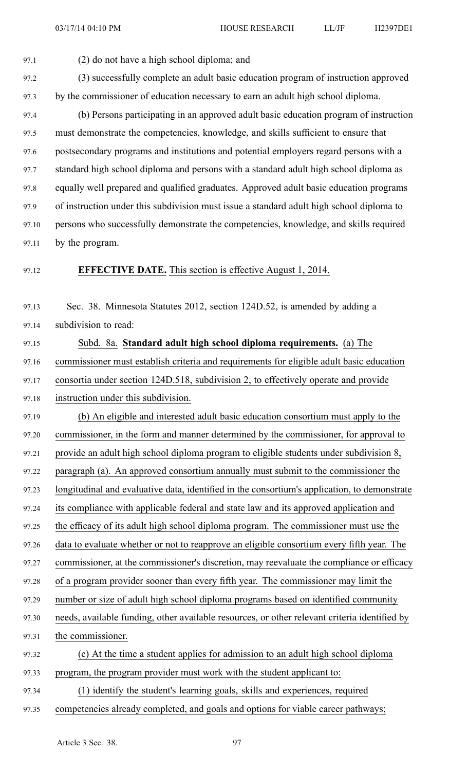97.1 (2) do not have <sup>a</sup> high school diploma; and

97.2 (3) successfully complete an adult basic education program of instruction approved 97.3 by the commissioner of education necessary to earn an adult high school diploma.

97.4 (b) Persons participating in an approved adult basic education program of instruction 97.5 must demonstrate the competencies, knowledge, and skills sufficient to ensure that 97.6 postsecondary programs and institutions and potential employers regard persons with <sup>a</sup> 97.7 standard high school diploma and persons with <sup>a</sup> standard adult high school diploma as 97.8 equally well prepared and qualified graduates. Approved adult basic education programs 97.9 of instruction under this subdivision must issue <sup>a</sup> standard adult high school diploma to 97.10 persons who successfully demonstrate the competencies, knowledge, and skills required 97.11 by the program.

#### 97.12 **EFFECTIVE DATE.** This section is effective August 1, 2014.

97.13 Sec. 38. Minnesota Statutes 2012, section 124D.52, is amended by adding <sup>a</sup> 97.14 subdivision to read:

97.15 Subd. 8a. **Standard adult high school diploma requirements.** (a) The 97.16 commissioner must establish criteria and requirements for eligible adult basic education 97.17 consortia under section 124D.518, subdivision 2, to effectively operate and provide 97.18 instruction under this subdivision.

97.19 (b) An eligible and interested adult basic education consortium must apply to the 97.20 commissioner, in the form and manner determined by the commissioner, for approval to 97.21 provide an adult high school diploma program to eligible students under subdivision 8, 97.22 paragraph (a). An approved consortium annually must submit to the commissioner the 97.23 longitudinal and evaluative data, identified in the consortium's application, to demonstrate 97.24 its compliance with applicable federal and state law and its approved application and 97.25 the efficacy of its adult high school diploma program. The commissioner must use the 97.26 data to evaluate whether or not to reapprove an eligible consortium every fifth year. The 97.27 commissioner, at the commissioner's discretion, may reevaluate the compliance or efficacy 97.28 of <sup>a</sup> program provider sooner than every fifth year. The commissioner may limit the 97.29 number or size of adult high school diploma programs based on identified community 97.30 needs, available funding, other available resources, or other relevant criteria identified by 97.31 the commissioner. 97.32 (c) At the time <sup>a</sup> student applies for admission to an adult high school diploma 97.33 program, the program provider must work with the student applicant to: 97.34 (1) identify the student's learning goals, skills and experiences, required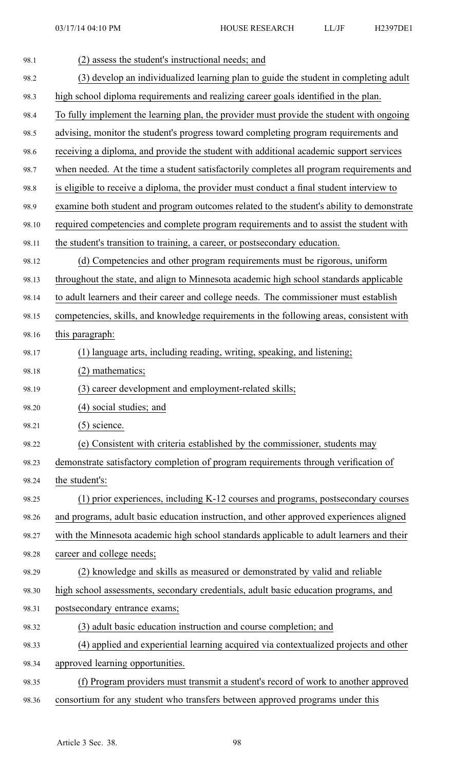| 98.1  | (2) assess the student's instructional needs; and                                         |
|-------|-------------------------------------------------------------------------------------------|
| 98.2  | (3) develop an individualized learning plan to guide the student in completing adult      |
| 98.3  | high school diploma requirements and realizing career goals identified in the plan.       |
| 98.4  | To fully implement the learning plan, the provider must provide the student with ongoing  |
| 98.5  | advising, monitor the student's progress toward completing program requirements and       |
| 98.6  | receiving a diploma, and provide the student with additional academic support services    |
| 98.7  | when needed. At the time a student satisfactorily completes all program requirements and  |
| 98.8  | is eligible to receive a diploma, the provider must conduct a final student interview to  |
| 98.9  | examine both student and program outcomes related to the student's ability to demonstrate |
| 98.10 | required competencies and complete program requirements and to assist the student with    |
| 98.11 | the student's transition to training, a career, or postsecondary education.               |
| 98.12 | (d) Competencies and other program requirements must be rigorous, uniform                 |
| 98.13 | throughout the state, and align to Minnesota academic high school standards applicable    |
| 98.14 | to adult learners and their career and college needs. The commissioner must establish     |
| 98.15 | competencies, skills, and knowledge requirements in the following areas, consistent with  |
| 98.16 | this paragraph:                                                                           |
| 98.17 | (1) language arts, including reading, writing, speaking, and listening;                   |
| 98.18 | $(2)$ mathematics;                                                                        |
| 98.19 | (3) career development and employment-related skills;                                     |
| 98.20 | (4) social studies; and                                                                   |
| 98.21 | $(5)$ science.                                                                            |
| 98.22 | (e) Consistent with criteria established by the commissioner, students may                |
| 98.23 | demonstrate satisfactory completion of program requirements through verification of       |
| 98.24 | the student's:                                                                            |
| 98.25 | (1) prior experiences, including K-12 courses and programs, postsecondary courses         |
| 98.26 | and programs, adult basic education instruction, and other approved experiences aligned   |
| 98.27 | with the Minnesota academic high school standards applicable to adult learners and their  |
| 98.28 | career and college needs;                                                                 |
| 98.29 | (2) knowledge and skills as measured or demonstrated by valid and reliable                |
| 98.30 | high school assessments, secondary credentials, adult basic education programs, and       |
| 98.31 | postsecondary entrance exams;                                                             |
| 98.32 | (3) adult basic education instruction and course completion; and                          |
| 98.33 | (4) applied and experiential learning acquired via contextualized projects and other      |
| 98.34 | approved learning opportunities.                                                          |
| 98.35 | (f) Program providers must transmit a student's record of work to another approved        |
| 98.36 | consortium for any student who transfers between approved programs under this             |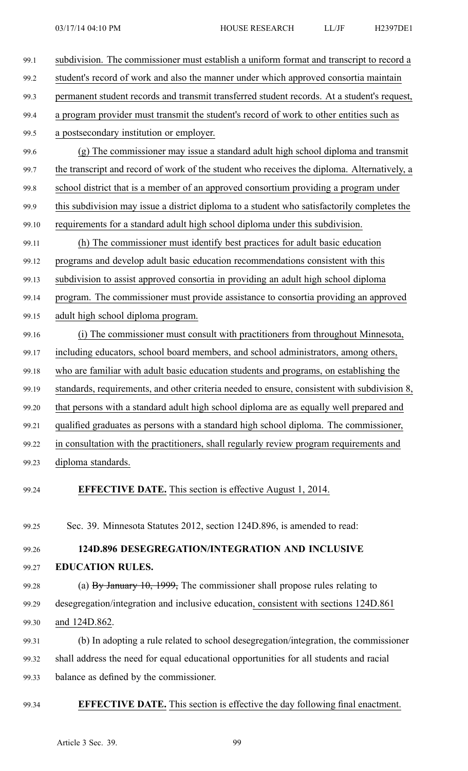| 99.1  | subdivision. The commissioner must establish a uniform format and transcript to record a     |
|-------|----------------------------------------------------------------------------------------------|
| 99.2  | student's record of work and also the manner under which approved consortia maintain         |
| 99.3  | permanent student records and transmit transferred student records. At a student's request,  |
| 99.4  | a program provider must transmit the student's record of work to other entities such as      |
| 99.5  | a postsecondary institution or employer.                                                     |
| 99.6  | (g) The commissioner may issue a standard adult high school diploma and transmit             |
| 99.7  | the transcript and record of work of the student who receives the diploma. Alternatively, a  |
| 99.8  | school district that is a member of an approved consortium providing a program under         |
| 99.9  | this subdivision may issue a district diploma to a student who satisfactorily completes the  |
| 99.10 | requirements for a standard adult high school diploma under this subdivision.                |
| 99.11 | (h) The commissioner must identify best practices for adult basic education                  |
| 99.12 | programs and develop adult basic education recommendations consistent with this              |
| 99.13 | subdivision to assist approved consortia in providing an adult high school diploma           |
| 99.14 | program. The commissioner must provide assistance to consortia providing an approved         |
| 99.15 | adult high school diploma program.                                                           |
| 99.16 | (i) The commissioner must consult with practitioners from throughout Minnesota,              |
| 99.17 | including educators, school board members, and school administrators, among others,          |
| 99.18 | who are familiar with adult basic education students and programs, on establishing the       |
| 99.19 | standards, requirements, and other criteria needed to ensure, consistent with subdivision 8, |
| 99.20 | that persons with a standard adult high school diploma are as equally well prepared and      |
| 99.21 | qualified graduates as persons with a standard high school diploma. The commissioner,        |
| 99.22 | in consultation with the practitioners, shall regularly review program requirements and      |
| 99.23 | diploma standards.                                                                           |
| 99.24 | <b>EFFECTIVE DATE.</b> This section is effective August 1, 2014.                             |
| 99.25 | Sec. 39. Minnesota Statutes 2012, section 124D.896, is amended to read:                      |
| 99.26 | 124D.896 DESEGREGATION/INTEGRATION AND INCLUSIVE                                             |
| 99.27 | <b>EDUCATION RULES.</b>                                                                      |
| 99.28 | (a) $By January 10, 1999$ , The commissioner shall propose rules relating to                 |
| 99.29 | desegregation/integration and inclusive education, consistent with sections 124D.861         |
| 99.30 | and 124D.862.                                                                                |
| 99.31 | (b) In adopting a rule related to school desegregation/integration, the commissioner         |
| 99.32 | shall address the need for equal educational opportunities for all students and racial       |
| 99.33 | balance as defined by the commissioner.                                                      |
|       |                                                                                              |

# 99.34 **EFFECTIVE DATE.** This section is effective the day following final enactment.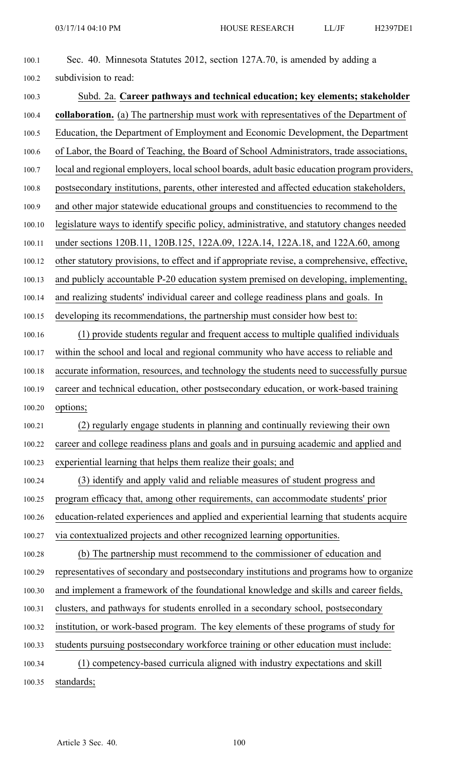| 100.1  | Sec. 40. Minnesota Statutes 2012, section 127A.70, is amended by adding a                    |
|--------|----------------------------------------------------------------------------------------------|
| 100.2  | subdivision to read:                                                                         |
| 100.3  | Subd. 2a. Career pathways and technical education; key elements; stakeholder                 |
| 100.4  | collaboration. (a) The partnership must work with representatives of the Department of       |
| 100.5  | Education, the Department of Employment and Economic Development, the Department             |
| 100.6  | of Labor, the Board of Teaching, the Board of School Administrators, trade associations,     |
| 100.7  | local and regional employers, local school boards, adult basic education program providers,  |
| 100.8  | postsecondary institutions, parents, other interested and affected education stakeholders,   |
| 100.9  | and other major statewide educational groups and constituencies to recommend to the          |
| 100.10 | legislature ways to identify specific policy, administrative, and statutory changes needed   |
| 100.11 | under sections 120B.11, 120B.125, 122A.09, 122A.14, 122A.18, and 122A.60, among              |
| 100.12 | other statutory provisions, to effect and if appropriate revise, a comprehensive, effective, |
| 100.13 | and publicly accountable P-20 education system premised on developing, implementing,         |
| 100.14 | and realizing students' individual career and college readiness plans and goals. In          |
| 100.15 | developing its recommendations, the partnership must consider how best to:                   |
| 100.16 | (1) provide students regular and frequent access to multiple qualified individuals           |
| 100.17 | within the school and local and regional community who have access to reliable and           |
| 100.18 | accurate information, resources, and technology the students need to successfully pursue     |
| 100.19 | career and technical education, other postsecondary education, or work-based training        |
| 100.20 | options;                                                                                     |
| 100.21 | (2) regularly engage students in planning and continually reviewing their own                |
| 100.22 | career and college readiness plans and goals and in pursuing academic and applied and        |
| 100.23 | experiential learning that helps them realize their goals; and                               |
| 100.24 | (3) identify and apply valid and reliable measures of student progress and                   |
| 100.25 | program efficacy that, among other requirements, can accommodate students' prior             |
| 100.26 | education-related experiences and applied and experiential learning that students acquire    |
| 100.27 | via contextualized projects and other recognized learning opportunities.                     |
| 100.28 | (b) The partnership must recommend to the commissioner of education and                      |
| 100.29 | representatives of secondary and postsecondary institutions and programs how to organize     |
| 100.30 | and implement a framework of the foundational knowledge and skills and career fields,        |
| 100.31 | clusters, and pathways for students enrolled in a secondary school, postsecondary            |
| 100.32 | institution, or work-based program. The key elements of these programs of study for          |
| 100.33 | students pursuing postsecondary workforce training or other education must include:          |
| 100.34 | (1) competency-based curricula aligned with industry expectations and skill                  |
| 100.35 | standards;                                                                                   |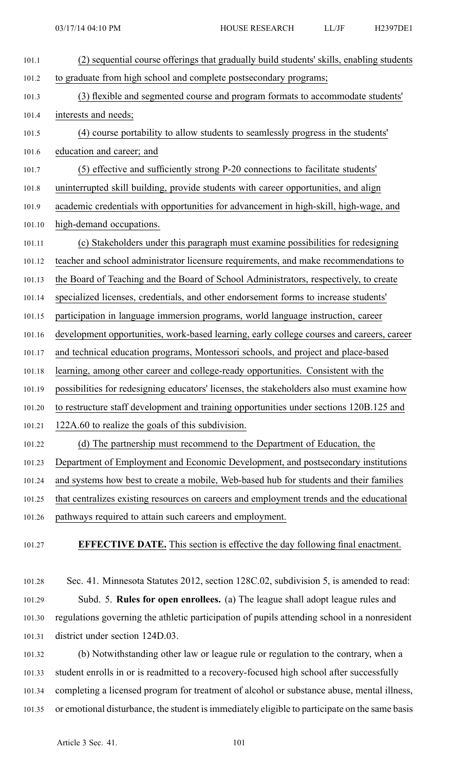| 101.1  | (2) sequential course offerings that gradually build students' skills, enabling students  |
|--------|-------------------------------------------------------------------------------------------|
| 101.2  | to graduate from high school and complete postsecondary programs;                         |
| 101.3  | (3) flexible and segmented course and program formats to accommodate students'            |
| 101.4  | interests and needs;                                                                      |
| 101.5  | (4) course portability to allow students to seamlessly progress in the students'          |
| 101.6  | education and career; and                                                                 |
| 101.7  | (5) effective and sufficiently strong P-20 connections to facilitate students'            |
| 101.8  | uninterrupted skill building, provide students with career opportunities, and align       |
| 101.9  | academic credentials with opportunities for advancement in high-skill, high-wage, and     |
| 101.10 | high-demand occupations.                                                                  |
| 101.11 | (c) Stakeholders under this paragraph must examine possibilities for redesigning          |
| 101.12 | teacher and school administrator licensure requirements, and make recommendations to      |
| 101.13 | the Board of Teaching and the Board of School Administrators, respectively, to create     |
| 101.14 | specialized licenses, credentials, and other endorsement forms to increase students'      |
| 101.15 | participation in language immersion programs, world language instruction, career          |
| 101.16 | development opportunities, work-based learning, early college courses and careers, career |
| 101.17 | and technical education programs, Montessori schools, and project and place-based         |
| 101.18 | learning, among other career and college-ready opportunities. Consistent with the         |
| 101.19 | possibilities for redesigning educators' licenses, the stakeholders also must examine how |
| 101.20 | to restructure staff development and training opportunities under sections 120B.125 and   |
| 101.21 | 122A.60 to realize the goals of this subdivision.                                         |
| 101.22 | (d) The partnership must recommend to the Department of Education, the                    |
| 101.23 | Department of Employment and Economic Development, and postsecondary institutions         |
| 101.24 | and systems how best to create a mobile, Web-based hub for students and their families    |
| 101.25 | that centralizes existing resources on careers and employment trends and the educational  |
| 101.26 | pathways required to attain such careers and employment.                                  |
| 101.27 | <b>EFFECTIVE DATE.</b> This section is effective the day following final enactment.       |

101.28 Sec. 41. Minnesota Statutes 2012, section 128C.02, subdivision 5, is amended to read: 101.29 Subd. 5. **Rules for open enrollees.** (a) The league shall adopt league rules and 101.30 regulations governing the athletic participation of pupils attending school in <sup>a</sup> nonresident 101.31 district under section 124D.03.

101.32 (b) Notwithstanding other law or league rule or regulation to the contrary, when <sup>a</sup> 101.33 student enrolls in or is readmitted to <sup>a</sup> recovery-focused high school after successfully 101.34 completing <sup>a</sup> licensed program for treatment of alcohol or substance abuse, mental illness, 101.35 or emotional disturbance, the student isimmediately eligible to participate on the same basis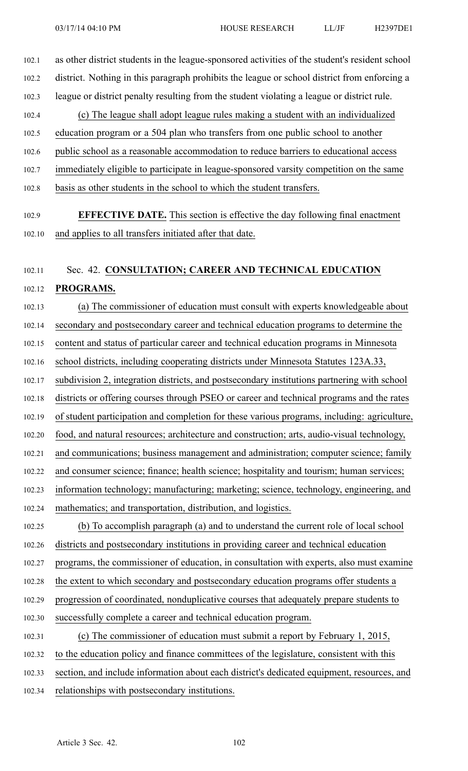102.1 as other district students in the league-sponsored activities of the student's resident school 102.2 district. Nothing in this paragraph prohibits the league or school district from enforcing <sup>a</sup> 102.3 league or district penalty resulting from the student violating <sup>a</sup> league or district rule. 102.4 (c) The league shall adopt league rules making <sup>a</sup> student with an individualized 102.5 education program or <sup>a</sup> 504 plan who transfers from one public school to another 102.6 public school as <sup>a</sup> reasonable accommodation to reduce barriers to educational access 102.7 immediately eligible to participate in league-sponsored varsity competition on the same 102.8 basis as other students in the school to which the student transfers. 102.9 **EFFECTIVE DATE.** This section is effective the day following final enactment 102.10 and applies to all transfers initiated after that date. 102.11 Sec. 42. **CONSULTATION; CAREER AND TECHNICAL EDUCATION** 102.12 **PROGRAMS.** 102.13 (a) The commissioner of education must consult with experts knowledgeable about 102.14 secondary and postsecondary career and technical education programs to determine the 102.15 content and status of particular career and technical education programs in Minnesota 102.16 school districts, including cooperating districts under Minnesota Statutes 123A.33, 102.17 subdivision 2, integration districts, and postsecondary institutions partnering with school 102.18 districts or offering courses through PSEO or career and technical programs and the rates 102.19 of student participation and completion for these various programs, including: agriculture, 102.20 food, and natural resources; architecture and construction; arts, audio-visual technology,

102.21 and communications; business managemen<sup>t</sup> and administration; computer science; family

102.22 and consumer science; finance; health science; hospitality and tourism; human services;

102.23 information technology; manufacturing; marketing; science, technology, engineering, and 102.24 mathematics; and transportation, distribution, and logistics.

102.25 (b) To accomplish paragraph (a) and to understand the current role of local school

102.26 districts and postsecondary institutions in providing career and technical education

102.27 programs, the commissioner of education, in consultation with experts, also must examine

102.28 the extent to which secondary and postsecondary education programs offer students <sup>a</sup>

102.29 progression of coordinated, nonduplicative courses that adequately prepare students to

102.30 successfully complete <sup>a</sup> career and technical education program.

102.31 (c) The commissioner of education must submit <sup>a</sup> repor<sup>t</sup> by February 1, 2015, 102.32 to the education policy and finance committees of the legislature, consistent with this 102.33 section, and include information about each district's dedicated equipment, resources, and 102.34 relationships with postsecondary institutions.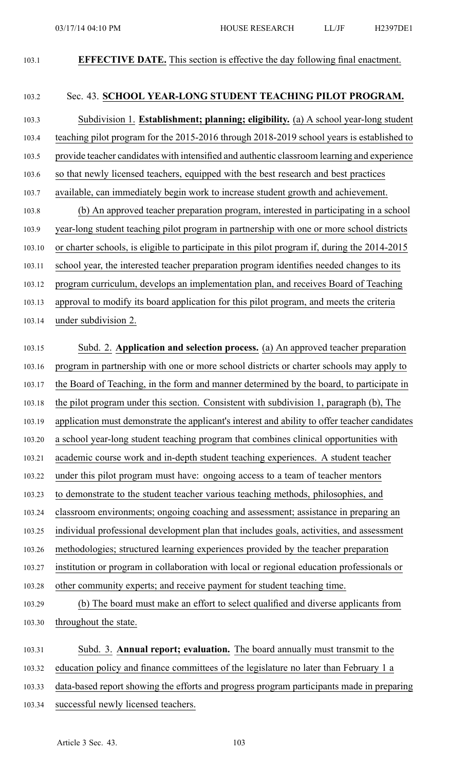103.1 **EFFECTIVE DATE.** This section is effective the day following final enactment.

### 103.2 Sec. 43. **SCHOOL YEAR-LONG STUDENT TEACHING PILOT PROGRAM.**

103.3 Subdivision 1. **Establishment; planning; eligibility.** (a) A school year-long student 103.4 teaching pilot program for the 2015-2016 through 2018-2019 school years is established to 103.5 provide teacher candidates with intensified and authentic classroom learning and experience 103.6 so that newly licensed teachers, equipped with the best research and best practices 103.7 available, can immediately begin work to increase student growth and achievement. 103.8 (b) An approved teacher preparation program, interested in participating in <sup>a</sup> school 103.9 year-long student teaching pilot program in partnership with one or more school districts 103.10 or charter schools, is eligible to participate in this pilot program if, during the 2014-2015 103.11 school year, the interested teacher preparation program identifies needed changes to its 103.12 program curriculum, develops an implementation plan, and receives Board of Teaching 103.13 approval to modify its board application for this pilot program, and meets the criteria 103.14 under subdivision 2.

103.15 Subd. 2. **Application and selection process.** (a) An approved teacher preparation 103.16 program in partnership with one or more school districts or charter schools may apply to 103.17 the Board of Teaching, in the form and manner determined by the board, to participate in 103.18 the pilot program under this section. Consistent with subdivision 1, paragraph (b), The 103.19 application must demonstrate the applicant's interest and ability to offer teacher candidates 103.20 <sup>a</sup> school year-long student teaching program that combines clinical opportunities with 103.21 academic course work and in-depth student teaching experiences. A student teacher 103.22 under this pilot program must have: ongoing access to <sup>a</sup> team of teacher mentors 103.23 to demonstrate to the student teacher various teaching methods, philosophies, and 103.24 classroom environments; ongoing coaching and assessment; assistance in preparing an 103.25 individual professional development plan that includes goals, activities, and assessment 103.26 methodologies; structured learning experiences provided by the teacher preparation 103.27 institution or program in collaboration with local or regional education professionals or 103.28 other community experts; and receive paymen<sup>t</sup> for student teaching time. 103.29 (b) The board must make an effort to select qualified and diverse applicants from

103.30 throughout the state.

103.31 Subd. 3. **Annual report; evaluation.** The board annually must transmit to the 103.32 education policy and finance committees of the legislature no later than February 1 <sup>a</sup> 103.33 data-based repor<sup>t</sup> showing the efforts and progress program participants made in preparing

103.34 successful newly licensed teachers.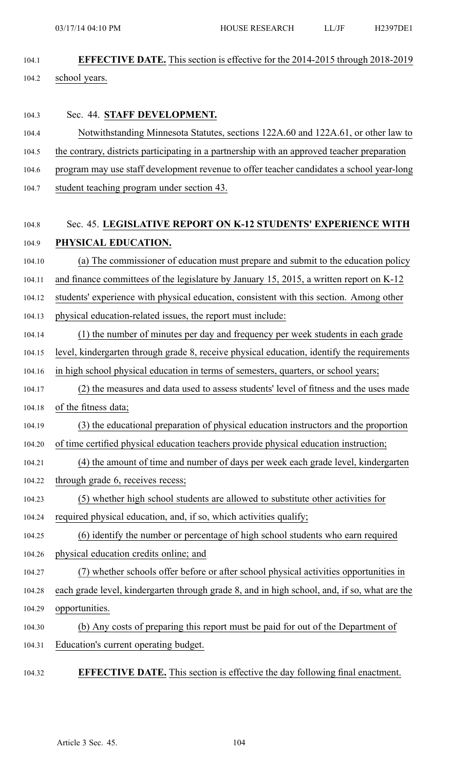104.1 **EFFECTIVE DATE.** This section is effective for the 2014-2015 through 2018-2019 104.2 school years.

### 104.3 Sec. 44. **STAFF DEVELOPMENT.**

- 104.4 Notwithstanding Minnesota Statutes, sections 122A.60 and 122A.61, or other law to
- 104.5 the contrary, districts participating in <sup>a</sup> partnership with an approved teacher preparation
- 104.6 program may use staff development revenue to offer teacher candidates <sup>a</sup> school year-long
- 104.7 student teaching program under section 43.

## 104.8 Sec. 45. **LEGISLATIVE REPORT ON K-12 STUDENTS' EXPERIENCE WITH** 104.9 **PHYSICAL EDUCATION.**

- 104.10 (a) The commissioner of education must prepare and submit to the education policy
- 104.11 and finance committees of the legislature by January 15, 2015, <sup>a</sup> written repor<sup>t</sup> on K-12
- 104.12 students' experience with physical education, consistent with this section. Among other
- 104.13 physical education-related issues, the repor<sup>t</sup> must include:
- 104.14 (1) the number of minutes per day and frequency per week students in each grade
- 104.15 level, kindergarten through grade 8, receive physical education, identify the requirements
- 104.16 in high school physical education in terms of semesters, quarters, or school years;
- 104.17 (2) the measures and data used to assess students' level of fitness and the uses made 104.18 of the fitness data;
- 104.19 (3) the educational preparation of physical education instructors and the proportion 104.20 of time certified physical education teachers provide physical education instruction;
- 
- 104.21 (4) the amount of time and number of days per week each grade level, kindergarten
- 104.22 through grade 6, receives recess;
- 104.23 (5) whether high school students are allowed to substitute other activities for
- 104.24 required physical education, and, if so, which activities qualify;
- 104.25 (6) identify the number or percentage of high school students who earn required
- 104.26 physical education credits online; and
- 104.27 (7) whether schools offer before or after school physical activities opportunities in 104.28 each grade level, kindergarten through grade 8, and in high school, and, if so, what are the
- 104.29 opportunities.
- 104.30 (b) Any costs of preparing this repor<sup>t</sup> must be paid for out of the Department of 104.31 Education's current operating budget.
- 104.32 **EFFECTIVE DATE.** This section is effective the day following final enactment.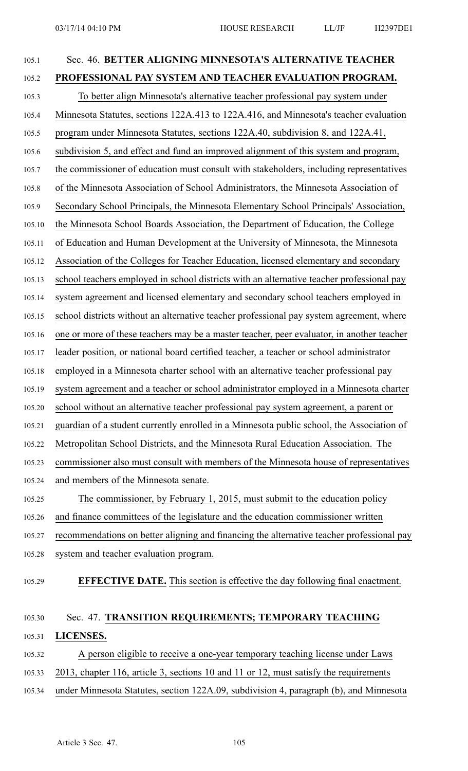| 105.1  | Sec. 46. BETTER ALIGNING MINNESOTA'S ALTERNATIVE TEACHER                                  |
|--------|-------------------------------------------------------------------------------------------|
| 105.2  | PROFESSIONAL PAY SYSTEM AND TEACHER EVALUATION PROGRAM.                                   |
| 105.3  | To better align Minnesota's alternative teacher professional pay system under             |
| 105.4  | Minnesota Statutes, sections 122A.413 to 122A.416, and Minnesota's teacher evaluation     |
| 105.5  | program under Minnesota Statutes, sections 122A.40, subdivision 8, and 122A.41,           |
| 105.6  | subdivision 5, and effect and fund an improved alignment of this system and program,      |
| 105.7  | the commissioner of education must consult with stakeholders, including representatives   |
| 105.8  | of the Minnesota Association of School Administrators, the Minnesota Association of       |
| 105.9  | Secondary School Principals, the Minnesota Elementary School Principals' Association,     |
| 105.10 | the Minnesota School Boards Association, the Department of Education, the College         |
| 105.11 | of Education and Human Development at the University of Minnesota, the Minnesota          |
| 105.12 | Association of the Colleges for Teacher Education, licensed elementary and secondary      |
| 105.13 | school teachers employed in school districts with an alternative teacher professional pay |
| 105.14 | system agreement and licensed elementary and secondary school teachers employed in        |
| 105.15 | school districts without an alternative teacher professional pay system agreement, where  |
| 105.16 | one or more of these teachers may be a master teacher, peer evaluator, in another teacher |
| 105.17 | leader position, or national board certified teacher, a teacher or school administrator   |
| 105.18 | employed in a Minnesota charter school with an alternative teacher professional pay       |
| 105.19 | system agreement and a teacher or school administrator employed in a Minnesota charter    |
| 105.20 | school without an alternative teacher professional pay system agreement, a parent or      |
| 105.21 | guardian of a student currently enrolled in a Minnesota public school, the Association of |
| 105.22 | Metropolitan School Districts, and the Minnesota Rural Education Association. The         |
| 105.23 | commissioner also must consult with members of the Minnesota house of representatives     |
| 105.24 | and members of the Minnesota senate.                                                      |
| 105.25 | The commissioner, by February 1, 2015, must submit to the education policy                |
| 105.26 | and finance committees of the legislature and the education commissioner written          |
| 105.27 | recommendations on better aligning and financing the alternative teacher professional pay |
| 105.28 | system and teacher evaluation program.                                                    |
| 105.29 | <b>EFFECTIVE DATE.</b> This section is effective the day following final enactment.       |
| 105.30 | Sec. 47. TRANSITION REQUIREMENTS; TEMPORARY TEACHING                                      |
| 105.31 | LICENSES.                                                                                 |

- 105.32 A person eligible to receive <sup>a</sup> one-year temporary teaching license under Laws
- 105.33 2013, chapter 116, article 3, sections 10 and 11 or 12, must satisfy the requirements
- 105.34 under Minnesota Statutes, section 122A.09, subdivision 4, paragraph (b), and Minnesota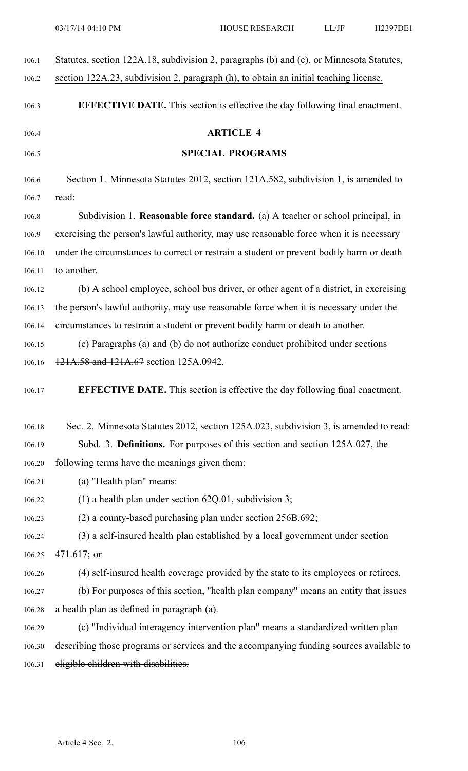| 106.1  | Statutes, section 122A.18, subdivision 2, paragraphs (b) and (c), or Minnesota Statutes, |
|--------|------------------------------------------------------------------------------------------|
| 106.2  | section 122A.23, subdivision 2, paragraph (h), to obtain an initial teaching license.    |
| 106.3  | <b>EFFECTIVE DATE.</b> This section is effective the day following final enactment.      |
| 106.4  | <b>ARTICLE 4</b>                                                                         |
| 106.5  | <b>SPECIAL PROGRAMS</b>                                                                  |
| 106.6  | Section 1. Minnesota Statutes 2012, section 121A.582, subdivision 1, is amended to       |
| 106.7  | read:                                                                                    |
| 106.8  | Subdivision 1. Reasonable force standard. (a) A teacher or school principal, in          |
| 106.9  | exercising the person's lawful authority, may use reasonable force when it is necessary  |
| 106.10 | under the circumstances to correct or restrain a student or prevent bodily harm or death |
| 106.11 | to another.                                                                              |
| 106.12 | (b) A school employee, school bus driver, or other agent of a district, in exercising    |
| 106.13 | the person's lawful authority, may use reasonable force when it is necessary under the   |
| 106.14 | circumstances to restrain a student or prevent bodily harm or death to another.          |
| 106.15 | (c) Paragraphs (a) and (b) do not authorize conduct prohibited under sections            |
| 106.16 | 121A.58 and 121A.67 section 125A.0942.                                                   |
| 106.17 | <b>EFFECTIVE DATE.</b> This section is effective the day following final enactment.      |
| 106.18 | Sec. 2. Minnesota Statutes 2012, section 125A.023, subdivision 3, is amended to read:    |
| 106.19 | Subd. 3. Definitions. For purposes of this section and section 125A.027, the             |
| 106.20 | following terms have the meanings given them:                                            |
| 106.21 | (a) "Health plan" means:                                                                 |
| 106.22 | (1) a health plan under section $62Q.01$ , subdivision 3;                                |
| 106.23 | $(2)$ a county-based purchasing plan under section 256B.692;                             |
| 106.24 | (3) a self-insured health plan established by a local government under section           |
| 106.25 | $471.617$ ; or                                                                           |
| 106.26 | (4) self-insured health coverage provided by the state to its employees or retirees.     |
| 106.27 | (b) For purposes of this section, "health plan company" means an entity that issues      |
| 106.28 | a health plan as defined in paragraph (a).                                               |
| 106.29 | (e) "Individual interagency intervention plan" means a standardized written plan         |
| 106.30 | describing those programs or services and the accompanying funding sources available to  |
| 106.31 | eligible children with disabilities.                                                     |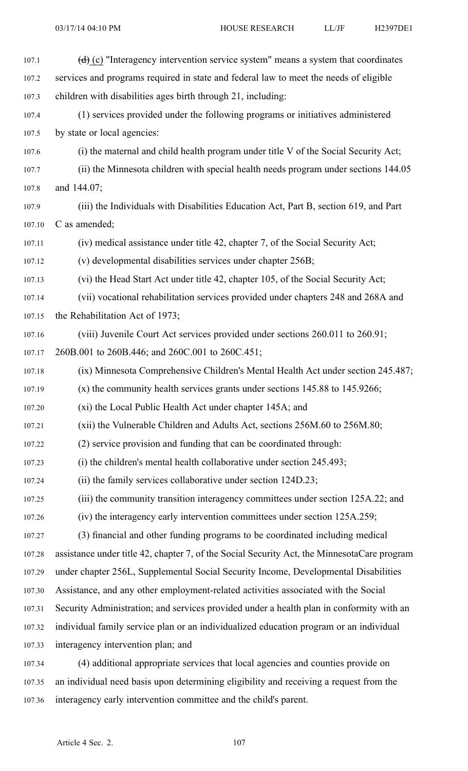| 107.1  | $(d)$ (c) "Interagency intervention service system" means a system that coordinates         |
|--------|---------------------------------------------------------------------------------------------|
| 107.2  | services and programs required in state and federal law to meet the needs of eligible       |
| 107.3  | children with disabilities ages birth through 21, including:                                |
| 107.4  | (1) services provided under the following programs or initiatives administered              |
| 107.5  | by state or local agencies:                                                                 |
| 107.6  | (i) the maternal and child health program under title V of the Social Security Act;         |
| 107.7  | (ii) the Minnesota children with special health needs program under sections 144.05         |
| 107.8  | and 144.07;                                                                                 |
| 107.9  | (iii) the Individuals with Disabilities Education Act, Part B, section 619, and Part        |
| 107.10 | C as amended;                                                                               |
| 107.11 | (iv) medical assistance under title 42, chapter 7, of the Social Security Act;              |
| 107.12 | (v) developmental disabilities services under chapter 256B;                                 |
| 107.13 | (vi) the Head Start Act under title 42, chapter 105, of the Social Security Act;            |
| 107.14 | (vii) vocational rehabilitation services provided under chapters 248 and 268A and           |
| 107.15 | the Rehabilitation Act of 1973;                                                             |
| 107.16 | (viii) Juvenile Court Act services provided under sections 260.011 to 260.91;               |
| 107.17 | 260B.001 to 260B.446; and 260C.001 to 260C.451;                                             |
| 107.18 | (ix) Minnesota Comprehensive Children's Mental Health Act under section 245.487;            |
| 107.19 | $(x)$ the community health services grants under sections 145.88 to 145.9266;               |
| 107.20 | (xi) the Local Public Health Act under chapter 145A; and                                    |
| 107.21 | (xii) the Vulnerable Children and Adults Act, sections 256M.60 to 256M.80;                  |
| 107.22 | (2) service provision and funding that can be coordinated through:                          |
| 107.23 | (i) the children's mental health collaborative under section $245.493$ ;                    |
| 107.24 | (ii) the family services collaborative under section 124D.23;                               |
| 107.25 | (iii) the community transition interagency committees under section 125A.22; and            |
| 107.26 | (iv) the interagency early intervention committees under section 125A.259;                  |
| 107.27 | (3) financial and other funding programs to be coordinated including medical                |
| 107.28 | assistance under title 42, chapter 7, of the Social Security Act, the MinnesotaCare program |
| 107.29 | under chapter 256L, Supplemental Social Security Income, Developmental Disabilities         |
| 107.30 | Assistance, and any other employment-related activities associated with the Social          |
| 107.31 | Security Administration; and services provided under a health plan in conformity with an    |
| 107.32 | individual family service plan or an individualized education program or an individual      |
| 107.33 | interagency intervention plan; and                                                          |
| 107.34 | (4) additional appropriate services that local agencies and counties provide on             |
| 107.35 | an individual need basis upon determining eligibility and receiving a request from the      |

107.36 interagency early intervention committee and the child's parent.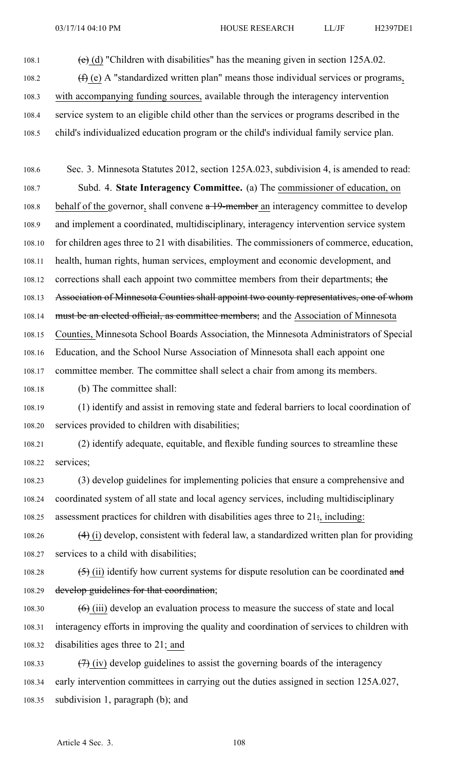108.1 (e) (d) "Children with disabilities" has the meaning given in section  $125A.02$ .

108.2  $(f)(e)$  A "standardized written plan" means those individual services or programs,

108.3 with accompanying funding sources, available through the interagency intervention

- 108.4 service system to an eligible child other than the services or programs described in the
- 108.5 child's individualized education program or the child's individual family service plan.

108.6 Sec. 3. Minnesota Statutes 2012, section 125A.023, subdivision 4, is amended to read: 108.7 Subd. 4. **State Interagency Committee.** (a) The commissioner of education, on 108.8 behalf of the governor, shall convene  $a$  19-member an interagency committee to develop 108.9 and implement <sup>a</sup> coordinated, multidisciplinary, interagency intervention service system 108.10 for children ages three to 21 with disabilities. The commissioners of commerce, education, 108.11 health, human rights, human services, employment and economic development, and 108.12 corrections shall each appoint two committee members from their departments; the 108.13 Association of Minnesota Counties shall appoint two county representatives, one of whom 108.14 must be an elected official, as committee members; and the Association of Minnesota 108.15 Counties, Minnesota School Boards Association, the Minnesota Administrators of Special 108.16 Education, and the School Nurse Association of Minnesota shall each appoint one 108.17 committee member. The committee shall select <sup>a</sup> chair from among its members.

108.18 (b) The committee shall:

108.19 (1) identify and assist in removing state and federal barriers to local coordination of 108.20 services provided to children with disabilities;

108.21 (2) identify adequate, equitable, and flexible funding sources to streamline these 108.22 services;

108.23 (3) develop guidelines for implementing policies that ensure <sup>a</sup> comprehensive and 108.24 coordinated system of all state and local agency services, including multidisciplinary 108.25 assessment practices for children with disabilities ages three to  $21\frac{1}{2}$ , including:

108.26  $(4)$  (i) develop, consistent with federal law, a standardized written plan for providing 108.27 services to <sup>a</sup> child with disabilities;

108.28  $(5)$  (ii) identify how current systems for dispute resolution can be coordinated and 108.29 develop guidelines for that coordination;

108.30  $(6)$  (iii) develop an evaluation process to measure the success of state and local 108.31 interagency efforts in improving the quality and coordination of services to children with 108.32 disabilities ages three to 21; and

108.33  $(7)$  (iv) develop guidelines to assist the governing boards of the interagency 108.34 early intervention committees in carrying out the duties assigned in section 125A.027, 108.35 subdivision 1, paragraph (b); and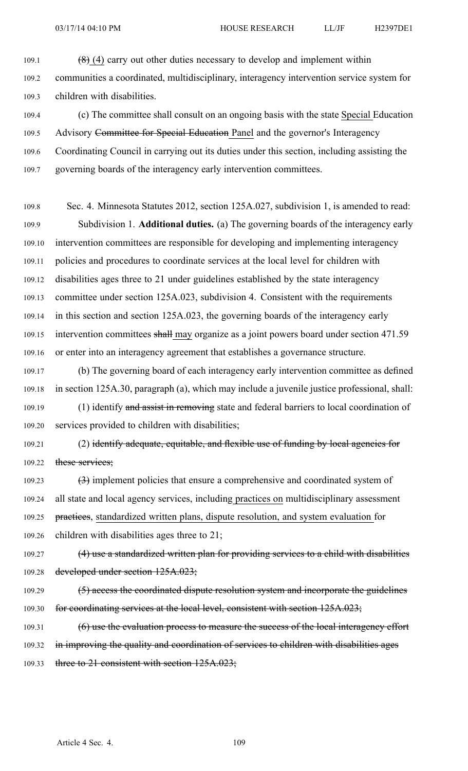03/17/14 04:10 PM HOUSE RESEARCH LL/JF H2397DE1

109.1  $(8)$  (4) carry out other duties necessary to develop and implement within 109.2 communities <sup>a</sup> coordinated, multidisciplinary, interagency intervention service system for 109.3 children with disabilities.

109.4 (c) The committee shall consult on an ongoing basis with the state Special Education 109.5 Advisory Committee for Special Education Panel and the governor's Interagency 109.6 Coordinating Council in carrying out its duties under this section, including assisting the 109.7 governing boards of the interagency early intervention committees.

109.8 Sec. 4. Minnesota Statutes 2012, section 125A.027, subdivision 1, is amended to read: 109.9 Subdivision 1. **Additional duties.** (a) The governing boards of the interagency early 109.10 intervention committees are responsible for developing and implementing interagency 109.11 policies and procedures to coordinate services at the local level for children with 109.12 disabilities ages three to 21 under guidelines established by the state interagency 109.13 committee under section 125A.023, subdivision 4. Consistent with the requirements 109.14 in this section and section 125A.023, the governing boards of the interagency early 109.15 intervention committees shall may organize as a joint powers board under section 471.59 109.16 or enter into an interagency agreemen<sup>t</sup> that establishes <sup>a</sup> governance structure.

109.17 (b) The governing board of each interagency early intervention committee as defined 109.18 in section 125A.30, paragraph (a), which may include <sup>a</sup> juvenile justice professional, shall: 109.19 (1) identify and assist in removing state and federal barriers to local coordination of 109.20 services provided to children with disabilities;

109.21 (2) identify adequate, equitable, and flexible use of funding by local agencies for 109.22 these services;

109.23 (3) implement policies that ensure <sup>a</sup> comprehensive and coordinated system of 109.24 all state and local agency services, including practices on multidisciplinary assessment 109.25 practices, standardized written plans, dispute resolution, and system evaluation for

109.26 children with disabilities ages three to 21;

109.27 (4) use <sup>a</sup> standardized written plan for providing services to <sup>a</sup> child with disabilities 109.28 developed under section 125A.023;

109.29 (5) access the coordinated dispute resolution system and incorporate the guidelines 109.30 for coordinating services at the local level, consistent with section 125A.023;

109.31 (6) use the evaluation process to measure the success of the local interagency effort 109.32 in improving the quality and coordination of services to children with disabilities ages 109.33 three to 21 consistent with section 125A.023;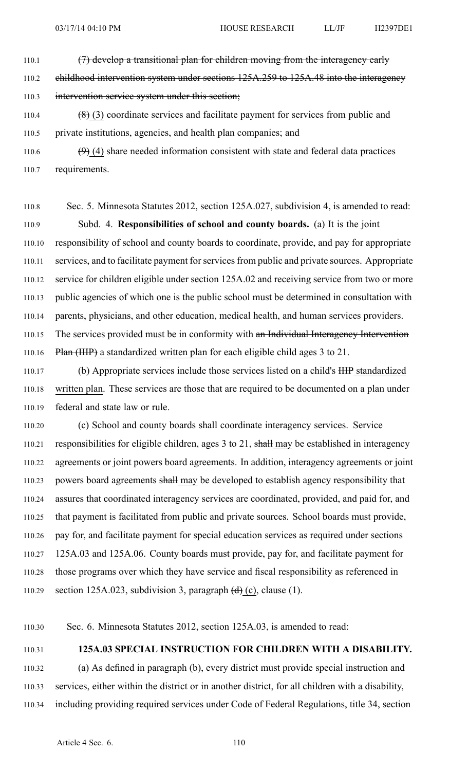110.1 (7) develop a transitional plan for children moving from the interagency early

110.2 childhood intervention system under sections 125A.259 to 125A.48 into the interagency

### 110.3 intervention service system under this section;

110.4 (8) (3) coordinate services and facilitate paymen<sup>t</sup> for services from public and 110.5 private institutions, agencies, and health plan companies; and

110.6  $(9)$  (4) share needed information consistent with state and federal data practices 110.7 requirements.

110.8 Sec. 5. Minnesota Statutes 2012, section 125A.027, subdivision 4, is amended to read: 110.9 Subd. 4. **Responsibilities of school and county boards.** (a) It is the joint 110.10 responsibility of school and county boards to coordinate, provide, and pay for appropriate 110.11 services, and to facilitate paymen<sup>t</sup> forservicesfrom public and private sources. Appropriate 110.12 service for children eligible under section 125A.02 and receiving service from two or more 110.13 public agencies of which one is the public school must be determined in consultation with 110.14 parents, physicians, and other education, medical health, and human services providers. 110.15 The services provided must be in conformity with an Individual Interagency Intervention 110.16 Plan (IIIP) <sup>a</sup> standardized written plan for each eligible child ages 3 to 21.

110.17 (b) Appropriate services include those services listed on <sup>a</sup> child's IIIP standardized 110.18 written plan. These services are those that are required to be documented on <sup>a</sup> plan under 110.19 federal and state law or rule.

110.20 (c) School and county boards shall coordinate interagency services. Service 110.21 responsibilities for eligible children, ages  $3$  to  $21$ , shall may be established in interagency 110.22 agreements or joint powers board agreements. In addition, interagency agreements or joint 110.23 powers board agreements shall may be developed to establish agency responsibility that 110.24 assures that coordinated interagency services are coordinated, provided, and paid for, and 110.25 that paymen<sup>t</sup> is facilitated from public and private sources. School boards must provide, 110.26 pay for, and facilitate paymen<sup>t</sup> for special education services as required under sections 110.27 125A.03 and 125A.06. County boards must provide, pay for, and facilitate paymen<sup>t</sup> for 110.28 those programs over which they have service and fiscal responsibility as referenced in 110.29 section 125A.023, subdivision 3, paragraph  $(d)$  (c), clause (1).

110.30 Sec. 6. Minnesota Statutes 2012, section 125A.03, is amended to read:

## 110.31 **125A.03 SPECIAL INSTRUCTION FOR CHILDREN WITH A DISABILITY.**

110.32 (a) As defined in paragraph (b), every district must provide special instruction and 110.33 services, either within the district or in another district, for all children with <sup>a</sup> disability, 110.34 including providing required services under Code of Federal Regulations, title 34, section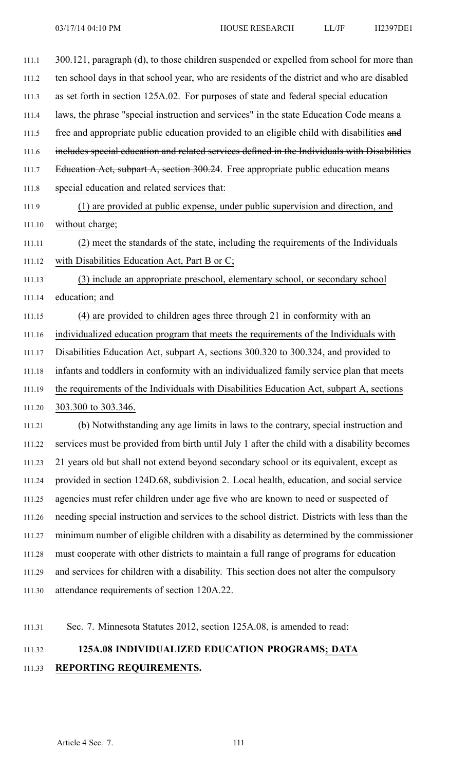| 111.1  | 300.121, paragraph (d), to those children suspended or expelled from school for more than     |
|--------|-----------------------------------------------------------------------------------------------|
| 111.2  | ten school days in that school year, who are residents of the district and who are disabled   |
| 111.3  | as set forth in section 125A.02. For purposes of state and federal special education          |
| 111.4  | laws, the phrase "special instruction and services" in the state Education Code means a       |
| 111.5  | free and appropriate public education provided to an eligible child with disabilities and     |
| 111.6  | includes special education and related services defined in the Individuals with Disabilities  |
| 111.7  | Education Act, subpart A, section 300.24. Free appropriate public education means             |
| 111.8  | special education and related services that:                                                  |
| 111.9  | (1) are provided at public expense, under public supervision and direction, and               |
| 111.10 | without charge;                                                                               |
| 111.11 | (2) meet the standards of the state, including the requirements of the Individuals            |
| 111.12 | with Disabilities Education Act, Part B or C;                                                 |
| 111.13 | (3) include an appropriate preschool, elementary school, or secondary school                  |
| 111.14 | education; and                                                                                |
| 111.15 | (4) are provided to children ages three through 21 in conformity with an                      |
| 111.16 | individualized education program that meets the requirements of the Individuals with          |
| 111.17 | Disabilities Education Act, subpart A, sections 300.320 to 300.324, and provided to           |
| 111.18 | infants and toddlers in conformity with an individualized family service plan that meets      |
| 111.19 | the requirements of the Individuals with Disabilities Education Act, subpart A, sections      |
| 111.20 | 303.300 to 303.346.                                                                           |
| 111.21 | (b) Notwithstanding any age limits in laws to the contrary, special instruction and           |
| 111.22 | services must be provided from birth until July 1 after the child with a disability becomes   |
| 111.23 | 21 years old but shall not extend beyond secondary school or its equivalent, except as        |
| 111.24 | provided in section 124D.68, subdivision 2. Local health, education, and social service       |
| 111.25 | agencies must refer children under age five who are known to need or suspected of             |
| 111.26 | needing special instruction and services to the school district. Districts with less than the |
| 111.27 | minimum number of eligible children with a disability as determined by the commissioner       |
| 111.28 | must cooperate with other districts to maintain a full range of programs for education        |
| 111.29 | and services for children with a disability. This section does not alter the compulsory       |
| 111.30 | attendance requirements of section 120A.22.                                                   |
|        |                                                                                               |

111.31 Sec. 7. Minnesota Statutes 2012, section 125A.08, is amended to read:

# 111.32 **125A.08 INDIVIDUALIZED EDUCATION PROGRAMS; DATA**

## 111.33 **REPORTING REQUIREMENTS.**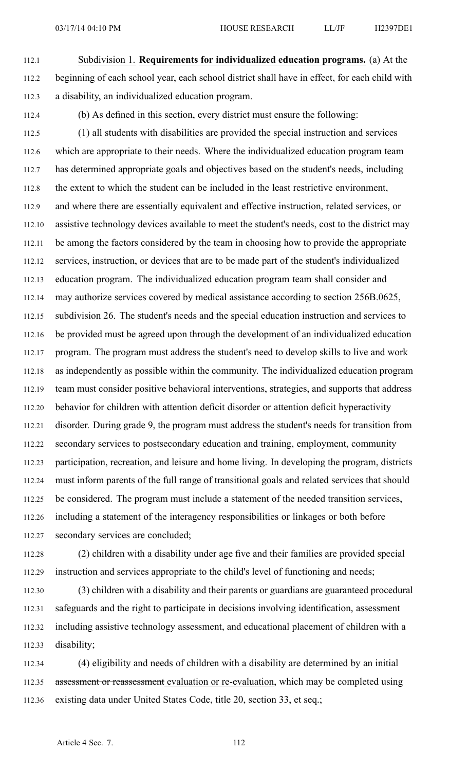- 112.1 Subdivision 1. **Requirements for individualized education programs.** (a) At the 112.2 beginning of each school year, each school district shall have in effect, for each child with 112.3 <sup>a</sup> disability, an individualized education program.
- 

112.4 (b) As defined in this section, every district must ensure the following:

112.5 (1) all students with disabilities are provided the special instruction and services 112.6 which are appropriate to their needs. Where the individualized education program team 112.7 has determined appropriate goals and objectives based on the student's needs, including 112.8 the extent to which the student can be included in the least restrictive environment, 112.9 and where there are essentially equivalent and effective instruction, related services, or 112.10 assistive technology devices available to meet the student's needs, cost to the district may 112.11 be among the factors considered by the team in choosing how to provide the appropriate 112.12 services, instruction, or devices that are to be made par<sup>t</sup> of the student's individualized 112.13 education program. The individualized education program team shall consider and 112.14 may authorize services covered by medical assistance according to section 256B.0625, 112.15 subdivision 26. The student's needs and the special education instruction and services to 112.16 be provided must be agreed upon through the development of an individualized education 112.17 program. The program must address the student's need to develop skills to live and work 112.18 as independently as possible within the community. The individualized education program 112.19 team must consider positive behavioral interventions, strategies, and supports that address 112.20 behavior for children with attention deficit disorder or attention deficit hyperactivity 112.21 disorder. During grade 9, the program must address the student's needs for transition from 112.22 secondary services to postsecondary education and training, employment, community 112.23 participation, recreation, and leisure and home living. In developing the program, districts 112.24 must inform parents of the full range of transitional goals and related services that should 112.25 be considered. The program must include <sup>a</sup> statement of the needed transition services, 112.26 including <sup>a</sup> statement of the interagency responsibilities or linkages or both before 112.27 secondary services are concluded;

112.28 (2) children with <sup>a</sup> disability under age five and their families are provided special 112.29 instruction and services appropriate to the child's level of functioning and needs;

112.30 (3) children with <sup>a</sup> disability and their parents or guardians are guaranteed procedural 112.31 safeguards and the right to participate in decisions involving identification, assessment 112.32 including assistive technology assessment, and educational placement of children with <sup>a</sup> 112.33 disability;

112.34 (4) eligibility and needs of children with <sup>a</sup> disability are determined by an initial 112.35 assessment or reassessment evaluation or re-evaluation, which may be completed using 112.36 existing data under United States Code, title 20, section 33, et seq.;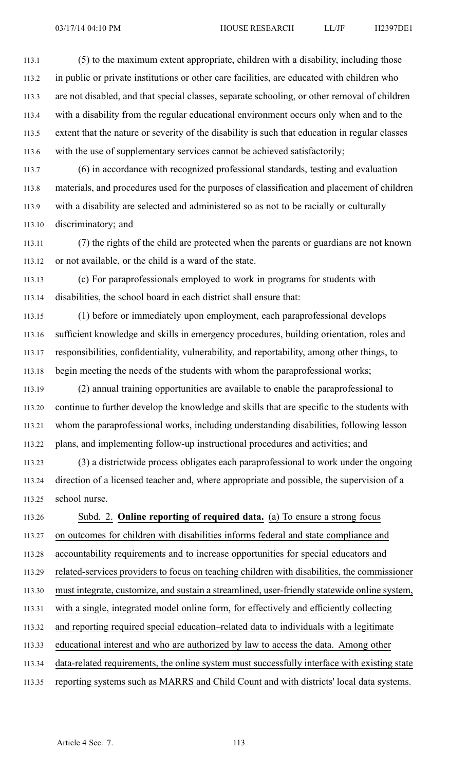113.1 (5) to the maximum extent appropriate, children with <sup>a</sup> disability, including those 113.2 in public or private institutions or other care facilities, are educated with children who 113.3 are not disabled, and that special classes, separate schooling, or other removal of children 113.4 with <sup>a</sup> disability from the regular educational environment occurs only when and to the 113.5 extent that the nature or severity of the disability is such that education in regular classes 113.6 with the use of supplementary services cannot be achieved satisfactorily;

113.7 (6) in accordance with recognized professional standards, testing and evaluation 113.8 materials, and procedures used for the purposes of classification and placement of children 113.9 with <sup>a</sup> disability are selected and administered so as not to be racially or culturally 113.10 discriminatory; and

113.11 (7) the rights of the child are protected when the parents or guardians are not known 113.12 or not available, or the child is <sup>a</sup> ward of the state.

113.13 (c) For paraprofessionals employed to work in programs for students with 113.14 disabilities, the school board in each district shall ensure that:

113.15 (1) before or immediately upon employment, each paraprofessional develops 113.16 sufficient knowledge and skills in emergency procedures, building orientation, roles and 113.17 responsibilities, confidentiality, vulnerability, and reportability, among other things, to 113.18 begin meeting the needs of the students with whom the paraprofessional works;

113.19 (2) annual training opportunities are available to enable the paraprofessional to 113.20 continue to further develop the knowledge and skills that are specific to the students with 113.21 whom the paraprofessional works, including understanding disabilities, following lesson 113.22 plans, and implementing follow-up instructional procedures and activities; and

113.23 (3) <sup>a</sup> districtwide process obligates each paraprofessional to work under the ongoing 113.24 direction of <sup>a</sup> licensed teacher and, where appropriate and possible, the supervision of <sup>a</sup> 113.25 school nurse.

113.26 Subd. 2. **Online reporting of required data.** (a) To ensure <sup>a</sup> strong focus 113.27 on outcomes for children with disabilities informs federal and state compliance and 113.28 accountability requirements and to increase opportunities for special educators and 113.29 related-services providers to focus on teaching children with disabilities, the commissioner 113.30 must integrate, customize, and sustain <sup>a</sup> streamlined, user-friendly statewide online system, 113.31 with <sup>a</sup> single, integrated model online form, for effectively and efficiently collecting 113.32 and reporting required special education–related data to individuals with <sup>a</sup> legitimate 113.33 educational interest and who are authorized by law to access the data. Among other 113.34 data-related requirements, the online system must successfully interface with existing state 113.35 reporting systems such as MARRS and Child Count and with districts' local data systems.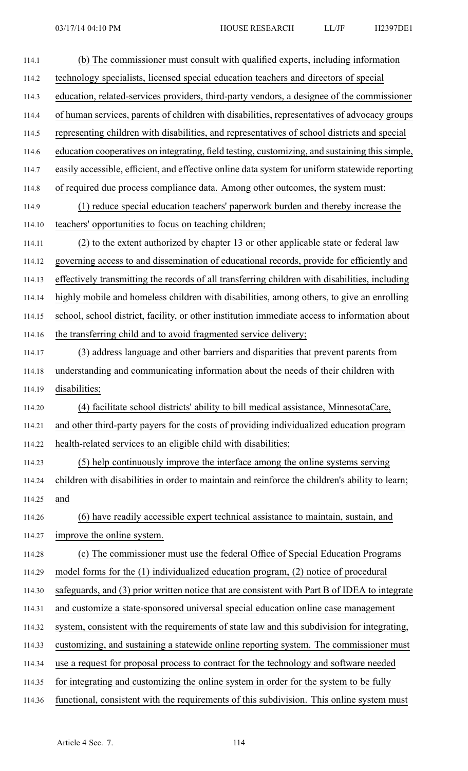| 114.1  | (b) The commissioner must consult with qualified experts, including information                |
|--------|------------------------------------------------------------------------------------------------|
| 114.2  | technology specialists, licensed special education teachers and directors of special           |
| 114.3  | education, related-services providers, third-party vendors, a designee of the commissioner     |
| 114.4  | of human services, parents of children with disabilities, representatives of advocacy groups   |
| 114.5  | representing children with disabilities, and representatives of school districts and special   |
| 114.6  | education cooperatives on integrating, field testing, customizing, and sustaining this simple, |
| 114.7  | easily accessible, efficient, and effective online data system for uniform statewide reporting |
| 114.8  | of required due process compliance data. Among other outcomes, the system must:                |
| 114.9  | (1) reduce special education teachers' paperwork burden and thereby increase the               |
| 114.10 | teachers' opportunities to focus on teaching children;                                         |
| 114.11 | (2) to the extent authorized by chapter 13 or other applicable state or federal law            |
| 114.12 | governing access to and dissemination of educational records, provide for efficiently and      |
| 114.13 | effectively transmitting the records of all transferring children with disabilities, including |
| 114.14 | highly mobile and homeless children with disabilities, among others, to give an enrolling      |
| 114.15 | school, school district, facility, or other institution immediate access to information about  |
| 114.16 | the transferring child and to avoid fragmented service delivery;                               |
| 114.17 | (3) address language and other barriers and disparities that prevent parents from              |
| 114.18 | understanding and communicating information about the needs of their children with             |
| 114.19 | disabilities;                                                                                  |
| 114.20 | (4) facilitate school districts' ability to bill medical assistance, MinnesotaCare,            |
| 114.21 | and other third-party payers for the costs of providing individualized education program       |
| 114.22 | health-related services to an eligible child with disabilities;                                |
| 114.23 | (5) help continuously improve the interface among the online systems serving                   |
| 114.24 | children with disabilities in order to maintain and reinforce the children's ability to learn; |
| 114.25 | and                                                                                            |
| 114.26 | (6) have readily accessible expert technical assistance to maintain, sustain, and              |
| 114.27 | improve the online system.                                                                     |
| 114.28 | (c) The commissioner must use the federal Office of Special Education Programs                 |
| 114.29 | model forms for the (1) individualized education program, (2) notice of procedural             |
| 114.30 | safeguards, and (3) prior written notice that are consistent with Part B of IDEA to integrate  |
| 114.31 | and customize a state-sponsored universal special education online case management             |
| 114.32 | system, consistent with the requirements of state law and this subdivision for integrating,    |
| 114.33 | customizing, and sustaining a statewide online reporting system. The commissioner must         |
| 114.34 | use a request for proposal process to contract for the technology and software needed          |
| 114.35 | for integrating and customizing the online system in order for the system to be fully          |
| 114.36 | functional, consistent with the requirements of this subdivision. This online system must      |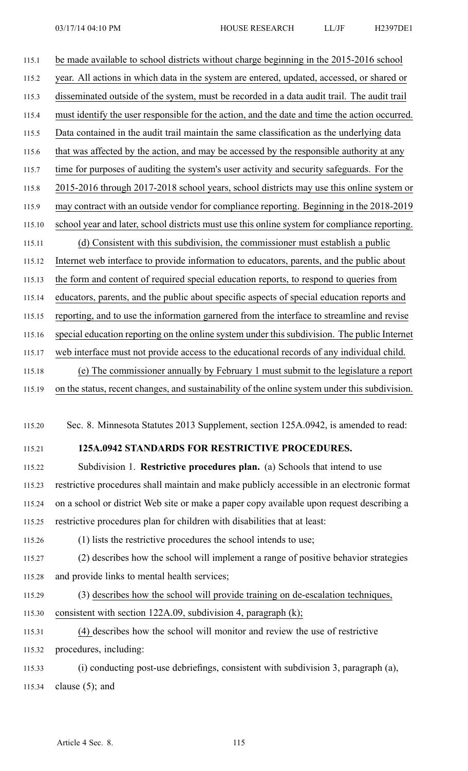115.1 be made available to school districts without charge beginning in the 2015-2016 school 115.2 year. All actions in which data in the system are entered, updated, accessed, or shared or 115.3 disseminated outside of the system, must be recorded in <sup>a</sup> data audit trail. The audit trail 115.4 must identify the user responsible for the action, and the date and time the action occurred. 115.5 Data contained in the audit trail maintain the same classification as the underlying data 115.6 that was affected by the action, and may be accessed by the responsible authority at any 115.7 time for purposes of auditing the system's user activity and security safeguards. For the 115.8 2015-2016 through 2017-2018 school years, school districts may use this online system or 115.9 may contract with an outside vendor for compliance reporting. Beginning in the 2018-2019 115.10 school year and later, school districts must use this online system for compliance reporting. 115.11 (d) Consistent with this subdivision, the commissioner must establish <sup>a</sup> public 115.12 Internet web interface to provide information to educators, parents, and the public about 115.13 the form and content of required special education reports, to respond to queries from 115.14 educators, parents, and the public about specific aspects of special education reports and 115.15 reporting, and to use the information garnered from the interface to streamline and revise 115.16 special education reporting on the online system under this subdivision. The public Internet 115.17 web interface must not provide access to the educational records of any individual child. 115.18 (e) The commissioner annually by February 1 must submit to the legislature <sup>a</sup> repor<sup>t</sup> 115.19 on the status, recent changes, and sustainability of the online system under this subdivision.

115.20 Sec. 8. Minnesota Statutes 2013 Supplement, section 125A.0942, is amended to read:

## 115.21 **125A.0942 STANDARDS FOR RESTRICTIVE PROCEDURES.**

115.22 Subdivision 1. **Restrictive procedures plan.** (a) Schools that intend to use 115.23 restrictive procedures shall maintain and make publicly accessible in an electronic format 115.24 on <sup>a</sup> school or district Web site or make <sup>a</sup> paper copy available upon reques<sup>t</sup> describing <sup>a</sup> 115.25 restrictive procedures plan for children with disabilities that at least:

115.26 (1) lists the restrictive procedures the school intends to use;

115.27 (2) describes how the school will implement <sup>a</sup> range of positive behavior strategies 115.28 and provide links to mental health services;

115.29 (3) describes how the school will provide training on de-escalation techniques, 115.30 consistent with section 122A.09, subdivision 4, paragraph (k);

115.31 (4) describes how the school will monitor and review the use of restrictive 115.32 procedures, including:

115.33 (i) conducting post-use debriefings, consistent with subdivision 3, paragraph (a), 115.34 clause (5); and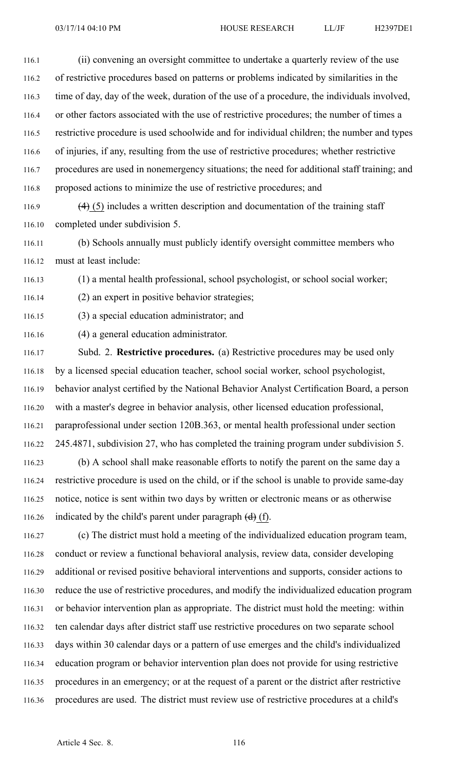| 116.1 | (ii) convening an oversight committee to undertake a quarterly review of the use            |
|-------|---------------------------------------------------------------------------------------------|
| 116.2 | of restrictive procedures based on patterns or problems indicated by similarities in the    |
| 116.3 | time of day, day of the week, duration of the use of a procedure, the individuals involved, |
| 116.4 | or other factors associated with the use of restrictive procedures; the number of times a   |
| 116.5 | restrictive procedure is used schoolwide and for individual children; the number and types  |
| 116.6 | of injuries, if any, resulting from the use of restrictive procedures; whether restrictive  |
| 116.7 | procedures are used in nonemergency situations; the need for additional staff training; and |
| 116.8 | proposed actions to minimize the use of restrictive procedures; and                         |

116.9  $(4)$  (5) includes a written description and documentation of the training staff 116.10 completed under subdivision 5.

116.11 (b) Schools annually must publicly identify oversight committee members who 116.12 must at least include:

116.13 (1) <sup>a</sup> mental health professional, school psychologist, or school social worker;

116.14 (2) an exper<sup>t</sup> in positive behavior strategies;

116.15 (3) <sup>a</sup> special education administrator; and

116.16 (4) <sup>a</sup> general education administrator.

116.17 Subd. 2. **Restrictive procedures.** (a) Restrictive procedures may be used only 116.18 by <sup>a</sup> licensed special education teacher, school social worker, school psychologist, 116.19 behavior analyst certified by the National Behavior Analyst Certification Board, <sup>a</sup> person 116.20 with <sup>a</sup> master's degree in behavior analysis, other licensed education professional, 116.21 paraprofessional under section 120B.363, or mental health professional under section 116.22 245.4871, subdivision 27, who has completed the training program under subdivision 5.

116.23 (b) A school shall make reasonable efforts to notify the paren<sup>t</sup> on the same day <sup>a</sup> 116.24 restrictive procedure is used on the child, or if the school is unable to provide same-day 116.25 notice, notice is sent within two days by written or electronic means or as otherwise 116.26 indicated by the child's parent under paragraph  $(d)$  (f).

116.27 (c) The district must hold <sup>a</sup> meeting of the individualized education program team, 116.28 conduct or review <sup>a</sup> functional behavioral analysis, review data, consider developing 116.29 additional or revised positive behavioral interventions and supports, consider actions to 116.30 reduce the use of restrictive procedures, and modify the individualized education program 116.31 or behavior intervention plan as appropriate. The district must hold the meeting: within 116.32 ten calendar days after district staff use restrictive procedures on two separate school 116.33 days within 30 calendar days or <sup>a</sup> pattern of use emerges and the child's individualized 116.34 education program or behavior intervention plan does not provide for using restrictive 116.35 procedures in an emergency; or at the reques<sup>t</sup> of <sup>a</sup> paren<sup>t</sup> or the district after restrictive 116.36 procedures are used. The district must review use of restrictive procedures at <sup>a</sup> child's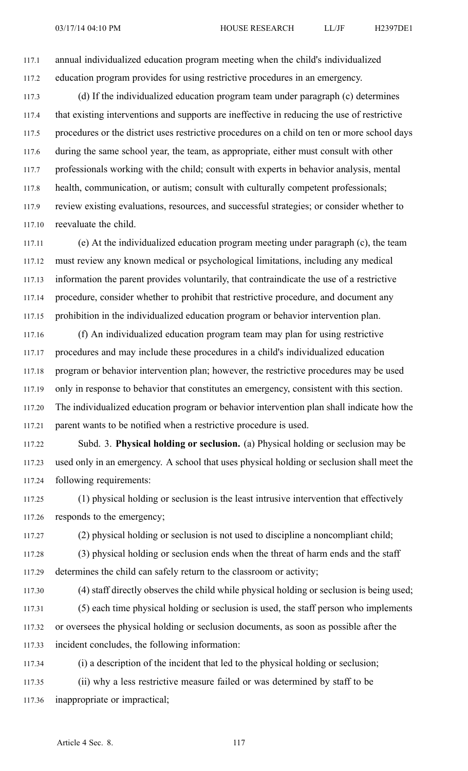117.1 annual individualized education program meeting when the child's individualized 117.2 education program provides for using restrictive procedures in an emergency.

117.3 (d) If the individualized education program team under paragraph (c) determines 117.4 that existing interventions and supports are ineffective in reducing the use of restrictive 117.5 procedures or the district uses restrictive procedures on <sup>a</sup> child on ten or more school days 117.6 during the same school year, the team, as appropriate, either must consult with other 117.7 professionals working with the child; consult with experts in behavior analysis, mental 117.8 health, communication, or autism; consult with culturally competent professionals; 117.9 review existing evaluations, resources, and successful strategies; or consider whether to 117.10 reevaluate the child.

117.11 (e) At the individualized education program meeting under paragraph (c), the team 117.12 must review any known medical or psychological limitations, including any medical 117.13 information the paren<sup>t</sup> provides voluntarily, that contraindicate the use of <sup>a</sup> restrictive 117.14 procedure, consider whether to prohibit that restrictive procedure, and document any 117.15 prohibition in the individualized education program or behavior intervention plan.

117.16 (f) An individualized education program team may plan for using restrictive 117.17 procedures and may include these procedures in <sup>a</sup> child's individualized education 117.18 program or behavior intervention plan; however, the restrictive procedures may be used 117.19 only in response to behavior that constitutes an emergency, consistent with this section. 117.20 The individualized education program or behavior intervention plan shall indicate how the 117.21 paren<sup>t</sup> wants to be notified when <sup>a</sup> restrictive procedure is used.

117.22 Subd. 3. **Physical holding or seclusion.** (a) Physical holding or seclusion may be 117.23 used only in an emergency. A school that uses physical holding or seclusion shall meet the 117.24 following requirements:

117.25 (1) physical holding or seclusion is the least intrusive intervention that effectively 117.26 responds to the emergency;

117.27 (2) physical holding or seclusion is not used to discipline <sup>a</sup> noncompliant child;

117.28 (3) physical holding or seclusion ends when the threat of harm ends and the staff 117.29 determines the child can safely return to the classroom or activity;

117.30 (4) staff directly observes the child while physical holding or seclusion is being used; 117.31 (5) each time physical holding or seclusion is used, the staff person who implements 117.32 or oversees the physical holding or seclusion documents, as soon as possible after the 117.33 incident concludes, the following information:

117.34 (i) <sup>a</sup> description of the incident that led to the physical holding or seclusion; 117.35 (ii) why <sup>a</sup> less restrictive measure failed or was determined by staff to be 117.36 inappropriate or impractical;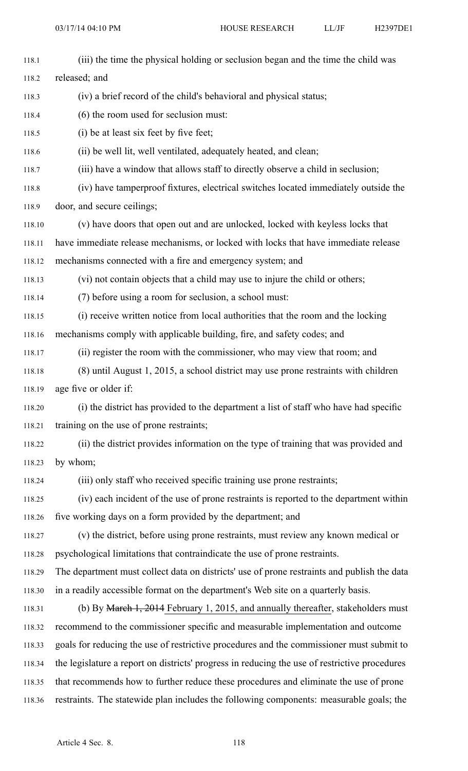| 118.1  | (iii) the time the physical holding or seclusion began and the time the child was             |
|--------|-----------------------------------------------------------------------------------------------|
| 118.2  | released; and                                                                                 |
| 118.3  | (iv) a brief record of the child's behavioral and physical status;                            |
| 118.4  | (6) the room used for seclusion must:                                                         |
| 118.5  | (i) be at least six feet by five feet;                                                        |
| 118.6  | (ii) be well lit, well ventilated, adequately heated, and clean;                              |
| 118.7  | (iii) have a window that allows staff to directly observe a child in seclusion;               |
| 118.8  | (iv) have tamperproof fixtures, electrical switches located immediately outside the           |
| 118.9  | door, and secure ceilings;                                                                    |
| 118.10 | (v) have doors that open out and are unlocked, locked with keyless locks that                 |
| 118.11 | have immediate release mechanisms, or locked with locks that have immediate release           |
| 118.12 | mechanisms connected with a fire and emergency system; and                                    |
| 118.13 | (vi) not contain objects that a child may use to injure the child or others;                  |
| 118.14 | (7) before using a room for seclusion, a school must:                                         |
| 118.15 | (i) receive written notice from local authorities that the room and the locking               |
| 118.16 | mechanisms comply with applicable building, fire, and safety codes; and                       |
| 118.17 | (ii) register the room with the commissioner, who may view that room; and                     |
| 118.18 | (8) until August 1, 2015, a school district may use prone restraints with children            |
| 118.19 | age five or older if:                                                                         |
| 118.20 | (i) the district has provided to the department a list of staff who have had specific         |
| 118.21 | training on the use of prone restraints;                                                      |
| 118.22 | (ii) the district provides information on the type of training that was provided and          |
| 118.23 | by whom;                                                                                      |
| 118.24 | (iii) only staff who received specific training use prone restraints;                         |
| 118.25 | (iv) each incident of the use of prone restraints is reported to the department within        |
| 118.26 | five working days on a form provided by the department; and                                   |
| 118.27 | (v) the district, before using prone restraints, must review any known medical or             |
| 118.28 | psychological limitations that contraindicate the use of prone restraints.                    |
| 118.29 | The department must collect data on districts' use of prone restraints and publish the data   |
| 118.30 | in a readily accessible format on the department's Web site on a quarterly basis.             |
| 118.31 | (b) By March 1, 2014 February 1, 2015, and annually thereafter, stakeholders must             |
| 118.32 | recommend to the commissioner specific and measurable implementation and outcome              |
| 118.33 | goals for reducing the use of restrictive procedures and the commissioner must submit to      |
| 118.34 | the legislature a report on districts' progress in reducing the use of restrictive procedures |
| 118.35 | that recommends how to further reduce these procedures and eliminate the use of prone         |
| 118.36 | restraints. The statewide plan includes the following components: measurable goals; the       |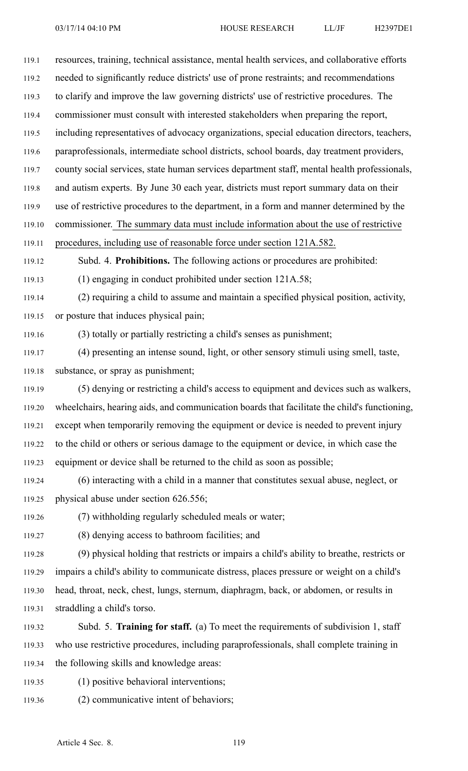119.1 resources, training, technical assistance, mental health services, and collaborative efforts 119.2 needed to significantly reduce districts' use of prone restraints; and recommendations 119.3 to clarify and improve the law governing districts' use of restrictive procedures. The 119.4 commissioner must consult with interested stakeholders when preparing the report, 119.5 including representatives of advocacy organizations, special education directors, teachers, 119.6 paraprofessionals, intermediate school districts, school boards, day treatment providers, 119.7 county social services, state human services department staff, mental health professionals, 119.8 and autism experts. By June 30 each year, districts must repor<sup>t</sup> summary data on their 119.9 use of restrictive procedures to the department, in <sup>a</sup> form and manner determined by the 119.10 commissioner. The summary data must include information about the use of restrictive 119.11 procedures, including use of reasonable force under section 121A.582. 119.12 Subd. 4. **Prohibitions.** The following actions or procedures are prohibited: 119.13 (1) engaging in conduct prohibited under section 121A.58; 119.14 (2) requiring <sup>a</sup> child to assume and maintain <sup>a</sup> specified physical position, activity, 119.15 or posture that induces physical pain;

119.16 (3) totally or partially restricting <sup>a</sup> child's senses as punishment;

119.17 (4) presenting an intense sound, light, or other sensory stimuli using smell, taste, 119.18 substance, or spray as punishment;

119.19 (5) denying or restricting <sup>a</sup> child's access to equipment and devices such as walkers, 119.20 wheelchairs, hearing aids, and communication boards that facilitate the child's functioning, 119.21 excep<sup>t</sup> when temporarily removing the equipment or device is needed to preven<sup>t</sup> injury 119.22 to the child or others or serious damage to the equipment or device, in which case the 119.23 equipment or device shall be returned to the child as soon as possible;

119.24 (6) interacting with <sup>a</sup> child in <sup>a</sup> manner that constitutes sexual abuse, neglect, or 119.25 physical abuse under section 626.556;

119.26 (7) withholding regularly scheduled meals or water;

119.27 (8) denying access to bathroom facilities; and

119.28 (9) physical holding that restricts or impairs <sup>a</sup> child's ability to breathe, restricts or 119.29 impairs <sup>a</sup> child's ability to communicate distress, places pressure or weight on <sup>a</sup> child's 119.30 head, throat, neck, chest, lungs, sternum, diaphragm, back, or abdomen, or results in 119.31 straddling <sup>a</sup> child's torso.

- 119.32 Subd. 5. **Training for staff.** (a) To meet the requirements of subdivision 1, staff 119.33 who use restrictive procedures, including paraprofessionals, shall complete training in 119.34 the following skills and knowledge areas:
- 119.35 (1) positive behavioral interventions;
- 119.36 (2) communicative intent of behaviors;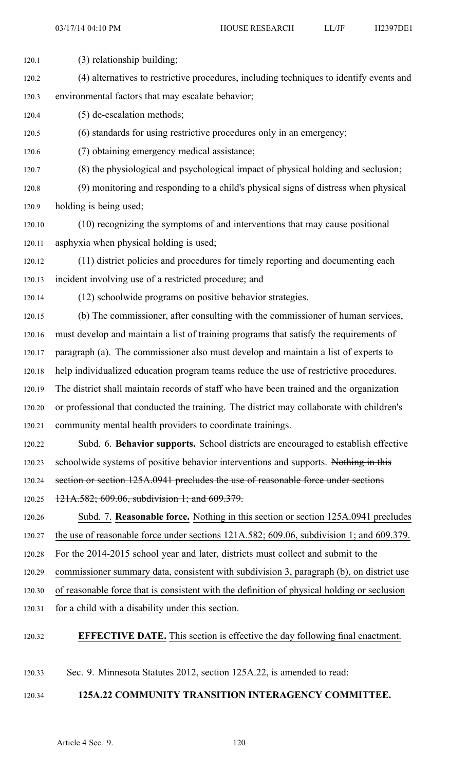- 120.1 (3) relationship building; 120.2 (4) alternatives to restrictive procedures, including techniques to identify events and 120.3 environmental factors that may escalate behavior; 120.4 (5) de-escalation methods; 120.5 (6) standards for using restrictive procedures only in an emergency; 120.6 (7) obtaining emergency medical assistance; 120.7 (8) the physiological and psychological impact of physical holding and seclusion; 120.8 (9) monitoring and responding to <sup>a</sup> child's physical signs of distress when physical 120.9 holding is being used; 120.10 (10) recognizing the symptoms of and interventions that may cause positional 120.11 asphyxia when physical holding is used; 120.12 (11) district policies and procedures for timely reporting and documenting each 120.13 incident involving use of <sup>a</sup> restricted procedure; and 120.14 (12) schoolwide programs on positive behavior strategies. 120.15 (b) The commissioner, after consulting with the commissioner of human services, 120.16 must develop and maintain <sup>a</sup> list of training programs that satisfy the requirements of 120.17 paragraph (a). The commissioner also must develop and maintain <sup>a</sup> list of experts to 120.18 help individualized education program teams reduce the use of restrictive procedures. 120.19 The district shall maintain records of staff who have been trained and the organization 120.20 or professional that conducted the training. The district may collaborate with children's 120.21 community mental health providers to coordinate trainings. 120.22 Subd. 6. **Behavior supports.** School districts are encouraged to establish effective 120.23 schoolwide systems of positive behavior interventions and supports. Nothing in this 120.24 section or section 125A.0941 precludes the use of reasonable force under sections 120.25 121A.582; 609.06, subdivision 1; and 609.379. 120.26 Subd. 7. **Reasonable force.** Nothing in this section or section 125A.0941 precludes 120.27 the use of reasonable force under sections 121A.582; 609.06, subdivision 1; and 609.379. 120.28 For the 2014-2015 school year and later, districts must collect and submit to the 120.29 commissioner summary data, consistent with subdivision 3, paragraph (b), on district use 120.30 of reasonable force that is consistent with the definition of physical holding or seclusion 120.31 for <sup>a</sup> child with <sup>a</sup> disability under this section. 120.32 **EFFECTIVE DATE.** This section is effective the day following final enactment.
- 120.33 Sec. 9. Minnesota Statutes 2012, section 125A.22, is amended to read:

## 120.34 **125A.22 COMMUNITY TRANSITION INTERAGENCY COMMITTEE.**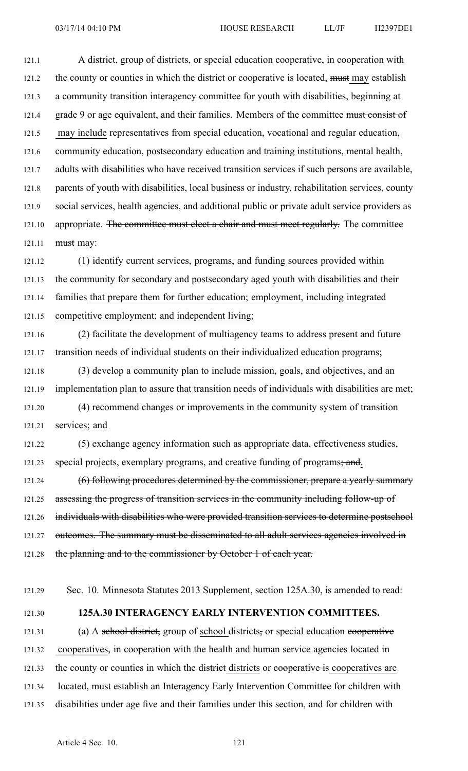121.1 A district, group of districts, or special education cooperative, in cooperation with 121.2 the county or counties in which the district or cooperative is located, must may establish 121.3 <sup>a</sup> community transition interagency committee for youth with disabilities, beginning at 121.4 grade 9 or age equivalent, and their families. Members of the committee must consist of 121.5 may include representatives from special education, vocational and regular education, 121.6 community education, postsecondary education and training institutions, mental health, 121.7 adults with disabilities who have received transition services if such persons are available, 121.8 parents of youth with disabilities, local business or industry, rehabilitation services, county 121.9 social services, health agencies, and additional public or private adult service providers as 121.10 appropriate. The committee must elect a chair and must meet regularly. The committee 121.11 must may:

121.12 (1) identify current services, programs, and funding sources provided within 121.13 the community for secondary and postsecondary aged youth with disabilities and their 121.14 families that prepare them for further education; employment, including integrated 121.15 competitive employment; and independent living;

121.16 (2) facilitate the development of multiagency teams to address presen<sup>t</sup> and future 121.17 transition needs of individual students on their individualized education programs; 121.18 (3) develop <sup>a</sup> community plan to include mission, goals, and objectives, and an

121.19 implementation plan to assure that transition needs of individuals with disabilities are met; 121.20 (4) recommend changes or improvements in the community system of transition 121.21 services; and

121.22 (5) exchange agency information such as appropriate data, effectiveness studies, 121.23 special projects, exemplary programs, and creative funding of programs; and.

121.24 (6) following procedures determined by the commissioner, prepare a yearly summary 121.25 assessing the progress of transition services in the community including follow-up of 121.26 individuals with disabilities who were provided transition services to determine postschool 121.27 outcomes. The summary must be disseminated to all adult services agencies involved in 121.28 the planning and to the commissioner by October 1 of each year.

121.29 Sec. 10. Minnesota Statutes 2013 Supplement, section 125A.30, is amended to read:

## 121.30 **125A.30 INTERAGENCY EARLY INTERVENTION COMMITTEES.**

121.31 (a) A school district, group of school districts, or special education cooperative 121.32 cooperatives, in cooperation with the health and human service agencies located in 121.33 the county or counties in which the districts or competently is cooperatives are 121.34 located, must establish an Interagency Early Intervention Committee for children with 121.35 disabilities under age five and their families under this section, and for children with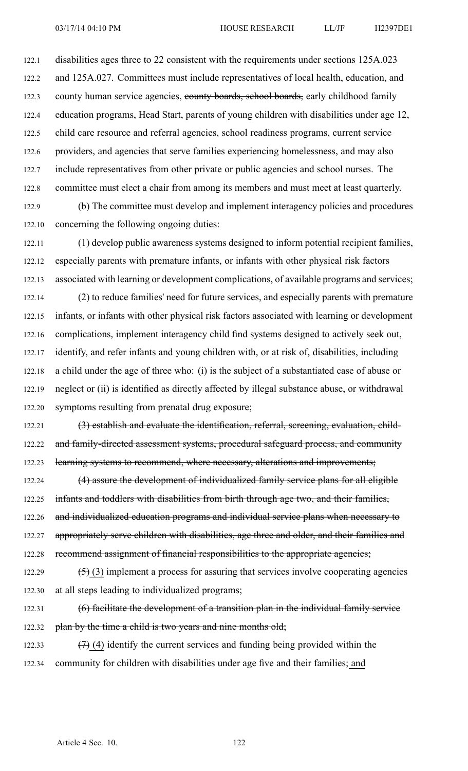122.1 disabilities ages three to 22 consistent with the requirements under sections 125A.023 122.2 and 125A.027. Committees must include representatives of local health, education, and 122.3 county human service agencies, county boards, school boards, early childhood family 122.4 education programs, Head Start, parents of young children with disabilities under age 12, 122.5 child care resource and referral agencies, school readiness programs, current service 122.6 providers, and agencies that serve families experiencing homelessness, and may also 122.7 include representatives from other private or public agencies and school nurses. The 122.8 committee must elect <sup>a</sup> chair from among its members and must meet at least quarterly. 122.9 (b) The committee must develop and implement interagency policies and procedures

122.10 concerning the following ongoing duties:

122.11 (1) develop public awareness systems designed to inform potential recipient families, 122.12 especially parents with premature infants, or infants with other physical risk factors 122.13 associated with learning or development complications, of available programs and services; 122.14 (2) to reduce families' need for future services, and especially parents with premature 122.15 infants, or infants with other physical risk factors associated with learning or development 122.16 complications, implement interagency child find systems designed to actively seek out, 122.17 identify, and refer infants and young children with, or at risk of, disabilities, including 122.18 <sup>a</sup> child under the age of three who: (i) is the subject of <sup>a</sup> substantiated case of abuse or 122.19 neglect or (ii) is identified as directly affected by illegal substance abuse, or withdrawal 122.20 symptoms resulting from prenatal drug exposure;

122.21 (3) establish and evaluate the identification, referral, screening, evaluation, child-122.22 and family-directed assessment systems, procedural safeguard process, and community 122.23 learning systems to recommend, where necessary, alterations and improvements;

122.24 (4) assure the development of individualized family service plans for all eligible 122.25 infants and toddlers with disabilities from birth through age two, and their families, 122.26 and individualized education programs and individual service plans when necessary to 122.27 appropriately serve children with disabilities, age three and older, and their families and 122.28 recommend assignment of financial responsibilities to the appropriate agencies;

122.29  $(5)$  (3) implement a process for assuring that services involve cooperating agencies 122.30 at all steps leading to individualized programs;

122.31 (6) facilitate the development of a transition plan in the individual family service 122.32 plan by the time a child is two years and nine months old;

122.33  $(7)$  (4) identify the current services and funding being provided within the 122.34 community for children with disabilities under age five and their families; and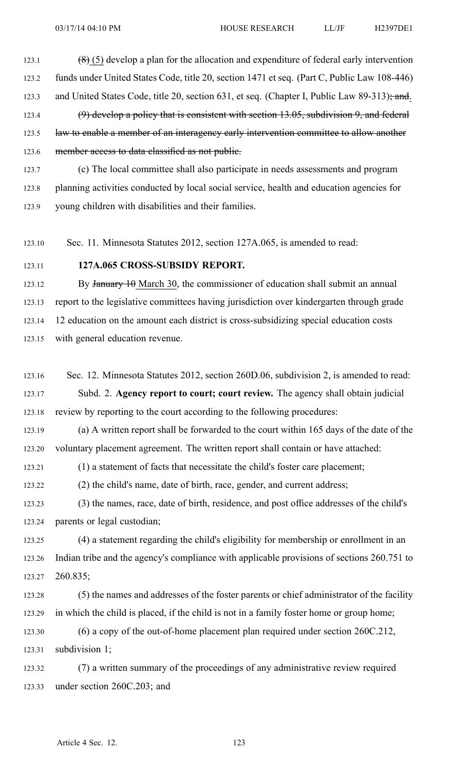123.1  $(8)(5)$  develop a plan for the allocation and expenditure of federal early intervention 123.2 funds under United States Code, title 20, section 1471 et seq. (Part C, Public Law 108-446) 123.3 and United States Code, title 20, section 631, et seq. (Chapter I, Public Law 89-313); and. 123.4 (9) develop a policy that is consistent with section 13.05, subdivision 9, and federal 123.5 law to enable a member of an interagency early intervention committee to allow another 123.6 member access to data classified as not public.

123.7 (c) The local committee shall also participate in needs assessments and program 123.8 planning activities conducted by local social service, health and education agencies for 123.9 young children with disabilities and their families.

123.10 Sec. 11. Minnesota Statutes 2012, section 127A.065, is amended to read:

123.11 **127A.065 CROSS-SUBSIDY REPORT.**

123.12 By January 10 March 30, the commissioner of education shall submit an annual 123.13 repor<sup>t</sup> to the legislative committees having jurisdiction over kindergarten through grade 123.14 12 education on the amount each district is cross-subsidizing special education costs 123.15 with general education revenue.

123.16 Sec. 12. Minnesota Statutes 2012, section 260D.06, subdivision 2, is amended to read: 123.17 Subd. 2. **Agency repor<sup>t</sup> to court; court review.** The agency shall obtain judicial 123.18 review by reporting to the court according to the following procedures:

123.19 (a) A written repor<sup>t</sup> shall be forwarded to the court within 165 days of the date of the 123.20 voluntary placement agreement. The written repor<sup>t</sup> shall contain or have attached:

123.21 (1) <sup>a</sup> statement of facts that necessitate the child's foster care placement;

123.22 (2) the child's name, date of birth, race, gender, and current address;

123.23 (3) the names, race, date of birth, residence, and pos<sup>t</sup> office addresses of the child's 123.24 parents or legal custodian;

123.25 (4) <sup>a</sup> statement regarding the child's eligibility for membership or enrollment in an 123.26 Indian tribe and the agency's compliance with applicable provisions of sections 260.751 to 123.27 260.835;

123.28 (5) the names and addresses of the foster parents or chief administrator of the facility 123.29 in which the child is placed, if the child is not in <sup>a</sup> family foster home or group home;

123.30 (6) <sup>a</sup> copy of the out-of-home placement plan required under section 260C.212, 123.31 subdivision 1;

123.32 (7) <sup>a</sup> written summary of the proceedings of any administrative review required 123.33 under section 260C.203; and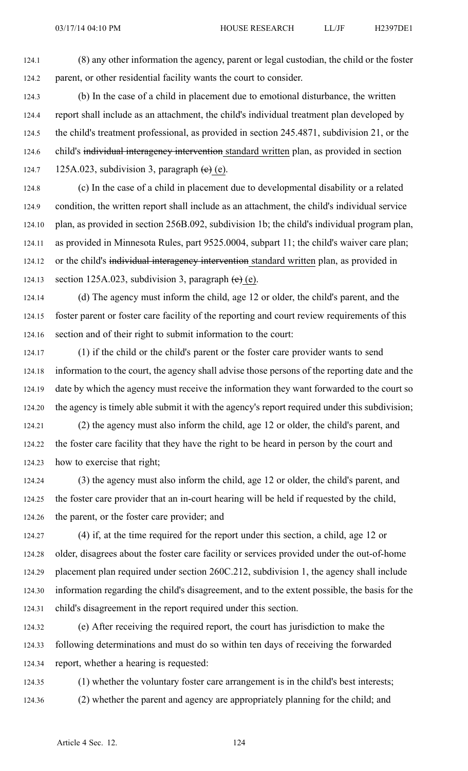124.1 (8) any other information the agency, paren<sup>t</sup> or legal custodian, the child or the foster 124.2 parent, or other residential facility wants the court to consider.

124.3 (b) In the case of <sup>a</sup> child in placement due to emotional disturbance, the written 124.4 repor<sup>t</sup> shall include as an attachment, the child's individual treatment plan developed by 124.5 the child's treatment professional, as provided in section 245.4871, subdivision 21, or the 124.6 child's individual interagency intervention standard written plan, as provided in section 124.7 125A.023, subdivision 3, paragraph  $(e)$  (e).

124.8 (c) In the case of <sup>a</sup> child in placement due to developmental disability or <sup>a</sup> related 124.9 condition, the written repor<sup>t</sup> shall include as an attachment, the child's individual service 124.10 plan, as provided in section 256B.092, subdivision 1b; the child's individual program plan, 124.11 as provided in Minnesota Rules, par<sup>t</sup> 9525.0004, subpart 11; the child's waiver care plan; 124.12 or the child's individual interagency intervention standard written plan, as provided in 124.13 section 125A.023, subdivision 3, paragraph  $(e)$  (e).

124.14 (d) The agency must inform the child, age 12 or older, the child's parent, and the 124.15 foster paren<sup>t</sup> or foster care facility of the reporting and court review requirements of this 124.16 section and of their right to submit information to the court:

124.17 (1) if the child or the child's paren<sup>t</sup> or the foster care provider wants to send 124.18 information to the court, the agency shall advise those persons of the reporting date and the 124.19 date by which the agency must receive the information they want forwarded to the court so 124.20 the agency is timely able submit it with the agency's repor<sup>t</sup> required under this subdivision;

124.21 (2) the agency must also inform the child, age 12 or older, the child's parent, and 124.22 the foster care facility that they have the right to be heard in person by the court and 124.23 how to exercise that right;

124.24 (3) the agency must also inform the child, age 12 or older, the child's parent, and 124.25 the foster care provider that an in-court hearing will be held if requested by the child, 124.26 the parent, or the foster care provider; and

124.27 (4) if, at the time required for the repor<sup>t</sup> under this section, <sup>a</sup> child, age 12 or 124.28 older, disagrees about the foster care facility or services provided under the out-of-home 124.29 placement plan required under section 260C.212, subdivision 1, the agency shall include 124.30 information regarding the child's disagreement, and to the extent possible, the basis for the 124.31 child's disagreement in the repor<sup>t</sup> required under this section.

124.32 (e) After receiving the required report, the court has jurisdiction to make the 124.33 following determinations and must do so within ten days of receiving the forwarded 124.34 report, whether <sup>a</sup> hearing is requested:

124.35 (1) whether the voluntary foster care arrangemen<sup>t</sup> is in the child's best interests; 124.36 (2) whether the paren<sup>t</sup> and agency are appropriately planning for the child; and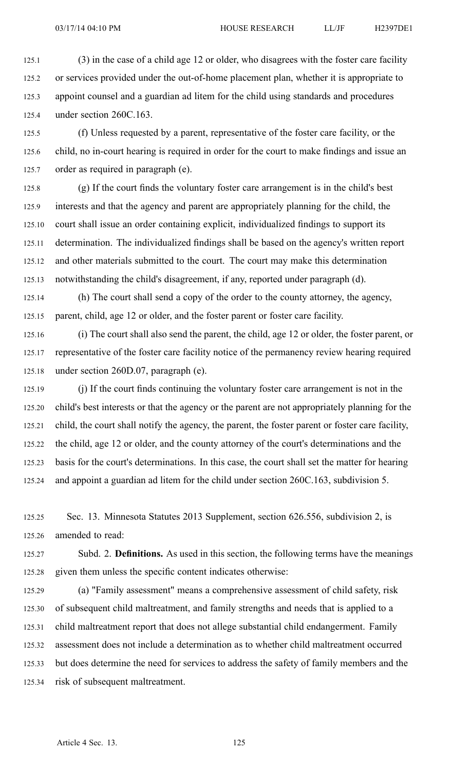125.1 (3) in the case of <sup>a</sup> child age 12 or older, who disagrees with the foster care facility 125.2 or services provided under the out-of-home placement plan, whether it is appropriate to 125.3 appoint counsel and <sup>a</sup> guardian ad litem for the child using standards and procedures 125.4 under section 260C.163.

125.5 (f) Unless requested by <sup>a</sup> parent, representative of the foster care facility, or the 125.6 child, no in-court hearing is required in order for the court to make findings and issue an 125.7 order as required in paragraph (e).

125.8 (g) If the court finds the voluntary foster care arrangemen<sup>t</sup> is in the child's best 125.9 interests and that the agency and paren<sup>t</sup> are appropriately planning for the child, the 125.10 court shall issue an order containing explicit, individualized findings to suppor<sup>t</sup> its 125.11 determination. The individualized findings shall be based on the agency's written repor<sup>t</sup> 125.12 and other materials submitted to the court. The court may make this determination 125.13 notwithstanding the child's disagreement, if any, reported under paragraph (d).

125.14 (h) The court shall send <sup>a</sup> copy of the order to the county attorney, the agency, 125.15 parent, child, age 12 or older, and the foster paren<sup>t</sup> or foster care facility.

125.16 (i) The court shall also send the parent, the child, age 12 or older, the foster parent, or 125.17 representative of the foster care facility notice of the permanency review hearing required 125.18 under section 260D.07, paragraph (e).

125.19 (j) If the court finds continuing the voluntary foster care arrangemen<sup>t</sup> is not in the 125.20 child's best interests or that the agency or the paren<sup>t</sup> are not appropriately planning for the 125.21 child, the court shall notify the agency, the parent, the foster paren<sup>t</sup> or foster care facility, 125.22 the child, age 12 or older, and the county attorney of the court's determinations and the 125.23 basis for the court's determinations. In this case, the court shall set the matter for hearing 125.24 and appoint <sup>a</sup> guardian ad litem for the child under section 260C.163, subdivision 5.

125.25 Sec. 13. Minnesota Statutes 2013 Supplement, section 626.556, subdivision 2, is 125.26 amended to read:

125.27 Subd. 2. **Definitions.** As used in this section, the following terms have the meanings 125.28 given them unless the specific content indicates otherwise:

125.29 (a) "Family assessment" means <sup>a</sup> comprehensive assessment of child safety, risk 125.30 of subsequent child maltreatment, and family strengths and needs that is applied to <sup>a</sup> 125.31 child maltreatment repor<sup>t</sup> that does not allege substantial child endangerment. Family 125.32 assessment does not include <sup>a</sup> determination as to whether child maltreatment occurred 125.33 but does determine the need for services to address the safety of family members and the 125.34 risk of subsequent maltreatment.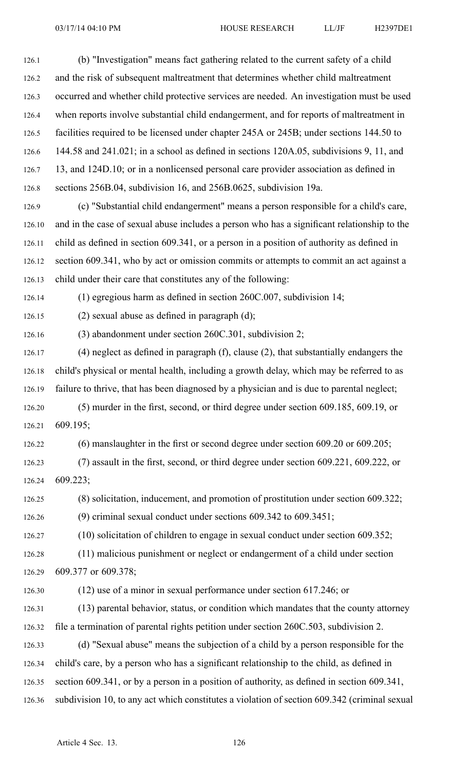| 126.1  | (b) "Investigation" means fact gathering related to the current safety of a child             |
|--------|-----------------------------------------------------------------------------------------------|
| 126.2  | and the risk of subsequent maltreatment that determines whether child maltreatment            |
| 126.3  | occurred and whether child protective services are needed. An investigation must be used      |
| 126.4  | when reports involve substantial child endangerment, and for reports of maltreatment in       |
| 126.5  | facilities required to be licensed under chapter 245A or 245B; under sections 144.50 to       |
| 126.6  | 144.58 and 241.021; in a school as defined in sections 120A.05, subdivisions 9, 11, and       |
| 126.7  | 13, and 124D.10; or in a nonlicensed personal care provider association as defined in         |
| 126.8  | sections 256B.04, subdivision 16, and 256B.0625, subdivision 19a.                             |
| 126.9  | (c) "Substantial child endangerment" means a person responsible for a child's care,           |
| 126.10 | and in the case of sexual abuse includes a person who has a significant relationship to the   |
| 126.11 | child as defined in section 609.341, or a person in a position of authority as defined in     |
| 126.12 | section 609.341, who by act or omission commits or attempts to commit an act against a        |
| 126.13 | child under their care that constitutes any of the following:                                 |
| 126.14 | (1) egregious harm as defined in section $260C.007$ , subdivision 14;                         |
| 126.15 | $(2)$ sexual abuse as defined in paragraph $(d)$ ;                                            |
| 126.16 | (3) abandonment under section 260C.301, subdivision 2;                                        |
| 126.17 | $(4)$ neglect as defined in paragraph $(f)$ , clause $(2)$ , that substantially endangers the |
| 126.18 | child's physical or mental health, including a growth delay, which may be referred to as      |
| 126.19 | failure to thrive, that has been diagnosed by a physician and is due to parental neglect;     |
| 126.20 | (5) murder in the first, second, or third degree under section 609.185, 609.19, or            |
| 126.21 | 609.195;                                                                                      |
| 126.22 | $(6)$ manslaughter in the first or second degree under section 609.20 or 609.205;             |
| 126.23 | (7) assault in the first, second, or third degree under section 609.221, 609.222, or          |
| 126.24 | 609.223;                                                                                      |
| 126.25 | $(8)$ solicitation, inducement, and promotion of prostitution under section 609.322;          |
| 126.26 | (9) criminal sexual conduct under sections $609.342$ to $609.3451$ ;                          |
| 126.27 | $(10)$ solicitation of children to engage in sexual conduct under section 609.352;            |
| 126.28 | (11) malicious punishment or neglect or endangerment of a child under section                 |

126.29 609.377 or 609.378;

126.30 (12) use of <sup>a</sup> minor in sexual performance under section 617.246; or

126.31 (13) parental behavior, status, or condition which mandates that the county attorney 126.32 file <sup>a</sup> termination of parental rights petition under section 260C.503, subdivision 2.

126.33 (d) "Sexual abuse" means the subjection of <sup>a</sup> child by <sup>a</sup> person responsible for the 126.34 child's care, by <sup>a</sup> person who has <sup>a</sup> significant relationship to the child, as defined in 126.35 section 609.341, or by <sup>a</sup> person in <sup>a</sup> position of authority, as defined in section 609.341, 126.36 subdivision 10, to any act which constitutes <sup>a</sup> violation of section 609.342 (criminal sexual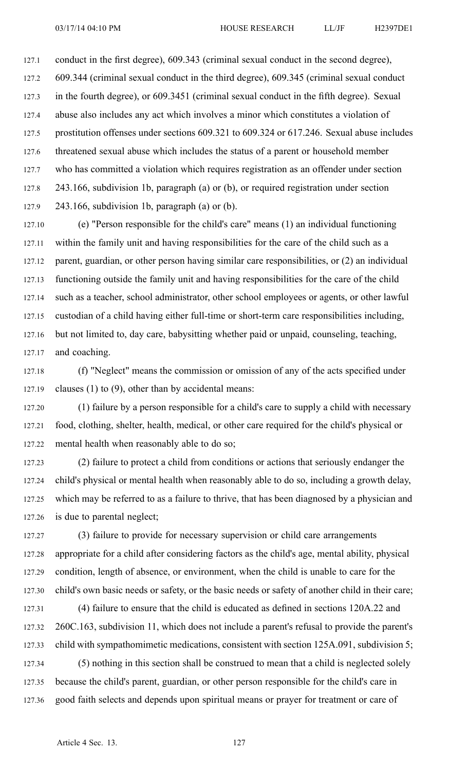127.1 conduct in the first degree), 609.343 (criminal sexual conduct in the second degree), 127.2 609.344 (criminal sexual conduct in the third degree), 609.345 (criminal sexual conduct 127.3 in the fourth degree), or 609.3451 (criminal sexual conduct in the fifth degree). Sexual 127.4 abuse also includes any act which involves <sup>a</sup> minor which constitutes <sup>a</sup> violation of 127.5 prostitution offenses under sections 609.321 to 609.324 or 617.246. Sexual abuse includes 127.6 threatened sexual abuse which includes the status of <sup>a</sup> paren<sup>t</sup> or household member 127.7 who has committed <sup>a</sup> violation which requires registration as an offender under section 127.8 243.166, subdivision 1b, paragraph (a) or (b), or required registration under section 127.9 243.166, subdivision 1b, paragraph (a) or (b).

127.10 (e) "Person responsible for the child's care" means (1) an individual functioning 127.11 within the family unit and having responsibilities for the care of the child such as <sup>a</sup> 127.12 parent, guardian, or other person having similar care responsibilities, or (2) an individual 127.13 functioning outside the family unit and having responsibilities for the care of the child 127.14 such as <sup>a</sup> teacher, school administrator, other school employees or agents, or other lawful 127.15 custodian of <sup>a</sup> child having either full-time or short-term care responsibilities including, 127.16 but not limited to, day care, babysitting whether paid or unpaid, counseling, teaching, 127.17 and coaching.

127.18 (f) "Neglect" means the commission or omission of any of the acts specified under 127.19 clauses (1) to (9), other than by accidental means:

127.20 (1) failure by <sup>a</sup> person responsible for <sup>a</sup> child's care to supply <sup>a</sup> child with necessary 127.21 food, clothing, shelter, health, medical, or other care required for the child's physical or 127.22 mental health when reasonably able to do so;

127.23 (2) failure to protect <sup>a</sup> child from conditions or actions that seriously endanger the 127.24 child's physical or mental health when reasonably able to do so, including <sup>a</sup> growth delay, 127.25 which may be referred to as <sup>a</sup> failure to thrive, that has been diagnosed by <sup>a</sup> physician and 127.26 is due to parental neglect;

127.27 (3) failure to provide for necessary supervision or child care arrangements 127.28 appropriate for <sup>a</sup> child after considering factors as the child's age, mental ability, physical 127.29 condition, length of absence, or environment, when the child is unable to care for the 127.30 child's own basic needs or safety, or the basic needs or safety of another child in their care; 127.31 (4) failure to ensure that the child is educated as defined in sections 120A.22 and 127.32 260C.163, subdivision 11, which does not include <sup>a</sup> parent's refusal to provide the parent's 127.33 child with sympathomimetic medications, consistent with section 125A.091, subdivision 5; 127.34 (5) nothing in this section shall be construed to mean that <sup>a</sup> child is neglected solely

127.35 because the child's parent, guardian, or other person responsible for the child's care in 127.36 good faith selects and depends upon spiritual means or prayer for treatment or care of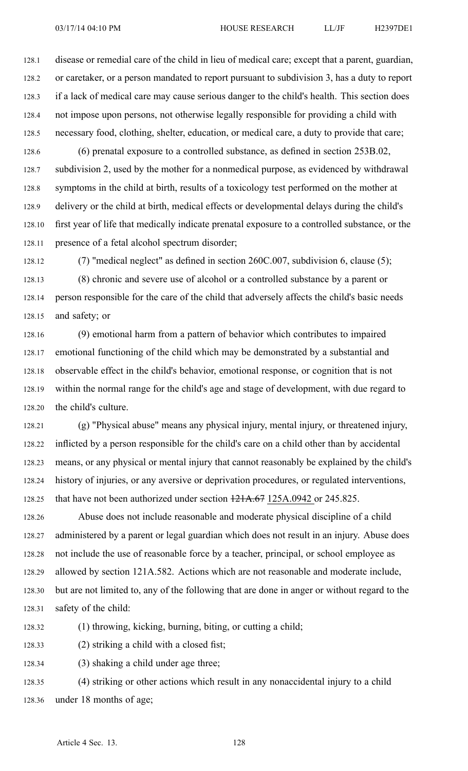128.1 disease or remedial care of the child in lieu of medical care; excep<sup>t</sup> that <sup>a</sup> parent, guardian, 128.2 or caretaker, or <sup>a</sup> person mandated to repor<sup>t</sup> pursuan<sup>t</sup> to subdivision 3, has <sup>a</sup> duty to repor<sup>t</sup> 128.3 if <sup>a</sup> lack of medical care may cause serious danger to the child's health. This section does 128.4 not impose upon persons, not otherwise legally responsible for providing <sup>a</sup> child with 128.5 necessary food, clothing, shelter, education, or medical care, <sup>a</sup> duty to provide that care;

128.6 (6) prenatal exposure to <sup>a</sup> controlled substance, as defined in section 253B.02, 128.7 subdivision 2, used by the mother for <sup>a</sup> nonmedical purpose, as evidenced by withdrawal 128.8 symptoms in the child at birth, results of <sup>a</sup> toxicology test performed on the mother at 128.9 delivery or the child at birth, medical effects or developmental delays during the child's 128.10 first year of life that medically indicate prenatal exposure to <sup>a</sup> controlled substance, or the 128.11 presence of <sup>a</sup> fetal alcohol spectrum disorder;

128.12 (7) "medical neglect" as defined in section 260C.007, subdivision 6, clause (5); 128.13 (8) chronic and severe use of alcohol or <sup>a</sup> controlled substance by <sup>a</sup> paren<sup>t</sup> or 128.14 person responsible for the care of the child that adversely affects the child's basic needs 128.15 and safety; or

128.16 (9) emotional harm from <sup>a</sup> pattern of behavior which contributes to impaired 128.17 emotional functioning of the child which may be demonstrated by <sup>a</sup> substantial and 128.18 observable effect in the child's behavior, emotional response, or cognition that is not 128.19 within the normal range for the child's age and stage of development, with due regard to 128.20 the child's culture.

128.21 (g) "Physical abuse" means any physical injury, mental injury, or threatened injury, 128.22 inflicted by <sup>a</sup> person responsible for the child's care on <sup>a</sup> child other than by accidental 128.23 means, or any physical or mental injury that cannot reasonably be explained by the child's 128.24 history of injuries, or any aversive or deprivation procedures, or regulated interventions, 128.25 that have not been authorized under section 121A.67 125A.0942 or 245.825.

128.26 Abuse does not include reasonable and moderate physical discipline of <sup>a</sup> child 128.27 administered by <sup>a</sup> paren<sup>t</sup> or legal guardian which does not result in an injury. Abuse does 128.28 not include the use of reasonable force by <sup>a</sup> teacher, principal, or school employee as 128.29 allowed by section 121A.582. Actions which are not reasonable and moderate include, 128.30 but are not limited to, any of the following that are done in anger or without regard to the 128.31 safety of the child:

128.32 (1) throwing, kicking, burning, biting, or cutting <sup>a</sup> child;

128.33 (2) striking <sup>a</sup> child with <sup>a</sup> closed fist;

128.34 (3) shaking <sup>a</sup> child under age three;

128.35 (4) striking or other actions which result in any nonaccidental injury to <sup>a</sup> child 128.36 under 18 months of age;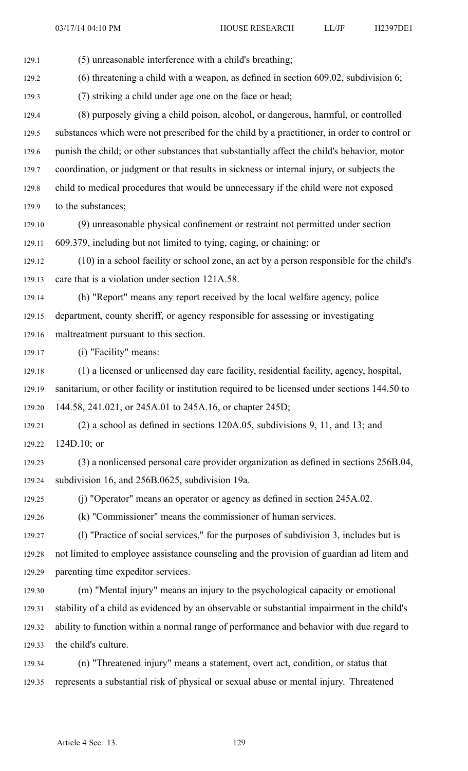129.1 (5) unreasonable interference with <sup>a</sup> child's breathing;

129.2 (6) threatening <sup>a</sup> child with <sup>a</sup> weapon, as defined in section 609.02, subdivision 6;

129.3 (7) striking <sup>a</sup> child under age one on the face or head;

129.4 (8) purposely giving <sup>a</sup> child poison, alcohol, or dangerous, harmful, or controlled 129.5 substances which were not prescribed for the child by <sup>a</sup> practitioner, in order to control or 129.6 punish the child; or other substances that substantially affect the child's behavior, motor 129.7 coordination, or judgment or that results in sickness or internal injury, or subjects the 129.8 child to medical procedures that would be unnecessary if the child were not exposed 129.9 to the substances;

129.10 (9) unreasonable physical confinement or restraint not permitted under section 129.11 609.379, including but not limited to tying, caging, or chaining; or

129.12 (10) in <sup>a</sup> school facility or school zone, an act by <sup>a</sup> person responsible for the child's 129.13 care that is <sup>a</sup> violation under section 121A.58.

129.14 (h) "Report" means any repor<sup>t</sup> received by the local welfare agency, police 129.15 department, county sheriff, or agency responsible for assessing or investigating 129.16 maltreatment pursuan<sup>t</sup> to this section.

129.17 (i) "Facility" means:

129.18 (1) <sup>a</sup> licensed or unlicensed day care facility, residential facility, agency, hospital, 129.19 sanitarium, or other facility or institution required to be licensed under sections 144.50 to 129.20 144.58, 241.021, or 245A.01 to 245A.16, or chapter 245D;

129.21 (2) <sup>a</sup> school as defined in sections 120A.05, subdivisions 9, 11, and 13; and 129.22 124D.10; or

129.23 (3) <sup>a</sup> nonlicensed personal care provider organization as defined in sections 256B.04, 129.24 subdivision 16, and 256B.0625, subdivision 19a.

129.25 (j) "Operator" means an operator or agency as defined in section 245A.02.

129.26 (k) "Commissioner" means the commissioner of human services.

129.27 (l) "Practice of social services," for the purposes of subdivision 3, includes but is 129.28 not limited to employee assistance counseling and the provision of guardian ad litem and 129.29 parenting time expeditor services.

129.30 (m) "Mental injury" means an injury to the psychological capacity or emotional 129.31 stability of <sup>a</sup> child as evidenced by an observable or substantial impairment in the child's 129.32 ability to function within <sup>a</sup> normal range of performance and behavior with due regard to 129.33 the child's culture.

129.34 (n) "Threatened injury" means <sup>a</sup> statement, overt act, condition, or status that 129.35 represents <sup>a</sup> substantial risk of physical or sexual abuse or mental injury. Threatened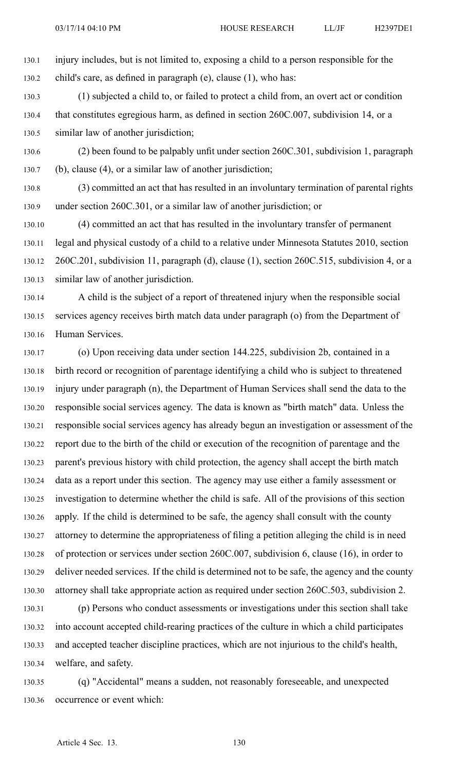130.1 injury includes, but is not limited to, exposing <sup>a</sup> child to <sup>a</sup> person responsible for the 130.2 child's care, as defined in paragraph (e), clause (1), who has:

130.3 (1) subjected <sup>a</sup> child to, or failed to protect <sup>a</sup> child from, an overt act or condition 130.4 that constitutes egregious harm, as defined in section 260C.007, subdivision 14, or <sup>a</sup> 130.5 similar law of another jurisdiction;

130.6 (2) been found to be palpably unfit under section 260C.301, subdivision 1, paragraph 130.7 (b), clause (4), or <sup>a</sup> similar law of another jurisdiction;

130.8 (3) committed an act that has resulted in an involuntary termination of parental rights 130.9 under section 260C.301, or <sup>a</sup> similar law of another jurisdiction; or

130.10 (4) committed an act that has resulted in the involuntary transfer of permanen<sup>t</sup> 130.11 legal and physical custody of <sup>a</sup> child to <sup>a</sup> relative under Minnesota Statutes 2010, section 130.12 260C.201, subdivision 11, paragraph (d), clause (1), section 260C.515, subdivision 4, or <sup>a</sup> 130.13 similar law of another jurisdiction.

130.14 A child is the subject of <sup>a</sup> repor<sup>t</sup> of threatened injury when the responsible social 130.15 services agency receives birth match data under paragraph (o) from the Department of 130.16 Human Services.

130.17 (o) Upon receiving data under section 144.225, subdivision 2b, contained in <sup>a</sup> 130.18 birth record or recognition of parentage identifying <sup>a</sup> child who is subject to threatened 130.19 injury under paragraph (n), the Department of Human Services shall send the data to the 130.20 responsible social services agency. The data is known as "birth match" data. Unless the 130.21 responsible social services agency has already begun an investigation or assessment of the 130.22 repor<sup>t</sup> due to the birth of the child or execution of the recognition of parentage and the 130.23 parent's previous history with child protection, the agency shall accep<sup>t</sup> the birth match 130.24 data as <sup>a</sup> repor<sup>t</sup> under this section. The agency may use either <sup>a</sup> family assessment or 130.25 investigation to determine whether the child is safe. All of the provisions of this section 130.26 apply. If the child is determined to be safe, the agency shall consult with the county 130.27 attorney to determine the appropriateness of filing <sup>a</sup> petition alleging the child is in need 130.28 of protection or services under section 260C.007, subdivision 6, clause (16), in order to 130.29 deliver needed services. If the child is determined not to be safe, the agency and the county 130.30 attorney shall take appropriate action as required under section 260C.503, subdivision 2.

130.31 (p) Persons who conduct assessments or investigations under this section shall take 130.32 into account accepted child-rearing practices of the culture in which <sup>a</sup> child participates 130.33 and accepted teacher discipline practices, which are not injurious to the child's health, 130.34 welfare, and safety.

130.35 (q) "Accidental" means <sup>a</sup> sudden, not reasonably foreseeable, and unexpected 130.36 occurrence or event which: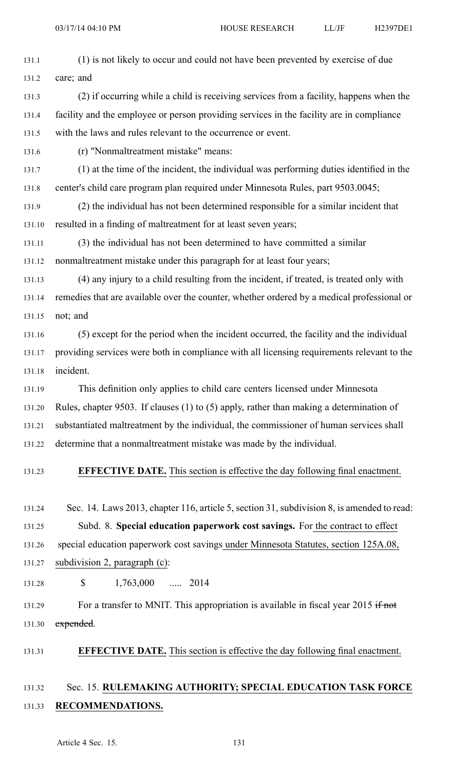| 131.1  | (1) is not likely to occur and could not have been prevented by exercise of due            |
|--------|--------------------------------------------------------------------------------------------|
| 131.2  | care; and                                                                                  |
| 131.3  | (2) if occurring while a child is receiving services from a facility, happens when the     |
| 131.4  | facility and the employee or person providing services in the facility are in compliance   |
| 131.5  | with the laws and rules relevant to the occurrence or event.                               |
| 131.6  | (r) "Nonmaltreatment mistake" means:                                                       |
| 131.7  | (1) at the time of the incident, the individual was performing duties identified in the    |
| 131.8  | center's child care program plan required under Minnesota Rules, part 9503.0045;           |
| 131.9  | (2) the individual has not been determined responsible for a similar incident that         |
| 131.10 | resulted in a finding of maltreatment for at least seven years;                            |
| 131.11 | (3) the individual has not been determined to have committed a similar                     |
| 131.12 | nonmaltreatment mistake under this paragraph for at least four years;                      |
| 131.13 | (4) any injury to a child resulting from the incident, if treated, is treated only with    |
| 131.14 | remedies that are available over the counter, whether ordered by a medical professional or |
| 131.15 | not; and                                                                                   |
| 131.16 | (5) except for the period when the incident occurred, the facility and the individual      |
| 131.17 | providing services were both in compliance with all licensing requirements relevant to the |
| 131.18 | incident.                                                                                  |
| 131.19 | This definition only applies to child care centers licensed under Minnesota                |
| 131.20 | Rules, chapter 9503. If clauses (1) to (5) apply, rather than making a determination of    |
| 131.21 | substantiated maltreatment by the individual, the commissioner of human services shall     |
| 131.22 | determine that a nonmaltreatment mistake was made by the individual.                       |
| 131.23 | <b>EFFECTIVE DATE.</b> This section is effective the day following final enactment.        |
| 131.24 | Sec. 14. Laws 2013, chapter 116, article 5, section 31, subdivision 8, is amended to read: |

131.25 Subd. 8. **Special education paperwork cost savings.** For the contract to effect

131.26 special education paperwork cost savings under Minnesota Statutes, section 125A.08,

131.27 subdivision 2, paragraph (c):

131.28 \$ 1,763,000 ..... 2014

131.29 For a transfer to MNIT. This appropriation is available in fiscal year 2015 if not 131.30 expended.

## 131.31 **EFFECTIVE DATE.** This section is effective the day following final enactment.

## 131.32 Sec. 15. **RULEMAKING AUTHORITY; SPECIAL EDUCATION TASK FORCE** 131.33 **RECOMMENDATIONS.**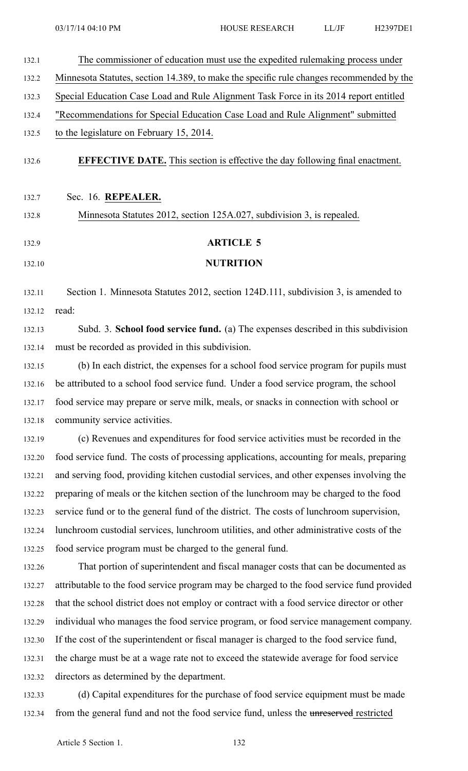| 132.1  | The commissioner of education must use the expedited rulemaking process under              |
|--------|--------------------------------------------------------------------------------------------|
| 132.2  | Minnesota Statutes, section 14.389, to make the specific rule changes recommended by the   |
| 132.3  | Special Education Case Load and Rule Alignment Task Force in its 2014 report entitled      |
| 132.4  | "Recommendations for Special Education Case Load and Rule Alignment" submitted             |
| 132.5  | to the legislature on February 15, 2014.                                                   |
| 132.6  | <b>EFFECTIVE DATE.</b> This section is effective the day following final enactment.        |
| 132.7  | Sec. 16. REPEALER.                                                                         |
| 132.8  | Minnesota Statutes 2012, section 125A.027, subdivision 3, is repealed.                     |
| 132.9  | <b>ARTICLE 5</b>                                                                           |
| 132.10 | <b>NUTRITION</b>                                                                           |
|        |                                                                                            |
| 132.11 | Section 1. Minnesota Statutes 2012, section 124D.111, subdivision 3, is amended to         |
| 132.12 | read:                                                                                      |
| 132.13 | Subd. 3. School food service fund. (a) The expenses described in this subdivision          |
| 132.14 | must be recorded as provided in this subdivision.                                          |
| 132.15 | (b) In each district, the expenses for a school food service program for pupils must       |
| 132.16 | be attributed to a school food service fund. Under a food service program, the school      |
| 132.17 | food service may prepare or serve milk, meals, or snacks in connection with school or      |
| 132.18 | community service activities.                                                              |
| 132.19 | (c) Revenues and expenditures for food service activities must be recorded in the          |
| 132.20 | food service fund. The costs of processing applications, accounting for meals, preparing   |
| 132.21 | and serving food, providing kitchen custodial services, and other expenses involving the   |
| 132.22 | preparing of meals or the kitchen section of the lunchroom may be charged to the food      |
| 132.23 | service fund or to the general fund of the district. The costs of lunchroom supervision,   |
| 132.24 | lunchroom custodial services, lunchroom utilities, and other administrative costs of the   |
| 132.25 | food service program must be charged to the general fund.                                  |
| 132.26 | That portion of superintendent and fiscal manager costs that can be documented as          |
| 132.27 | attributable to the food service program may be charged to the food service fund provided  |
| 132.28 | that the school district does not employ or contract with a food service director or other |
| 132.29 | individual who manages the food service program, or food service management company.       |
| 132.30 | If the cost of the superintendent or fiscal manager is charged to the food service fund,   |
| 132.31 | the charge must be at a wage rate not to exceed the statewide average for food service     |
| 132.32 | directors as determined by the department.                                                 |
| 132.33 | (d) Capital expenditures for the purchase of food service equipment must be made           |
| 132.34 | from the general fund and not the food service fund, unless the unreserved restricted      |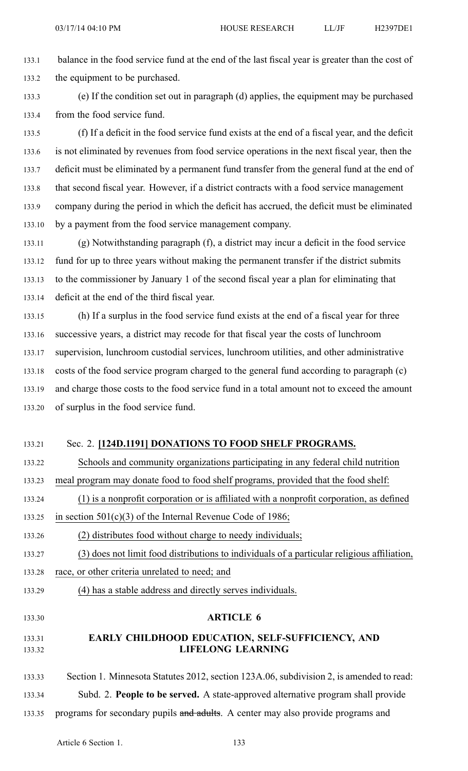133.1 balance in the food service fund at the end of the last fiscal year is greater than the cost of 133.2 the equipment to be purchased.

133.3 (e) If the condition set out in paragraph (d) applies, the equipment may be purchased 133.4 from the food service fund.

133.5 (f) If <sup>a</sup> deficit in the food service fund exists at the end of <sup>a</sup> fiscal year, and the deficit 133.6 is not eliminated by revenues from food service operations in the next fiscal year, then the 133.7 deficit must be eliminated by <sup>a</sup> permanen<sup>t</sup> fund transfer from the general fund at the end of 133.8 that second fiscal year. However, if <sup>a</sup> district contracts with <sup>a</sup> food service managemen<sup>t</sup> 133.9 company during the period in which the deficit has accrued, the deficit must be eliminated 133.10 by <sup>a</sup> paymen<sup>t</sup> from the food service managemen<sup>t</sup> company.

133.11 (g) Notwithstanding paragraph (f), <sup>a</sup> district may incur <sup>a</sup> deficit in the food service 133.12 fund for up to three years without making the permanen<sup>t</sup> transfer if the district submits 133.13 to the commissioner by January 1 of the second fiscal year <sup>a</sup> plan for eliminating that 133.14 deficit at the end of the third fiscal year.

133.15 (h) If <sup>a</sup> surplus in the food service fund exists at the end of <sup>a</sup> fiscal year for three 133.16 successive years, <sup>a</sup> district may recode for that fiscal year the costs of lunchroom 133.17 supervision, lunchroom custodial services, lunchroom utilities, and other administrative 133.18 costs of the food service program charged to the general fund according to paragraph (c) 133.19 and charge those costs to the food service fund in <sup>a</sup> total amount not to exceed the amount 133.20 of surplus in the food service fund.

## 133.21 Sec. 2. **[124D.1191] DONATIONS TO FOOD SHELF PROGRAMS.**

133.22 Schools and community organizations participating in any federal child nutrition 133.23 meal program may donate food to food shelf programs, provided that the food shelf:

133.24 (1) is <sup>a</sup> nonprofit corporation or is affiliated with <sup>a</sup> nonprofit corporation, as defined

133.25 in section 501(c)(3) of the Internal Revenue Code of 1986;

133.26 (2) distributes food without charge to needy individuals;

133.27 (3) does not limit food distributions to individuals of <sup>a</sup> particular religious affiliation,

133.28 race, or other criteria unrelated to need; and

133.29 (4) has <sup>a</sup> stable address and directly serves individuals.

#### 133.30 **ARTICLE 6**

## 133.31 **EARLY CHILDHOOD EDUCATION, SELF-SUFFICIENCY, AND** 133.32 **LIFELONG LEARNING**

133.33 Section 1. Minnesota Statutes 2012, section 123A.06, subdivision 2, is amended to read: 133.34 Subd. 2. **People to be served.** A state-approved alternative program shall provide 133.35 programs for secondary pupils and adults. A center may also provide programs and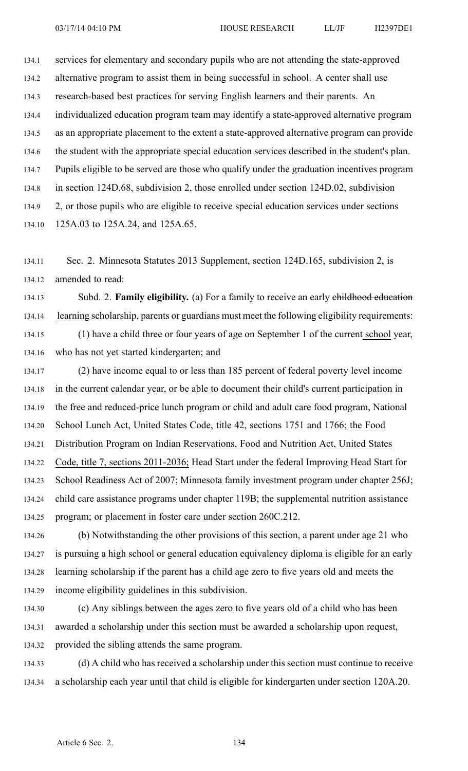134.1 services for elementary and secondary pupils who are not attending the state-approved 134.2 alternative program to assist them in being successful in school. A center shall use 134.3 research-based best practices for serving English learners and their parents. An 134.4 individualized education program team may identify <sup>a</sup> state-approved alternative program 134.5 as an appropriate placement to the extent <sup>a</sup> state-approved alternative program can provide 134.6 the student with the appropriate special education services described in the student's plan. 134.7 Pupils eligible to be served are those who qualify under the graduation incentives program 134.8 in section 124D.68, subdivision 2, those enrolled under section 124D.02, subdivision 134.9 2, or those pupils who are eligible to receive special education services under sections 134.10 125A.03 to 125A.24, and 125A.65.

134.11 Sec. 2. Minnesota Statutes 2013 Supplement, section 124D.165, subdivision 2, is 134.12 amended to read:

134.13 Subd. 2. **Family eligibility.** (a) For <sup>a</sup> family to receive an early childhood education 134.14 learning scholarship, parents or guardians must meet the following eligibility requirements: 134.15 (1) have <sup>a</sup> child three or four years of age on September 1 of the current school year, 134.16 who has not ye<sup>t</sup> started kindergarten; and

134.17 (2) have income equal to or less than 185 percen<sup>t</sup> of federal poverty level income 134.18 in the current calendar year, or be able to document their child's current participation in 134.19 the free and reduced-price lunch program or child and adult care food program, National 134.20 School Lunch Act, United States Code, title 42, sections 1751 and 1766; the Food 134.21 Distribution Program on Indian Reservations, Food and Nutrition Act, United States 134.22 Code, title 7, sections 2011-2036; Head Start under the federal Improving Head Start for 134.23 School Readiness Act of 2007; Minnesota family investment program under chapter 256J; 134.24 child care assistance programs under chapter 119B; the supplemental nutrition assistance 134.25 program; or placement in foster care under section 260C.212.

134.26 (b) Notwithstanding the other provisions of this section, <sup>a</sup> paren<sup>t</sup> under age 21 who 134.27 is pursuing <sup>a</sup> high school or general education equivalency diploma is eligible for an early 134.28 learning scholarship if the paren<sup>t</sup> has <sup>a</sup> child age zero to five years old and meets the 134.29 income eligibility guidelines in this subdivision.

134.30 (c) Any siblings between the ages zero to five years old of <sup>a</sup> child who has been 134.31 awarded <sup>a</sup> scholarship under this section must be awarded <sup>a</sup> scholarship upon request, 134.32 provided the sibling attends the same program.

134.33 (d) A child who has received <sup>a</sup> scholarship under this section must continue to receive 134.34 <sup>a</sup> scholarship each year until that child is eligible for kindergarten under section 120A.20.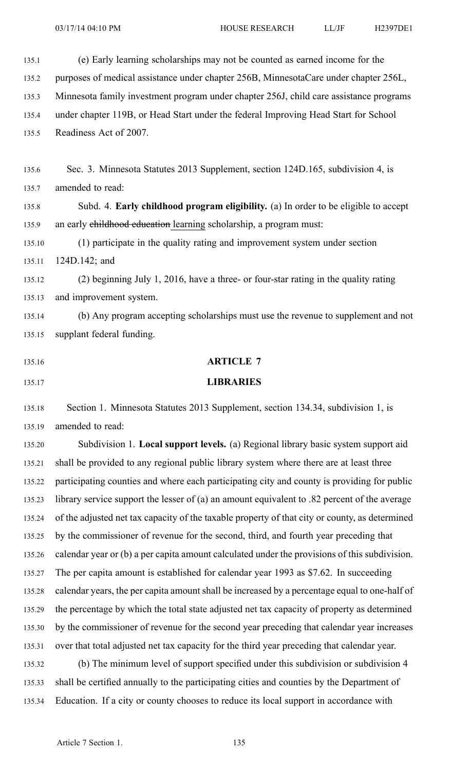135.1 (e) Early learning scholarships may not be counted as earned income for the 135.2 purposes of medical assistance under chapter 256B, MinnesotaCare under chapter 256L, 135.3 Minnesota family investment program under chapter 256J, child care assistance programs 135.4 under chapter 119B, or Head Start under the federal Improving Head Start for School 135.5 Readiness Act of 2007. 135.6 Sec. 3. Minnesota Statutes 2013 Supplement, section 124D.165, subdivision 4, is 135.7 amended to read: 135.8 Subd. 4. **Early childhood program eligibility.** (a) In order to be eligible to accep<sup>t</sup> 135.9 an early childhood education learning scholarship, a program must: 135.10 (1) participate in the quality rating and improvement system under section 135.11 124D.142; and 135.12 (2) beginning July 1, 2016, have <sup>a</sup> three- or four-star rating in the quality rating 135.13 and improvement system. 135.14 (b) Any program accepting scholarships must use the revenue to supplement and not 135.15 supplant federal funding. 135.16 **ARTICLE 7** 135.17 **LIBRARIES** 135.18 Section 1. Minnesota Statutes 2013 Supplement, section 134.34, subdivision 1, is 135.19 amended to read: 135.20 Subdivision 1. **Local suppor<sup>t</sup> levels.** (a) Regional library basic system suppor<sup>t</sup> aid 135.21 shall be provided to any regional public library system where there are at least three 135.22 participating counties and where each participating city and county is providing for public 135.23 library service suppor<sup>t</sup> the lesser of (a) an amount equivalent to .82 percen<sup>t</sup> of the average

135.24 of the adjusted net tax capacity of the taxable property of that city or county, as determined

135.25 by the commissioner of revenue for the second, third, and fourth year preceding that 135.26 calendar year or (b) <sup>a</sup> per capita amount calculated under the provisions of this subdivision.

135.27 The per capita amount is established for calendar year 1993 as \$7.62. In succeeding 135.28 calendar years, the per capita amount shall be increased by <sup>a</sup> percentage equal to one-half of 135.29 the percentage by which the total state adjusted net tax capacity of property as determined 135.30 by the commissioner of revenue for the second year preceding that calendar year increases 135.31 over that total adjusted net tax capacity for the third year preceding that calendar year.

135.32 (b) The minimum level of suppor<sup>t</sup> specified under this subdivision or subdivision 4 135.33 shall be certified annually to the participating cities and counties by the Department of 135.34 Education. If <sup>a</sup> city or county chooses to reduce its local suppor<sup>t</sup> in accordance with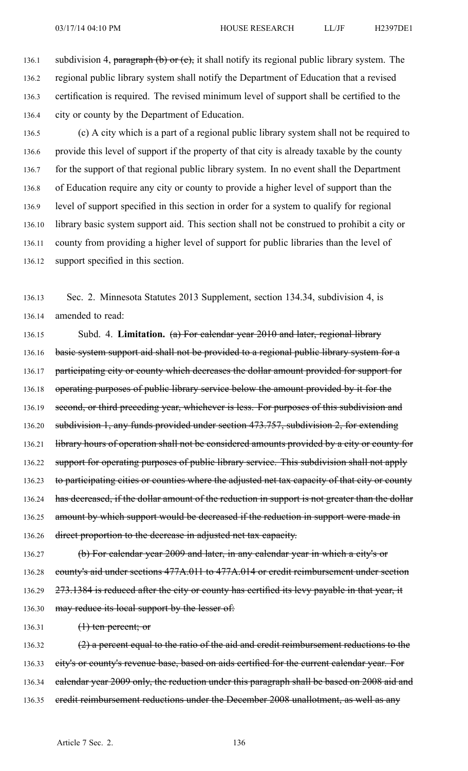136.1 subdivision 4, paragraph (b) or  $(e)$ , it shall notify its regional public library system. The 136.2 regional public library system shall notify the Department of Education that <sup>a</sup> revised 136.3 certification is required. The revised minimum level of suppor<sup>t</sup> shall be certified to the 136.4 city or county by the Department of Education.

136.5 (c) A city which is <sup>a</sup> par<sup>t</sup> of <sup>a</sup> regional public library system shall not be required to 136.6 provide this level of suppor<sup>t</sup> if the property of that city is already taxable by the county 136.7 for the suppor<sup>t</sup> of that regional public library system. In no event shall the Department 136.8 of Education require any city or county to provide <sup>a</sup> higher level of suppor<sup>t</sup> than the 136.9 level of suppor<sup>t</sup> specified in this section in order for <sup>a</sup> system to qualify for regional 136.10 library basic system suppor<sup>t</sup> aid. This section shall not be construed to prohibit <sup>a</sup> city or 136.11 county from providing <sup>a</sup> higher level of suppor<sup>t</sup> for public libraries than the level of 136.12 suppor<sup>t</sup> specified in this section.

136.13 Sec. 2. Minnesota Statutes 2013 Supplement, section 134.34, subdivision 4, is 136.14 amended to read:

136.15 Subd. 4. **Limitation.** (a) For calendar year 2010 and later, regional library 136.16 basic system support aid shall not be provided to a regional public library system for a 136.17 participating city or county which decreases the dollar amount provided for support for 136.18 operating purposes of public library service below the amount provided by it for the 136.19 second, or third preceding year, whichever is less. For purposes of this subdivision and 136.20 subdivision 1, any funds provided under section 473.757, subdivision 2, for extending 136.21 library hours of operation shall not be considered amounts provided by a city or county for 136.22 support for operating purposes of public library service. This subdivision shall not apply 136.23 to participating cities or counties where the adjusted net tax capacity of that city or county 136.24 has decreased, if the dollar amount of the reduction in support is not greater than the dollar 136.25 amount by which support would be decreased if the reduction in support were made in 136.26 direct proportion to the decrease in adjusted net tax capacity.

136.27 (b) For calendar year 2009 and later, in any calendar year in which <sup>a</sup> city's or 136.28 county's aid under sections 477A.011 to 477A.014 or credit reimbursement under section 136.29 273.1384 is reduced after the city or county has certified its levy payable in that year, it 136.30 may reduce its local support by the lesser of:

136.31 (1) ten percent; or

136.32  $(2)$  a percent equal to the ratio of the aid and credit reimbursement reductions to the 136.33 eity's or county's revenue base, based on aids certified for the current calendar year. For 136.34 ealendar year 2009 only, the reduction under this paragraph shall be based on 2008 aid and 136.35 credit reimbursement reductions under the December 2008 unallotment, as well as any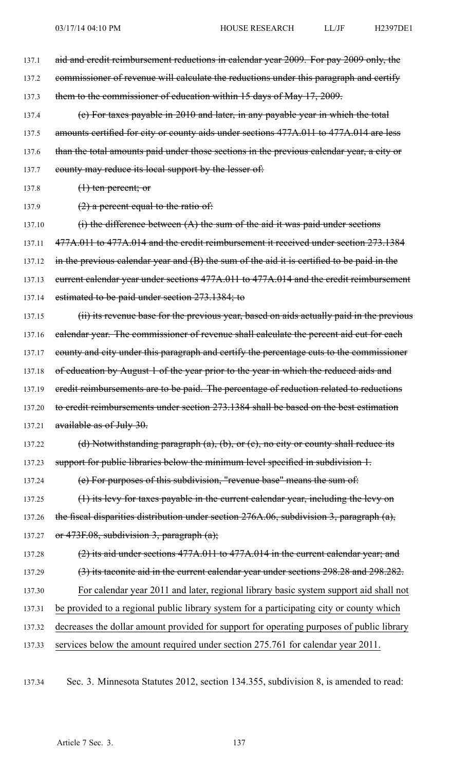137.1 aid and credit reimbursement reductions in calendar year 2009. For pay 2009 only, the 137.2 commissioner of revenue will calculate the reductions under this paragraph and certify 137.3 them to the commissioner of education within 15 days of May 17, 2009. 137.4 (c) For taxes payable in 2010 and later, in any payable year in which the total 137.5 amounts certified for city or county aids under sections 477A.011 to 477A.014 are less 137.6 than the total amounts paid under those sections in the previous calendar year, a city or 137.7 county may reduce its local support by the lesser of: 137.8  $(1)$  ten percent; or 137.9  $(2)$  a percent equal to the ratio of: 137.10  $(i)$  the difference between  $(A)$  the sum of the aid it was paid under sections 137.11 477A.011 to 477A.014 and the credit reimbursement it received under section 273.1384 137.12 in the previous calendar year and (B) the sum of the aid it is certified to be paid in the 137.13 eurrent calendar year under sections 477A.011 to 477A.014 and the credit reimbursement 137.14 estimated to be paid under section 273.1384; to 137.15 (ii) its revenue base for the previous year, based on aids actually paid in the previous 137.16 ealendar year. The commissioner of revenue shall calculate the percent aid cut for each 137.17 county and city under this paragraph and certify the percentage cuts to the commissioner 137.18 of education by August 1 of the year prior to the year in which the reduced aids and 137.19 eredit reimbursements are to be paid. The percentage of reduction related to reductions 137.20 to credit reimbursements under section 273.1384 shall be based on the best estimation 137.21 available as of July 30. 137.22 (d) Notwithstanding paragraph (a), (b), or (c), no city or county shall reduce its 137.23 support for public libraries below the minimum level specified in subdivision 1. 137.24 (e) For purposes of this subdivision, "revenue base" means the sum of: 137.25 (1) its levy for taxes payable in the current calendar year, including the levy on 137.26 the fiscal disparities distribution under section 276A.06, subdivision 3, paragraph (a), 137.27 or  $473F.08$ , subdivision 3, paragraph  $(a)$ ; 137.28 (2) its aid under sections 477A.011 to 477A.014 in the current calendar year; and 137.29 (3) its taconite aid in the current calendar year under sections 298.28 and 298.282. 137.30 For calendar year 2011 and later, regional library basic system suppor<sup>t</sup> aid shall not 137.31 be provided to <sup>a</sup> regional public library system for <sup>a</sup> participating city or county which 137.32 decreases the dollar amount provided for suppor<sup>t</sup> for operating purposes of public library 137.33 services below the amount required under section 275.761 for calendar year 2011.

137.34 Sec. 3. Minnesota Statutes 2012, section 134.355, subdivision 8, is amended to read: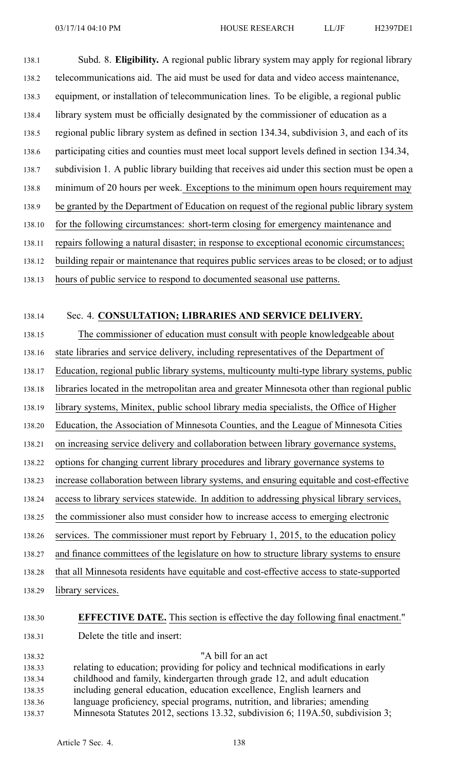138.1 Subd. 8. **Eligibility.** A regional public library system may apply for regional library 138.2 telecommunications aid. The aid must be used for data and video access maintenance, 138.3 equipment, or installation of telecommunication lines. To be eligible, <sup>a</sup> regional public 138.4 library system must be officially designated by the commissioner of education as <sup>a</sup> 138.5 regional public library system as defined in section 134.34, subdivision 3, and each of its 138.6 participating cities and counties must meet local suppor<sup>t</sup> levels defined in section 134.34, 138.7 subdivision 1. A public library building that receives aid under this section must be open <sup>a</sup> 138.8 minimum of 20 hours per week. Exceptions to the minimum open hours requirement may 138.9 be granted by the Department of Education on reques<sup>t</sup> of the regional public library system 138.10 for the following circumstances: short-term closing for emergency maintenance and 138.11 repairs following <sup>a</sup> natural disaster; in response to exceptional economic circumstances; 138.12 building repair or maintenance that requires public services areas to be closed; or to adjust 138.13 hours of public service to respond to documented seasonal use patterns.

## 138.14 Sec. 4. **CONSULTATION; LIBRARIES AND SERVICE DELIVERY.**

138.15 The commissioner of education must consult with people knowledgeable about

138.16 state libraries and service delivery, including representatives of the Department of

138.17 Education, regional public library systems, multicounty multi-type library systems, public

138.18 libraries located in the metropolitan area and greater Minnesota other than regional public

138.19 library systems, Minitex, public school library media specialists, the Office of Higher

138.20 Education, the Association of Minnesota Counties, and the League of Minnesota Cities

138.21 on increasing service delivery and collaboration between library governance systems,

- 138.22 options for changing current library procedures and library governance systems to
- 138.23 increase collaboration between library systems, and ensuring equitable and cost-effective
- 138.24 access to library services statewide. In addition to addressing physical library services,
- 138.25 the commissioner also must consider how to increase access to emerging electronic
- 138.26 services. The commissioner must repor<sup>t</sup> by February 1, 2015, to the education policy
- 138.27 and finance committees of the legislature on how to structure library systems to ensure
- 138.28 that all Minnesota residents have equitable and cost-effective access to state-supported
- 138.29 library services.

## 138.30 **EFFECTIVE DATE.** This section is effective the day following final enactment."

138.31 Delete the title and insert:

138.32 "A bill for an act 138.33 relating to education; providing for policy and technical modifications in early 138.34 childhood and family, kindergarten through grade 12, and adult education 138.35 including general education, education excellence, English learners and 138.36 language proficiency, special programs, nutrition, and libraries; amending 138.37 Minnesota Statutes 2012, sections 13.32, subdivision 6; 119A.50, subdivision 3;